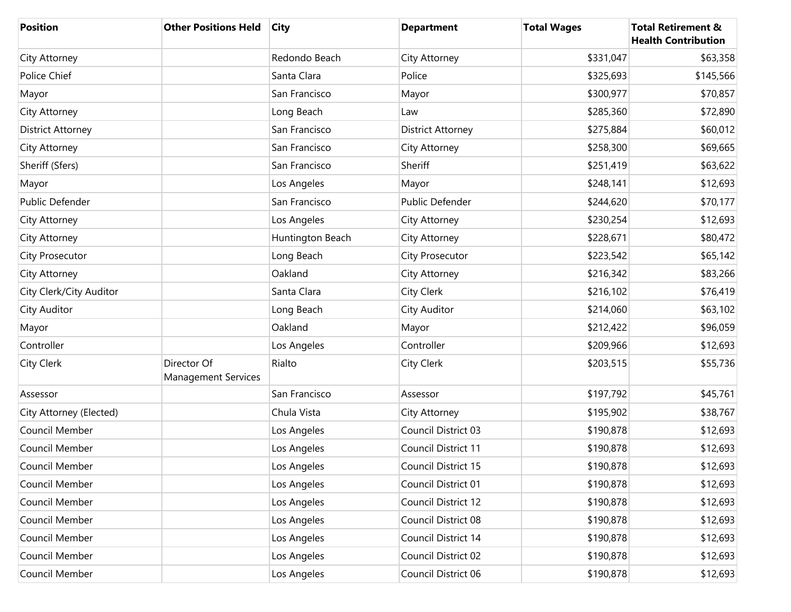| <b>Position</b>          | <b>Other Positions Held</b>               | <b>City</b>      | <b>Department</b>        | <b>Total Wages</b> | <b>Total Retirement &amp;</b><br><b>Health Contribution</b> |
|--------------------------|-------------------------------------------|------------------|--------------------------|--------------------|-------------------------------------------------------------|
| City Attorney            |                                           | Redondo Beach    | City Attorney            | \$331,047          | \$63,358                                                    |
| Police Chief             |                                           | Santa Clara      | Police                   | \$325,693          | \$145,566                                                   |
| Mayor                    |                                           | San Francisco    | Mayor                    | \$300,977          | \$70,857                                                    |
| City Attorney            |                                           | Long Beach       | Law                      | \$285,360          | \$72,890                                                    |
| <b>District Attorney</b> |                                           | San Francisco    | <b>District Attorney</b> | \$275,884          | \$60,012                                                    |
| City Attorney            |                                           | San Francisco    | City Attorney            | \$258,300          | \$69,665                                                    |
| Sheriff (Sfers)          |                                           | San Francisco    | Sheriff                  | \$251,419          | \$63,622                                                    |
| Mayor                    |                                           | Los Angeles      | Mayor                    | \$248,141          | \$12,693                                                    |
| Public Defender          |                                           | San Francisco    | Public Defender          | \$244,620          | \$70,177                                                    |
| City Attorney            |                                           | Los Angeles      | City Attorney            | \$230,254          | \$12,693                                                    |
| City Attorney            |                                           | Huntington Beach | City Attorney            | \$228,671          | \$80,472                                                    |
| <b>City Prosecutor</b>   |                                           | Long Beach       | City Prosecutor          | \$223,542          | \$65,142                                                    |
| City Attorney            |                                           | Oakland          | City Attorney            | \$216,342          | \$83,266                                                    |
| City Clerk/City Auditor  |                                           | Santa Clara      | City Clerk               | \$216,102          | \$76,419                                                    |
| City Auditor             |                                           | Long Beach       | City Auditor             | \$214,060          | \$63,102                                                    |
| Mayor                    |                                           | Oakland          | Mayor                    | \$212,422          | \$96,059                                                    |
| Controller               |                                           | Los Angeles      | Controller               | \$209,966          | \$12,693                                                    |
| <b>City Clerk</b>        | Director Of<br><b>Management Services</b> | Rialto           | City Clerk               | \$203,515          | \$55,736                                                    |
| Assessor                 |                                           | San Francisco    | Assessor                 | \$197,792          | \$45,761                                                    |
| City Attorney (Elected)  |                                           | Chula Vista      | City Attorney            | \$195,902          | \$38,767                                                    |
| Council Member           |                                           | Los Angeles      | Council District 03      | \$190,878          | \$12,693                                                    |
| Council Member           |                                           | Los Angeles      | Council District 11      | \$190,878          | \$12,693                                                    |
| Council Member           |                                           | Los Angeles      | Council District 15      | \$190,878          | \$12,693                                                    |
| Council Member           |                                           | Los Angeles      | Council District 01      | \$190,878          | \$12,693                                                    |
| Council Member           |                                           | Los Angeles      | Council District 12      | \$190,878          | \$12,693                                                    |
| Council Member           |                                           | Los Angeles      | Council District 08      | \$190,878          | \$12,693                                                    |
| Council Member           |                                           | Los Angeles      | Council District 14      | \$190,878          | \$12,693                                                    |
| Council Member           |                                           | Los Angeles      | Council District 02      | \$190,878          | \$12,693                                                    |
| Council Member           |                                           | Los Angeles      | Council District 06      | \$190,878          | \$12,693                                                    |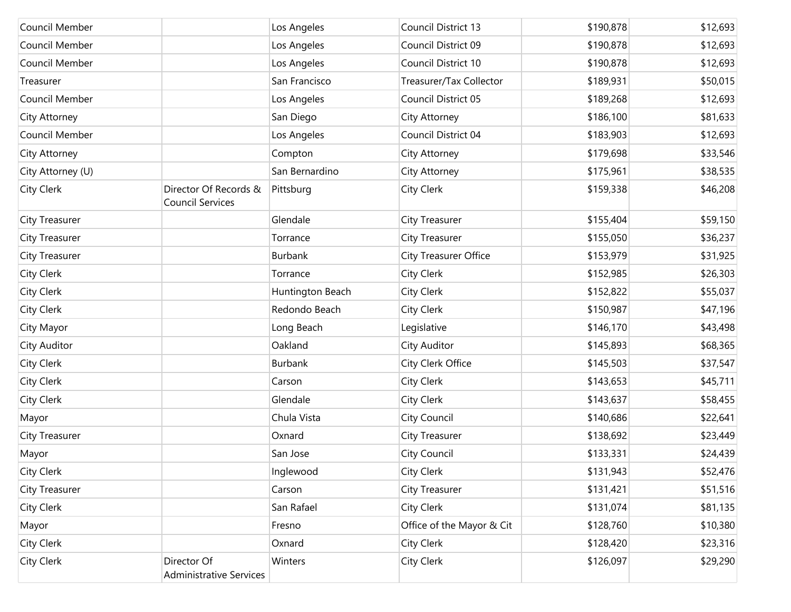| Council Member    |                                                  | Los Angeles      | Council District 13       | \$190,878 | \$12,693 |
|-------------------|--------------------------------------------------|------------------|---------------------------|-----------|----------|
| Council Member    |                                                  | Los Angeles      | Council District 09       | \$190,878 | \$12,693 |
| Council Member    |                                                  | Los Angeles      | Council District 10       | \$190,878 | \$12,693 |
| Treasurer         |                                                  | San Francisco    | Treasurer/Tax Collector   | \$189,931 | \$50,015 |
| Council Member    |                                                  | Los Angeles      | Council District 05       | \$189,268 | \$12,693 |
| City Attorney     |                                                  | San Diego        | City Attorney             | \$186,100 | \$81,633 |
| Council Member    |                                                  | Los Angeles      | Council District 04       | \$183,903 | \$12,693 |
| City Attorney     |                                                  | Compton          | City Attorney             | \$179,698 | \$33,546 |
| City Attorney (U) |                                                  | San Bernardino   | City Attorney             | \$175,961 | \$38,535 |
| City Clerk        | Director Of Records &<br><b>Council Services</b> | Pittsburg        | City Clerk                | \$159,338 | \$46,208 |
| City Treasurer    |                                                  | Glendale         | <b>City Treasurer</b>     | \$155,404 | \$59,150 |
| City Treasurer    |                                                  | Torrance         | City Treasurer            | \$155,050 | \$36,237 |
| City Treasurer    |                                                  | Burbank          | City Treasurer Office     | \$153,979 | \$31,925 |
| City Clerk        |                                                  | Torrance         | <b>City Clerk</b>         | \$152,985 | \$26,303 |
| City Clerk        |                                                  | Huntington Beach | City Clerk                | \$152,822 | \$55,037 |
| City Clerk        |                                                  | Redondo Beach    | City Clerk                | \$150,987 | \$47,196 |
| City Mayor        |                                                  | Long Beach       | Legislative               | \$146,170 | \$43,498 |
| City Auditor      |                                                  | Oakland          | City Auditor              | \$145,893 | \$68,365 |
| City Clerk        |                                                  | Burbank          | City Clerk Office         | \$145,503 | \$37,547 |
| City Clerk        |                                                  | Carson           | City Clerk                | \$143,653 | \$45,711 |
| City Clerk        |                                                  | Glendale         | City Clerk                | \$143,637 | \$58,455 |
| Mayor             |                                                  | Chula Vista      | City Council              | \$140,686 | \$22,641 |
| City Treasurer    |                                                  | Oxnard           | <b>City Treasurer</b>     | \$138,692 | \$23,449 |
| Mayor             |                                                  | San Jose         | City Council              | \$133,331 | \$24,439 |
| City Clerk        |                                                  | Inglewood        | <b>City Clerk</b>         | \$131,943 | \$52,476 |
| City Treasurer    |                                                  | Carson           | <b>City Treasurer</b>     | \$131,421 | \$51,516 |
| City Clerk        |                                                  | San Rafael       | City Clerk                | \$131,074 | \$81,135 |
| Mayor             |                                                  | Fresno           | Office of the Mayor & Cit | \$128,760 | \$10,380 |
| City Clerk        |                                                  | Oxnard           | City Clerk                | \$128,420 | \$23,316 |
| City Clerk        | Director Of<br><b>Administrative Services</b>    | Winters          | City Clerk                | \$126,097 | \$29,290 |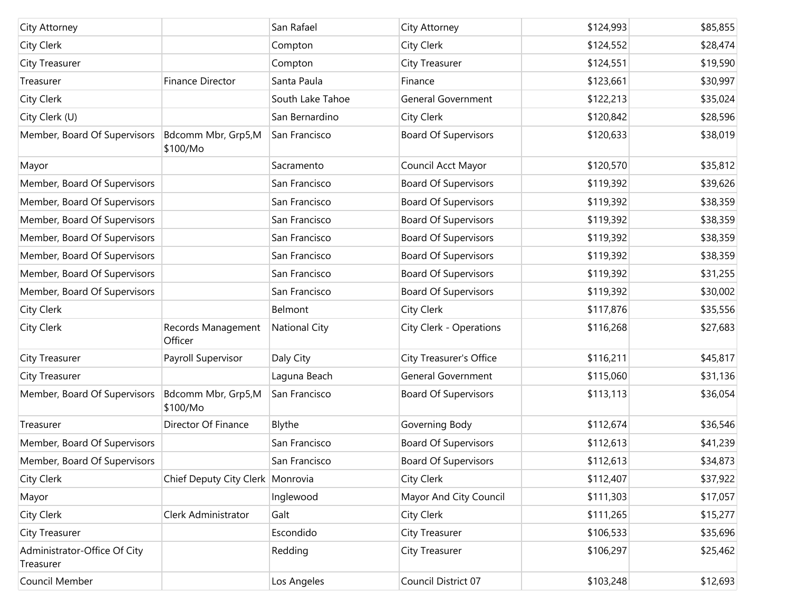| City Attorney                             |                                  | San Rafael           | City Attorney               | \$124,993 | \$85,855 |
|-------------------------------------------|----------------------------------|----------------------|-----------------------------|-----------|----------|
| City Clerk                                |                                  | Compton              | City Clerk                  | \$124,552 | \$28,474 |
| City Treasurer                            |                                  | Compton              | City Treasurer              | \$124,551 | \$19,590 |
| Treasurer                                 | <b>Finance Director</b>          | Santa Paula          | Finance                     | \$123,661 | \$30,997 |
| City Clerk                                |                                  | South Lake Tahoe     | General Government          | \$122,213 | \$35,024 |
| City Clerk (U)                            |                                  | San Bernardino       | City Clerk                  | \$120,842 | \$28,596 |
| Member, Board Of Supervisors              | Bdcomm Mbr, Grp5,M<br>\$100/Mo   | San Francisco        | <b>Board Of Supervisors</b> | \$120,633 | \$38,019 |
| Mayor                                     |                                  | Sacramento           | Council Acct Mayor          | \$120,570 | \$35,812 |
| Member, Board Of Supervisors              |                                  | San Francisco        | <b>Board Of Supervisors</b> | \$119,392 | \$39,626 |
| Member, Board Of Supervisors              |                                  | San Francisco        | <b>Board Of Supervisors</b> | \$119,392 | \$38,359 |
| Member, Board Of Supervisors              |                                  | San Francisco        | <b>Board Of Supervisors</b> | \$119,392 | \$38,359 |
| Member, Board Of Supervisors              |                                  | San Francisco        | <b>Board Of Supervisors</b> | \$119,392 | \$38,359 |
| Member, Board Of Supervisors              |                                  | San Francisco        | <b>Board Of Supervisors</b> | \$119,392 | \$38,359 |
| Member, Board Of Supervisors              |                                  | San Francisco        | <b>Board Of Supervisors</b> | \$119,392 | \$31,255 |
| Member, Board Of Supervisors              |                                  | San Francisco        | <b>Board Of Supervisors</b> | \$119,392 | \$30,002 |
| City Clerk                                |                                  | Belmont              | City Clerk                  | \$117,876 | \$35,556 |
| <b>City Clerk</b>                         | Records Management<br>Officer    | <b>National City</b> | City Clerk - Operations     | \$116,268 | \$27,683 |
| City Treasurer                            | Payroll Supervisor               | Daly City            | City Treasurer's Office     | \$116,211 | \$45,817 |
| City Treasurer                            |                                  | Laguna Beach         | <b>General Government</b>   | \$115,060 | \$31,136 |
| Member, Board Of Supervisors              | Bdcomm Mbr, Grp5,M<br>\$100/Mo   | San Francisco        | <b>Board Of Supervisors</b> | \$113,113 | \$36,054 |
| Treasurer                                 | Director Of Finance              | Blythe               | Governing Body              | \$112,674 | \$36,546 |
| Member, Board Of Supervisors              |                                  | San Francisco        | <b>Board Of Supervisors</b> | \$112,613 | \$41,239 |
| Member, Board Of Supervisors              |                                  | San Francisco        | <b>Board Of Supervisors</b> | \$112,613 | \$34,873 |
| City Clerk                                | Chief Deputy City Clerk Monrovia |                      | City Clerk                  | \$112,407 | \$37,922 |
| Mayor                                     |                                  | Inglewood            | Mayor And City Council      | \$111,303 | \$17,057 |
| City Clerk                                | Clerk Administrator              | Galt                 | City Clerk                  | \$111,265 | \$15,277 |
| City Treasurer                            |                                  | Escondido            | City Treasurer              | \$106,533 | \$35,696 |
| Administrator-Office Of City<br>Treasurer |                                  | Redding              | City Treasurer              | \$106,297 | \$25,462 |
| Council Member                            |                                  | Los Angeles          | Council District 07         | \$103,248 | \$12,693 |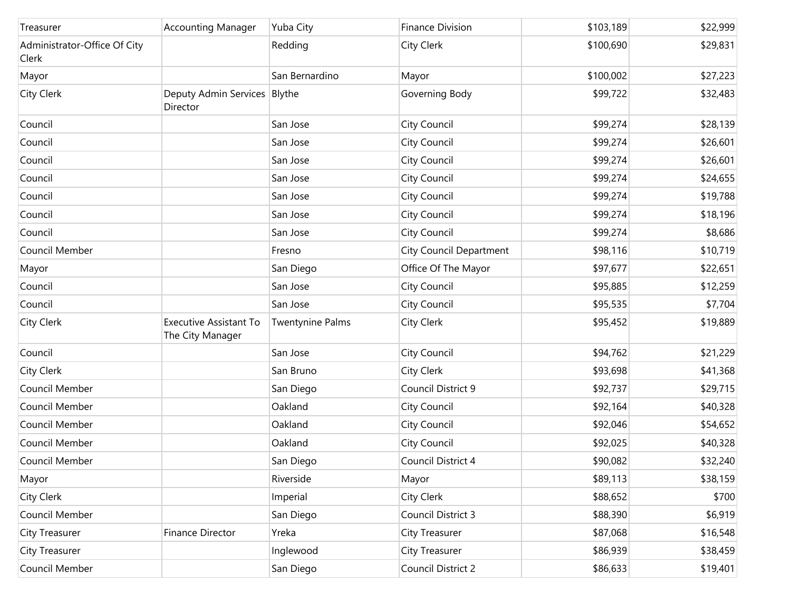| Treasurer                             | <b>Accounting Manager</b>                         | Yuba City               | <b>Finance Division</b>        | \$103,189 | \$22,999 |
|---------------------------------------|---------------------------------------------------|-------------------------|--------------------------------|-----------|----------|
| Administrator-Office Of City<br>Clerk |                                                   | Redding                 | City Clerk                     | \$100,690 | \$29,831 |
| Mayor                                 |                                                   | San Bernardino          | Mayor                          | \$100,002 | \$27,223 |
| <b>City Clerk</b>                     | Deputy Admin Services Blythe<br>Director          |                         | Governing Body                 | \$99,722  | \$32,483 |
| Council                               |                                                   | San Jose                | City Council                   | \$99,274  | \$28,139 |
| Council                               |                                                   | San Jose                | City Council                   | \$99,274  | \$26,601 |
| Council                               |                                                   | San Jose                | City Council                   | \$99,274  | \$26,601 |
| Council                               |                                                   | San Jose                | City Council                   | \$99,274  | \$24,655 |
| Council                               |                                                   | San Jose                | City Council                   | \$99,274  | \$19,788 |
| Council                               |                                                   | San Jose                | City Council                   | \$99,274  | \$18,196 |
| Council                               |                                                   | San Jose                | City Council                   | \$99,274  | \$8,686  |
| Council Member                        |                                                   | Fresno                  | <b>City Council Department</b> | \$98,116  | \$10,719 |
| Mayor                                 |                                                   | San Diego               | Office Of The Mayor            | \$97,677  | \$22,651 |
| Council                               |                                                   | San Jose                | City Council                   | \$95,885  | \$12,259 |
| Council                               |                                                   | San Jose                | <b>City Council</b>            | \$95,535  | \$7,704  |
| City Clerk                            | <b>Executive Assistant To</b><br>The City Manager | <b>Twentynine Palms</b> | City Clerk                     | \$95,452  | \$19,889 |
| Council                               |                                                   | San Jose                | City Council                   | \$94,762  | \$21,229 |
| City Clerk                            |                                                   | San Bruno               | City Clerk                     | \$93,698  | \$41,368 |
| Council Member                        |                                                   | San Diego               | Council District 9             | \$92,737  | \$29,715 |
| Council Member                        |                                                   | Oakland                 | City Council                   | \$92,164  | \$40,328 |
| Council Member                        |                                                   | Oakland                 | City Council                   | \$92,046  | \$54,652 |
| Council Member                        |                                                   | Oakland                 | City Council                   | \$92,025  | \$40,328 |
| Council Member                        |                                                   | San Diego               | Council District 4             | \$90,082  | \$32,240 |
| Mayor                                 |                                                   | Riverside               | Mayor                          | \$89,113  | \$38,159 |
| City Clerk                            |                                                   | Imperial                | City Clerk                     | \$88,652  | \$700    |
| Council Member                        |                                                   | San Diego               | Council District 3             | \$88,390  | \$6,919  |
| <b>City Treasurer</b>                 | Finance Director                                  | Yreka                   | City Treasurer                 | \$87,068  | \$16,548 |
| City Treasurer                        |                                                   | Inglewood               | City Treasurer                 | \$86,939  | \$38,459 |
| Council Member                        |                                                   | San Diego               | Council District 2             | \$86,633  | \$19,401 |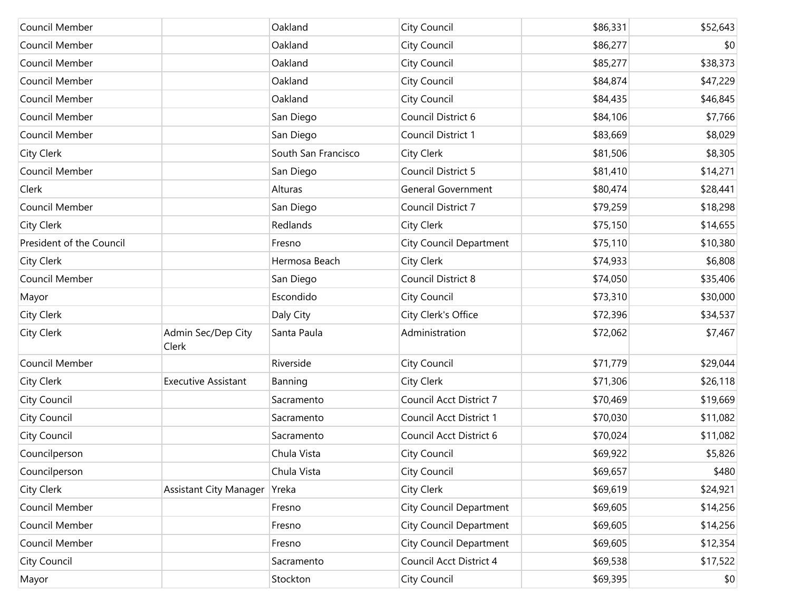| Council Member           |                               | Oakland             | City Council                   | \$86,331 | \$52,643 |
|--------------------------|-------------------------------|---------------------|--------------------------------|----------|----------|
| Council Member           |                               | Oakland             | City Council                   | \$86,277 | \$0      |
| Council Member           |                               | Oakland             | City Council                   | \$85,277 | \$38,373 |
| Council Member           |                               | Oakland             | City Council                   | \$84,874 | \$47,229 |
| Council Member           |                               | Oakland             | City Council                   | \$84,435 | \$46,845 |
| Council Member           |                               | San Diego           | Council District 6             | \$84,106 | \$7,766  |
| Council Member           |                               | San Diego           | Council District 1             | \$83,669 | \$8,029  |
| City Clerk               |                               | South San Francisco | City Clerk                     | \$81,506 | \$8,305  |
| Council Member           |                               | San Diego           | Council District 5             | \$81,410 | \$14,271 |
| Clerk                    |                               | Alturas             | <b>General Government</b>      | \$80,474 | \$28,441 |
| Council Member           |                               | San Diego           | Council District 7             | \$79,259 | \$18,298 |
| City Clerk               |                               | Redlands            | City Clerk                     | \$75,150 | \$14,655 |
| President of the Council |                               | Fresno              | <b>City Council Department</b> | \$75,110 | \$10,380 |
| City Clerk               |                               | Hermosa Beach       | City Clerk                     | \$74,933 | \$6,808  |
| Council Member           |                               | San Diego           | Council District 8             | \$74,050 | \$35,406 |
| Mayor                    |                               | Escondido           | City Council                   | \$73,310 | \$30,000 |
| City Clerk               |                               | Daly City           | City Clerk's Office            | \$72,396 | \$34,537 |
| City Clerk               | Admin Sec/Dep City<br>Clerk   | Santa Paula         | Administration                 | \$72,062 | \$7,467  |
| Council Member           |                               | Riverside           | City Council                   | \$71,779 | \$29,044 |
| City Clerk               | <b>Executive Assistant</b>    | Banning             | City Clerk                     | \$71,306 | \$26,118 |
| City Council             |                               | Sacramento          | <b>Council Acct District 7</b> | \$70,469 | \$19,669 |
| City Council             |                               | Sacramento          | Council Acct District 1        | \$70,030 | \$11,082 |
| City Council             |                               | Sacramento          | Council Acct District 6        | \$70,024 | \$11,082 |
| Councilperson            |                               | Chula Vista         | City Council                   | \$69,922 | \$5,826  |
| Councilperson            |                               | Chula Vista         | City Council                   | \$69,657 | \$480    |
| City Clerk               | <b>Assistant City Manager</b> | Yreka               | City Clerk                     | \$69,619 | \$24,921 |
| Council Member           |                               | Fresno              | <b>City Council Department</b> | \$69,605 | \$14,256 |
| Council Member           |                               | Fresno              | <b>City Council Department</b> | \$69,605 | \$14,256 |
| Council Member           |                               | Fresno              | <b>City Council Department</b> | \$69,605 | \$12,354 |
| City Council             |                               | Sacramento          | Council Acct District 4        | \$69,538 | \$17,522 |
| Mayor                    |                               | Stockton            | City Council                   | \$69,395 | \$0      |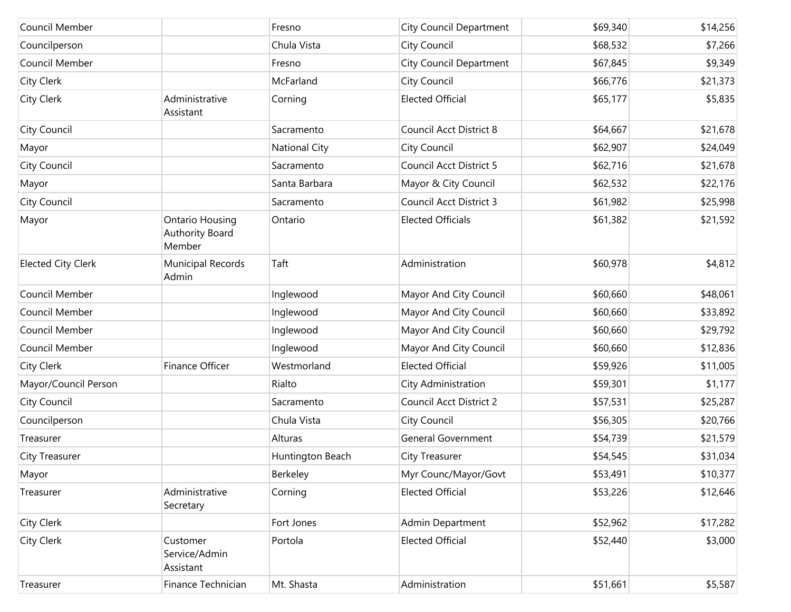| Council Member            |                                                     | Fresno               | <b>City Council Department</b> | \$69,340 | \$14,256 |
|---------------------------|-----------------------------------------------------|----------------------|--------------------------------|----------|----------|
| Councilperson             |                                                     | Chula Vista          | City Council                   | \$68,532 | \$7,266  |
| Council Member            |                                                     | Fresno               | <b>City Council Department</b> | \$67,845 | \$9,349  |
| City Clerk                |                                                     | McFarland            | City Council                   | \$66,776 | \$21,373 |
| City Clerk                | Administrative<br>Assistant                         | Corning              | <b>Elected Official</b>        | \$65,177 | \$5,835  |
| City Council              |                                                     | Sacramento           | Council Acct District 8        | \$64,667 | \$21,678 |
| Mayor                     |                                                     | <b>National City</b> | City Council                   | \$62,907 | \$24,049 |
| City Council              |                                                     | Sacramento           | Council Acct District 5        | \$62,716 | \$21,678 |
| Mayor                     |                                                     | Santa Barbara        | Mayor & City Council           | \$62,532 | \$22,176 |
| City Council              |                                                     | Sacramento           | Council Acct District 3        | \$61,982 | \$25,998 |
| Mayor                     | <b>Ontario Housing</b><br>Authority Board<br>Member | Ontario              | <b>Elected Officials</b>       | \$61,382 | \$21,592 |
| <b>Elected City Clerk</b> | Municipal Records<br>Admin                          | Taft                 | Administration                 | \$60,978 | \$4,812  |
| Council Member            |                                                     | Inglewood            | Mayor And City Council         | \$60,660 | \$48,061 |
| Council Member            |                                                     | Inglewood            | Mayor And City Council         | \$60,660 | \$33,892 |
| Council Member            |                                                     | Inglewood            | Mayor And City Council         | \$60,660 | \$29,792 |
| Council Member            |                                                     | Inglewood            | Mayor And City Council         | \$60,660 | \$12,836 |
| City Clerk                | Finance Officer                                     | Westmorland          | <b>Elected Official</b>        | \$59,926 | \$11,005 |
| Mayor/Council Person      |                                                     | Rialto               | City Administration            | \$59,301 | \$1,177  |
| City Council              |                                                     | Sacramento           | Council Acct District 2        | \$57,531 | \$25,287 |
| Councilperson             |                                                     | Chula Vista          | <b>City Council</b>            | \$56,305 | \$20,766 |
| Treasurer                 |                                                     | Alturas              | <b>General Government</b>      | \$54,739 | \$21,579 |
| City Treasurer            |                                                     | Huntington Beach     | City Treasurer                 | \$54,545 | \$31,034 |
| Mayor                     |                                                     | Berkeley             | Myr Counc/Mayor/Govt           | \$53,491 | \$10,377 |
| Treasurer                 | Administrative<br>Secretary                         | Corning              | <b>Elected Official</b>        | \$53,226 | \$12,646 |
| City Clerk                |                                                     | Fort Jones           | Admin Department               | \$52,962 | \$17,282 |
| City Clerk                | Customer<br>Service/Admin<br>Assistant              | Portola              | <b>Elected Official</b>        | \$52,440 | \$3,000  |
| Treasurer                 | Finance Technician                                  | Mt. Shasta           | Administration                 | \$51,661 | \$5,587  |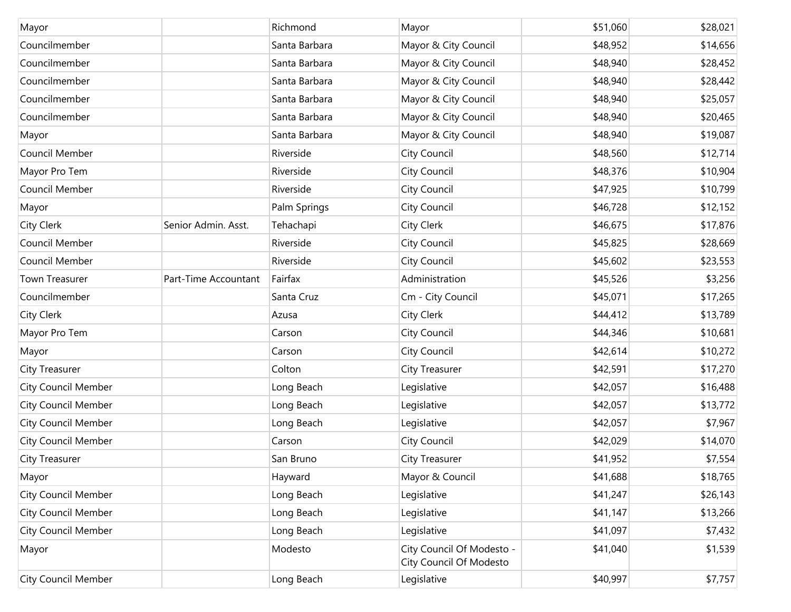| Mayor                      |                      | Richmond      | Mayor                                                | \$51,060 | \$28,021 |
|----------------------------|----------------------|---------------|------------------------------------------------------|----------|----------|
| Councilmember              |                      | Santa Barbara | Mayor & City Council                                 | \$48,952 | \$14,656 |
| Councilmember              |                      | Santa Barbara | Mayor & City Council                                 | \$48,940 | \$28,452 |
| Councilmember              |                      | Santa Barbara | Mayor & City Council                                 | \$48,940 | \$28,442 |
| Councilmember              |                      | Santa Barbara | Mayor & City Council                                 | \$48,940 | \$25,057 |
| Councilmember              |                      | Santa Barbara | Mayor & City Council                                 | \$48,940 | \$20,465 |
| Mayor                      |                      | Santa Barbara | Mayor & City Council                                 | \$48,940 | \$19,087 |
| Council Member             |                      | Riverside     | City Council                                         | \$48,560 | \$12,714 |
| Mayor Pro Tem              |                      | Riverside     | City Council                                         | \$48,376 | \$10,904 |
| Council Member             |                      | Riverside     | City Council                                         | \$47,925 | \$10,799 |
| Mayor                      |                      | Palm Springs  | City Council                                         | \$46,728 | \$12,152 |
| City Clerk                 | Senior Admin. Asst.  | Tehachapi     | City Clerk                                           | \$46,675 | \$17,876 |
| Council Member             |                      | Riverside     | City Council                                         | \$45,825 | \$28,669 |
| Council Member             |                      | Riverside     | City Council                                         | \$45,602 | \$23,553 |
| Town Treasurer             | Part-Time Accountant | Fairfax       | Administration                                       | \$45,526 | \$3,256  |
| Councilmember              |                      | Santa Cruz    | Cm - City Council                                    | \$45,071 | \$17,265 |
| <b>City Clerk</b>          |                      | Azusa         | City Clerk                                           | \$44,412 | \$13,789 |
| Mayor Pro Tem              |                      | Carson        | City Council                                         | \$44,346 | \$10,681 |
| Mayor                      |                      | Carson        | City Council                                         | \$42,614 | \$10,272 |
| <b>City Treasurer</b>      |                      | Colton        | <b>City Treasurer</b>                                | \$42,591 | \$17,270 |
| <b>City Council Member</b> |                      | Long Beach    | Legislative                                          | \$42,057 | \$16,488 |
| <b>City Council Member</b> |                      | Long Beach    | Legislative                                          | \$42,057 | \$13,772 |
| <b>City Council Member</b> |                      | Long Beach    | Legislative                                          | \$42,057 | \$7,967  |
| <b>City Council Member</b> |                      | Carson        | City Council                                         | \$42,029 | \$14,070 |
| <b>City Treasurer</b>      |                      | San Bruno     | <b>City Treasurer</b>                                | \$41,952 | \$7,554  |
| Mayor                      |                      | Hayward       | Mayor & Council                                      | \$41,688 | \$18,765 |
| <b>City Council Member</b> |                      | Long Beach    | Legislative                                          | \$41,247 | \$26,143 |
| <b>City Council Member</b> |                      | Long Beach    | Legislative                                          | \$41,147 | \$13,266 |
| <b>City Council Member</b> |                      | Long Beach    | Legislative                                          | \$41,097 | \$7,432  |
| Mayor                      |                      | Modesto       | City Council Of Modesto -<br>City Council Of Modesto | \$41,040 | \$1,539  |
| <b>City Council Member</b> |                      | Long Beach    | Legislative                                          | \$40,997 | \$7,757  |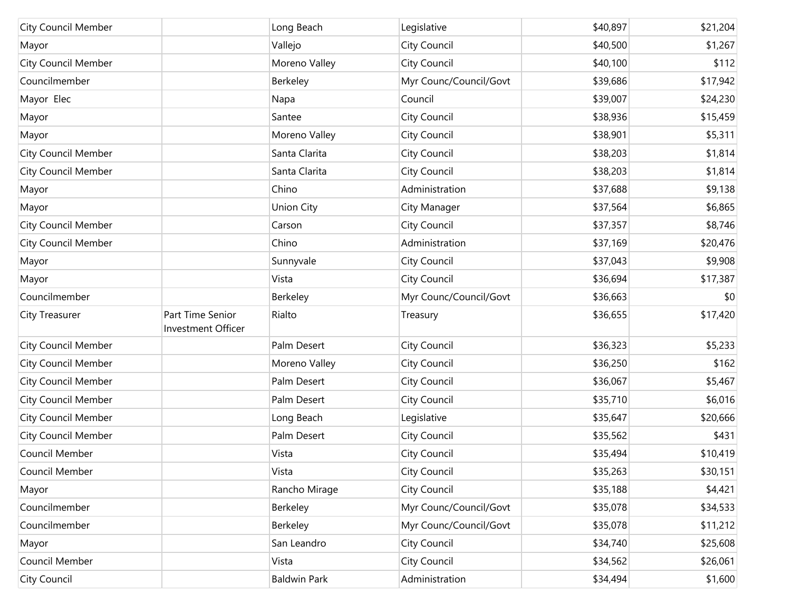| <b>City Council Member</b> |                                        | Long Beach    | Legislative            | \$40,897 | \$21,204 |
|----------------------------|----------------------------------------|---------------|------------------------|----------|----------|
| Mayor                      |                                        | Vallejo       | City Council           | \$40,500 | \$1,267  |
| <b>City Council Member</b> |                                        | Moreno Valley | City Council           | \$40,100 | \$112    |
| Councilmember              |                                        | Berkeley      | Myr Counc/Council/Govt | \$39,686 | \$17,942 |
| Mayor Elec                 |                                        | Napa          | Council                | \$39,007 | \$24,230 |
| Mayor                      |                                        | Santee        | City Council           | \$38,936 | \$15,459 |
| Mayor                      |                                        | Moreno Valley | City Council           | \$38,901 | \$5,311  |
| <b>City Council Member</b> |                                        | Santa Clarita | City Council           | \$38,203 | \$1,814  |
| <b>City Council Member</b> |                                        | Santa Clarita | City Council           | \$38,203 | \$1,814  |
| Mayor                      |                                        | Chino         | Administration         | \$37,688 | \$9,138  |
| Mayor                      |                                        | Union City    | City Manager           | \$37,564 | \$6,865  |
| <b>City Council Member</b> |                                        | Carson        | City Council           | \$37,357 | \$8,746  |
| <b>City Council Member</b> |                                        | Chino         | Administration         | \$37,169 | \$20,476 |
| Mayor                      |                                        | Sunnyvale     | City Council           | \$37,043 | \$9,908  |
| Mayor                      |                                        | Vista         | City Council           | \$36,694 | \$17,387 |
| Councilmember              |                                        | Berkeley      | Myr Counc/Council/Govt | \$36,663 | \$0      |
| <b>City Treasurer</b>      | Part Time Senior<br>Investment Officer | Rialto        | Treasury               | \$36,655 | \$17,420 |
| <b>City Council Member</b> |                                        | Palm Desert   | City Council           | \$36,323 | \$5,233  |
| <b>City Council Member</b> |                                        | Moreno Valley | City Council           | \$36,250 | \$162    |
| <b>City Council Member</b> |                                        | Palm Desert   | City Council           | \$36,067 | \$5,467  |
| <b>City Council Member</b> |                                        | Palm Desert   | City Council           | \$35,710 | \$6,016  |
| <b>City Council Member</b> |                                        | Long Beach    | Legislative            | \$35,647 | \$20,666 |
| City Council Member        |                                        | Palm Desert   | City Council           | \$35,562 | \$431    |
| Council Member             |                                        | Vista         | City Council           | \$35,494 | \$10,419 |
| Council Member             |                                        | Vista         | City Council           | \$35,263 | \$30,151 |
| Mayor                      |                                        |               |                        | \$35,188 | \$4,421  |
|                            |                                        | Rancho Mirage | City Council           |          |          |
| Councilmember              |                                        | Berkeley      | Myr Counc/Council/Govt | \$35,078 | \$34,533 |
| Councilmember              |                                        | Berkeley      | Myr Counc/Council/Govt | \$35,078 | \$11,212 |
| Mayor                      |                                        | San Leandro   | City Council           | \$34,740 | \$25,608 |
| Council Member             |                                        | Vista         | City Council           | \$34,562 | \$26,061 |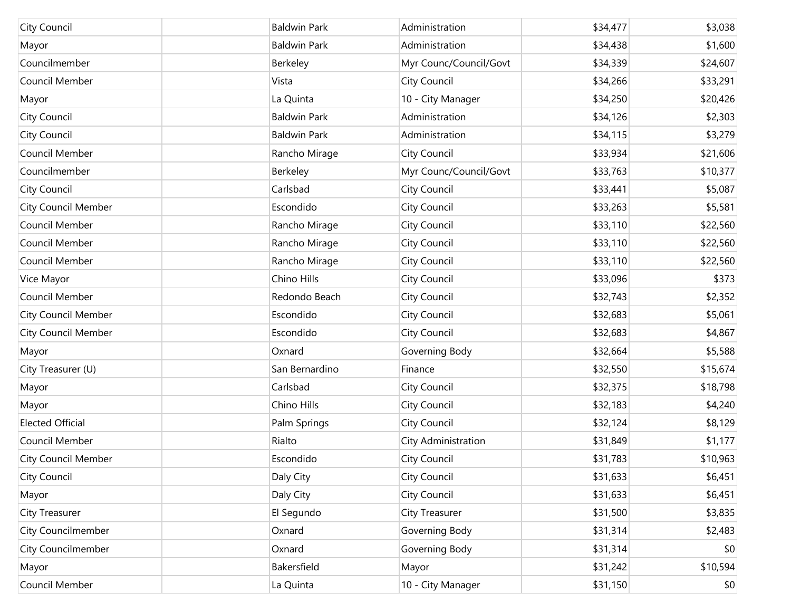| City Council               | <b>Baldwin Park</b> | Administration         | \$34,477 | \$3,038  |
|----------------------------|---------------------|------------------------|----------|----------|
|                            |                     |                        |          |          |
| Mayor                      | <b>Baldwin Park</b> | Administration         | \$34,438 | \$1,600  |
| Councilmember              | Berkeley            | Myr Counc/Council/Govt | \$34,339 | \$24,607 |
| Council Member             | Vista               | City Council           | \$34,266 | \$33,291 |
| Mayor                      | La Quinta           | 10 - City Manager      | \$34,250 | \$20,426 |
| City Council               | <b>Baldwin Park</b> | Administration         | \$34,126 | \$2,303  |
| City Council               | <b>Baldwin Park</b> | Administration         | \$34,115 | \$3,279  |
| Council Member             | Rancho Mirage       | City Council           | \$33,934 | \$21,606 |
| Councilmember              | Berkeley            | Myr Counc/Council/Govt | \$33,763 | \$10,377 |
| City Council               | Carlsbad            | City Council           | \$33,441 | \$5,087  |
| <b>City Council Member</b> | Escondido           | <b>City Council</b>    | \$33,263 | \$5,581  |
| Council Member             | Rancho Mirage       | City Council           | \$33,110 | \$22,560 |
| Council Member             | Rancho Mirage       | City Council           | \$33,110 | \$22,560 |
| Council Member             | Rancho Mirage       | City Council           | \$33,110 | \$22,560 |
| Vice Mayor                 | Chino Hills         | <b>City Council</b>    | \$33,096 | \$373    |
| Council Member             | Redondo Beach       | City Council           | \$32,743 | \$2,352  |
| <b>City Council Member</b> | Escondido           | <b>City Council</b>    | \$32,683 | \$5,061  |
| <b>City Council Member</b> | Escondido           | City Council           | \$32,683 | \$4,867  |
| Mayor                      | Oxnard              | Governing Body         | \$32,664 | \$5,588  |
| City Treasurer (U)         | San Bernardino      | Finance                | \$32,550 | \$15,674 |
| Mayor                      | Carlsbad            | <b>City Council</b>    | \$32,375 | \$18,798 |
| Mayor                      | Chino Hills         | City Council           | \$32,183 | \$4,240  |
| <b>Elected Official</b>    | Palm Springs        | City Council           | \$32,124 | \$8,129  |
| Council Member             | Rialto              | City Administration    | \$31,849 | \$1,177  |
| <b>City Council Member</b> | Escondido           | City Council           | \$31,783 | \$10,963 |
| City Council               | Daly City           | <b>City Council</b>    | \$31,633 | \$6,451  |
| Mayor                      | Daly City           | <b>City Council</b>    | \$31,633 | \$6,451  |
| City Treasurer             | El Segundo          | City Treasurer         | \$31,500 | \$3,835  |
| City Councilmember         | Oxnard              | Governing Body         | \$31,314 | \$2,483  |
| City Councilmember         | Oxnard              | Governing Body         | \$31,314 | \$0      |
| Mayor                      | Bakersfield         | Mayor                  | \$31,242 | \$10,594 |
| Council Member             | La Quinta           | 10 - City Manager      | \$31,150 | \$0      |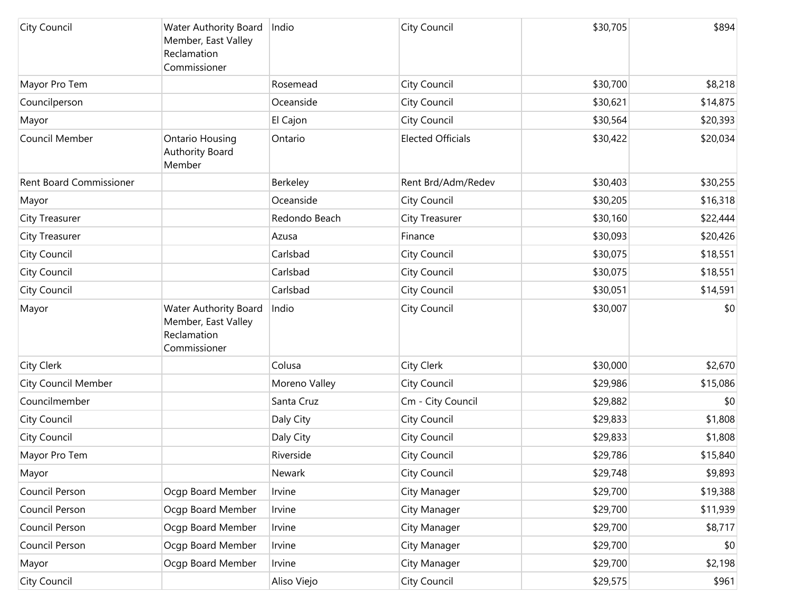| City Council                   | Water Authority Board<br>Member, East Valley<br>Reclamation<br>Commissioner | Indio         | City Council             | \$30,705 | \$894    |
|--------------------------------|-----------------------------------------------------------------------------|---------------|--------------------------|----------|----------|
| Mayor Pro Tem                  |                                                                             | Rosemead      | City Council             | \$30,700 | \$8,218  |
| Councilperson                  |                                                                             | Oceanside     | City Council             | \$30,621 | \$14,875 |
| Mayor                          |                                                                             | El Cajon      | City Council             | \$30,564 | \$20,393 |
| Council Member                 | <b>Ontario Housing</b><br><b>Authority Board</b><br>Member                  | Ontario       | <b>Elected Officials</b> | \$30,422 | \$20,034 |
| <b>Rent Board Commissioner</b> |                                                                             | Berkeley      | Rent Brd/Adm/Redev       | \$30,403 | \$30,255 |
| Mayor                          |                                                                             | Oceanside     | City Council             | \$30,205 | \$16,318 |
| City Treasurer                 |                                                                             | Redondo Beach | City Treasurer           | \$30,160 | \$22,444 |
| City Treasurer                 |                                                                             | Azusa         | Finance                  | \$30,093 | \$20,426 |
| City Council                   |                                                                             | Carlsbad      | City Council             | \$30,075 | \$18,551 |
| City Council                   |                                                                             | Carlsbad      | City Council             | \$30,075 | \$18,551 |
| City Council                   |                                                                             | Carlsbad      | City Council             | \$30,051 | \$14,591 |
| Mayor                          | Water Authority Board<br>Member, East Valley<br>Reclamation<br>Commissioner | Indio         | City Council             | \$30,007 | \$0      |
| <b>City Clerk</b>              |                                                                             | Colusa        | City Clerk               | \$30,000 | \$2,670  |
| <b>City Council Member</b>     |                                                                             | Moreno Valley | City Council             | \$29,986 | \$15,086 |
| Councilmember                  |                                                                             | Santa Cruz    | Cm - City Council        | \$29,882 | \$0      |
| City Council                   |                                                                             | Daly City     | City Council             | \$29,833 | \$1,808  |
| City Council                   |                                                                             | Daly City     | City Council             | \$29,833 | \$1,808  |
| Mayor Pro Tem                  |                                                                             | Riverside     | City Council             | \$29,786 | \$15,840 |
| Mayor                          |                                                                             | Newark        | City Council             | \$29,748 | \$9,893  |
| Council Person                 | Ocqp Board Member                                                           | Irvine        | City Manager             | \$29,700 | \$19,388 |
| Council Person                 | Ocqp Board Member                                                           | Irvine        | City Manager             | \$29,700 | \$11,939 |
| Council Person                 | Ocgp Board Member                                                           | Irvine        | City Manager             | \$29,700 | \$8,717  |
| Council Person                 | Ocgp Board Member                                                           | Irvine        | City Manager             | \$29,700 | \$0      |
| Mayor                          | Ocgp Board Member                                                           | Irvine        | City Manager             | \$29,700 | \$2,198  |
| City Council                   |                                                                             | Aliso Viejo   | City Council             | \$29,575 | \$961    |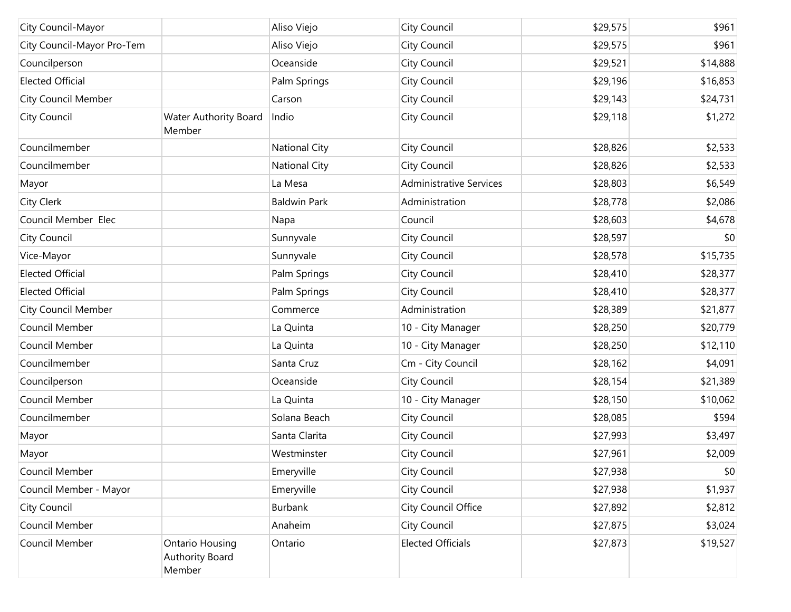| City Council-Mayor         |                                              | Aliso Viejo          | City Council                   | \$29,575 | \$961    |
|----------------------------|----------------------------------------------|----------------------|--------------------------------|----------|----------|
| City Council-Mayor Pro-Tem |                                              | Aliso Viejo          | City Council                   | \$29,575 | \$961    |
| Councilperson              |                                              | Oceanside            | City Council                   | \$29,521 | \$14,888 |
| <b>Elected Official</b>    |                                              | Palm Springs         | City Council                   | \$29,196 | \$16,853 |
| <b>City Council Member</b> |                                              | Carson               | City Council                   | \$29,143 | \$24,731 |
| City Council               | Water Authority Board<br>Member              | Indio                | City Council                   | \$29,118 | \$1,272  |
| Councilmember              |                                              | <b>National City</b> | City Council                   | \$28,826 | \$2,533  |
| Councilmember              |                                              | <b>National City</b> | City Council                   | \$28,826 | \$2,533  |
| Mayor                      |                                              | La Mesa              | <b>Administrative Services</b> | \$28,803 | \$6,549  |
| City Clerk                 |                                              | <b>Baldwin Park</b>  | Administration                 | \$28,778 | \$2,086  |
| Council Member Elec        |                                              | Napa                 | Council                        | \$28,603 | \$4,678  |
| City Council               |                                              | Sunnyvale            | City Council                   | \$28,597 | \$0      |
| Vice-Mayor                 |                                              | Sunnyvale            | City Council                   | \$28,578 | \$15,735 |
| <b>Elected Official</b>    |                                              | Palm Springs         | City Council                   | \$28,410 | \$28,377 |
| <b>Elected Official</b>    |                                              | Palm Springs         | City Council                   | \$28,410 | \$28,377 |
| <b>City Council Member</b> |                                              | Commerce             | Administration                 | \$28,389 | \$21,877 |
| Council Member             |                                              | La Quinta            | 10 - City Manager              | \$28,250 | \$20,779 |
| Council Member             |                                              | La Quinta            | 10 - City Manager              | \$28,250 | \$12,110 |
| Councilmember              |                                              | Santa Cruz           | Cm - City Council              | \$28,162 | \$4,091  |
| Councilperson              |                                              | Oceanside            | City Council                   | \$28,154 | \$21,389 |
| Council Member             |                                              | La Quinta            | 10 - City Manager              | \$28,150 | \$10,062 |
| Councilmember              |                                              | Solana Beach         | City Council                   | \$28,085 | \$594    |
| Mayor                      |                                              | Santa Clarita        | City Council                   | \$27,993 | \$3,497  |
| Mayor                      |                                              | Westminster          | City Council                   | \$27,961 | \$2,009  |
| Council Member             |                                              | Emeryville           | City Council                   | \$27,938 | \$0      |
| Council Member - Mayor     |                                              | Emeryville           | City Council                   | \$27,938 | \$1,937  |
| <b>City Council</b>        |                                              | Burbank              | City Council Office            | \$27,892 | \$2,812  |
| Council Member             |                                              | Anaheim              | City Council                   | \$27,875 | \$3,024  |
| Council Member             | Ontario Housing<br>Authority Board<br>Member | Ontario              | <b>Elected Officials</b>       | \$27,873 | \$19,527 |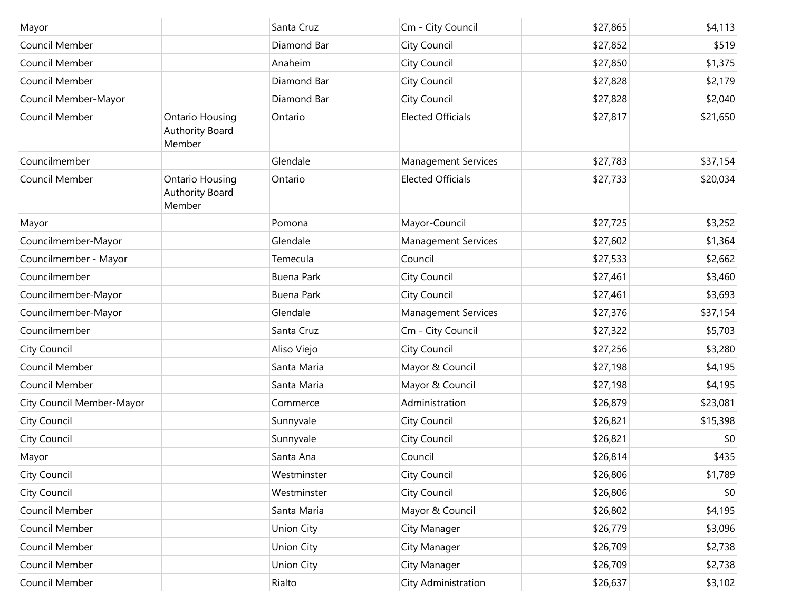| Mayor                     |                                                            | Santa Cruz        | Cm - City Council          | \$27,865 | \$4,113  |
|---------------------------|------------------------------------------------------------|-------------------|----------------------------|----------|----------|
| Council Member            |                                                            | Diamond Bar       | City Council               | \$27,852 | \$519    |
| Council Member            |                                                            | Anaheim           | City Council               | \$27,850 | \$1,375  |
| Council Member            |                                                            | Diamond Bar       | City Council               | \$27,828 | \$2,179  |
| Council Member-Mayor      |                                                            | Diamond Bar       | City Council               | \$27,828 | \$2,040  |
| Council Member            | <b>Ontario Housing</b><br><b>Authority Board</b><br>Member | Ontario           | <b>Elected Officials</b>   | \$27,817 | \$21,650 |
| Councilmember             |                                                            | Glendale          | <b>Management Services</b> | \$27,783 | \$37,154 |
| Council Member            | <b>Ontario Housing</b><br><b>Authority Board</b><br>Member | Ontario           | <b>Elected Officials</b>   | \$27,733 | \$20,034 |
| Mayor                     |                                                            | Pomona            | Mayor-Council              | \$27,725 | \$3,252  |
| Councilmember-Mayor       |                                                            | Glendale          | <b>Management Services</b> | \$27,602 | \$1,364  |
| Councilmember - Mayor     |                                                            | Temecula          | Council                    | \$27,533 | \$2,662  |
| Councilmember             |                                                            | <b>Buena Park</b> | City Council               | \$27,461 | \$3,460  |
| Councilmember-Mayor       |                                                            | <b>Buena Park</b> | City Council               | \$27,461 | \$3,693  |
| Councilmember-Mayor       |                                                            | Glendale          | <b>Management Services</b> | \$27,376 | \$37,154 |
| Councilmember             |                                                            | Santa Cruz        | Cm - City Council          | \$27,322 | \$5,703  |
| City Council              |                                                            | Aliso Viejo       | City Council               | \$27,256 | \$3,280  |
| Council Member            |                                                            | Santa Maria       | Mayor & Council            | \$27,198 | \$4,195  |
| Council Member            |                                                            | Santa Maria       | Mayor & Council            | \$27,198 | \$4,195  |
| City Council Member-Mayor |                                                            | Commerce          | Administration             | \$26,879 | \$23,081 |
| City Council              |                                                            | Sunnyvale         | City Council               | \$26,821 | \$15,398 |
| City Council              |                                                            | Sunnyvale         | City Council               | \$26,821 | \$0      |
| Mayor                     |                                                            | Santa Ana         | Council                    | \$26,814 | \$435    |
| City Council              |                                                            | Westminster       | City Council               | \$26,806 | \$1,789  |
| City Council              |                                                            | Westminster       | City Council               | \$26,806 | \$0      |
| Council Member            |                                                            | Santa Maria       | Mayor & Council            | \$26,802 | \$4,195  |
| Council Member            |                                                            | Union City        | City Manager               | \$26,779 | \$3,096  |
| Council Member            |                                                            | Union City        | City Manager               | \$26,709 | \$2,738  |
| Council Member            |                                                            | Union City        | City Manager               | \$26,709 | \$2,738  |
| Council Member            |                                                            | Rialto            | City Administration        | \$26,637 | \$3,102  |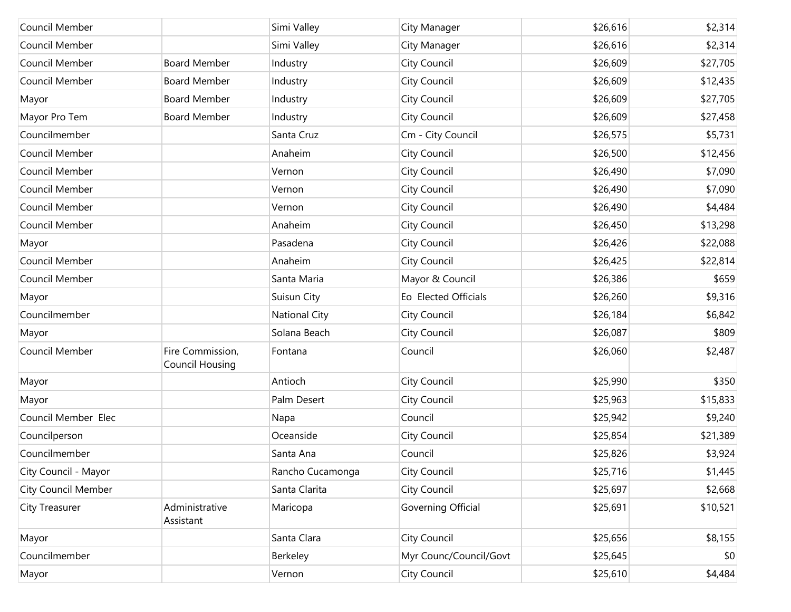| Council Member             |                                     | Simi Valley          | City Manager           | \$26,616 | \$2,314  |
|----------------------------|-------------------------------------|----------------------|------------------------|----------|----------|
| Council Member             |                                     | Simi Valley          | City Manager           | \$26,616 | \$2,314  |
| Council Member             | <b>Board Member</b>                 | Industry             | City Council           | \$26,609 | \$27,705 |
| Council Member             | <b>Board Member</b>                 | Industry             | City Council           | \$26,609 | \$12,435 |
| Mayor                      | <b>Board Member</b>                 | Industry             | City Council           | \$26,609 | \$27,705 |
| Mayor Pro Tem              | <b>Board Member</b>                 | Industry             | City Council           | \$26,609 | \$27,458 |
| Councilmember              |                                     | Santa Cruz           | Cm - City Council      | \$26,575 | \$5,731  |
| Council Member             |                                     | Anaheim              | City Council           | \$26,500 | \$12,456 |
| Council Member             |                                     | Vernon               | City Council           | \$26,490 | \$7,090  |
| Council Member             |                                     | Vernon               | City Council           | \$26,490 | \$7,090  |
| Council Member             |                                     | Vernon               | City Council           | \$26,490 | \$4,484  |
| Council Member             |                                     | Anaheim              | City Council           | \$26,450 | \$13,298 |
| Mayor                      |                                     | Pasadena             | City Council           | \$26,426 | \$22,088 |
| Council Member             |                                     | Anaheim              | City Council           | \$26,425 | \$22,814 |
| Council Member             |                                     | Santa Maria          | Mayor & Council        | \$26,386 | \$659    |
| Mayor                      |                                     | Suisun City          | Eo Elected Officials   | \$26,260 | \$9,316  |
| Councilmember              |                                     | <b>National City</b> | City Council           | \$26,184 | \$6,842  |
| Mayor                      |                                     | Solana Beach         | City Council           | \$26,087 | \$809    |
| Council Member             | Fire Commission,<br>Council Housing | Fontana              | Council                | \$26,060 | \$2,487  |
| Mayor                      |                                     | Antioch              | City Council           | \$25,990 | \$350    |
| Mayor                      |                                     | Palm Desert          | City Council           | \$25,963 | \$15,833 |
| Council Member Elec        |                                     | Napa                 | Council                | \$25,942 | \$9,240  |
| Councilperson              |                                     | Oceanside            | City Council           | \$25,854 | \$21,389 |
| Councilmember              |                                     | Santa Ana            | Council                | \$25,826 | \$3,924  |
| City Council - Mayor       |                                     | Rancho Cucamonga     | City Council           | \$25,716 | \$1,445  |
| <b>City Council Member</b> |                                     | Santa Clarita        | City Council           | \$25,697 | \$2,668  |
| <b>City Treasurer</b>      | Administrative<br>Assistant         | Maricopa             | Governing Official     | \$25,691 | \$10,521 |
| Mayor                      |                                     | Santa Clara          | City Council           | \$25,656 | \$8,155  |
| Councilmember              |                                     | Berkeley             | Myr Counc/Council/Govt | \$25,645 | \$0      |
| Mayor                      |                                     | Vernon               | City Council           | \$25,610 | \$4,484  |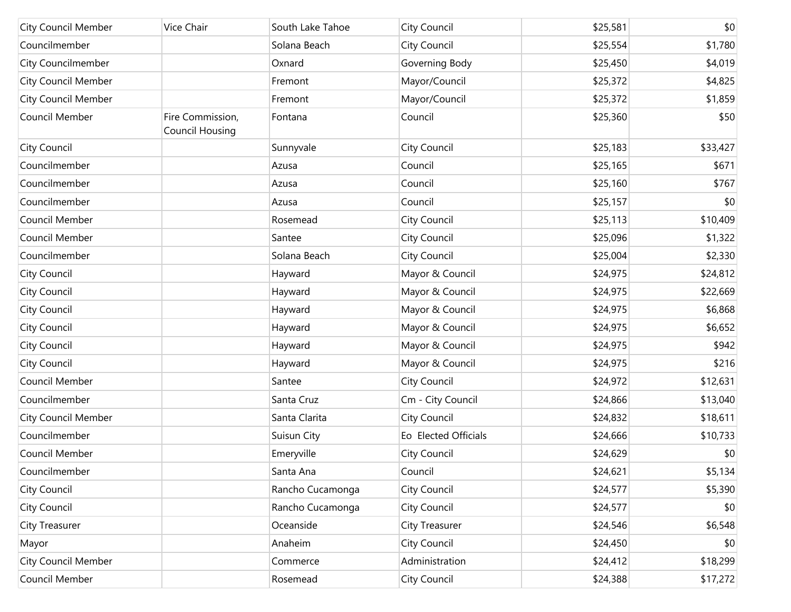| <b>City Council Member</b> | Vice Chair                                 | South Lake Tahoe | City Council         | \$25,581 | \$0      |
|----------------------------|--------------------------------------------|------------------|----------------------|----------|----------|
| Councilmember              |                                            | Solana Beach     | City Council         | \$25,554 | \$1,780  |
| <b>City Councilmember</b>  |                                            | Oxnard           | Governing Body       | \$25,450 | \$4,019  |
| <b>City Council Member</b> |                                            | Fremont          | Mayor/Council        | \$25,372 | \$4,825  |
| <b>City Council Member</b> |                                            | Fremont          | Mayor/Council        | \$25,372 | \$1,859  |
| Council Member             | Fire Commission,<br><b>Council Housing</b> | Fontana          | Council              | \$25,360 | \$50     |
| City Council               |                                            | Sunnyvale        | City Council         | \$25,183 | \$33,427 |
| Councilmember              |                                            | Azusa            | Council              | \$25,165 | \$671    |
| Councilmember              |                                            | Azusa            | Council              | \$25,160 | \$767    |
| Councilmember              |                                            | Azusa            | Council              | \$25,157 | \$0      |
| Council Member             |                                            | Rosemead         | City Council         | \$25,113 | \$10,409 |
| Council Member             |                                            | Santee           | City Council         | \$25,096 | \$1,322  |
| Councilmember              |                                            | Solana Beach     | City Council         | \$25,004 | \$2,330  |
| City Council               |                                            | Hayward          | Mayor & Council      | \$24,975 | \$24,812 |
| City Council               |                                            | Hayward          | Mayor & Council      | \$24,975 | \$22,669 |
| City Council               |                                            | Hayward          | Mayor & Council      | \$24,975 | \$6,868  |
| City Council               |                                            | Hayward          | Mayor & Council      | \$24,975 | \$6,652  |
| City Council               |                                            | Hayward          | Mayor & Council      | \$24,975 | \$942    |
| City Council               |                                            | Hayward          | Mayor & Council      | \$24,975 | \$216    |
| Council Member             |                                            | Santee           | City Council         | \$24,972 | \$12,631 |
| Councilmember              |                                            | Santa Cruz       | Cm - City Council    | \$24,866 | \$13,040 |
| <b>City Council Member</b> |                                            | Santa Clarita    | City Council         | \$24,832 | \$18,611 |
| Councilmember              |                                            | Suisun City      | Eo Elected Officials | \$24,666 | \$10,733 |
| Council Member             |                                            | Emeryville       | City Council         | \$24,629 | \$0      |
| Councilmember              |                                            | Santa Ana        | Council              | \$24,621 | \$5,134  |
| City Council               |                                            | Rancho Cucamonga | City Council         | \$24,577 | \$5,390  |
| City Council               |                                            | Rancho Cucamonga | City Council         | \$24,577 | \$0      |
| City Treasurer             |                                            | Oceanside        | City Treasurer       | \$24,546 | \$6,548  |
| Mayor                      |                                            | Anaheim          | City Council         | \$24,450 | \$0      |
| City Council Member        |                                            | Commerce         | Administration       | \$24,412 | \$18,299 |
| Council Member             |                                            | Rosemead         | City Council         | \$24,388 | \$17,272 |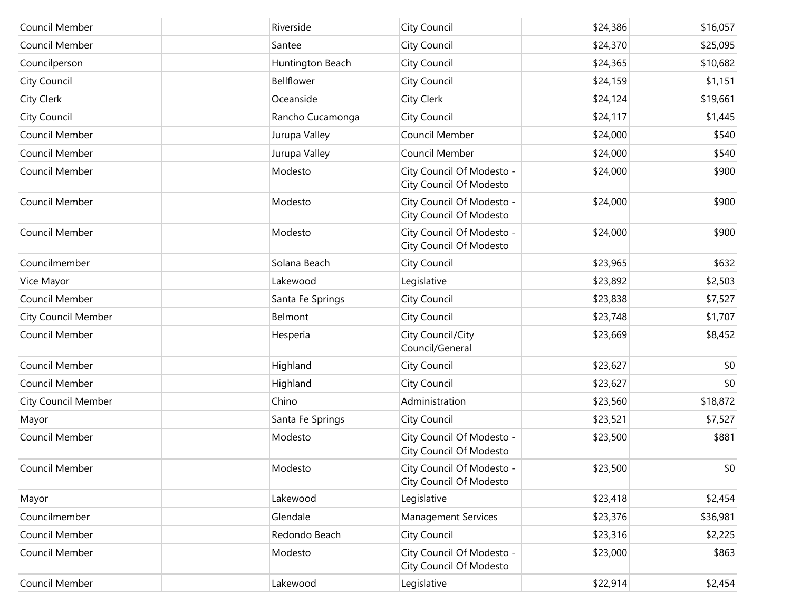| Council Member             | Riverside        | City Council                                         | \$24,386 | \$16,057 |
|----------------------------|------------------|------------------------------------------------------|----------|----------|
| Council Member             | Santee           | City Council                                         | \$24,370 | \$25,095 |
| Councilperson              | Huntington Beach | City Council                                         | \$24,365 | \$10,682 |
| City Council               | Bellflower       | City Council                                         | \$24,159 | \$1,151  |
| City Clerk                 | Oceanside        | City Clerk                                           | \$24,124 | \$19,661 |
| City Council               | Rancho Cucamonga | City Council                                         | \$24,117 | \$1,445  |
| Council Member             | Jurupa Valley    | Council Member                                       | \$24,000 | \$540    |
| Council Member             | Jurupa Valley    | Council Member                                       | \$24,000 | \$540    |
| Council Member             | Modesto          | City Council Of Modesto -<br>City Council Of Modesto | \$24,000 | \$900    |
| Council Member             | Modesto          | City Council Of Modesto -<br>City Council Of Modesto | \$24,000 | \$900    |
| Council Member             | Modesto          | City Council Of Modesto -<br>City Council Of Modesto | \$24,000 | \$900    |
| Councilmember              | Solana Beach     | City Council                                         | \$23,965 | \$632    |
| Vice Mayor                 | Lakewood         | Legislative                                          | \$23,892 | \$2,503  |
| Council Member             | Santa Fe Springs | City Council                                         | \$23,838 | \$7,527  |
| <b>City Council Member</b> | Belmont          | City Council                                         | \$23,748 | \$1,707  |
| Council Member             | Hesperia         | City Council/City<br>Council/General                 | \$23,669 | \$8,452  |
| Council Member             | Highland         | City Council                                         | \$23,627 | \$0      |
| Council Member             | Highland         | City Council                                         | \$23,627 | \$0      |
| <b>City Council Member</b> | Chino            | Administration                                       | \$23,560 | \$18,872 |
| Mayor                      | Santa Fe Springs | City Council                                         | \$23,521 | \$7,527  |
| Council Member             | Modesto          | City Council Of Modesto -<br>City Council Of Modesto | \$23,500 | \$881    |
| Council Member             | Modesto          | City Council Of Modesto -<br>City Council Of Modesto | \$23,500 | \$0      |
| Mayor                      | Lakewood         | Legislative                                          | \$23,418 | \$2,454  |
| Councilmember              | Glendale         | <b>Management Services</b>                           | \$23,376 | \$36,981 |
| Council Member             | Redondo Beach    | City Council                                         | \$23,316 | \$2,225  |
| Council Member             | Modesto          | City Council Of Modesto -<br>City Council Of Modesto | \$23,000 | \$863    |
| Council Member             | Lakewood         | Legislative                                          | \$22,914 | \$2,454  |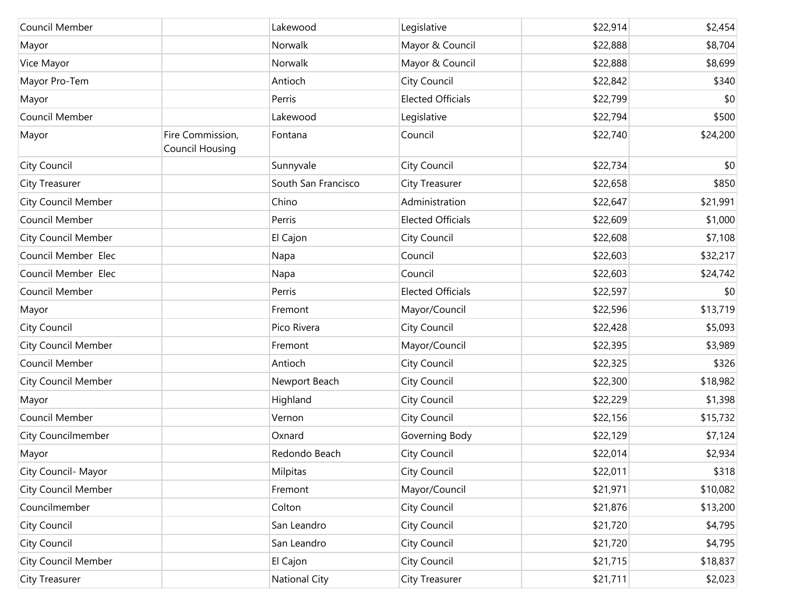| Council Member             |                                     | Lakewood            | Legislative              | \$22,914 | \$2,454  |
|----------------------------|-------------------------------------|---------------------|--------------------------|----------|----------|
| Mayor                      |                                     | Norwalk             | Mayor & Council          | \$22,888 | \$8,704  |
| Vice Mayor                 |                                     | <b>Norwalk</b>      | Mayor & Council          | \$22,888 | \$8,699  |
| Mayor Pro-Tem              |                                     | Antioch             | City Council             | \$22,842 | \$340    |
| Mayor                      |                                     | Perris              | <b>Elected Officials</b> | \$22,799 | \$0      |
| Council Member             |                                     | Lakewood            | Legislative              | \$22,794 | \$500    |
| Mayor                      | Fire Commission,<br>Council Housing | Fontana             | Council                  | \$22,740 | \$24,200 |
| City Council               |                                     | Sunnyvale           | <b>City Council</b>      | \$22,734 | \$0      |
| City Treasurer             |                                     | South San Francisco | <b>City Treasurer</b>    | \$22,658 | \$850    |
| <b>City Council Member</b> |                                     | Chino               | Administration           | \$22,647 | \$21,991 |
| Council Member             |                                     | Perris              | <b>Elected Officials</b> | \$22,609 | \$1,000  |
| <b>City Council Member</b> |                                     | El Cajon            | City Council             | \$22,608 | \$7,108  |
| Council Member Elec        |                                     | Napa                | Council                  | \$22,603 | \$32,217 |
| Council Member Elec        |                                     | Napa                | Council                  | \$22,603 | \$24,742 |
| Council Member             |                                     | Perris              | <b>Elected Officials</b> | \$22,597 | \$0      |
| Mayor                      |                                     | Fremont             | Mayor/Council            | \$22,596 | \$13,719 |
| City Council               |                                     | Pico Rivera         | <b>City Council</b>      | \$22,428 | \$5,093  |
| <b>City Council Member</b> |                                     | Fremont             | Mayor/Council            | \$22,395 | \$3,989  |
| Council Member             |                                     | Antioch             | <b>City Council</b>      | \$22,325 | \$326    |
| <b>City Council Member</b> |                                     | Newport Beach       | City Council             | \$22,300 | \$18,982 |
| Mayor                      |                                     | Highland            | <b>City Council</b>      | \$22,229 | \$1,398  |
| Council Member             |                                     | Vernon              | City Council             | \$22,156 | \$15,732 |
| City Councilmember         |                                     | Oxnard              | Governing Body           | \$22,129 | \$7,124  |
| Mayor                      |                                     | Redondo Beach       | City Council             | \$22,014 | \$2,934  |
| City Council- Mayor        |                                     | Milpitas            | <b>City Council</b>      | \$22,011 | \$318    |
| <b>City Council Member</b> |                                     | Fremont             | Mayor/Council            | \$21,971 | \$10,082 |
| Councilmember              |                                     | Colton              | <b>City Council</b>      | \$21,876 | \$13,200 |
| City Council               |                                     | San Leandro         | City Council             | \$21,720 | \$4,795  |
| City Council               |                                     | San Leandro         | <b>City Council</b>      | \$21,720 | \$4,795  |
| <b>City Council Member</b> |                                     | El Cajon            | <b>City Council</b>      | \$21,715 | \$18,837 |
| City Treasurer             |                                     | National City       | City Treasurer           | \$21,711 | \$2,023  |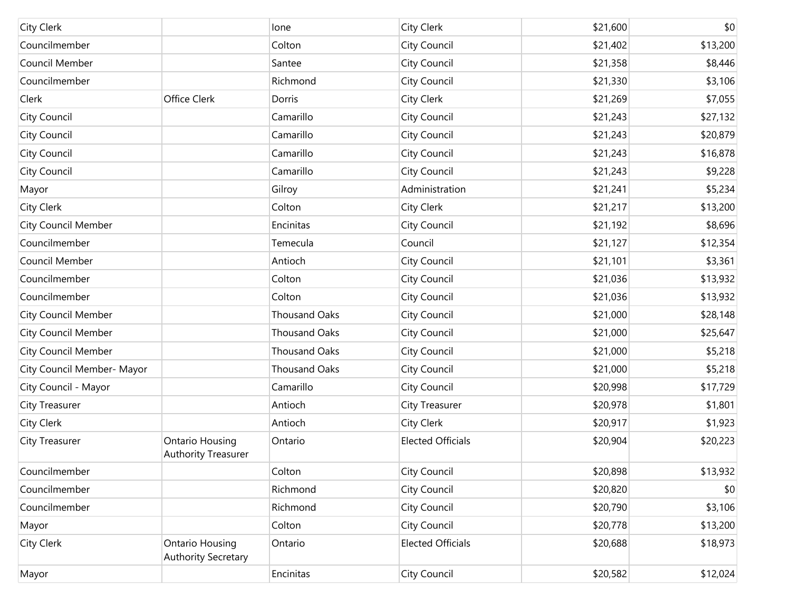| <b>City Clerk</b>          |                                                      | lone                 | City Clerk               | \$21,600 | \$0      |
|----------------------------|------------------------------------------------------|----------------------|--------------------------|----------|----------|
| Councilmember              |                                                      | Colton               | City Council             | \$21,402 | \$13,200 |
| Council Member             |                                                      | Santee               | City Council             | \$21,358 | \$8,446  |
| Councilmember              |                                                      | Richmond             | City Council             | \$21,330 | \$3,106  |
| Clerk                      | Office Clerk                                         | Dorris               | City Clerk               | \$21,269 | \$7,055  |
| City Council               |                                                      | Camarillo            | City Council             | \$21,243 | \$27,132 |
| City Council               |                                                      | Camarillo            | City Council             | \$21,243 | \$20,879 |
| City Council               |                                                      | Camarillo            | City Council             | \$21,243 | \$16,878 |
| City Council               |                                                      | Camarillo            | City Council             | \$21,243 | \$9,228  |
| Mayor                      |                                                      | Gilroy               | Administration           | \$21,241 | \$5,234  |
| City Clerk                 |                                                      | Colton               | City Clerk               | \$21,217 | \$13,200 |
| <b>City Council Member</b> |                                                      | Encinitas            | City Council             | \$21,192 | \$8,696  |
| Councilmember              |                                                      | Temecula             | Council                  | \$21,127 | \$12,354 |
| Council Member             |                                                      | Antioch              | City Council             | \$21,101 | \$3,361  |
| Councilmember              |                                                      | Colton               | City Council             | \$21,036 | \$13,932 |
| Councilmember              |                                                      | Colton               | City Council             | \$21,036 | \$13,932 |
| <b>City Council Member</b> |                                                      | <b>Thousand Oaks</b> | City Council             | \$21,000 | \$28,148 |
| <b>City Council Member</b> |                                                      | <b>Thousand Oaks</b> | City Council             | \$21,000 | \$25,647 |
| <b>City Council Member</b> |                                                      | <b>Thousand Oaks</b> | City Council             | \$21,000 | \$5,218  |
| City Council Member- Mayor |                                                      | <b>Thousand Oaks</b> | City Council             | \$21,000 | \$5,218  |
| City Council - Mayor       |                                                      | Camarillo            | City Council             | \$20,998 | \$17,729 |
| City Treasurer             |                                                      | Antioch              | <b>City Treasurer</b>    | \$20,978 | \$1,801  |
| City Clerk                 |                                                      | Antioch              | City Clerk               | \$20,917 | \$1,923  |
| <b>City Treasurer</b>      | <b>Ontario Housing</b><br><b>Authority Treasurer</b> | Ontario              | <b>Elected Officials</b> | \$20,904 | \$20,223 |
| Councilmember              |                                                      | Colton               | <b>City Council</b>      | \$20,898 | \$13,932 |
| Councilmember              |                                                      | Richmond             | City Council             | \$20,820 | \$0      |
| Councilmember              |                                                      | Richmond             | City Council             | \$20,790 | \$3,106  |
| Mayor                      |                                                      | Colton               | City Council             | \$20,778 | \$13,200 |
| City Clerk                 | Ontario Housing<br><b>Authority Secretary</b>        | Ontario              | <b>Elected Officials</b> | \$20,688 | \$18,973 |
| Mayor                      |                                                      | Encinitas            | City Council             | \$20,582 | \$12,024 |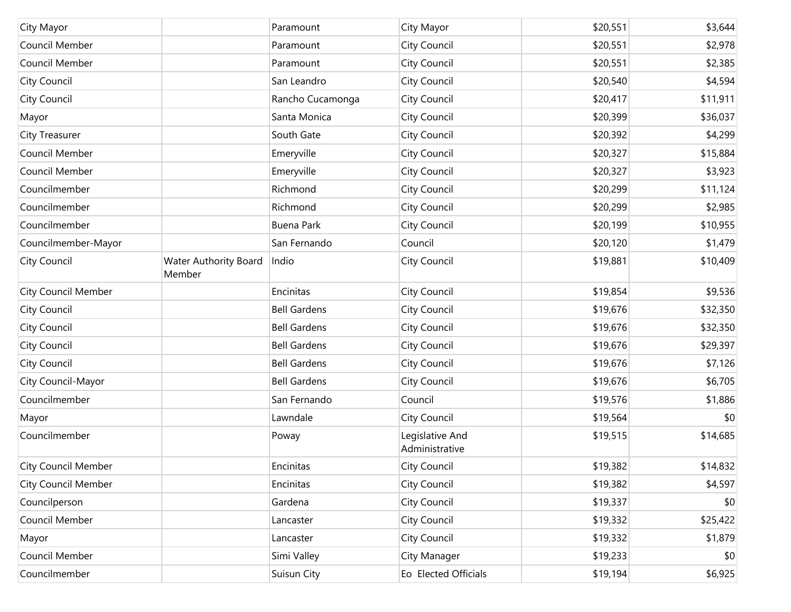| City Mayor                 |                                        | Paramount           | City Mayor                        | \$20,551 | \$3,644  |
|----------------------------|----------------------------------------|---------------------|-----------------------------------|----------|----------|
| Council Member             |                                        | Paramount           | City Council                      | \$20,551 | \$2,978  |
| Council Member             |                                        | Paramount           | City Council                      | \$20,551 | \$2,385  |
| City Council               |                                        | San Leandro         | City Council                      | \$20,540 | \$4,594  |
| City Council               |                                        | Rancho Cucamonga    | City Council                      | \$20,417 | \$11,911 |
| Mayor                      |                                        | Santa Monica        | City Council                      | \$20,399 | \$36,037 |
| <b>City Treasurer</b>      |                                        | South Gate          | City Council                      | \$20,392 | \$4,299  |
| Council Member             |                                        | Emeryville          | City Council                      | \$20,327 | \$15,884 |
| Council Member             |                                        | Emeryville          | City Council                      | \$20,327 | \$3,923  |
| Councilmember              |                                        | Richmond            | City Council                      | \$20,299 | \$11,124 |
| Councilmember              |                                        | Richmond            | City Council                      | \$20,299 | \$2,985  |
| Councilmember              |                                        | <b>Buena Park</b>   | City Council                      | \$20,199 | \$10,955 |
| Councilmember-Mayor        |                                        | San Fernando        | Council                           | \$20,120 | \$1,479  |
| City Council               | <b>Water Authority Board</b><br>Member | Indio               | City Council                      | \$19,881 | \$10,409 |
| <b>City Council Member</b> |                                        | Encinitas           | City Council                      | \$19,854 | \$9,536  |
| City Council               |                                        | <b>Bell Gardens</b> | City Council                      | \$19,676 | \$32,350 |
| City Council               |                                        | <b>Bell Gardens</b> | City Council                      | \$19,676 | \$32,350 |
| City Council               |                                        | <b>Bell Gardens</b> | City Council                      | \$19,676 | \$29,397 |
| City Council               |                                        | <b>Bell Gardens</b> | City Council                      | \$19,676 | \$7,126  |
| City Council-Mayor         |                                        | <b>Bell Gardens</b> | City Council                      | \$19,676 | \$6,705  |
| Councilmember              |                                        | San Fernando        | Council                           | \$19,576 | \$1,886  |
| Mayor                      |                                        | Lawndale            | City Council                      | \$19,564 | \$0      |
| Councilmember              |                                        | Poway               | Legislative And<br>Administrative | \$19,515 | \$14,685 |
| City Council Member        |                                        | Encinitas           | City Council                      | \$19,382 | \$14,832 |
| <b>City Council Member</b> |                                        | Encinitas           | City Council                      | \$19,382 | \$4,597  |
| Councilperson              |                                        | Gardena             | City Council                      | \$19,337 | \$0      |
| Council Member             |                                        | Lancaster           | City Council                      | \$19,332 | \$25,422 |
| Mayor                      |                                        | Lancaster           | City Council                      | \$19,332 | \$1,879  |
| Council Member             |                                        | Simi Valley         | City Manager                      | \$19,233 | \$0      |
| Councilmember              |                                        | Suisun City         | Eo Elected Officials              | \$19,194 | \$6,925  |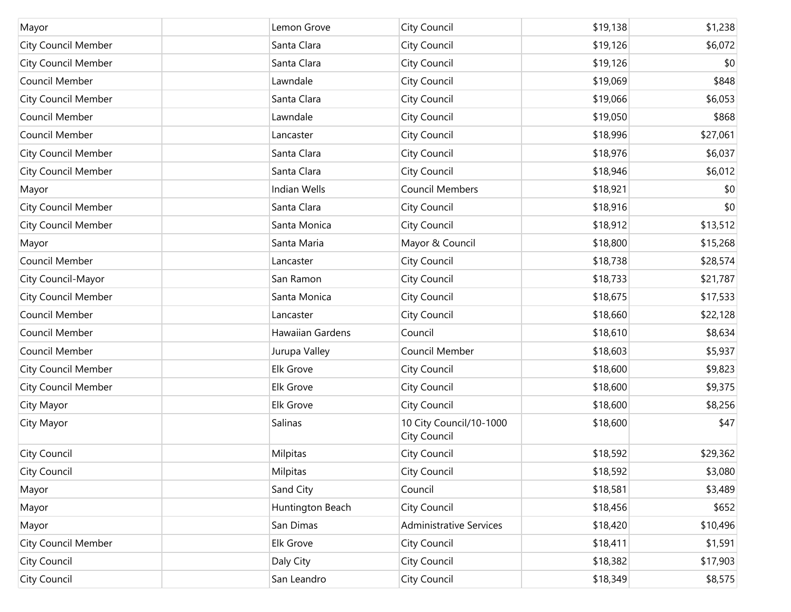| Mayor                      | Lemon Grove      | City Council                            | \$19,138 | \$1,238  |
|----------------------------|------------------|-----------------------------------------|----------|----------|
| <b>City Council Member</b> | Santa Clara      | City Council                            | \$19,126 | \$6,072  |
| <b>City Council Member</b> | Santa Clara      | City Council                            | \$19,126 | \$0      |
| Council Member             | Lawndale         | City Council                            | \$19,069 | \$848    |
| <b>City Council Member</b> | Santa Clara      | City Council                            | \$19,066 | \$6,053  |
| Council Member             | Lawndale         | City Council                            | \$19,050 | \$868    |
| Council Member             | Lancaster        | City Council                            | \$18,996 | \$27,061 |
| <b>City Council Member</b> | Santa Clara      | City Council                            | \$18,976 | \$6,037  |
| <b>City Council Member</b> | Santa Clara      | City Council                            | \$18,946 | \$6,012  |
| Mayor                      | Indian Wells     | <b>Council Members</b>                  | \$18,921 | \$0      |
| <b>City Council Member</b> | Santa Clara      | City Council                            | \$18,916 | \$0      |
| <b>City Council Member</b> | Santa Monica     | City Council                            | \$18,912 | \$13,512 |
| Mayor                      | Santa Maria      | Mayor & Council                         | \$18,800 | \$15,268 |
| Council Member             | Lancaster        | City Council                            | \$18,738 | \$28,574 |
| City Council-Mayor         | San Ramon        | City Council                            | \$18,733 | \$21,787 |
| <b>City Council Member</b> | Santa Monica     | City Council                            | \$18,675 | \$17,533 |
| Council Member             | Lancaster        | City Council                            | \$18,660 | \$22,128 |
| Council Member             | Hawaiian Gardens | Council                                 | \$18,610 | \$8,634  |
| Council Member             | Jurupa Valley    | Council Member                          | \$18,603 | \$5,937  |
| <b>City Council Member</b> | Elk Grove        | City Council                            | \$18,600 | \$9,823  |
| <b>City Council Member</b> | Elk Grove        | City Council                            | \$18,600 | \$9,375  |
| City Mayor                 | Elk Grove        | City Council                            | \$18,600 | \$8,256  |
| City Mayor                 | Salinas          | 10 City Council/10-1000<br>City Council | \$18,600 | \$47     |
| City Council               | Milpitas         | City Council                            | \$18,592 | \$29,362 |
| City Council               | Milpitas         | City Council                            | \$18,592 | \$3,080  |
| Mayor                      | Sand City        | Council                                 | \$18,581 | \$3,489  |
| Mayor                      | Huntington Beach | City Council                            | \$18,456 | \$652    |
| Mayor                      | San Dimas        | <b>Administrative Services</b>          | \$18,420 | \$10,496 |
| <b>City Council Member</b> | Elk Grove        | City Council                            | \$18,411 | \$1,591  |
| City Council               | Daly City        | City Council                            | \$18,382 | \$17,903 |
| <b>City Council</b>        | San Leandro      | City Council                            | \$18,349 | \$8,575  |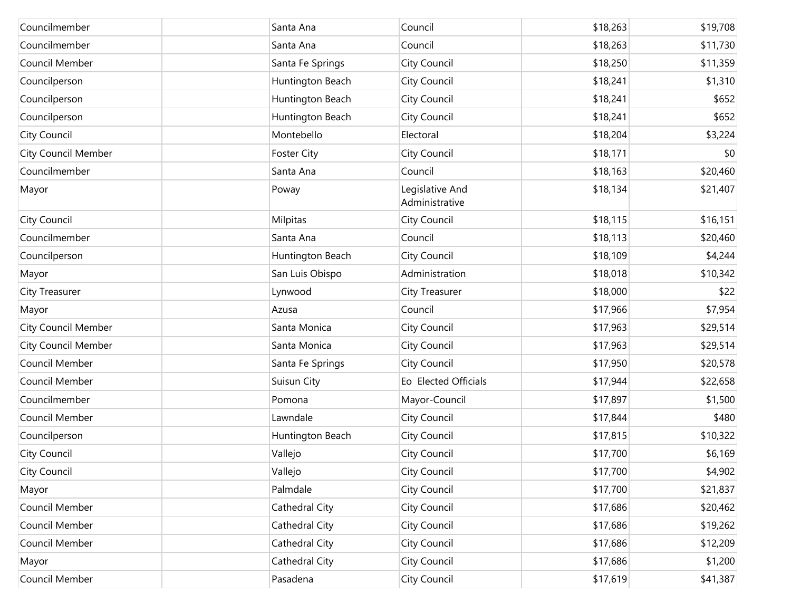| Councilmember              | Santa Ana          | Council                           | \$18,263 | \$19,708 |
|----------------------------|--------------------|-----------------------------------|----------|----------|
| Councilmember              | Santa Ana          | Council                           | \$18,263 | \$11,730 |
| Council Member             | Santa Fe Springs   | City Council                      | \$18,250 | \$11,359 |
| Councilperson              | Huntington Beach   | City Council                      | \$18,241 | \$1,310  |
| Councilperson              | Huntington Beach   | City Council                      | \$18,241 | \$652    |
| Councilperson              | Huntington Beach   | City Council                      | \$18,241 | \$652    |
| City Council               | Montebello         | Electoral                         | \$18,204 | \$3,224  |
| <b>City Council Member</b> | <b>Foster City</b> | City Council                      | \$18,171 | \$0      |
| Councilmember              | Santa Ana          | Council                           | \$18,163 | \$20,460 |
| Mayor                      | Poway              | Legislative And<br>Administrative | \$18,134 | \$21,407 |
| City Council               | Milpitas           | City Council                      | \$18,115 | \$16,151 |
| Councilmember              | Santa Ana          | Council                           | \$18,113 | \$20,460 |
| Councilperson              | Huntington Beach   | City Council                      | \$18,109 | \$4,244  |
| Mayor                      | San Luis Obispo    | Administration                    | \$18,018 | \$10,342 |
| City Treasurer             | Lynwood            | <b>City Treasurer</b>             | \$18,000 | \$22     |
| Mayor                      | Azusa              | Council                           | \$17,966 | \$7,954  |
| <b>City Council Member</b> | Santa Monica       | City Council                      | \$17,963 | \$29,514 |
| <b>City Council Member</b> | Santa Monica       | City Council                      | \$17,963 | \$29,514 |
| Council Member             | Santa Fe Springs   | City Council                      | \$17,950 | \$20,578 |
| Council Member             | Suisun City        | Eo Elected Officials              | \$17,944 | \$22,658 |
| Councilmember              | Pomona             | Mayor-Council                     | \$17,897 | \$1,500  |
| Council Member             | Lawndale           | City Council                      | \$17,844 | \$480    |
| Councilperson              | Huntington Beach   | City Council                      | \$17,815 | \$10,322 |
| City Council               | Vallejo            | City Council                      | \$17,700 | \$6,169  |
| City Council               | Vallejo            | <b>City Council</b>               | \$17,700 | \$4,902  |
| Mayor                      | Palmdale           | City Council                      | \$17,700 | \$21,837 |
| Council Member             | Cathedral City     | City Council                      | \$17,686 | \$20,462 |
| Council Member             | Cathedral City     | City Council                      | \$17,686 | \$19,262 |
| Council Member             | Cathedral City     | City Council                      | \$17,686 | \$12,209 |
| Mayor                      | Cathedral City     | City Council                      | \$17,686 | \$1,200  |
| Council Member             | Pasadena           | City Council                      | \$17,619 | \$41,387 |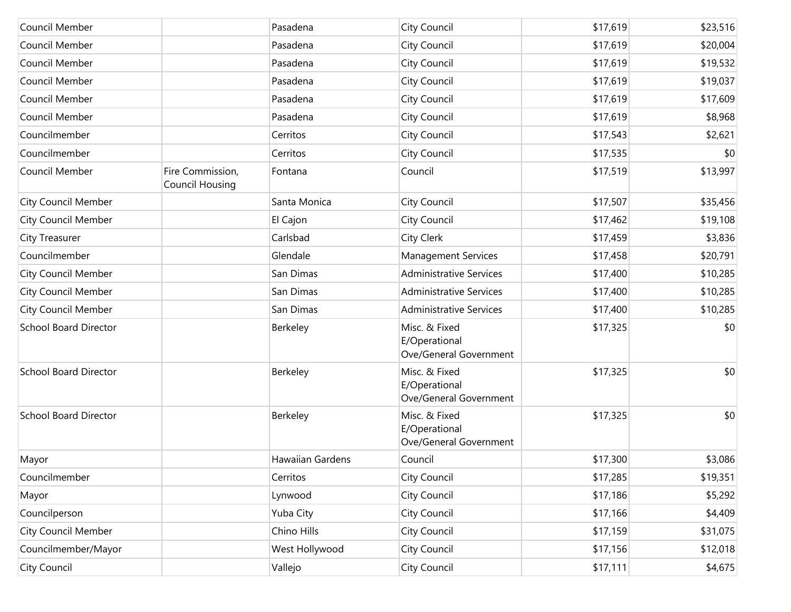| Council Member               |                                            | Pasadena         | City Council                                             | \$17,619 | \$23,516 |
|------------------------------|--------------------------------------------|------------------|----------------------------------------------------------|----------|----------|
| Council Member               |                                            | Pasadena         | City Council                                             | \$17,619 | \$20,004 |
| Council Member               |                                            | Pasadena         | City Council                                             | \$17,619 | \$19,532 |
| Council Member               |                                            | Pasadena         | City Council                                             | \$17,619 | \$19,037 |
| Council Member               |                                            | Pasadena         | City Council                                             | \$17,619 | \$17,609 |
| Council Member               |                                            | Pasadena         | City Council                                             | \$17,619 | \$8,968  |
| Councilmember                |                                            | Cerritos         | City Council                                             | \$17,543 | \$2,621  |
| Councilmember                |                                            | Cerritos         | City Council                                             | \$17,535 | \$0      |
| Council Member               | Fire Commission,<br><b>Council Housing</b> | Fontana          | Council                                                  | \$17,519 | \$13,997 |
| <b>City Council Member</b>   |                                            | Santa Monica     | City Council                                             | \$17,507 | \$35,456 |
| <b>City Council Member</b>   |                                            | El Cajon         | City Council                                             | \$17,462 | \$19,108 |
| City Treasurer               |                                            | Carlsbad         | City Clerk                                               | \$17,459 | \$3,836  |
| Councilmember                |                                            | Glendale         | <b>Management Services</b>                               | \$17,458 | \$20,791 |
| <b>City Council Member</b>   |                                            | San Dimas        | <b>Administrative Services</b>                           | \$17,400 | \$10,285 |
| <b>City Council Member</b>   |                                            | San Dimas        | <b>Administrative Services</b>                           | \$17,400 | \$10,285 |
| <b>City Council Member</b>   |                                            | San Dimas        | <b>Administrative Services</b>                           | \$17,400 | \$10,285 |
| <b>School Board Director</b> |                                            | Berkeley         | Misc. & Fixed<br>E/Operational<br>Ove/General Government | \$17,325 | \$0      |
| <b>School Board Director</b> |                                            | Berkeley         | Misc. & Fixed<br>E/Operational<br>Ove/General Government | \$17,325 | \$0      |
| <b>School Board Director</b> |                                            | Berkeley         | Misc. & Fixed<br>E/Operational<br>Ove/General Government | \$17,325 | \$0      |
| Mayor                        |                                            | Hawaiian Gardens | Council                                                  | \$17,300 | \$3,086  |
| Councilmember                |                                            | Cerritos         | City Council                                             | \$17,285 | \$19,351 |
| Mayor                        |                                            | Lynwood          | City Council                                             | \$17,186 | \$5,292  |
| Councilperson                |                                            | Yuba City        | City Council                                             | \$17,166 | \$4,409  |
| <b>City Council Member</b>   |                                            | Chino Hills      | City Council                                             | \$17,159 | \$31,075 |
| Councilmember/Mayor          |                                            | West Hollywood   | City Council                                             | \$17,156 | \$12,018 |
| City Council                 |                                            | Vallejo          | City Council                                             | \$17,111 | \$4,675  |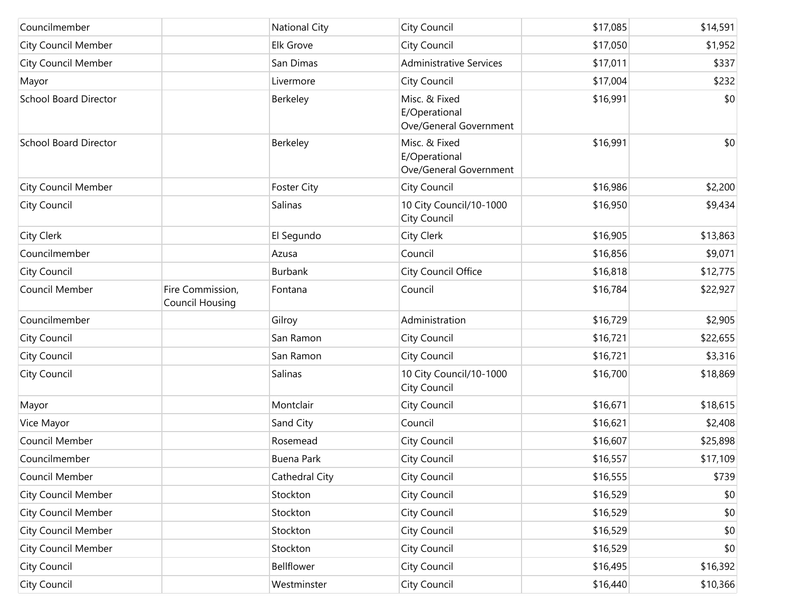| Councilmember                |                                            | <b>National City</b> | City Council                                             | \$17,085 | \$14,591 |
|------------------------------|--------------------------------------------|----------------------|----------------------------------------------------------|----------|----------|
| <b>City Council Member</b>   |                                            | Elk Grove            | City Council                                             | \$17,050 | \$1,952  |
| <b>City Council Member</b>   |                                            | San Dimas            | <b>Administrative Services</b>                           | \$17,011 | \$337    |
| Mayor                        |                                            | Livermore            | City Council                                             | \$17,004 | \$232    |
| <b>School Board Director</b> |                                            | Berkeley             | Misc. & Fixed<br>E/Operational<br>Ove/General Government | \$16,991 | \$0      |
| <b>School Board Director</b> |                                            | Berkeley             | Misc. & Fixed<br>E/Operational<br>Ove/General Government | \$16,991 | \$0      |
| <b>City Council Member</b>   |                                            | <b>Foster City</b>   | City Council                                             | \$16,986 | \$2,200  |
| City Council                 |                                            | Salinas              | 10 City Council/10-1000<br>City Council                  | \$16,950 | \$9,434  |
| City Clerk                   |                                            | El Segundo           | City Clerk                                               | \$16,905 | \$13,863 |
| Councilmember                |                                            | Azusa                | Council                                                  | \$16,856 | \$9,071  |
| City Council                 |                                            | <b>Burbank</b>       | City Council Office                                      | \$16,818 | \$12,775 |
| Council Member               | Fire Commission,<br><b>Council Housing</b> | Fontana              | Council                                                  | \$16,784 | \$22,927 |
| Councilmember                |                                            | Gilroy               | Administration                                           | \$16,729 | \$2,905  |
| City Council                 |                                            | San Ramon            | City Council                                             | \$16,721 | \$22,655 |
| City Council                 |                                            | San Ramon            | City Council                                             | \$16,721 | \$3,316  |
| City Council                 |                                            | Salinas              | 10 City Council/10-1000<br>City Council                  | \$16,700 | \$18,869 |
| Mayor                        |                                            | Montclair            | City Council                                             | \$16,671 | \$18,615 |
| Vice Mayor                   |                                            | Sand City            | Council                                                  | \$16,621 | \$2,408  |
| Council Member               |                                            | Rosemead             | City Council                                             | \$16,607 | \$25,898 |
| Councilmember                |                                            | <b>Buena Park</b>    | City Council                                             | \$16,557 | \$17,109 |
| Council Member               |                                            | Cathedral City       | City Council                                             | \$16,555 | \$739    |
| <b>City Council Member</b>   |                                            | Stockton             | City Council                                             | \$16,529 | \$0      |
| <b>City Council Member</b>   |                                            | Stockton             | City Council                                             | \$16,529 | \$0      |
| <b>City Council Member</b>   |                                            | Stockton             | City Council                                             | \$16,529 | \$0      |
| <b>City Council Member</b>   |                                            | Stockton             | City Council                                             | \$16,529 | \$0      |
| City Council                 |                                            | Bellflower           | City Council                                             | \$16,495 | \$16,392 |
| City Council                 |                                            | Westminster          | City Council                                             | \$16,440 | \$10,366 |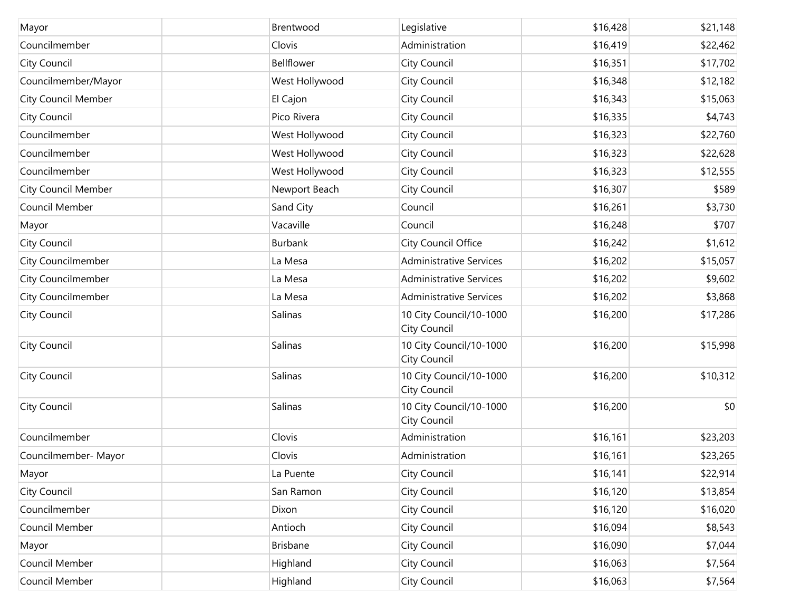| Mayor                      | Brentwood      | Legislative                             | \$16,428 | \$21,148 |
|----------------------------|----------------|-----------------------------------------|----------|----------|
| Councilmember              | Clovis         | Administration                          | \$16,419 | \$22,462 |
| <b>City Council</b>        | Bellflower     | City Council                            | \$16,351 | \$17,702 |
| Councilmember/Mayor        | West Hollywood | City Council                            | \$16,348 | \$12,182 |
| <b>City Council Member</b> | El Cajon       | City Council                            | \$16,343 | \$15,063 |
| City Council               | Pico Rivera    | City Council                            | \$16,335 | \$4,743  |
| Councilmember              | West Hollywood | City Council                            | \$16,323 | \$22,760 |
| Councilmember              | West Hollywood | City Council                            | \$16,323 | \$22,628 |
| Councilmember              | West Hollywood | City Council                            | \$16,323 | \$12,555 |
| <b>City Council Member</b> | Newport Beach  | City Council                            | \$16,307 | \$589    |
| Council Member             | Sand City      | Council                                 | \$16,261 | \$3,730  |
| Mayor                      | Vacaville      | Council                                 | \$16,248 | \$707    |
| City Council               | Burbank        | City Council Office                     | \$16,242 | \$1,612  |
| City Councilmember         | La Mesa        | <b>Administrative Services</b>          | \$16,202 | \$15,057 |
| City Councilmember         | La Mesa        | <b>Administrative Services</b>          | \$16,202 | \$9,602  |
| City Councilmember         | La Mesa        | <b>Administrative Services</b>          | \$16,202 | \$3,868  |
| City Council               | Salinas        | 10 City Council/10-1000<br>City Council | \$16,200 | \$17,286 |
| City Council               | Salinas        | 10 City Council/10-1000<br>City Council | \$16,200 | \$15,998 |
| City Council               | Salinas        | 10 City Council/10-1000<br>City Council | \$16,200 | \$10,312 |
| City Council               | Salinas        | 10 City Council/10-1000<br>City Council | \$16,200 | \$0      |
| Councilmember              | Clovis         | Administration                          | \$16,161 | \$23,203 |
| Councilmember- Mayor       | Clovis         | Administration                          | \$16,161 | \$23,265 |
| Mayor                      | La Puente      | City Council                            | \$16,141 | \$22,914 |
| City Council               | San Ramon      | City Council                            | \$16,120 | \$13,854 |
| Councilmember              | Dixon          | City Council                            | \$16,120 | \$16,020 |
| Council Member             | Antioch        | City Council                            | \$16,094 | \$8,543  |
| Mayor                      | Brisbane       | City Council                            | \$16,090 | \$7,044  |
| Council Member             | Highland       | City Council                            | \$16,063 | \$7,564  |
| Council Member             | Highland       | City Council                            | \$16,063 | \$7,564  |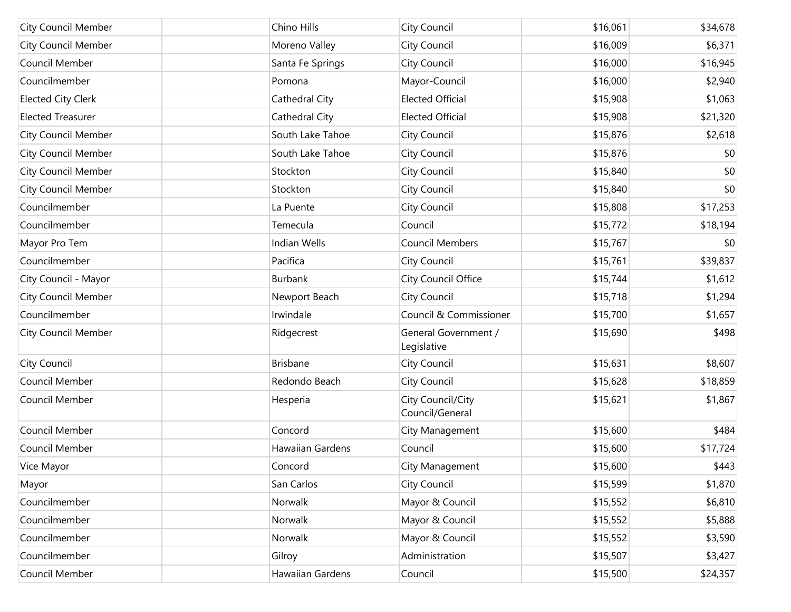| <b>City Council Member</b> | Chino Hills             | City Council                         | \$16,061 | \$34,678 |
|----------------------------|-------------------------|--------------------------------------|----------|----------|
| <b>City Council Member</b> | Moreno Valley           | City Council                         | \$16,009 | \$6,371  |
| Council Member             | Santa Fe Springs        | City Council                         | \$16,000 | \$16,945 |
| Councilmember              | Pomona                  | Mayor-Council                        | \$16,000 | \$2,940  |
| <b>Elected City Clerk</b>  | Cathedral City          | <b>Elected Official</b>              | \$15,908 | \$1,063  |
| <b>Elected Treasurer</b>   | Cathedral City          | <b>Elected Official</b>              | \$15,908 | \$21,320 |
| <b>City Council Member</b> | South Lake Tahoe        | City Council                         | \$15,876 | \$2,618  |
| <b>City Council Member</b> | South Lake Tahoe        | City Council                         | \$15,876 | \$0      |
| <b>City Council Member</b> | Stockton                | City Council                         | \$15,840 | \$0      |
| <b>City Council Member</b> | Stockton                | City Council                         | \$15,840 | \$0      |
| Councilmember              | La Puente               | City Council                         | \$15,808 | \$17,253 |
| Councilmember              | Temecula                | Council                              | \$15,772 | \$18,194 |
| Mayor Pro Tem              | Indian Wells            | <b>Council Members</b>               | \$15,767 | \$0      |
| Councilmember              | Pacifica                | City Council                         | \$15,761 | \$39,837 |
| City Council - Mayor       | Burbank                 | City Council Office                  | \$15,744 | \$1,612  |
| <b>City Council Member</b> | Newport Beach           | City Council                         | \$15,718 | \$1,294  |
| Councilmember              | Irwindale               | Council & Commissioner               | \$15,700 | \$1,657  |
| <b>City Council Member</b> | Ridgecrest              | General Government /<br>Legislative  | \$15,690 | \$498    |
| City Council               | <b>Brisbane</b>         | City Council                         | \$15,631 | \$8,607  |
| Council Member             | Redondo Beach           | City Council                         | \$15,628 | \$18,859 |
| Council Member             | Hesperia                | City Council/City<br>Council/General | \$15,621 | \$1,867  |
| Council Member             | Concord                 | City Management                      | \$15,600 | \$484    |
| Council Member             | <b>Hawaiian Gardens</b> | Council                              | \$15,600 | \$17,724 |
| Vice Mayor                 | Concord                 | City Management                      | \$15,600 | \$443    |
| Mayor                      | San Carlos              | City Council                         | \$15,599 | \$1,870  |
| Councilmember              | Norwalk                 | Mayor & Council                      | \$15,552 | \$6,810  |
| Councilmember              | Norwalk                 | Mayor & Council                      | \$15,552 | \$5,888  |
| Councilmember              | Norwalk                 | Mayor & Council                      | \$15,552 | \$3,590  |
| Councilmember              | Gilroy                  | Administration                       | \$15,507 | \$3,427  |
| Council Member             | <b>Hawaiian Gardens</b> | Council                              | \$15,500 | \$24,357 |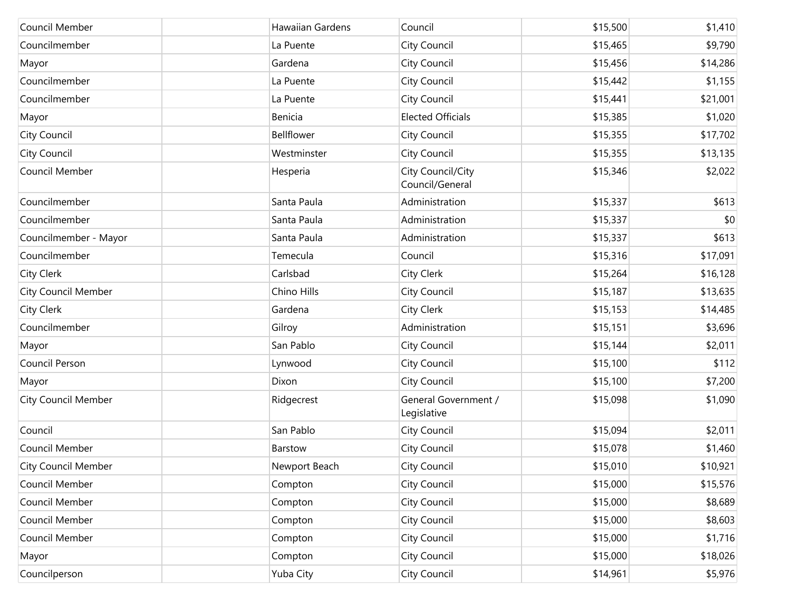| Council Member             | Hawaiian Gardens | Council                              | \$15,500 | \$1,410  |
|----------------------------|------------------|--------------------------------------|----------|----------|
| Councilmember              | La Puente        | City Council                         | \$15,465 | \$9,790  |
| Mayor                      | Gardena          | City Council                         | \$15,456 | \$14,286 |
| Councilmember              | La Puente        | City Council                         | \$15,442 | \$1,155  |
| Councilmember              | La Puente        | City Council                         | \$15,441 | \$21,001 |
| Mayor                      | Benicia          | <b>Elected Officials</b>             | \$15,385 | \$1,020  |
| City Council               | Bellflower       | City Council                         | \$15,355 | \$17,702 |
| City Council               | Westminster      | City Council                         | \$15,355 | \$13,135 |
| Council Member             | Hesperia         | City Council/City<br>Council/General | \$15,346 | \$2,022  |
| Councilmember              | Santa Paula      | Administration                       | \$15,337 | \$613    |
| Councilmember              | Santa Paula      | Administration                       | \$15,337 | \$0      |
| Councilmember - Mayor      | Santa Paula      | Administration                       | \$15,337 | \$613    |
| Councilmember              | Temecula         | Council                              | \$15,316 | \$17,091 |
| City Clerk                 | Carlsbad         | City Clerk                           | \$15,264 | \$16,128 |
| <b>City Council Member</b> | Chino Hills      | City Council                         | \$15,187 | \$13,635 |
| City Clerk                 | Gardena          | City Clerk                           | \$15,153 | \$14,485 |
| Councilmember              | Gilroy           | Administration                       | \$15,151 | \$3,696  |
| Mayor                      | San Pablo        | City Council                         | \$15,144 | \$2,011  |
| Council Person             | Lynwood          | City Council                         | \$15,100 | \$112    |
| Mayor                      | Dixon            | City Council                         | \$15,100 | \$7,200  |
| <b>City Council Member</b> | Ridgecrest       | General Government /<br>Legislative  | \$15,098 | \$1,090  |
| Council                    | San Pablo        | City Council                         | \$15,094 | \$2,011  |
| Council Member             | Barstow          | City Council                         | \$15,078 | \$1,460  |
| City Council Member        | Newport Beach    | City Council                         | \$15,010 | \$10,921 |
| Council Member             | Compton          | City Council                         | \$15,000 | \$15,576 |
| Council Member             | Compton          | City Council                         | \$15,000 | \$8,689  |
| Council Member             | Compton          | City Council                         | \$15,000 | \$8,603  |
| Council Member             | Compton          | City Council                         | \$15,000 | \$1,716  |
| Mayor                      | Compton          | City Council                         | \$15,000 | \$18,026 |
| Councilperson              | Yuba City        | City Council                         | \$14,961 | \$5,976  |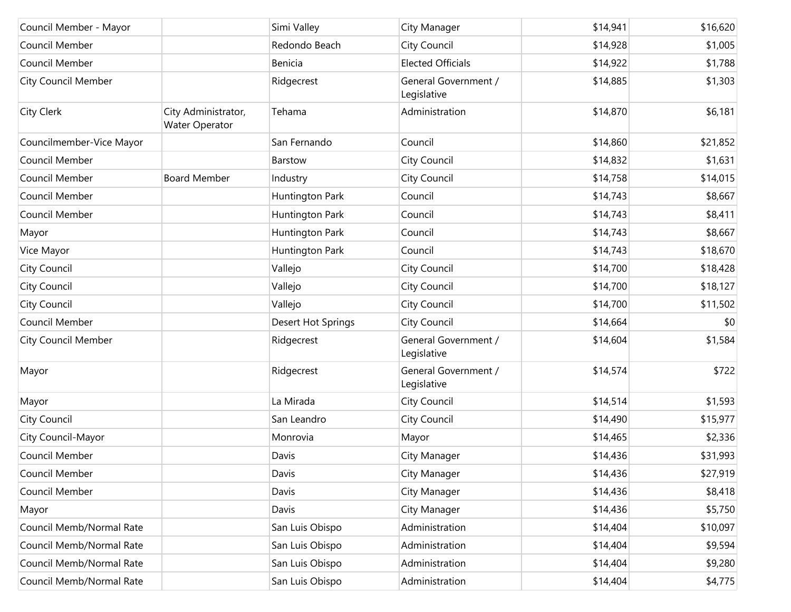| Council Member - Mayor     |                                       | Simi Valley        | City Manager                        | \$14,941 | \$16,620 |
|----------------------------|---------------------------------------|--------------------|-------------------------------------|----------|----------|
| Council Member             |                                       | Redondo Beach      | City Council                        | \$14,928 | \$1,005  |
| Council Member             |                                       | Benicia            | <b>Elected Officials</b>            | \$14,922 | \$1,788  |
| <b>City Council Member</b> |                                       | Ridgecrest         | General Government /<br>Legislative | \$14,885 | \$1,303  |
| City Clerk                 | City Administrator,<br>Water Operator | Tehama             | Administration                      | \$14,870 | \$6,181  |
| Councilmember-Vice Mayor   |                                       | San Fernando       | Council                             | \$14,860 | \$21,852 |
| Council Member             |                                       | Barstow            | City Council                        | \$14,832 | \$1,631  |
| Council Member             | <b>Board Member</b>                   | Industry           | City Council                        | \$14,758 | \$14,015 |
| Council Member             |                                       | Huntington Park    | Council                             | \$14,743 | \$8,667  |
| Council Member             |                                       | Huntington Park    | Council                             | \$14,743 | \$8,411  |
| Mayor                      |                                       | Huntington Park    | Council                             | \$14,743 | \$8,667  |
| Vice Mayor                 |                                       | Huntington Park    | Council                             | \$14,743 | \$18,670 |
| City Council               |                                       | Vallejo            | City Council                        | \$14,700 | \$18,428 |
| City Council               |                                       | Vallejo            | City Council                        | \$14,700 | \$18,127 |
| City Council               |                                       | Vallejo            | City Council                        | \$14,700 | \$11,502 |
| Council Member             |                                       | Desert Hot Springs | City Council                        | \$14,664 | \$0      |
| <b>City Council Member</b> |                                       | Ridgecrest         | General Government /<br>Legislative | \$14,604 | \$1,584  |
| Mayor                      |                                       | Ridgecrest         | General Government /<br>Legislative | \$14,574 | \$722    |
| Mayor                      |                                       | La Mirada          | City Council                        | \$14,514 | \$1,593  |
| City Council               |                                       | San Leandro        | City Council                        | \$14,490 | \$15,977 |
| City Council-Mayor         |                                       | Monrovia           | Mayor                               | \$14,465 | \$2,336  |
| Council Member             |                                       | Davis              | City Manager                        | \$14,436 | \$31,993 |
| Council Member             |                                       | Davis              | City Manager                        | \$14,436 | \$27,919 |
| Council Member             |                                       | Davis              | City Manager                        | \$14,436 | \$8,418  |
| Mayor                      |                                       | Davis              | City Manager                        | \$14,436 | \$5,750  |
| Council Memb/Normal Rate   |                                       | San Luis Obispo    | Administration                      | \$14,404 | \$10,097 |
| Council Memb/Normal Rate   |                                       | San Luis Obispo    | Administration                      | \$14,404 | \$9,594  |
| Council Memb/Normal Rate   |                                       | San Luis Obispo    | Administration                      | \$14,404 | \$9,280  |
| Council Memb/Normal Rate   |                                       | San Luis Obispo    | Administration                      | \$14,404 | \$4,775  |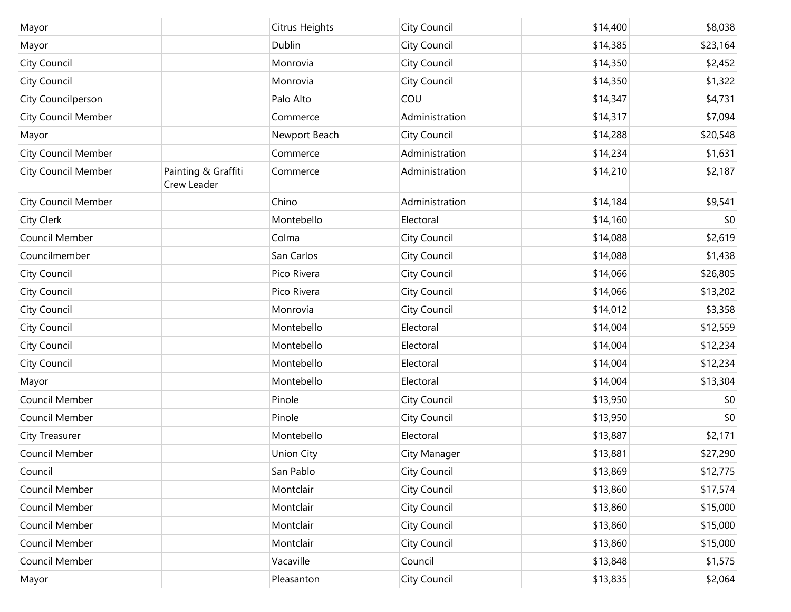| Mayor                      |                                    | Citrus Heights    | City Council   | \$14,400 | \$8,038  |
|----------------------------|------------------------------------|-------------------|----------------|----------|----------|
| Mayor                      |                                    | Dublin            | City Council   | \$14,385 | \$23,164 |
| <b>City Council</b>        |                                    | Monrovia          | City Council   | \$14,350 | \$2,452  |
| <b>City Council</b>        |                                    | Monrovia          | City Council   | \$14,350 | \$1,322  |
| City Councilperson         |                                    | Palo Alto         | COU            | \$14,347 | \$4,731  |
| <b>City Council Member</b> |                                    | Commerce          | Administration | \$14,317 | \$7,094  |
| Mayor                      |                                    | Newport Beach     | City Council   | \$14,288 | \$20,548 |
| <b>City Council Member</b> |                                    | Commerce          | Administration | \$14,234 | \$1,631  |
| City Council Member        | Painting & Graffiti<br>Crew Leader | Commerce          | Administration | \$14,210 | \$2,187  |
| <b>City Council Member</b> |                                    | Chino             | Administration | \$14,184 | \$9,541  |
| <b>City Clerk</b>          |                                    | Montebello        | Electoral      | \$14,160 | \$0      |
| Council Member             |                                    | Colma             | City Council   | \$14,088 | \$2,619  |
| Councilmember              |                                    | San Carlos        | City Council   | \$14,088 | \$1,438  |
| <b>City Council</b>        |                                    | Pico Rivera       | City Council   | \$14,066 | \$26,805 |
| <b>City Council</b>        |                                    | Pico Rivera       | City Council   | \$14,066 | \$13,202 |
| <b>City Council</b>        |                                    | Monrovia          | City Council   | \$14,012 | \$3,358  |
| <b>City Council</b>        |                                    | Montebello        | Electoral      | \$14,004 | \$12,559 |
| <b>City Council</b>        |                                    | Montebello        | Electoral      | \$14,004 | \$12,234 |
| <b>City Council</b>        |                                    | Montebello        | Electoral      | \$14,004 | \$12,234 |
| Mayor                      |                                    | Montebello        | Electoral      | \$14,004 | \$13,304 |
| Council Member             |                                    | Pinole            | City Council   | \$13,950 | \$0      |
| Council Member             |                                    | Pinole            | City Council   | \$13,950 | \$0      |
| City Treasurer             |                                    | Montebello        | Electoral      | \$13,887 | \$2,171  |
| Council Member             |                                    | <b>Union City</b> | City Manager   | \$13,881 | \$27,290 |
| Council                    |                                    | San Pablo         | City Council   | \$13,869 | \$12,775 |
| Council Member             |                                    | Montclair         | City Council   | \$13,860 | \$17,574 |
| Council Member             |                                    | Montclair         | City Council   | \$13,860 | \$15,000 |
| Council Member             |                                    | Montclair         | City Council   | \$13,860 | \$15,000 |
| Council Member             |                                    | Montclair         | City Council   | \$13,860 | \$15,000 |
| Council Member             |                                    | Vacaville         | Council        | \$13,848 | \$1,575  |
| Mayor                      |                                    | Pleasanton        | City Council   | \$13,835 | \$2,064  |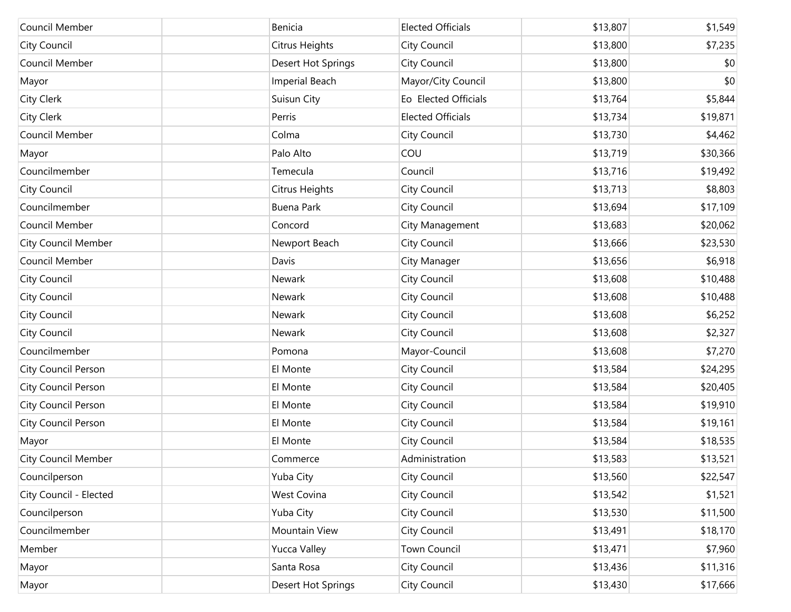| Council Member             | Benicia             | <b>Elected Officials</b> | \$13,807 | \$1,549  |
|----------------------------|---------------------|--------------------------|----------|----------|
| City Council               | Citrus Heights      | City Council             | \$13,800 | \$7,235  |
| Council Member             | Desert Hot Springs  | City Council             | \$13,800 | \$0      |
| Mayor                      | Imperial Beach      | Mayor/City Council       | \$13,800 | \$0      |
| City Clerk                 | Suisun City         | Eo Elected Officials     | \$13,764 | \$5,844  |
| City Clerk                 | Perris              | <b>Elected Officials</b> | \$13,734 | \$19,871 |
| Council Member             | Colma               | <b>City Council</b>      | \$13,730 | \$4,462  |
| Mayor                      | Palo Alto           | COU                      | \$13,719 | \$30,366 |
| Councilmember              | Temecula            | Council                  | \$13,716 | \$19,492 |
| City Council               | Citrus Heights      | City Council             | \$13,713 | \$8,803  |
| Councilmember              | <b>Buena Park</b>   | City Council             | \$13,694 | \$17,109 |
| Council Member             | Concord             | City Management          | \$13,683 | \$20,062 |
| <b>City Council Member</b> | Newport Beach       | City Council             | \$13,666 | \$23,530 |
| Council Member             | Davis               | City Manager             | \$13,656 | \$6,918  |
| City Council               | Newark              | City Council             | \$13,608 | \$10,488 |
| City Council               | Newark              | City Council             | \$13,608 | \$10,488 |
| City Council               | Newark              | City Council             | \$13,608 | \$6,252  |
| City Council               | Newark              | City Council             | \$13,608 | \$2,327  |
| Councilmember              | Pomona              | Mayor-Council            | \$13,608 | \$7,270  |
| City Council Person        | El Monte            | City Council             | \$13,584 | \$24,295 |
| City Council Person        | El Monte            | City Council             | \$13,584 | \$20,405 |
| City Council Person        | El Monte            | City Council             | \$13,584 | \$19,910 |
| City Council Person        | El Monte            | City Council             | \$13,584 | \$19,161 |
| Mayor                      | El Monte            | City Council             | \$13,584 | \$18,535 |
| <b>City Council Member</b> | Commerce            | Administration           | \$13,583 | \$13,521 |
| Councilperson              | Yuba City           | City Council             | \$13,560 | \$22,547 |
| City Council - Elected     | West Covina         | City Council             | \$13,542 | \$1,521  |
| Councilperson              | Yuba City           | City Council             | \$13,530 | \$11,500 |
| Councilmember              | Mountain View       | City Council             | \$13,491 | \$18,170 |
| Member                     | <b>Yucca Valley</b> | <b>Town Council</b>      | \$13,471 | \$7,960  |
| Mayor                      | Santa Rosa          | City Council             | \$13,436 | \$11,316 |
| Mayor                      | Desert Hot Springs  | City Council             | \$13,430 | \$17,666 |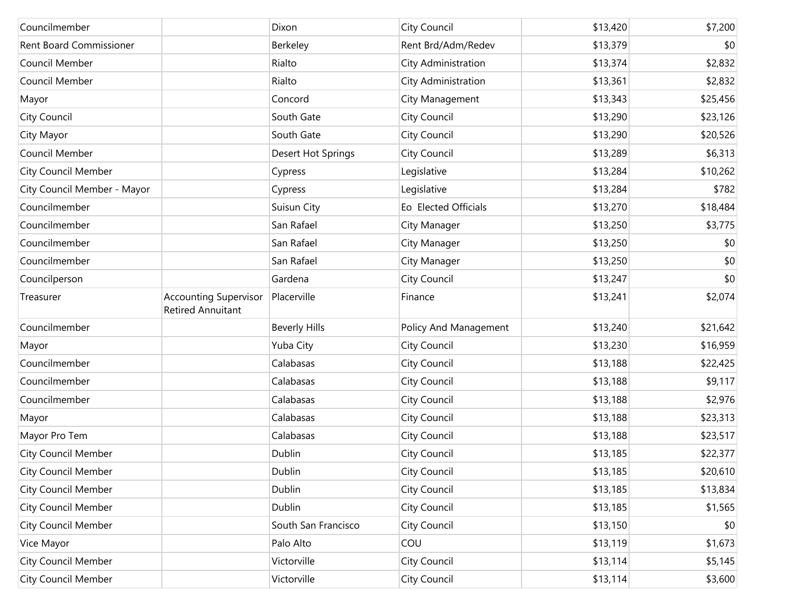| Councilmember                  |                                                          | Dixon                | City Council          | \$13,420 | \$7,200  |
|--------------------------------|----------------------------------------------------------|----------------------|-----------------------|----------|----------|
| <b>Rent Board Commissioner</b> |                                                          | Berkeley             | Rent Brd/Adm/Redev    | \$13,379 | \$0      |
| Council Member                 |                                                          | Rialto               | City Administration   | \$13,374 | \$2,832  |
| Council Member                 |                                                          | Rialto               | City Administration   | \$13,361 | \$2,832  |
| Mayor                          |                                                          | Concord              | City Management       | \$13,343 | \$25,456 |
| City Council                   |                                                          | South Gate           | City Council          | \$13,290 | \$23,126 |
| City Mayor                     |                                                          | South Gate           | City Council          | \$13,290 | \$20,526 |
| Council Member                 |                                                          | Desert Hot Springs   | City Council          | \$13,289 | \$6,313  |
| <b>City Council Member</b>     |                                                          | Cypress              | Legislative           | \$13,284 | \$10,262 |
| City Council Member - Mayor    |                                                          | Cypress              | Legislative           | \$13,284 | \$782    |
| Councilmember                  |                                                          | Suisun City          | Eo Elected Officials  | \$13,270 | \$18,484 |
| Councilmember                  |                                                          | San Rafael           | City Manager          | \$13,250 | \$3,775  |
| Councilmember                  |                                                          | San Rafael           | City Manager          | \$13,250 | \$0      |
| Councilmember                  |                                                          | San Rafael           | City Manager          | \$13,250 | \$0      |
| Councilperson                  |                                                          | Gardena              | City Council          | \$13,247 | \$0      |
| Treasurer                      | <b>Accounting Supervisor</b><br><b>Retired Annuitant</b> | Placerville          | Finance               | \$13,241 | \$2,074  |
| Councilmember                  |                                                          | <b>Beverly Hills</b> | Policy And Management | \$13,240 | \$21,642 |
| Mayor                          |                                                          | Yuba City            | City Council          | \$13,230 | \$16,959 |
| Councilmember                  |                                                          | Calabasas            | City Council          | \$13,188 | \$22,425 |
| Councilmember                  |                                                          | Calabasas            | City Council          | \$13,188 | \$9,117  |
| Councilmember                  |                                                          | Calabasas            | City Council          | \$13,188 | \$2,976  |
| Mayor                          |                                                          | Calabasas            | City Council          | \$13,188 | \$23,313 |
| Mayor Pro Tem                  |                                                          | Calabasas            | City Council          | \$13,188 | \$23,517 |
| <b>City Council Member</b>     |                                                          | Dublin               | City Council          | \$13,185 | \$22,377 |
| <b>City Council Member</b>     |                                                          | Dublin               | City Council          | \$13,185 | \$20,610 |
| <b>City Council Member</b>     |                                                          | Dublin               | City Council          | \$13,185 | \$13,834 |
| <b>City Council Member</b>     |                                                          | Dublin               | City Council          | \$13,185 | \$1,565  |
| <b>City Council Member</b>     |                                                          | South San Francisco  | City Council          | \$13,150 | \$0      |
| Vice Mayor                     |                                                          | Palo Alto            | COU                   | \$13,119 | \$1,673  |
| <b>City Council Member</b>     |                                                          | Victorville          | City Council          | \$13,114 | \$5,145  |
| <b>City Council Member</b>     |                                                          | Victorville          | City Council          | \$13,114 | \$3,600  |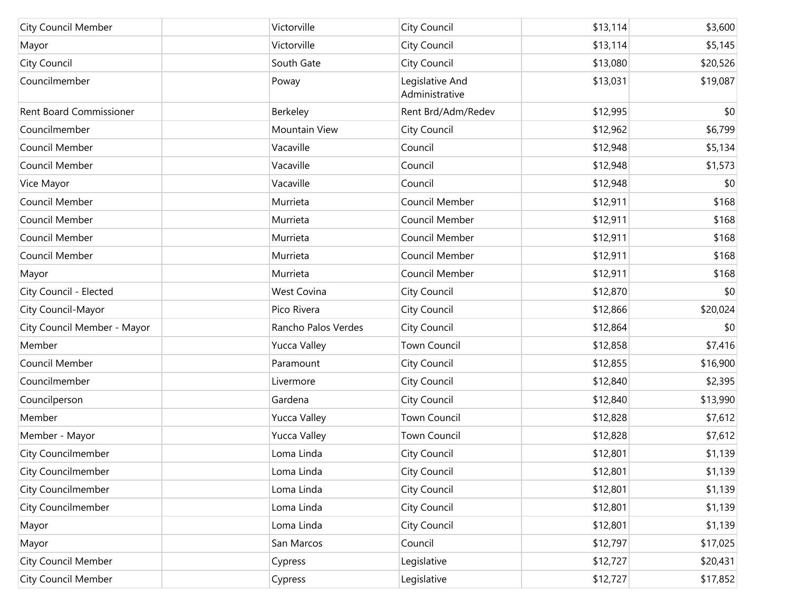| <b>City Council Member</b>     | Victorville         | City Council                      | \$13,114 | \$3,600  |
|--------------------------------|---------------------|-----------------------------------|----------|----------|
| Mayor                          | Victorville         | City Council                      | \$13,114 | \$5,145  |
| City Council                   | South Gate          | City Council                      | \$13,080 | \$20,526 |
| Councilmember                  | Poway               | Legislative And<br>Administrative | \$13,031 | \$19,087 |
| <b>Rent Board Commissioner</b> | Berkeley            | Rent Brd/Adm/Redev                | \$12,995 | \$0      |
| Councilmember                  | Mountain View       | <b>City Council</b>               | \$12,962 | \$6,799  |
| Council Member                 | Vacaville           | Council                           | \$12,948 | \$5,134  |
| Council Member                 | Vacaville           | Council                           | \$12,948 | \$1,573  |
| Vice Mayor                     | Vacaville           | Council                           | \$12,948 | \$0      |
| Council Member                 | Murrieta            | Council Member                    | \$12,911 | \$168    |
| Council Member                 | Murrieta            | Council Member                    | \$12,911 | \$168    |
| Council Member                 | Murrieta            | Council Member                    | \$12,911 | \$168    |
| Council Member                 | Murrieta            | Council Member                    | \$12,911 | \$168    |
| Mayor                          | Murrieta            | Council Member                    | \$12,911 | \$168    |
| City Council - Elected         | <b>West Covina</b>  | <b>City Council</b>               | \$12,870 | \$0      |
| City Council-Mayor             | Pico Rivera         | <b>City Council</b>               | \$12,866 | \$20,024 |
| City Council Member - Mayor    | Rancho Palos Verdes | <b>City Council</b>               | \$12,864 | \$0      |
| Member                         | <b>Yucca Valley</b> | <b>Town Council</b>               | \$12,858 | \$7,416  |
| Council Member                 | Paramount           | <b>City Council</b>               | \$12,855 | \$16,900 |
| Councilmember                  | Livermore           | <b>City Council</b>               | \$12,840 | \$2,395  |
| Councilperson                  | Gardena             | <b>City Council</b>               | \$12,840 | \$13,990 |
| Member                         | <b>Yucca Valley</b> | Town Council                      | \$12,828 | \$7,612  |
| Member - Mayor                 | <b>Yucca Valley</b> | <b>Town Council</b>               | \$12,828 | \$7,612  |
| <b>City Councilmember</b>      | Loma Linda          | <b>City Council</b>               | \$12,801 | \$1,139  |
| City Councilmember             | Loma Linda          | <b>City Council</b>               | \$12,801 | \$1,139  |
| <b>City Councilmember</b>      | Loma Linda          | <b>City Council</b>               | \$12,801 | \$1,139  |
| <b>City Councilmember</b>      | Loma Linda          | <b>City Council</b>               | \$12,801 | \$1,139  |
| Mayor                          | Loma Linda          | <b>City Council</b>               | \$12,801 | \$1,139  |
| Mayor                          | San Marcos          | Council                           | \$12,797 | \$17,025 |
| <b>City Council Member</b>     | Cypress             | Legislative                       | \$12,727 | \$20,431 |
| <b>City Council Member</b>     | Cypress             | Legislative                       | \$12,727 | \$17,852 |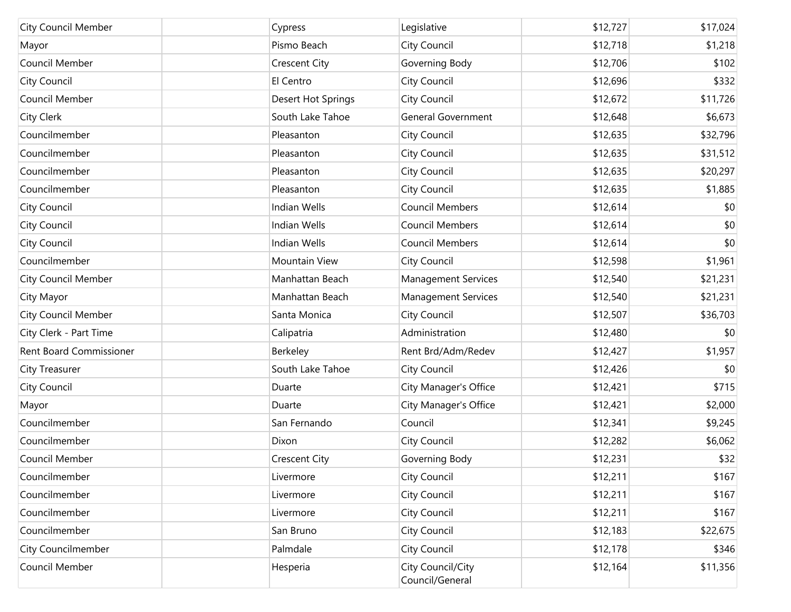| <b>City Council Member</b>     | Cypress              | Legislative                          | \$12,727 | \$17,024 |
|--------------------------------|----------------------|--------------------------------------|----------|----------|
| Mayor                          | Pismo Beach          | City Council                         | \$12,718 | \$1,218  |
| Council Member                 | <b>Crescent City</b> | Governing Body                       | \$12,706 | \$102    |
| City Council                   | El Centro            | City Council                         | \$12,696 | \$332    |
| Council Member                 | Desert Hot Springs   | City Council                         | \$12,672 | \$11,726 |
| City Clerk                     | South Lake Tahoe     | <b>General Government</b>            | \$12,648 | \$6,673  |
| Councilmember                  | Pleasanton           | City Council                         | \$12,635 | \$32,796 |
| Councilmember                  | Pleasanton           | City Council                         | \$12,635 | \$31,512 |
| Councilmember                  | Pleasanton           | City Council                         | \$12,635 | \$20,297 |
| Councilmember                  | Pleasanton           | City Council                         | \$12,635 | \$1,885  |
| City Council                   | <b>Indian Wells</b>  | <b>Council Members</b>               | \$12,614 | \$0      |
| City Council                   | <b>Indian Wells</b>  | <b>Council Members</b>               | \$12,614 | \$0      |
| City Council                   | <b>Indian Wells</b>  | <b>Council Members</b>               | \$12,614 | \$0      |
| Councilmember                  | Mountain View        | City Council                         | \$12,598 | \$1,961  |
| <b>City Council Member</b>     | Manhattan Beach      | <b>Management Services</b>           | \$12,540 | \$21,231 |
| City Mayor                     | Manhattan Beach      | <b>Management Services</b>           | \$12,540 | \$21,231 |
| <b>City Council Member</b>     | Santa Monica         | City Council                         | \$12,507 | \$36,703 |
| City Clerk - Part Time         | Calipatria           | Administration                       | \$12,480 | \$0      |
| <b>Rent Board Commissioner</b> | Berkeley             | Rent Brd/Adm/Redev                   | \$12,427 | \$1,957  |
| City Treasurer                 | South Lake Tahoe     | City Council                         | \$12,426 | \$0      |
| City Council                   | Duarte               | City Manager's Office                | \$12,421 | \$715    |
| Mayor                          | Duarte               | City Manager's Office                | \$12,421 | \$2,000  |
| Councilmember                  | San Fernando         | Council                              | \$12,341 | \$9,245  |
| Councilmember                  | Dixon                | City Council                         | \$12,282 | \$6,062  |
| Council Member                 | Crescent City        | Governing Body                       | \$12,231 | \$32     |
| Councilmember                  | Livermore            | City Council                         | \$12,211 | \$167    |
| Councilmember                  | Livermore            | City Council                         | \$12,211 | \$167    |
| Councilmember                  | Livermore            | City Council                         | \$12,211 | \$167    |
| Councilmember                  | San Bruno            | City Council                         | \$12,183 | \$22,675 |
| City Councilmember             | Palmdale             | City Council                         | \$12,178 | \$346    |
| Council Member                 | Hesperia             | City Council/City<br>Council/General | \$12,164 | \$11,356 |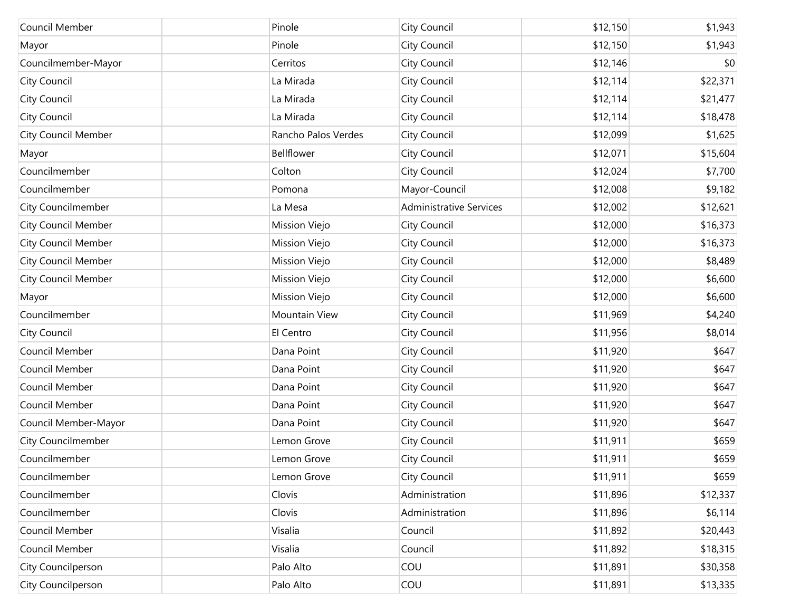| Council Member             | Pinole              | City Council                   | \$12,150 | \$1,943  |
|----------------------------|---------------------|--------------------------------|----------|----------|
| Mayor                      | Pinole              | City Council                   | \$12,150 | \$1,943  |
| Councilmember-Mayor        | Cerritos            | City Council                   | \$12,146 | \$0      |
| City Council               | La Mirada           | City Council                   | \$12,114 | \$22,371 |
| City Council               | La Mirada           | City Council                   | \$12,114 | \$21,477 |
| City Council               | La Mirada           | City Council                   | \$12,114 | \$18,478 |
| <b>City Council Member</b> | Rancho Palos Verdes | City Council                   | \$12,099 | \$1,625  |
| Mayor                      | Bellflower          | City Council                   | \$12,071 | \$15,604 |
| Councilmember              | Colton              | City Council                   | \$12,024 | \$7,700  |
| Councilmember              | Pomona              | Mayor-Council                  | \$12,008 | \$9,182  |
| City Councilmember         | La Mesa             | <b>Administrative Services</b> | \$12,002 | \$12,621 |
| <b>City Council Member</b> | Mission Viejo       | City Council                   | \$12,000 | \$16,373 |
| <b>City Council Member</b> | Mission Viejo       | City Council                   | \$12,000 | \$16,373 |
| <b>City Council Member</b> | Mission Viejo       | City Council                   | \$12,000 | \$8,489  |
| <b>City Council Member</b> | Mission Viejo       | City Council                   | \$12,000 | \$6,600  |
| Mayor                      | Mission Viejo       | City Council                   | \$12,000 | \$6,600  |
| Councilmember              | Mountain View       | City Council                   | \$11,969 | \$4,240  |
| City Council               | El Centro           | City Council                   | \$11,956 | \$8,014  |
| Council Member             | Dana Point          | City Council                   | \$11,920 | \$647    |
| Council Member             | Dana Point          | City Council                   | \$11,920 | \$647    |
| Council Member             | Dana Point          | City Council                   | \$11,920 | \$647    |
| Council Member             | Dana Point          | City Council                   | \$11,920 | \$647    |
| Council Member-Mayor       | Dana Point          | City Council                   | \$11,920 | \$647    |
| City Councilmember         | Lemon Grove         | City Council                   | \$11,911 | \$659    |
| Councilmember              | Lemon Grove         | City Council                   | \$11,911 | \$659    |
| Councilmember              | Lemon Grove         | City Council                   | \$11,911 | \$659    |
| Councilmember              | Clovis              | Administration                 | \$11,896 | \$12,337 |
| Councilmember              | Clovis              | Administration                 | \$11,896 | \$6,114  |
| Council Member             | Visalia             | Council                        | \$11,892 | \$20,443 |
| Council Member             | Visalia             | Council                        | \$11,892 | \$18,315 |
| City Councilperson         | Palo Alto           | COU                            | \$11,891 | \$30,358 |
| City Councilperson         | Palo Alto           | COU                            | \$11,891 | \$13,335 |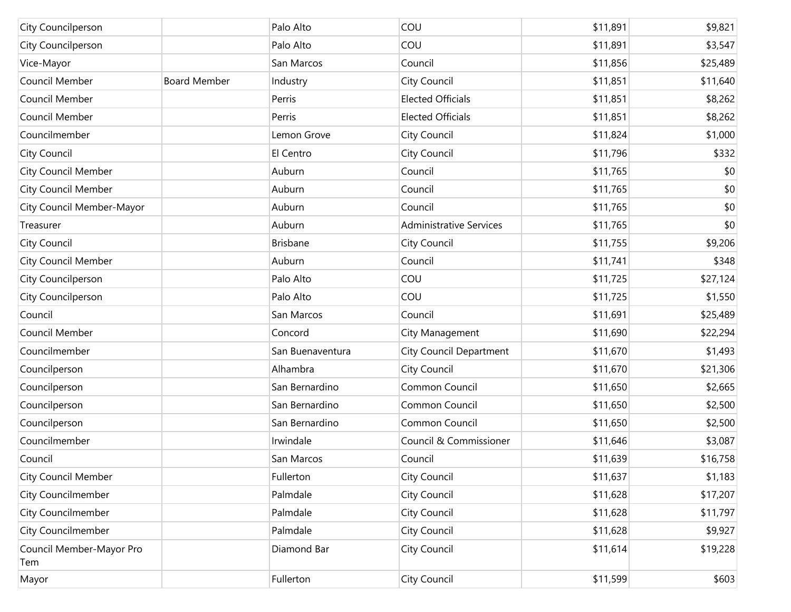| City Councilperson              |                     | Palo Alto        | COU                            | \$11,891 | \$9,821  |
|---------------------------------|---------------------|------------------|--------------------------------|----------|----------|
| City Councilperson              |                     | Palo Alto        | COU                            | \$11,891 | \$3,547  |
| Vice-Mayor                      |                     | San Marcos       | Council                        | \$11,856 | \$25,489 |
| Council Member                  | <b>Board Member</b> | Industry         | City Council                   | \$11,851 | \$11,640 |
| Council Member                  |                     | Perris           | <b>Elected Officials</b>       | \$11,851 | \$8,262  |
| Council Member                  |                     | Perris           | <b>Elected Officials</b>       | \$11,851 | \$8,262  |
| Councilmember                   |                     | Lemon Grove      | City Council                   | \$11,824 | \$1,000  |
| City Council                    |                     | El Centro        | City Council                   | \$11,796 | \$332    |
| <b>City Council Member</b>      |                     | Auburn           | Council                        | \$11,765 | \$0      |
| <b>City Council Member</b>      |                     | Auburn           | Council                        | \$11,765 | \$0      |
| City Council Member-Mayor       |                     | Auburn           | Council                        | \$11,765 | \$0      |
| Treasurer                       |                     | Auburn           | <b>Administrative Services</b> | \$11,765 | \$0      |
| <b>City Council</b>             |                     | <b>Brisbane</b>  | City Council                   | \$11,755 | \$9,206  |
| <b>City Council Member</b>      |                     | Auburn           | Council                        | \$11,741 | \$348    |
| City Councilperson              |                     | Palo Alto        | COU                            | \$11,725 | \$27,124 |
| City Councilperson              |                     | Palo Alto        | COU                            | \$11,725 | \$1,550  |
| Council                         |                     | San Marcos       | Council                        | \$11,691 | \$25,489 |
| Council Member                  |                     | Concord          | City Management                | \$11,690 | \$22,294 |
| Councilmember                   |                     | San Buenaventura | <b>City Council Department</b> | \$11,670 | \$1,493  |
| Councilperson                   |                     | Alhambra         | City Council                   | \$11,670 | \$21,306 |
| Councilperson                   |                     | San Bernardino   | Common Council                 | \$11,650 | \$2,665  |
| Councilperson                   |                     | San Bernardino   | Common Council                 | \$11,650 | \$2,500  |
| Councilperson                   |                     | San Bernardino   | Common Council                 | \$11,650 | \$2,500  |
| Councilmember                   |                     | Irwindale        | Council & Commissioner         | \$11,646 | \$3,087  |
| Council                         |                     | San Marcos       | Council                        | \$11,639 | \$16,758 |
| City Council Member             |                     | Fullerton        | City Council                   | \$11,637 | \$1,183  |
| City Councilmember              |                     | Palmdale         | City Council                   | \$11,628 | \$17,207 |
| City Councilmember              |                     | Palmdale         | City Council                   | \$11,628 | \$11,797 |
| City Councilmember              |                     | Palmdale         | City Council                   | \$11,628 | \$9,927  |
| Council Member-Mayor Pro<br>Tem |                     | Diamond Bar      | City Council                   | \$11,614 | \$19,228 |
| Mayor                           |                     | Fullerton        | City Council                   | \$11,599 | \$603    |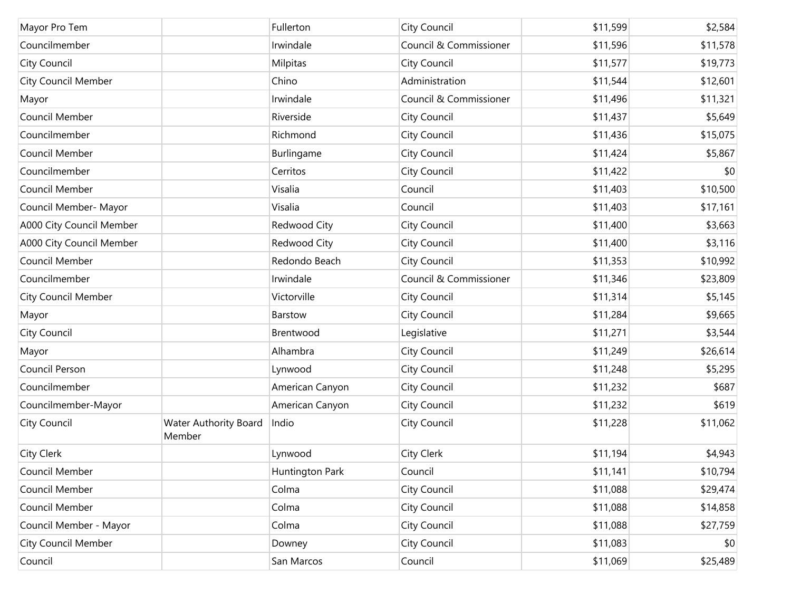| Mayor Pro Tem              |                                        | Fullerton       | City Council           | \$11,599 | \$2,584  |
|----------------------------|----------------------------------------|-----------------|------------------------|----------|----------|
| Councilmember              |                                        | Irwindale       | Council & Commissioner | \$11,596 | \$11,578 |
| City Council               |                                        | Milpitas        | City Council           | \$11,577 | \$19,773 |
| <b>City Council Member</b> |                                        | Chino           | Administration         | \$11,544 | \$12,601 |
| Mayor                      |                                        | Irwindale       | Council & Commissioner | \$11,496 | \$11,321 |
| Council Member             |                                        | Riverside       | City Council           | \$11,437 | \$5,649  |
| Councilmember              |                                        | Richmond        | City Council           | \$11,436 | \$15,075 |
| Council Member             |                                        | Burlingame      | City Council           | \$11,424 | \$5,867  |
| Councilmember              |                                        | Cerritos        | City Council           | \$11,422 | \$0      |
| Council Member             |                                        | Visalia         | Council                | \$11,403 | \$10,500 |
| Council Member- Mayor      |                                        | Visalia         | Council                | \$11,403 | \$17,161 |
| A000 City Council Member   |                                        | Redwood City    | City Council           | \$11,400 | \$3,663  |
| A000 City Council Member   |                                        | Redwood City    | City Council           | \$11,400 | \$3,116  |
| Council Member             |                                        | Redondo Beach   | City Council           | \$11,353 | \$10,992 |
| Councilmember              |                                        | Irwindale       | Council & Commissioner | \$11,346 | \$23,809 |
| <b>City Council Member</b> |                                        | Victorville     | City Council           | \$11,314 | \$5,145  |
| Mayor                      |                                        | Barstow         | City Council           | \$11,284 | \$9,665  |
| City Council               |                                        | Brentwood       | Legislative            | \$11,271 | \$3,544  |
| Mayor                      |                                        | Alhambra        | City Council           | \$11,249 | \$26,614 |
| Council Person             |                                        | Lynwood         | City Council           | \$11,248 | \$5,295  |
| Councilmember              |                                        | American Canyon | City Council           | \$11,232 | \$687    |
| Councilmember-Mayor        |                                        | American Canyon | City Council           | \$11,232 | \$619    |
| City Council               | <b>Water Authority Board</b><br>Member | Indio           | City Council           | \$11,228 | \$11,062 |
| City Clerk                 |                                        | Lynwood         | City Clerk             | \$11,194 | \$4,943  |
| Council Member             |                                        | Huntington Park | Council                | \$11,141 | \$10,794 |
| Council Member             |                                        | Colma           | City Council           | \$11,088 | \$29,474 |
| Council Member             |                                        | Colma           | City Council           | \$11,088 | \$14,858 |
| Council Member - Mayor     |                                        | Colma           | City Council           | \$11,088 | \$27,759 |
| <b>City Council Member</b> |                                        | Downey          | City Council           | \$11,083 | \$0      |
| Council                    |                                        | San Marcos      | Council                | \$11,069 | \$25,489 |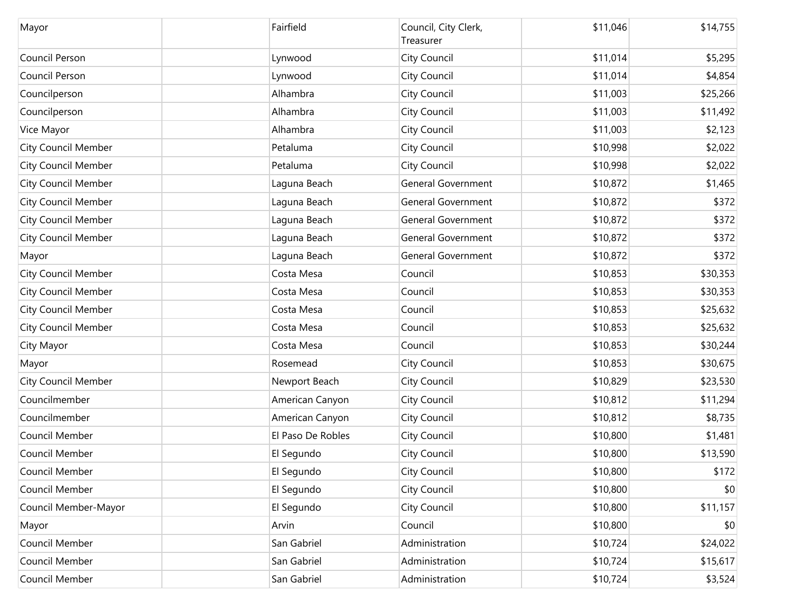| Mayor                      | Fairfield         | Council, City Clerk,<br>Treasurer | \$11,046 | \$14,755 |
|----------------------------|-------------------|-----------------------------------|----------|----------|
| Council Person             | Lynwood           | City Council                      | \$11,014 | \$5,295  |
| Council Person             | Lynwood           | City Council                      | \$11,014 | \$4,854  |
| Councilperson              | Alhambra          | City Council                      | \$11,003 | \$25,266 |
| Councilperson              | Alhambra          | City Council                      | \$11,003 | \$11,492 |
| Vice Mayor                 | Alhambra          | City Council                      | \$11,003 | \$2,123  |
| <b>City Council Member</b> | Petaluma          | City Council                      | \$10,998 | \$2,022  |
| <b>City Council Member</b> | Petaluma          | City Council                      | \$10,998 | \$2,022  |
| <b>City Council Member</b> | Laguna Beach      | <b>General Government</b>         | \$10,872 | \$1,465  |
| <b>City Council Member</b> | Laguna Beach      | <b>General Government</b>         | \$10,872 | \$372    |
| <b>City Council Member</b> | Laguna Beach      | <b>General Government</b>         | \$10,872 | \$372    |
| <b>City Council Member</b> | Laguna Beach      | <b>General Government</b>         | \$10,872 | \$372    |
| Mayor                      | Laguna Beach      | <b>General Government</b>         | \$10,872 | \$372    |
| <b>City Council Member</b> | Costa Mesa        | Council                           | \$10,853 | \$30,353 |
| <b>City Council Member</b> | Costa Mesa        | Council                           | \$10,853 | \$30,353 |
| <b>City Council Member</b> | Costa Mesa        | Council                           | \$10,853 | \$25,632 |
| <b>City Council Member</b> | Costa Mesa        | Council                           | \$10,853 | \$25,632 |
| City Mayor                 | Costa Mesa        | Council                           | \$10,853 | \$30,244 |
| Mayor                      | Rosemead          | City Council                      | \$10,853 | \$30,675 |
| <b>City Council Member</b> | Newport Beach     | City Council                      | \$10,829 | \$23,530 |
| Councilmember              | American Canyon   | City Council                      | \$10,812 | \$11,294 |
| Councilmember              | American Canyon   | City Council                      | \$10,812 | \$8,735  |
| Council Member             | El Paso De Robles | City Council                      | \$10,800 | \$1,481  |
| Council Member             | El Segundo        | City Council                      | \$10,800 | \$13,590 |
| Council Member             | El Segundo        | City Council                      | \$10,800 | \$172    |
| Council Member             | El Segundo        | City Council                      | \$10,800 | \$0      |
| Council Member-Mayor       | El Segundo        | City Council                      | \$10,800 | \$11,157 |
| Mayor                      | Arvin             | Council                           | \$10,800 | \$0      |
| Council Member             | San Gabriel       | Administration                    | \$10,724 | \$24,022 |
| Council Member             | San Gabriel       | Administration                    | \$10,724 | \$15,617 |
| Council Member             | San Gabriel       | Administration                    | \$10,724 | \$3,524  |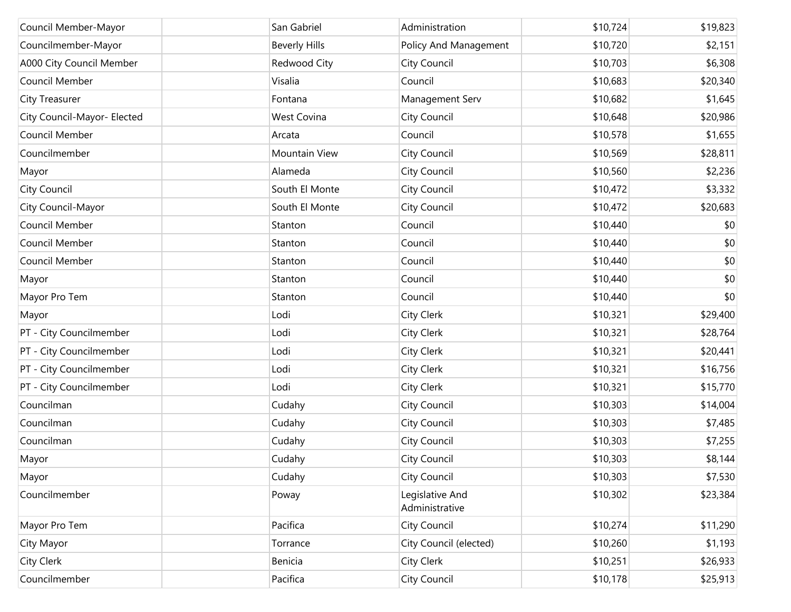| Council Member-Mayor        | San Gabriel          | Administration                    | \$10,724 | \$19,823 |
|-----------------------------|----------------------|-----------------------------------|----------|----------|
| Councilmember-Mayor         | <b>Beverly Hills</b> | Policy And Management             | \$10,720 | \$2,151  |
| A000 City Council Member    | Redwood City         | City Council                      | \$10,703 | \$6,308  |
| Council Member              | Visalia              | Council                           | \$10,683 | \$20,340 |
| City Treasurer              | Fontana              | Management Serv                   | \$10,682 | \$1,645  |
| City Council-Mayor- Elected | <b>West Covina</b>   | City Council                      | \$10,648 | \$20,986 |
| Council Member              | Arcata               | Council                           | \$10,578 | \$1,655  |
| Councilmember               | Mountain View        | City Council                      | \$10,569 | \$28,811 |
| Mayor                       | Alameda              | City Council                      | \$10,560 | \$2,236  |
| City Council                | South El Monte       | City Council                      | \$10,472 | \$3,332  |
| City Council-Mayor          | South El Monte       | City Council                      | \$10,472 | \$20,683 |
| Council Member              | Stanton              | Council                           | \$10,440 | \$0      |
| Council Member              | Stanton              | Council                           | \$10,440 | \$0      |
| Council Member              | Stanton              | Council                           | \$10,440 | \$0      |
| Mayor                       | Stanton              | Council                           | \$10,440 | \$0      |
| Mayor Pro Tem               | Stanton              | Council                           | \$10,440 | \$0      |
| Mayor                       | Lodi                 | City Clerk                        | \$10,321 | \$29,400 |
| PT - City Councilmember     | Lodi                 | City Clerk                        | \$10,321 | \$28,764 |
| PT - City Councilmember     | Lodi                 | City Clerk                        | \$10,321 | \$20,441 |
| PT - City Councilmember     | Lodi                 | City Clerk                        | \$10,321 | \$16,756 |
| PT - City Councilmember     | Lodi                 | City Clerk                        | \$10,321 | \$15,770 |
| Councilman                  | Cudahy               | City Council                      | \$10,303 | \$14,004 |
| Councilman                  | Cudahy               | City Council                      | \$10,303 | \$7,485  |
| Councilman                  | Cudahy               | City Council                      | \$10,303 | \$7,255  |
| Mayor                       | Cudahy               | City Council                      | \$10,303 | \$8,144  |
| Mayor                       | Cudahy               | City Council                      | \$10,303 | \$7,530  |
| Councilmember               | Poway                | Legislative And<br>Administrative | \$10,302 | \$23,384 |
| Mayor Pro Tem               | Pacifica             | City Council                      | \$10,274 | \$11,290 |
| City Mayor                  | Torrance             | City Council (elected)            | \$10,260 | \$1,193  |
| City Clerk                  | Benicia              | City Clerk                        | \$10,251 | \$26,933 |
| Councilmember               | Pacifica             | City Council                      | \$10,178 | \$25,913 |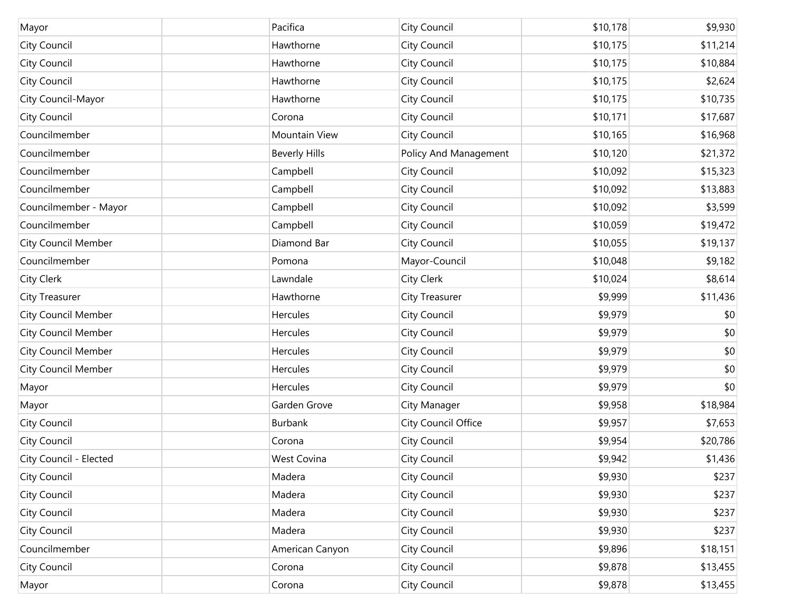| Mayor                      | Pacifica             | City Council               | \$10,178 | \$9,930  |
|----------------------------|----------------------|----------------------------|----------|----------|
| City Council               | Hawthorne            | City Council               | \$10,175 | \$11,214 |
| City Council               | Hawthorne            | City Council               | \$10,175 | \$10,884 |
| City Council               | Hawthorne            | City Council               | \$10,175 | \$2,624  |
| City Council-Mayor         | Hawthorne            | City Council               | \$10,175 | \$10,735 |
| City Council               | Corona               | City Council               | \$10,171 | \$17,687 |
| Councilmember              | Mountain View        | City Council               | \$10,165 | \$16,968 |
| Councilmember              | <b>Beverly Hills</b> | Policy And Management      | \$10,120 | \$21,372 |
| Councilmember              | Campbell             | City Council               | \$10,092 | \$15,323 |
| Councilmember              | Campbell             | City Council               | \$10,092 | \$13,883 |
| Councilmember - Mayor      | Campbell             | City Council               | \$10,092 | \$3,599  |
| Councilmember              | Campbell             | City Council               | \$10,059 | \$19,472 |
| <b>City Council Member</b> | Diamond Bar          | City Council               | \$10,055 | \$19,137 |
| Councilmember              | Pomona               | Mayor-Council              | \$10,048 | \$9,182  |
| City Clerk                 | Lawndale             | City Clerk                 | \$10,024 | \$8,614  |
| <b>City Treasurer</b>      | Hawthorne            | City Treasurer             | \$9,999  | \$11,436 |
| <b>City Council Member</b> | Hercules             | City Council               | \$9,979  | \$0      |
| <b>City Council Member</b> | <b>Hercules</b>      | City Council               | \$9,979  | \$0      |
| <b>City Council Member</b> | Hercules             | City Council               | \$9,979  | \$0      |
| City Council Member        | <b>Hercules</b>      | City Council               | \$9,979  | \$0      |
| Mayor                      | Hercules             | City Council               | \$9,979  | \$0      |
| Mayor                      | Garden Grove         | City Manager               | \$9,958  | \$18,984 |
| City Council               | <b>Burbank</b>       | <b>City Council Office</b> | \$9,957  | \$7,653  |
| City Council               | Corona               | City Council               | \$9,954  | \$20,786 |
| City Council - Elected     | <b>West Covina</b>   | City Council               | \$9,942  | \$1,436  |
| City Council               | Madera               | City Council               | \$9,930  | \$237    |
| City Council               | Madera               | City Council               | \$9,930  | \$237    |
| City Council               | Madera               | City Council               | \$9,930  | \$237    |
| City Council               | Madera               | City Council               | \$9,930  | \$237    |
| Councilmember              | American Canyon      | City Council               | \$9,896  | \$18,151 |
| City Council               | Corona               | City Council               | \$9,878  | \$13,455 |
| Mayor                      | Corona               | City Council               | \$9,878  | \$13,455 |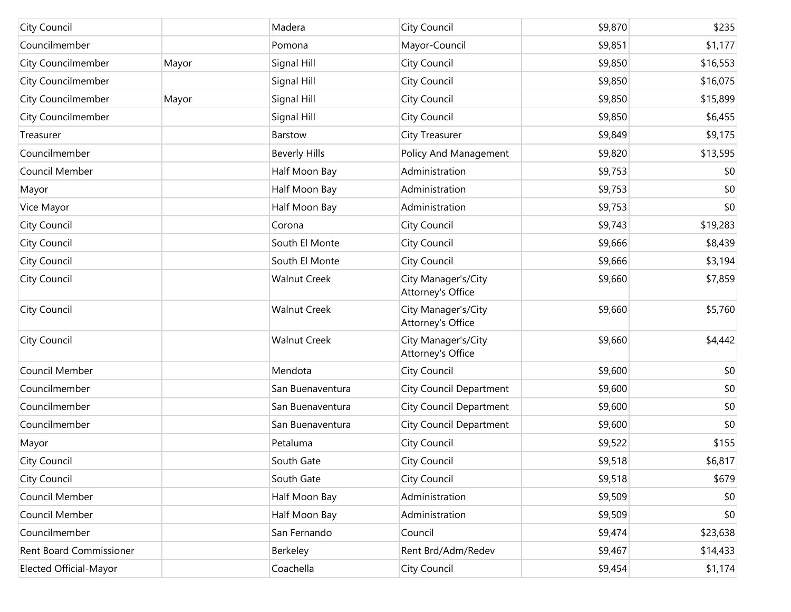| City Council                   |       | Madera               | City Council                             | \$9,870 | \$235    |
|--------------------------------|-------|----------------------|------------------------------------------|---------|----------|
| Councilmember                  |       | Pomona               | Mayor-Council                            | \$9,851 | \$1,177  |
| <b>City Councilmember</b>      | Mayor | Signal Hill          | City Council                             | \$9,850 | \$16,553 |
| <b>City Councilmember</b>      |       | Signal Hill          | City Council                             | \$9,850 | \$16,075 |
| <b>City Councilmember</b>      | Mayor | Signal Hill          | City Council                             | \$9,850 | \$15,899 |
| <b>City Councilmember</b>      |       | Signal Hill          | City Council                             | \$9,850 | \$6,455  |
| Treasurer                      |       | Barstow              | City Treasurer                           | \$9,849 | \$9,175  |
| Councilmember                  |       | <b>Beverly Hills</b> | Policy And Management                    | \$9,820 | \$13,595 |
| Council Member                 |       | Half Moon Bay        | Administration                           | \$9,753 | \$0      |
| Mayor                          |       | Half Moon Bay        | Administration                           | \$9,753 | \$0      |
| Vice Mayor                     |       | Half Moon Bay        | Administration                           | \$9,753 | \$0      |
| City Council                   |       | Corona               | City Council                             | \$9,743 | \$19,283 |
| City Council                   |       | South El Monte       | City Council                             | \$9,666 | \$8,439  |
| City Council                   |       | South El Monte       | City Council                             | \$9,666 | \$3,194  |
| City Council                   |       | <b>Walnut Creek</b>  | City Manager's/City<br>Attorney's Office | \$9,660 | \$7,859  |
| City Council                   |       | <b>Walnut Creek</b>  | City Manager's/City<br>Attorney's Office | \$9,660 | \$5,760  |
| City Council                   |       | <b>Walnut Creek</b>  | City Manager's/City<br>Attorney's Office | \$9,660 | \$4,442  |
| Council Member                 |       | Mendota              | City Council                             | \$9,600 | \$0      |
| Councilmember                  |       | San Buenaventura     | City Council Department                  | \$9,600 | \$0      |
| Councilmember                  |       | San Buenaventura     | City Council Department                  | \$9,600 | \$0      |
| Councilmember                  |       | San Buenaventura     | <b>City Council Department</b>           | \$9,600 | \$0      |
| Mayor                          |       | Petaluma             | City Council                             | \$9,522 | \$155    |
| City Council                   |       | South Gate           | City Council                             | \$9,518 | \$6,817  |
| City Council                   |       | South Gate           | City Council                             | \$9,518 | \$679    |
| Council Member                 |       | Half Moon Bay        | Administration                           | \$9,509 | \$0      |
| Council Member                 |       | Half Moon Bay        | Administration                           | \$9,509 | \$0      |
| Councilmember                  |       | San Fernando         | Council                                  | \$9,474 | \$23,638 |
| <b>Rent Board Commissioner</b> |       | Berkeley             | Rent Brd/Adm/Redev                       | \$9,467 | \$14,433 |
| Elected Official-Mayor         |       | Coachella            | City Council                             | \$9,454 | \$1,174  |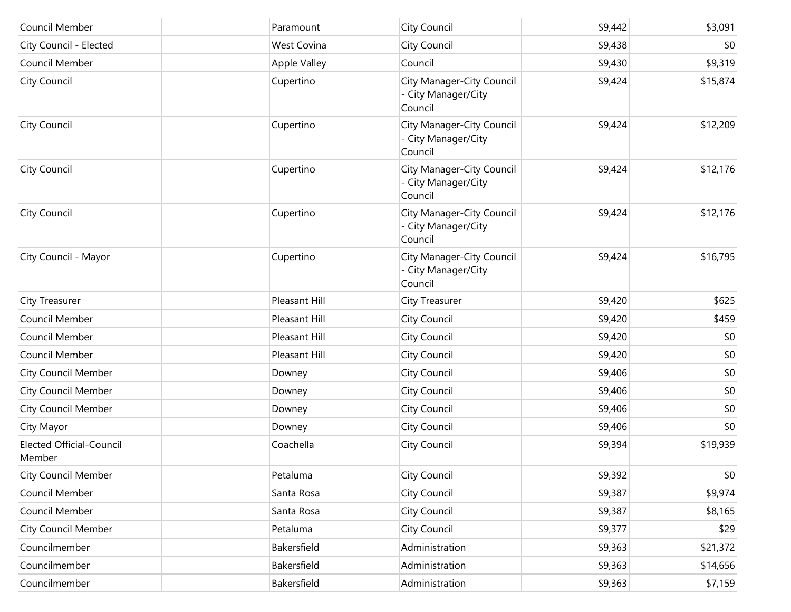| Council Member                            | Paramount     | <b>City Council</b>                                         | \$9,442 | \$3,091  |
|-------------------------------------------|---------------|-------------------------------------------------------------|---------|----------|
| City Council - Elected                    | West Covina   | City Council                                                | \$9,438 | \$0      |
| Council Member                            | Apple Valley  | Council                                                     | \$9,430 | \$9,319  |
| City Council                              | Cupertino     | City Manager-City Council<br>- City Manager/City<br>Council | \$9,424 | \$15,874 |
| City Council                              | Cupertino     | City Manager-City Council<br>- City Manager/City<br>Council | \$9,424 | \$12,209 |
| City Council                              | Cupertino     | City Manager-City Council<br>- City Manager/City<br>Council | \$9,424 | \$12,176 |
| City Council                              | Cupertino     | City Manager-City Council<br>- City Manager/City<br>Council | \$9,424 | \$12,176 |
| City Council - Mayor                      | Cupertino     | City Manager-City Council<br>- City Manager/City<br>Council | \$9,424 | \$16,795 |
| City Treasurer                            | Pleasant Hill | <b>City Treasurer</b>                                       | \$9,420 | \$625    |
| Council Member                            | Pleasant Hill | City Council                                                | \$9,420 | \$459    |
| Council Member                            | Pleasant Hill | City Council                                                | \$9,420 | \$0      |
| Council Member                            | Pleasant Hill | City Council                                                | \$9,420 | \$0      |
| <b>City Council Member</b>                | Downey        | City Council                                                | \$9,406 | \$0      |
| <b>City Council Member</b>                | Downey        | City Council                                                | \$9,406 | \$0      |
| <b>City Council Member</b>                | Downey        | City Council                                                | \$9,406 | \$0      |
| City Mayor                                | Downey        | City Council                                                | \$9,406 | \$0      |
| <b>Elected Official-Council</b><br>Member | Coachella     | City Council                                                | \$9,394 | \$19,939 |
| <b>City Council Member</b>                | Petaluma      | City Council                                                | \$9,392 | \$0      |
| Council Member                            | Santa Rosa    | City Council                                                | \$9,387 | \$9,974  |
| Council Member                            | Santa Rosa    | City Council                                                | \$9,387 | \$8,165  |
| <b>City Council Member</b>                | Petaluma      | City Council                                                | \$9,377 | \$29     |
| Councilmember                             | Bakersfield   | Administration                                              | \$9,363 | \$21,372 |
| Councilmember                             | Bakersfield   | Administration                                              | \$9,363 | \$14,656 |
| Councilmember                             | Bakersfield   | Administration                                              | \$9,363 | \$7,159  |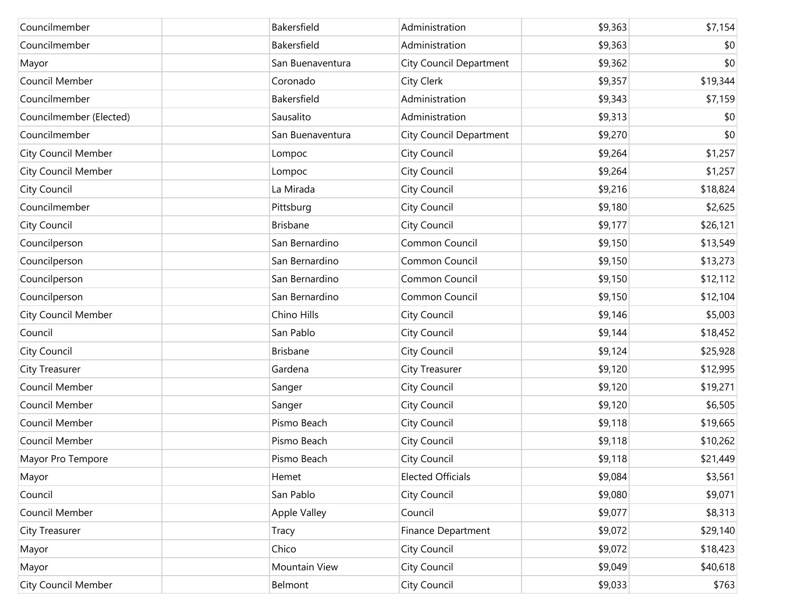| Councilmember              | Bakersfield      | Administration           | \$9,363 | \$7,154  |
|----------------------------|------------------|--------------------------|---------|----------|
| Councilmember              | Bakersfield      | Administration           | \$9,363 | \$0      |
| Mayor                      | San Buenaventura | City Council Department  | \$9,362 | \$0      |
| Council Member             | Coronado         | <b>City Clerk</b>        | \$9,357 | \$19,344 |
| Councilmember              | Bakersfield      | Administration           | \$9,343 | \$7,159  |
| Councilmember (Elected)    | Sausalito        | Administration           | \$9,313 | \$0      |
| Councilmember              | San Buenaventura | City Council Department  | \$9,270 | \$0      |
| <b>City Council Member</b> | Lompoc           | City Council             | \$9,264 | \$1,257  |
| <b>City Council Member</b> | Lompoc           | City Council             | \$9,264 | \$1,257  |
| City Council               | La Mirada        | City Council             | \$9,216 | \$18,824 |
| Councilmember              | Pittsburg        | City Council             | \$9,180 | \$2,625  |
| <b>City Council</b>        | <b>Brisbane</b>  | City Council             | \$9,177 | \$26,121 |
| Councilperson              | San Bernardino   | Common Council           | \$9,150 | \$13,549 |
| Councilperson              | San Bernardino   | Common Council           | \$9,150 | \$13,273 |
| Councilperson              | San Bernardino   | Common Council           | \$9,150 | \$12,112 |
| Councilperson              | San Bernardino   | Common Council           | \$9,150 | \$12,104 |
| City Council Member        | Chino Hills      | City Council             | \$9,146 | \$5,003  |
| Council                    | San Pablo        | City Council             | \$9,144 | \$18,452 |
| City Council               | <b>Brisbane</b>  | City Council             | \$9,124 | \$25,928 |
| <b>City Treasurer</b>      | Gardena          | City Treasurer           | \$9,120 | \$12,995 |
| Council Member             | Sanger           | City Council             | \$9,120 | \$19,271 |
| Council Member             | Sanger           | City Council             | \$9,120 | \$6,505  |
| Council Member             | Pismo Beach      | City Council             | \$9,118 | \$19,665 |
| Council Member             | Pismo Beach      | City Council             | \$9,118 | \$10,262 |
| Mayor Pro Tempore          | Pismo Beach      | City Council             | \$9,118 | \$21,449 |
| Mayor                      | Hemet            | <b>Elected Officials</b> | \$9,084 | \$3,561  |
| Council                    | San Pablo        | City Council             | \$9,080 | \$9,071  |
| Council Member             | Apple Valley     | Council                  | \$9,077 | \$8,313  |
| <b>City Treasurer</b>      | Tracy            | Finance Department       | \$9,072 | \$29,140 |
| Mayor                      | Chico            | City Council             | \$9,072 | \$18,423 |
| Mayor                      | Mountain View    | City Council             | \$9,049 | \$40,618 |
| <b>City Council Member</b> | Belmont          | City Council             | \$9,033 | \$763    |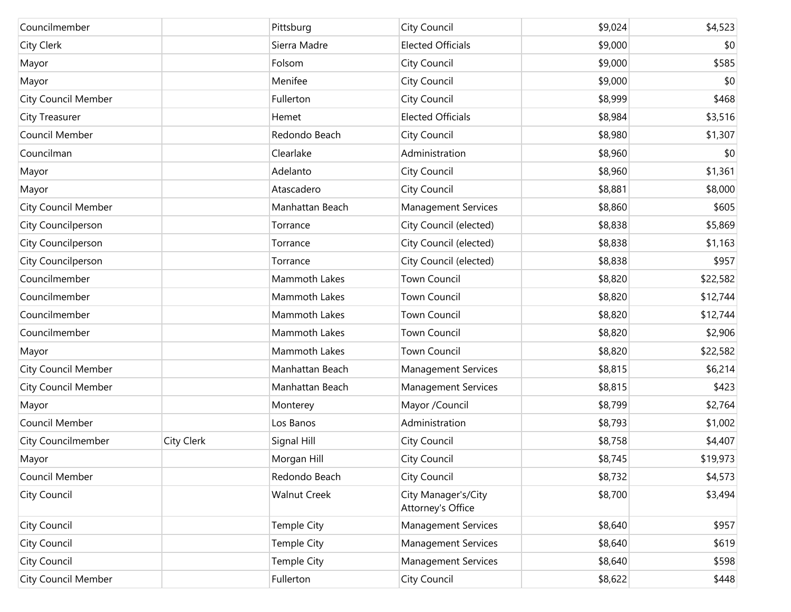| Councilmember              |            | Pittsburg            | <b>City Council</b>                      | \$9,024 | \$4,523  |
|----------------------------|------------|----------------------|------------------------------------------|---------|----------|
| City Clerk                 |            | Sierra Madre         | <b>Elected Officials</b>                 | \$9,000 | \$0      |
| Mayor                      |            | Folsom               | <b>City Council</b>                      | \$9,000 | \$585    |
| Mayor                      |            | Menifee              | City Council                             | \$9,000 | \$0      |
| <b>City Council Member</b> |            | Fullerton            | <b>City Council</b>                      | \$8,999 | \$468    |
| City Treasurer             |            | Hemet                | <b>Elected Officials</b>                 | \$8,984 | \$3,516  |
| Council Member             |            | Redondo Beach        | <b>City Council</b>                      | \$8,980 | \$1,307  |
| Councilman                 |            | Clearlake            | Administration                           | \$8,960 | \$0      |
| Mayor                      |            | Adelanto             | <b>City Council</b>                      | \$8,960 | \$1,361  |
| Mayor                      |            | Atascadero           | City Council                             | \$8,881 | \$8,000  |
| <b>City Council Member</b> |            | Manhattan Beach      | <b>Management Services</b>               | \$8,860 | \$605    |
| City Councilperson         |            | Torrance             | City Council (elected)                   | \$8,838 | \$5,869  |
| City Councilperson         |            | Torrance             | City Council (elected)                   | \$8,838 | \$1,163  |
| City Councilperson         |            | Torrance             | City Council (elected)                   | \$8,838 | \$957    |
| Councilmember              |            | <b>Mammoth Lakes</b> | <b>Town Council</b>                      | \$8,820 | \$22,582 |
| Councilmember              |            | Mammoth Lakes        | <b>Town Council</b>                      | \$8,820 | \$12,744 |
| Councilmember              |            | Mammoth Lakes        | <b>Town Council</b>                      | \$8,820 | \$12,744 |
| Councilmember              |            | Mammoth Lakes        | <b>Town Council</b>                      | \$8,820 | \$2,906  |
| Mayor                      |            | Mammoth Lakes        | <b>Town Council</b>                      | \$8,820 | \$22,582 |
| <b>City Council Member</b> |            | Manhattan Beach      | <b>Management Services</b>               | \$8,815 | \$6,214  |
| <b>City Council Member</b> |            | Manhattan Beach      | <b>Management Services</b>               | \$8,815 | \$423    |
| Mayor                      |            | Monterey             | Mayor /Council                           | \$8,799 | \$2,764  |
| Council Member             |            | Los Banos            | Administration                           | \$8,793 | \$1,002  |
| <b>City Councilmember</b>  | City Clerk | Signal Hill          | <b>City Council</b>                      | \$8,758 | \$4,407  |
| Mayor                      |            | Morgan Hill          | City Council                             | \$8,745 | \$19,973 |
| Council Member             |            | Redondo Beach        | <b>City Council</b>                      | \$8,732 | \$4,573  |
| City Council               |            | <b>Walnut Creek</b>  | City Manager's/City<br>Attorney's Office | \$8,700 | \$3,494  |
| City Council               |            | Temple City          | <b>Management Services</b>               | \$8,640 | \$957    |
| City Council               |            | Temple City          | <b>Management Services</b>               | \$8,640 | \$619    |
| City Council               |            | Temple City          | <b>Management Services</b>               | \$8,640 | \$598    |
| <b>City Council Member</b> |            | Fullerton            | <b>City Council</b>                      | \$8,622 | \$448    |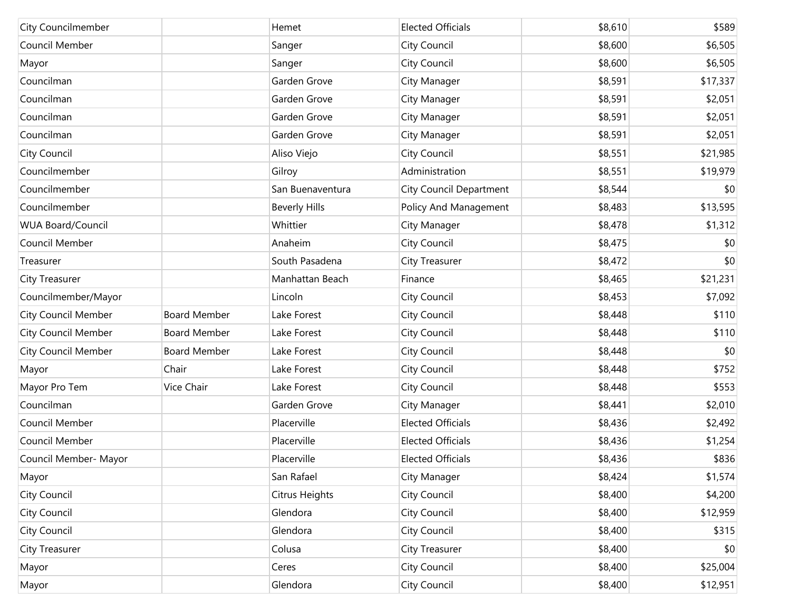| <b>City Councilmember</b>  |                     | Hemet                | <b>Elected Officials</b>       | \$8,610 | \$589    |
|----------------------------|---------------------|----------------------|--------------------------------|---------|----------|
| Council Member             |                     | Sanger               | City Council                   | \$8,600 | \$6,505  |
| Mayor                      |                     | Sanger               | City Council                   | \$8,600 | \$6,505  |
| Councilman                 |                     | Garden Grove         | City Manager                   | \$8,591 | \$17,337 |
| Councilman                 |                     | Garden Grove         | City Manager                   | \$8,591 | \$2,051  |
| Councilman                 |                     | Garden Grove         | City Manager                   | \$8,591 | \$2,051  |
| Councilman                 |                     | Garden Grove         | City Manager                   | \$8,591 | \$2,051  |
| City Council               |                     | Aliso Viejo          | City Council                   | \$8,551 | \$21,985 |
| Councilmember              |                     | Gilroy               | Administration                 | \$8,551 | \$19,979 |
| Councilmember              |                     | San Buenaventura     | <b>City Council Department</b> | \$8,544 | \$0      |
| Councilmember              |                     | <b>Beverly Hills</b> | Policy And Management          | \$8,483 | \$13,595 |
| <b>WUA Board/Council</b>   |                     | Whittier             | City Manager                   | \$8,478 | \$1,312  |
| Council Member             |                     | Anaheim              | City Council                   | \$8,475 | \$0      |
| Treasurer                  |                     | South Pasadena       | <b>City Treasurer</b>          | \$8,472 | \$0      |
| <b>City Treasurer</b>      |                     | Manhattan Beach      | Finance                        | \$8,465 | \$21,231 |
| Councilmember/Mayor        |                     | Lincoln              | City Council                   | \$8,453 | \$7,092  |
| <b>City Council Member</b> | <b>Board Member</b> | Lake Forest          | City Council                   | \$8,448 | \$110    |
| <b>City Council Member</b> | <b>Board Member</b> | Lake Forest          | City Council                   | \$8,448 | \$110    |
| <b>City Council Member</b> | <b>Board Member</b> | Lake Forest          | City Council                   | \$8,448 | \$0      |
| Mayor                      | Chair               | Lake Forest          | City Council                   | \$8,448 | \$752    |
| Mayor Pro Tem              | Vice Chair          | Lake Forest          | City Council                   | \$8,448 | \$553    |
| Councilman                 |                     | Garden Grove         | City Manager                   | \$8,441 | \$2,010  |
| Council Member             |                     | Placerville          | <b>Elected Officials</b>       | \$8,436 | \$2,492  |
| Council Member             |                     | Placerville          | <b>Elected Officials</b>       | \$8,436 | \$1,254  |
| Council Member- Mayor      |                     | Placerville          | <b>Elected Officials</b>       | \$8,436 | \$836    |
| Mayor                      |                     | San Rafael           | City Manager                   | \$8,424 | \$1,574  |
| City Council               |                     | Citrus Heights       | City Council                   | \$8,400 | \$4,200  |
| <b>City Council</b>        |                     | Glendora             | City Council                   | \$8,400 | \$12,959 |
| City Council               |                     | Glendora             | City Council                   | \$8,400 | \$315    |
| City Treasurer             |                     | Colusa               | <b>City Treasurer</b>          | \$8,400 | \$0      |
| Mayor                      |                     | Ceres                | City Council                   | \$8,400 | \$25,004 |
| Mayor                      |                     | Glendora             | City Council                   | \$8,400 | \$12,951 |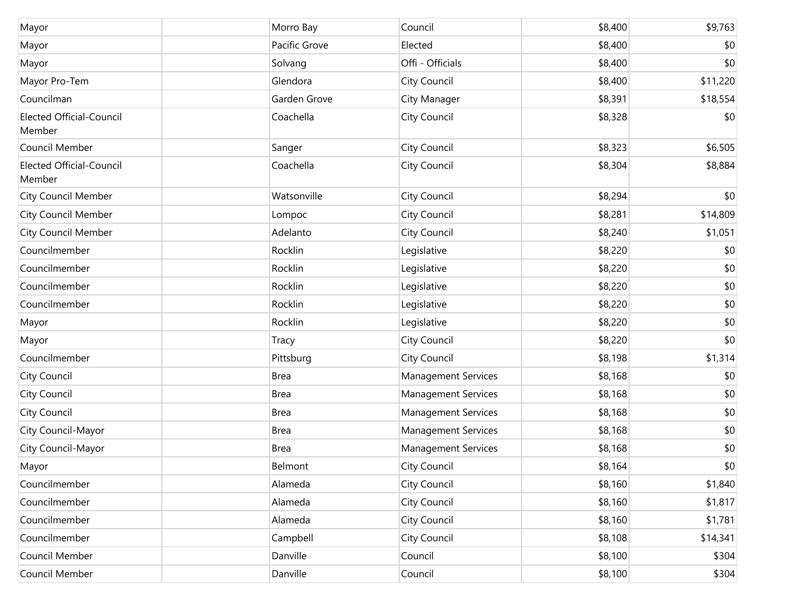| Mayor                                     | Morro Bay     | Council                    | \$8,400 | \$9,763  |
|-------------------------------------------|---------------|----------------------------|---------|----------|
| Mayor                                     | Pacific Grove | Elected                    | \$8,400 | \$0      |
| Mayor                                     | Solvang       | Offi - Officials           | \$8,400 | \$0      |
| Mayor Pro-Tem                             | Glendora      | City Council               | \$8,400 | \$11,220 |
| Councilman                                | Garden Grove  | City Manager               | \$8,391 | \$18,554 |
| <b>Elected Official-Council</b><br>Member | Coachella     | <b>City Council</b>        | \$8,328 | \$0      |
| Council Member                            | Sanger        | City Council               | \$8,323 | \$6,505  |
| <b>Elected Official-Council</b><br>Member | Coachella     | City Council               | \$8,304 | \$8,884  |
| <b>City Council Member</b>                | Watsonville   | <b>City Council</b>        | \$8,294 | \$0      |
| <b>City Council Member</b>                | Lompoc        | City Council               | \$8,281 | \$14,809 |
| <b>City Council Member</b>                | Adelanto      | City Council               | \$8,240 | \$1,051  |
| Councilmember                             | Rocklin       | Legislative                | \$8,220 | \$0      |
| Councilmember                             | Rocklin       | Legislative                | \$8,220 | \$0      |
| Councilmember                             | Rocklin       | Legislative                | \$8,220 | \$0      |
| Councilmember                             | Rocklin       | Legislative                | \$8,220 | \$0      |
| Mayor                                     | Rocklin       | Legislative                | \$8,220 | \$0      |
| Mayor                                     | <b>Tracy</b>  | City Council               | \$8,220 | \$0      |
| Councilmember                             | Pittsburg     | City Council               | \$8,198 | \$1,314  |
| City Council                              | <b>Brea</b>   | <b>Management Services</b> | \$8,168 | \$0      |
| City Council                              | <b>Brea</b>   | <b>Management Services</b> | \$8,168 | \$0      |
| City Council                              | <b>Brea</b>   | <b>Management Services</b> | \$8,168 | \$0      |
| City Council-Mayor                        | <b>Brea</b>   | <b>Management Services</b> | \$8,168 | \$0      |
| City Council-Mayor                        | <b>Brea</b>   | <b>Management Services</b> | \$8,168 | \$0      |
| Mayor                                     | Belmont       | City Council               | \$8,164 | \$0      |
| Councilmember                             | Alameda       | <b>City Council</b>        | \$8,160 | \$1,840  |
| Councilmember                             | Alameda       | <b>City Council</b>        | \$8,160 | \$1,817  |
| Councilmember                             | Alameda       | <b>City Council</b>        | \$8,160 | \$1,781  |
| Councilmember                             | Campbell      | <b>City Council</b>        | \$8,108 | \$14,341 |
| Council Member                            | Danville      | Council                    | \$8,100 | \$304    |
| Council Member                            | Danville      | Council                    | \$8,100 | \$304    |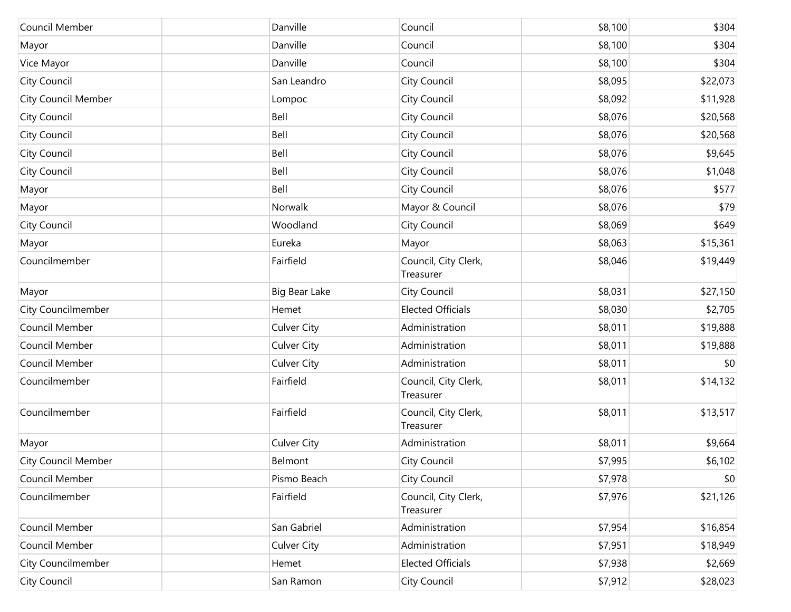| Council Member             | Danville             | Council                           | \$8,100 | \$304    |
|----------------------------|----------------------|-----------------------------------|---------|----------|
| Mayor                      | Danville             | Council                           | \$8,100 | \$304    |
| Vice Mayor                 | Danville             | Council                           | \$8,100 | \$304    |
| City Council               | San Leandro          | City Council                      | \$8,095 | \$22,073 |
| <b>City Council Member</b> | Lompoc               | City Council                      | \$8,092 | \$11,928 |
| City Council               | Bell                 | City Council                      | \$8,076 | \$20,568 |
| City Council               | Bell                 | City Council                      | \$8,076 | \$20,568 |
| City Council               | Bell                 | City Council                      | \$8,076 | \$9,645  |
| City Council               | Bell                 | City Council                      | \$8,076 | \$1,048  |
| Mayor                      | Bell                 | City Council                      | \$8,076 | \$577    |
| Mayor                      | Norwalk              | Mayor & Council                   | \$8,076 | \$79     |
| City Council               | Woodland             | City Council                      | \$8,069 | \$649    |
| Mayor                      | Eureka               | Mayor                             | \$8,063 | \$15,361 |
| Councilmember              | Fairfield            | Council, City Clerk,<br>Treasurer | \$8,046 | \$19,449 |
| Mayor                      | <b>Big Bear Lake</b> | City Council                      | \$8,031 | \$27,150 |
| City Councilmember         | Hemet                | <b>Elected Officials</b>          | \$8,030 | \$2,705  |
| Council Member             | <b>Culver City</b>   | Administration                    | \$8,011 | \$19,888 |
| Council Member             | <b>Culver City</b>   | Administration                    | \$8,011 | \$19,888 |
| Council Member             | <b>Culver City</b>   | Administration                    | \$8,011 | \$0      |
| Councilmember              | Fairfield            | Council, City Clerk,<br>Treasurer | \$8,011 | \$14,132 |
| Councilmember              | Fairfield            | Council, City Clerk,<br>Treasurer | \$8,011 | \$13,517 |
| Mayor                      | <b>Culver City</b>   | Administration                    | \$8,011 | \$9,664  |
| <b>City Council Member</b> | Belmont              | City Council                      | \$7,995 | \$6,102  |
| Council Member             | Pismo Beach          | City Council                      | \$7,978 | \$0      |
| Councilmember              | Fairfield            | Council, City Clerk,<br>Treasurer | \$7,976 | \$21,126 |
| Council Member             | San Gabriel          | Administration                    | \$7,954 | \$16,854 |
| Council Member             | <b>Culver City</b>   | Administration                    | \$7,951 | \$18,949 |
| City Councilmember         | Hemet                | <b>Elected Officials</b>          | \$7,938 | \$2,669  |
| City Council               | San Ramon            | City Council                      | \$7,912 | \$28,023 |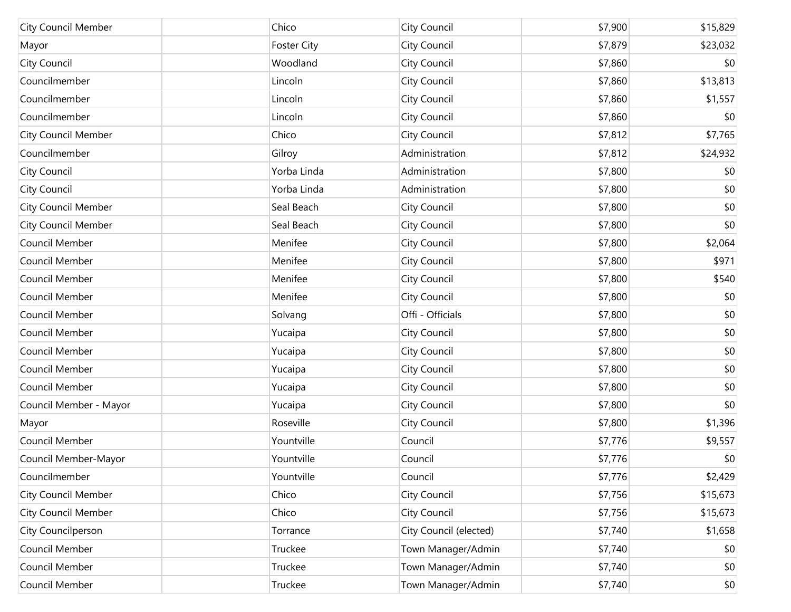| <b>City Council Member</b> | Chico              | City Council           | \$7,900 | \$15,829 |
|----------------------------|--------------------|------------------------|---------|----------|
| Mayor                      | <b>Foster City</b> | City Council           | \$7,879 | \$23,032 |
| City Council               | Woodland           | City Council           | \$7,860 | \$0      |
| Councilmember              | Lincoln            | City Council           | \$7,860 | \$13,813 |
| Councilmember              | Lincoln            | City Council           | \$7,860 | \$1,557  |
| Councilmember              | Lincoln            | City Council           | \$7,860 | \$0      |
| City Council Member        | Chico              | City Council           | \$7,812 | \$7,765  |
| Councilmember              | Gilroy             | Administration         | \$7,812 | \$24,932 |
| City Council               | Yorba Linda        | Administration         | \$7,800 | \$0      |
| City Council               | Yorba Linda        | Administration         | \$7,800 | \$0      |
| City Council Member        | Seal Beach         | City Council           | \$7,800 | \$0      |
| <b>City Council Member</b> | Seal Beach         | City Council           | \$7,800 | \$0      |
| Council Member             | Menifee            | City Council           | \$7,800 | \$2,064  |
| Council Member             | Menifee            | City Council           | \$7,800 | \$971    |
| Council Member             | Menifee            | City Council           | \$7,800 | \$540    |
| Council Member             | Menifee            | City Council           | \$7,800 | \$0      |
| Council Member             | Solvang            | Offi - Officials       | \$7,800 | \$0      |
| Council Member             | Yucaipa            | City Council           | \$7,800 | \$0      |
| Council Member             | Yucaipa            | City Council           | \$7,800 | \$0      |
| Council Member             | Yucaipa            | City Council           | \$7,800 | \$0      |
| Council Member             | Yucaipa            | City Council           | \$7,800 | \$0      |
| Council Member - Mayor     | Yucaipa            | City Council           | \$7,800 | \$0      |
| Mayor                      | Roseville          | City Council           | \$7,800 | \$1,396  |
| Council Member             | Yountville         | Council                | \$7,776 | \$9,557  |
| Council Member-Mayor       | Yountville         | Council                | \$7,776 | \$0      |
| Councilmember              | Yountville         | Council                | \$7,776 | \$2,429  |
| <b>City Council Member</b> | Chico              | City Council           | \$7,756 | \$15,673 |
| <b>City Council Member</b> | Chico              | City Council           | \$7,756 | \$15,673 |
| City Councilperson         | Torrance           | City Council (elected) | \$7,740 | \$1,658  |
| Council Member             | Truckee            | Town Manager/Admin     | \$7,740 | \$0      |
| Council Member             | Truckee            | Town Manager/Admin     | \$7,740 | \$0      |
| Council Member             | Truckee            | Town Manager/Admin     | \$7,740 | \$0      |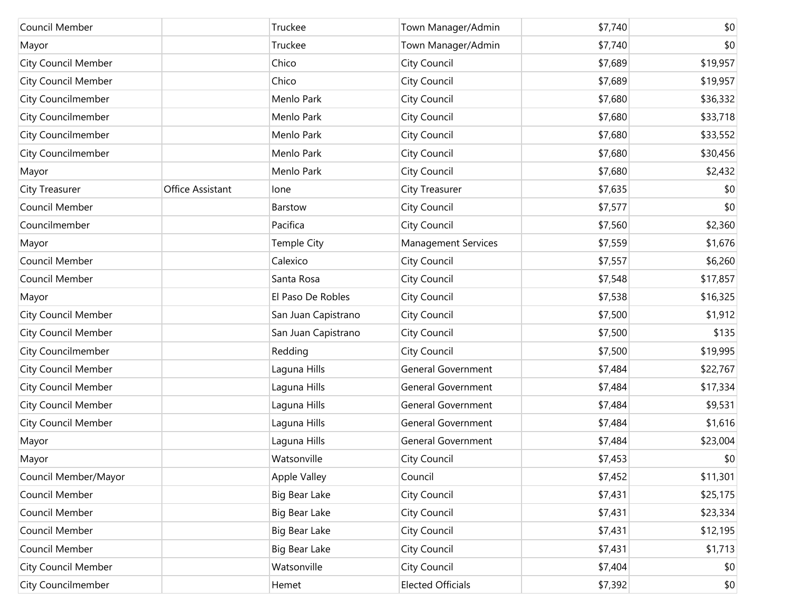| Council Member             |                  | Truckee             | Town Manager/Admin         | \$7,740 | \$0          |
|----------------------------|------------------|---------------------|----------------------------|---------|--------------|
| Mayor                      |                  | Truckee             | Town Manager/Admin         | \$7,740 | \$0          |
| <b>City Council Member</b> |                  | Chico               | City Council               | \$7,689 | \$19,957     |
| <b>City Council Member</b> |                  | Chico               | City Council               | \$7,689 | \$19,957     |
| City Councilmember         |                  | Menlo Park          | City Council               | \$7,680 | \$36,332     |
| City Councilmember         |                  | Menlo Park          | City Council               | \$7,680 | \$33,718     |
| City Councilmember         |                  | Menlo Park          | City Council               | \$7,680 | \$33,552     |
| City Councilmember         |                  | Menlo Park          | City Council               | \$7,680 | \$30,456     |
| Mayor                      |                  | Menlo Park          | City Council               | \$7,680 | \$2,432      |
| City Treasurer             | Office Assistant | lone                | City Treasurer             | \$7,635 | \$0          |
| Council Member             |                  | Barstow             | City Council               | \$7,577 | \$0          |
| Councilmember              |                  | Pacifica            | City Council               | \$7,560 | \$2,360      |
| Mayor                      |                  | Temple City         | <b>Management Services</b> | \$7,559 | \$1,676      |
| Council Member             |                  | Calexico            | City Council               | \$7,557 | \$6,260      |
| Council Member             |                  | Santa Rosa          | City Council               | \$7,548 | \$17,857     |
| Mayor                      |                  | El Paso De Robles   | City Council               | \$7,538 | \$16,325     |
| <b>City Council Member</b> |                  | San Juan Capistrano | City Council               | \$7,500 | \$1,912      |
| <b>City Council Member</b> |                  | San Juan Capistrano | City Council               | \$7,500 | \$135        |
| City Councilmember         |                  | Redding             | City Council               | \$7,500 | \$19,995     |
| <b>City Council Member</b> |                  | Laguna Hills        | <b>General Government</b>  | \$7,484 | \$22,767     |
| <b>City Council Member</b> |                  | Laguna Hills        | <b>General Government</b>  | \$7,484 | \$17,334     |
| <b>City Council Member</b> |                  | Laguna Hills        | <b>General Government</b>  | \$7,484 | \$9,531      |
| <b>City Council Member</b> |                  | Laguna Hills        | <b>General Government</b>  | \$7,484 | \$1,616      |
| Mayor                      |                  | Laguna Hills        | <b>General Government</b>  | \$7,484 | \$23,004     |
| Mayor                      |                  | Watsonville         | City Council               | \$7,453 | \$0          |
| Council Member/Mayor       |                  | <b>Apple Valley</b> | Council                    | \$7,452 | \$11,301     |
| Council Member             |                  | Big Bear Lake       | City Council               | \$7,431 | \$25,175     |
| Council Member             |                  | Big Bear Lake       | City Council               | \$7,431 | \$23,334     |
| Council Member             |                  | Big Bear Lake       | City Council               | \$7,431 | \$12,195     |
| Council Member             |                  | Big Bear Lake       | City Council               | \$7,431 | \$1,713      |
| City Council Member        |                  | Watsonville         | City Council               | \$7,404 | \$0          |
| <b>City Councilmember</b>  |                  | Hemet               | <b>Elected Officials</b>   | \$7,392 | $ 10\rangle$ |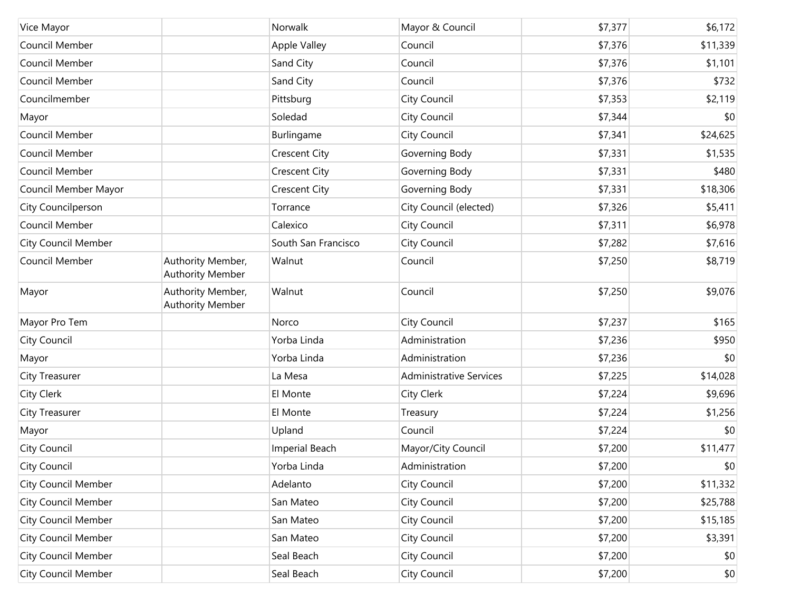| Vice Mayor                 |                                              | Norwalk              | Mayor & Council                | \$7,377 | \$6,172  |
|----------------------------|----------------------------------------------|----------------------|--------------------------------|---------|----------|
| Council Member             |                                              | Apple Valley         | Council                        | \$7,376 | \$11,339 |
| Council Member             |                                              | Sand City            | Council                        | \$7,376 | \$1,101  |
| Council Member             |                                              | Sand City            | Council                        | \$7,376 | \$732    |
| Councilmember              |                                              | Pittsburg            | City Council                   | \$7,353 | \$2,119  |
| Mayor                      |                                              | Soledad              | City Council                   | \$7,344 | \$0      |
| Council Member             |                                              | Burlingame           | City Council                   | \$7,341 | \$24,625 |
| Council Member             |                                              | <b>Crescent City</b> | Governing Body                 | \$7,331 | \$1,535  |
| Council Member             |                                              | <b>Crescent City</b> | Governing Body                 | \$7,331 | \$480    |
| Council Member Mayor       |                                              | <b>Crescent City</b> | Governing Body                 | \$7,331 | \$18,306 |
| <b>City Councilperson</b>  |                                              | Torrance             | City Council (elected)         | \$7,326 | \$5,411  |
| Council Member             |                                              | Calexico             | City Council                   | \$7,311 | \$6,978  |
| <b>City Council Member</b> |                                              | South San Francisco  | City Council                   | \$7,282 | \$7,616  |
| Council Member             | Authority Member,<br><b>Authority Member</b> | Walnut               | Council                        | \$7,250 | \$8,719  |
| Mayor                      | Authority Member,<br><b>Authority Member</b> | Walnut               | Council                        | \$7,250 | \$9,076  |
| Mayor Pro Tem              |                                              | Norco                | City Council                   | \$7,237 | \$165    |
| City Council               |                                              | Yorba Linda          | Administration                 | \$7,236 | \$950    |
| Mayor                      |                                              | Yorba Linda          | Administration                 | \$7,236 | \$0      |
| City Treasurer             |                                              | La Mesa              | <b>Administrative Services</b> | \$7,225 | \$14,028 |
| City Clerk                 |                                              | El Monte             | City Clerk                     | \$7,224 | \$9,696  |
| City Treasurer             |                                              | El Monte             | Treasury                       | \$7,224 | \$1,256  |
| Mayor                      |                                              | Upland               | Council                        | \$7,224 | \$0      |
| City Council               |                                              | Imperial Beach       | Mayor/City Council             | \$7,200 | \$11,477 |
| City Council               |                                              | Yorba Linda          | Administration                 | \$7,200 | \$0      |
| <b>City Council Member</b> |                                              | Adelanto             | City Council                   | \$7,200 | \$11,332 |
| <b>City Council Member</b> |                                              | San Mateo            | City Council                   | \$7,200 | \$25,788 |
| City Council Member        |                                              | San Mateo            | City Council                   | \$7,200 | \$15,185 |
| City Council Member        |                                              | San Mateo            | City Council                   | \$7,200 | \$3,391  |
| City Council Member        |                                              | Seal Beach           | City Council                   | \$7,200 | \$0      |
| <b>City Council Member</b> |                                              | Seal Beach           | City Council                   | \$7,200 | \$0      |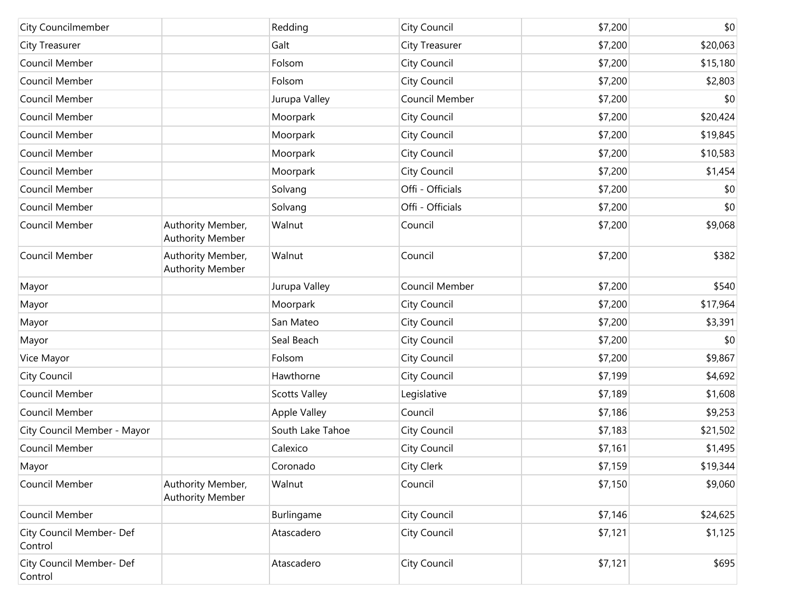| City Councilmember                  |                                       | Redding              | City Council          | \$7,200 | \$0      |
|-------------------------------------|---------------------------------------|----------------------|-----------------------|---------|----------|
| City Treasurer                      |                                       | Galt                 | <b>City Treasurer</b> | \$7,200 | \$20,063 |
| Council Member                      |                                       | Folsom               | City Council          | \$7,200 | \$15,180 |
| Council Member                      |                                       | Folsom               | City Council          | \$7,200 | \$2,803  |
| Council Member                      |                                       | Jurupa Valley        | Council Member        | \$7,200 | \$0      |
| Council Member                      |                                       | Moorpark             | City Council          | \$7,200 | \$20,424 |
| Council Member                      |                                       | Moorpark             | City Council          | \$7,200 | \$19,845 |
| Council Member                      |                                       | Moorpark             | City Council          | \$7,200 | \$10,583 |
| Council Member                      |                                       | Moorpark             | City Council          | \$7,200 | \$1,454  |
| Council Member                      |                                       | Solvang              | Offi - Officials      | \$7,200 | \$0      |
| Council Member                      |                                       | Solvang              | Offi - Officials      | \$7,200 | \$0      |
| Council Member                      | Authority Member,<br>Authority Member | Walnut               | Council               | \$7,200 | \$9,068  |
| Council Member                      | Authority Member,<br>Authority Member | Walnut               | Council               | \$7,200 | \$382    |
| Mayor                               |                                       | Jurupa Valley        | Council Member        | \$7,200 | \$540    |
| Mayor                               |                                       | Moorpark             | City Council          | \$7,200 | \$17,964 |
| Mayor                               |                                       | San Mateo            | City Council          | \$7,200 | \$3,391  |
| Mayor                               |                                       | Seal Beach           | City Council          | \$7,200 | \$0      |
| Vice Mayor                          |                                       | Folsom               | City Council          | \$7,200 | \$9,867  |
| City Council                        |                                       | Hawthorne            | City Council          | \$7,199 | \$4,692  |
| Council Member                      |                                       | <b>Scotts Valley</b> | Legislative           | \$7,189 | \$1,608  |
| Council Member                      |                                       | Apple Valley         | Council               | \$7,186 | \$9,253  |
| City Council Member - Mayor         |                                       | South Lake Tahoe     | City Council          | \$7,183 | \$21,502 |
| Council Member                      |                                       | Calexico             | City Council          | \$7,161 | \$1,495  |
| Mayor                               |                                       | Coronado             | City Clerk            | \$7,159 | \$19,344 |
| Council Member                      | Authority Member,<br>Authority Member | Walnut               | Council               | \$7,150 | \$9,060  |
| Council Member                      |                                       | Burlingame           | City Council          | \$7,146 | \$24,625 |
| City Council Member- Def<br>Control |                                       | Atascadero           | City Council          | \$7,121 | \$1,125  |
| City Council Member- Def<br>Control |                                       | Atascadero           | City Council          | \$7,121 | \$695    |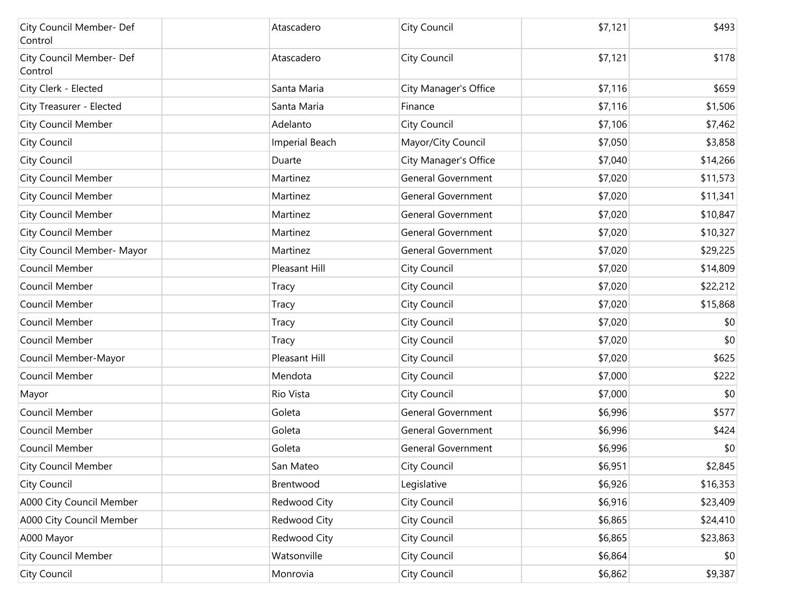| City Council Member- Def<br>Control | Atascadero            | City Council              | \$7,121 | \$493    |
|-------------------------------------|-----------------------|---------------------------|---------|----------|
| City Council Member- Def<br>Control | Atascadero            | City Council              | \$7,121 | \$178    |
| City Clerk - Elected                | Santa Maria           | City Manager's Office     | \$7,116 | \$659    |
| City Treasurer - Elected            | Santa Maria           | Finance                   | \$7,116 | \$1,506  |
| <b>City Council Member</b>          | Adelanto              | City Council              | \$7,106 | \$7,462  |
| City Council                        | <b>Imperial Beach</b> | Mayor/City Council        | \$7,050 | \$3,858  |
| City Council                        | Duarte                | City Manager's Office     | \$7,040 | \$14,266 |
| <b>City Council Member</b>          | Martinez              | <b>General Government</b> | \$7,020 | \$11,573 |
| <b>City Council Member</b>          | Martinez              | <b>General Government</b> | \$7,020 | \$11,341 |
| <b>City Council Member</b>          | Martinez              | <b>General Government</b> | \$7,020 | \$10,847 |
| <b>City Council Member</b>          | Martinez              | <b>General Government</b> | \$7,020 | \$10,327 |
| City Council Member- Mayor          | Martinez              | <b>General Government</b> | \$7,020 | \$29,225 |
| Council Member                      | Pleasant Hill         | City Council              | \$7,020 | \$14,809 |
| Council Member                      | <b>Tracy</b>          | City Council              | \$7,020 | \$22,212 |
| Council Member                      | Tracy                 | City Council              | \$7,020 | \$15,868 |
| Council Member                      | Tracy                 | City Council              | \$7,020 | \$0      |
| Council Member                      | <b>Tracy</b>          | City Council              | \$7,020 | \$0      |
| Council Member-Mayor                | Pleasant Hill         | City Council              | \$7,020 | \$625    |
| Council Member                      | Mendota               | City Council              | \$7,000 | \$222    |
| Mayor                               | Rio Vista             | City Council              | \$7,000 | \$0      |
| Council Member                      | Goleta                | <b>General Government</b> | \$6,996 | \$577    |
| Council Member                      | Goleta                | General Government        | \$6,996 | \$424    |
| Council Member                      | Goleta                | <b>General Government</b> | \$6,996 | \$0      |
| City Council Member                 | San Mateo             | City Council              | \$6,951 | \$2,845  |
| City Council                        | Brentwood             | Legislative               | \$6,926 | \$16,353 |
| A000 City Council Member            | Redwood City          | City Council              | \$6,916 | \$23,409 |
| A000 City Council Member            | Redwood City          | City Council              | \$6,865 | \$24,410 |
| A000 Mayor                          | Redwood City          | City Council              | \$6,865 | \$23,863 |
| <b>City Council Member</b>          | Watsonville           | City Council              | \$6,864 | \$0      |
| City Council                        | Monrovia              | City Council              | \$6,862 | \$9,387  |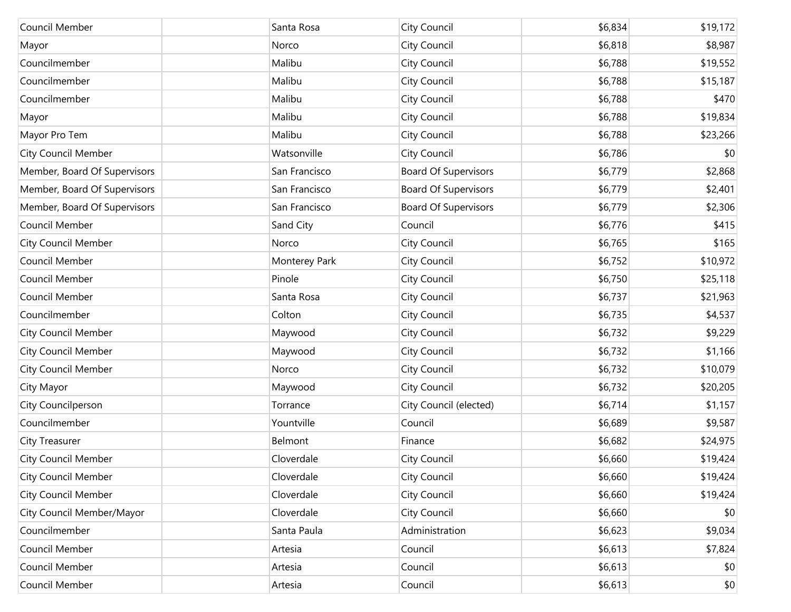| Council Member               | Santa Rosa    | City Council                | \$6,834 | \$19,172 |
|------------------------------|---------------|-----------------------------|---------|----------|
| Mayor                        | Norco         | City Council                | \$6,818 | \$8,987  |
| Councilmember                | Malibu        | City Council                | \$6,788 | \$19,552 |
| Councilmember                | Malibu        | City Council                | \$6,788 | \$15,187 |
| Councilmember                | Malibu        | City Council                | \$6,788 | \$470    |
| Mayor                        | Malibu        | City Council                | \$6,788 | \$19,834 |
| Mayor Pro Tem                | Malibu        | City Council                | \$6,788 | \$23,266 |
| <b>City Council Member</b>   | Watsonville   | City Council                | \$6,786 | \$0      |
| Member, Board Of Supervisors | San Francisco | <b>Board Of Supervisors</b> | \$6,779 | \$2,868  |
| Member, Board Of Supervisors | San Francisco | <b>Board Of Supervisors</b> | \$6,779 | \$2,401  |
| Member, Board Of Supervisors | San Francisco | <b>Board Of Supervisors</b> | \$6,779 | \$2,306  |
| Council Member               | Sand City     | Council                     | \$6,776 | \$415    |
| <b>City Council Member</b>   | Norco         | City Council                | \$6,765 | \$165    |
| Council Member               | Monterey Park | City Council                | \$6,752 | \$10,972 |
| Council Member               | Pinole        | City Council                | \$6,750 | \$25,118 |
| Council Member               | Santa Rosa    | City Council                | \$6,737 | \$21,963 |
| Councilmember                | Colton        | City Council                | \$6,735 | \$4,537  |
| <b>City Council Member</b>   | Maywood       | City Council                | \$6,732 | \$9,229  |
| <b>City Council Member</b>   | Maywood       | City Council                | \$6,732 | \$1,166  |
| <b>City Council Member</b>   | Norco         | City Council                | \$6,732 | \$10,079 |
| City Mayor                   | Maywood       | City Council                | \$6,732 | \$20,205 |
| City Councilperson           | Torrance      | City Council (elected)      | \$6,714 | \$1,157  |
| Councilmember                | Yountville    | Council                     | \$6,689 | \$9,587  |
| City Treasurer               | Belmont       | Finance                     | \$6,682 | \$24,975 |
| <b>City Council Member</b>   | Cloverdale    | City Council                | \$6,660 | \$19,424 |
| <b>City Council Member</b>   | Cloverdale    | City Council                | \$6,660 | \$19,424 |
| <b>City Council Member</b>   | Cloverdale    | City Council                | \$6,660 | \$19,424 |
| City Council Member/Mayor    | Cloverdale    | City Council                | \$6,660 | \$0      |
| Councilmember                | Santa Paula   | Administration              | \$6,623 | \$9,034  |
| Council Member               | Artesia       | Council                     | \$6,613 | \$7,824  |
| Council Member               | Artesia       | Council                     | \$6,613 | \$0      |
| Council Member               | Artesia       | Council                     | \$6,613 | \$0      |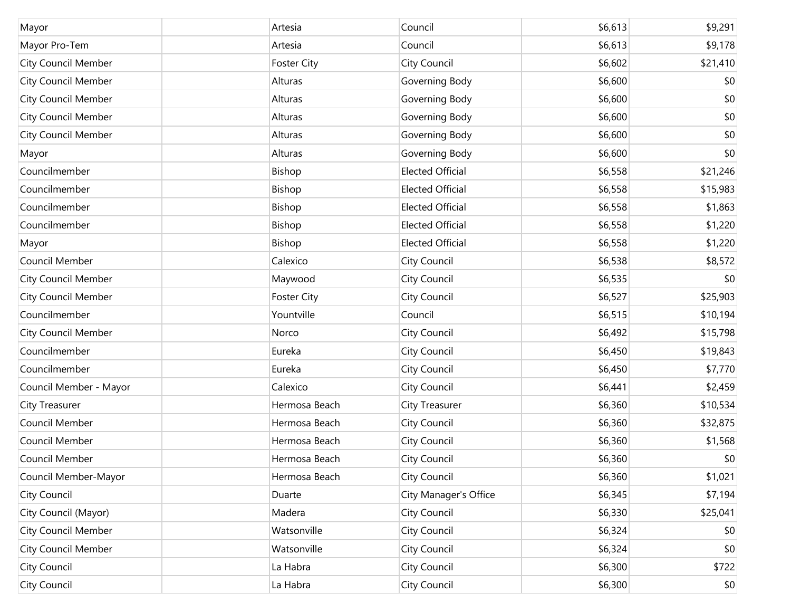| Mayor                      | Artesia            | Council                 | \$6,613 | \$9,291      |
|----------------------------|--------------------|-------------------------|---------|--------------|
| Mayor Pro-Tem              | Artesia            | Council                 | \$6,613 | \$9,178      |
| <b>City Council Member</b> | <b>Foster City</b> | City Council            | \$6,602 | \$21,410     |
| <b>City Council Member</b> | Alturas            | Governing Body          | \$6,600 | \$0          |
| <b>City Council Member</b> | Alturas            | Governing Body          | \$6,600 | \$0          |
| <b>City Council Member</b> | Alturas            | Governing Body          | \$6,600 | \$0          |
| <b>City Council Member</b> | Alturas            | Governing Body          | \$6,600 | \$0          |
| Mayor                      | Alturas            | Governing Body          | \$6,600 | \$0          |
| Councilmember              | Bishop             | <b>Elected Official</b> | \$6,558 | \$21,246     |
| Councilmember              | Bishop             | <b>Elected Official</b> | \$6,558 | \$15,983     |
| Councilmember              | Bishop             | <b>Elected Official</b> | \$6,558 | \$1,863      |
| Councilmember              | Bishop             | <b>Elected Official</b> | \$6,558 | \$1,220      |
| Mayor                      | Bishop             | <b>Elected Official</b> | \$6,558 | \$1,220      |
| Council Member             | Calexico           | City Council            | \$6,538 | \$8,572      |
| <b>City Council Member</b> | Maywood            | City Council            | \$6,535 | \$0          |
| <b>City Council Member</b> | <b>Foster City</b> | City Council            | \$6,527 | \$25,903     |
| Councilmember              | Yountville         | Council                 | \$6,515 | \$10,194     |
| <b>City Council Member</b> | Norco              | City Council            | \$6,492 | \$15,798     |
| Councilmember              | Eureka             | City Council            | \$6,450 | \$19,843     |
| Councilmember              | Eureka             | City Council            | \$6,450 | \$7,770      |
| Council Member - Mayor     | Calexico           | City Council            | \$6,441 | \$2,459      |
| City Treasurer             | Hermosa Beach      | <b>City Treasurer</b>   | \$6,360 | \$10,534     |
| Council Member             | Hermosa Beach      | City Council            | \$6,360 | \$32,875     |
| Council Member             | Hermosa Beach      | City Council            | \$6,360 | \$1,568      |
| Council Member             | Hermosa Beach      | City Council            | \$6,360 | \$0          |
| Council Member-Mayor       | Hermosa Beach      | City Council            | \$6,360 | \$1,021      |
| City Council               | Duarte             | City Manager's Office   | \$6,345 | \$7,194      |
| City Council (Mayor)       | Madera             | City Council            | \$6,330 | \$25,041     |
| <b>City Council Member</b> | Watsonville        | City Council            | \$6,324 | \$0          |
| <b>City Council Member</b> | Watsonville        | City Council            | \$6,324 | \$0          |
| City Council               | La Habra           | City Council            | \$6,300 | \$722        |
| City Council               | La Habra           | City Council            | \$6,300 | $ 10\rangle$ |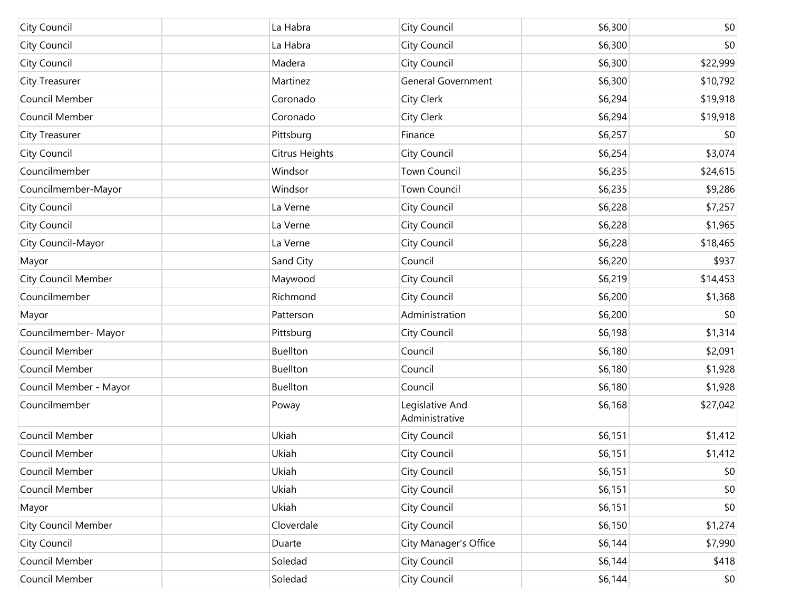| City Council               | La Habra        | City Council                      | \$6,300 | \$0          |
|----------------------------|-----------------|-----------------------------------|---------|--------------|
| City Council               | La Habra        | City Council                      | \$6,300 | \$0          |
| City Council               | Madera          | City Council                      | \$6,300 | \$22,999     |
| City Treasurer             | Martinez        | <b>General Government</b>         | \$6,300 | \$10,792     |
| Council Member             | Coronado        | City Clerk                        | \$6,294 | \$19,918     |
| Council Member             | Coronado        | City Clerk                        | \$6,294 | \$19,918     |
| City Treasurer             | Pittsburg       | Finance                           | \$6,257 | \$0          |
| City Council               | Citrus Heights  | City Council                      | \$6,254 | \$3,074      |
| Councilmember              | Windsor         | <b>Town Council</b>               | \$6,235 | \$24,615     |
| Councilmember-Mayor        | Windsor         | <b>Town Council</b>               | \$6,235 | \$9,286      |
| City Council               | La Verne        | City Council                      | \$6,228 | \$7,257      |
| City Council               | La Verne        | City Council                      | \$6,228 | \$1,965      |
| City Council-Mayor         | La Verne        | City Council                      | \$6,228 | \$18,465     |
| Mayor                      | Sand City       | Council                           | \$6,220 | \$937        |
| <b>City Council Member</b> | Maywood         | City Council                      | \$6,219 | \$14,453     |
| Councilmember              | Richmond        | City Council                      | \$6,200 | \$1,368      |
| Mayor                      | Patterson       | Administration                    | \$6,200 | \$0          |
| Councilmember- Mayor       | Pittsburg       | City Council                      | \$6,198 | \$1,314      |
| Council Member             | <b>Buellton</b> | Council                           | \$6,180 | \$2,091      |
| Council Member             | <b>Buellton</b> | Council                           | \$6,180 | \$1,928      |
| Council Member - Mayor     | <b>Buellton</b> | Council                           | \$6,180 | \$1,928      |
| Councilmember              | Poway           | Legislative And<br>Administrative | \$6,168 | \$27,042     |
| Council Member             | Ukiah           | City Council                      | \$6,151 | \$1,412      |
| Council Member             | Ukiah           | City Council                      | \$6,151 | \$1,412      |
| Council Member             | Ukiah           | <b>City Council</b>               | \$6,151 | \$0          |
| Council Member             | Ukiah           | City Council                      | \$6,151 | \$0          |
| Mayor                      | Ukiah           | City Council                      | \$6,151 | \$0          |
| <b>City Council Member</b> | Cloverdale      | City Council                      | \$6,150 | \$1,274      |
| City Council               | Duarte          | City Manager's Office             | \$6,144 | \$7,990      |
| Council Member             | Soledad         | City Council                      | \$6,144 | \$418        |
| Council Member             | Soledad         | City Council                      | \$6,144 | $ 10\rangle$ |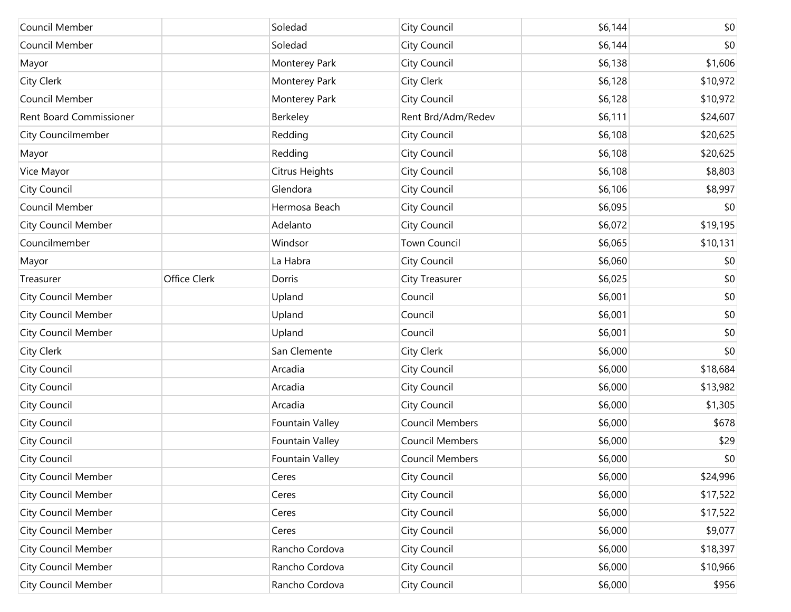| Council Member             |              | Soledad         | City Council           | \$6,144 | \$0      |
|----------------------------|--------------|-----------------|------------------------|---------|----------|
| Council Member             |              | Soledad         | City Council           | \$6,144 | \$0      |
| Mayor                      |              | Monterey Park   | City Council           | \$6,138 | \$1,606  |
| City Clerk                 |              | Monterey Park   | City Clerk             | \$6,128 | \$10,972 |
| Council Member             |              | Monterey Park   | City Council           | \$6,128 | \$10,972 |
| Rent Board Commissioner    |              | Berkeley        | Rent Brd/Adm/Redev     | \$6,111 | \$24,607 |
| <b>City Councilmember</b>  |              | Redding         | City Council           | \$6,108 | \$20,625 |
| Mayor                      |              | Redding         | City Council           | \$6,108 | \$20,625 |
| Vice Mayor                 |              | Citrus Heights  | City Council           | \$6,108 | \$8,803  |
| City Council               |              | Glendora        | City Council           | \$6,106 | \$8,997  |
| Council Member             |              | Hermosa Beach   | City Council           | \$6,095 | \$0      |
| <b>City Council Member</b> |              | Adelanto        | City Council           | \$6,072 | \$19,195 |
| Councilmember              |              | Windsor         | <b>Town Council</b>    | \$6,065 | \$10,131 |
| Mayor                      |              | La Habra        | City Council           | \$6,060 | \$0      |
| Treasurer                  | Office Clerk | Dorris          | City Treasurer         | \$6,025 | \$0      |
| <b>City Council Member</b> |              | Upland          | Council                | \$6,001 | \$0      |
| <b>City Council Member</b> |              | Upland          | Council                | \$6,001 | \$0      |
| <b>City Council Member</b> |              | Upland          | Council                | \$6,001 | \$0      |
| City Clerk                 |              | San Clemente    | City Clerk             | \$6,000 | \$0      |
| City Council               |              | Arcadia         | City Council           | \$6,000 | \$18,684 |
| City Council               |              | Arcadia         | City Council           | \$6,000 | \$13,982 |
| City Council               |              | Arcadia         | City Council           | \$6,000 | \$1,305  |
| City Council               |              | Fountain Valley | <b>Council Members</b> | \$6,000 | \$678    |
| City Council               |              | Fountain Valley | Council Members        | \$6,000 | \$29     |
| City Council               |              | Fountain Valley | Council Members        | \$6,000 | \$0      |
| <b>City Council Member</b> |              | Ceres           | City Council           | \$6,000 | \$24,996 |
| <b>City Council Member</b> |              | Ceres           | City Council           | \$6,000 | \$17,522 |
| <b>City Council Member</b> |              | Ceres           | City Council           | \$6,000 | \$17,522 |
| <b>City Council Member</b> |              | Ceres           | City Council           | \$6,000 | \$9,077  |
| <b>City Council Member</b> |              | Rancho Cordova  | City Council           | \$6,000 | \$18,397 |
| <b>City Council Member</b> |              | Rancho Cordova  | City Council           | \$6,000 | \$10,966 |
| <b>City Council Member</b> |              | Rancho Cordova  | City Council           | \$6,000 | \$956    |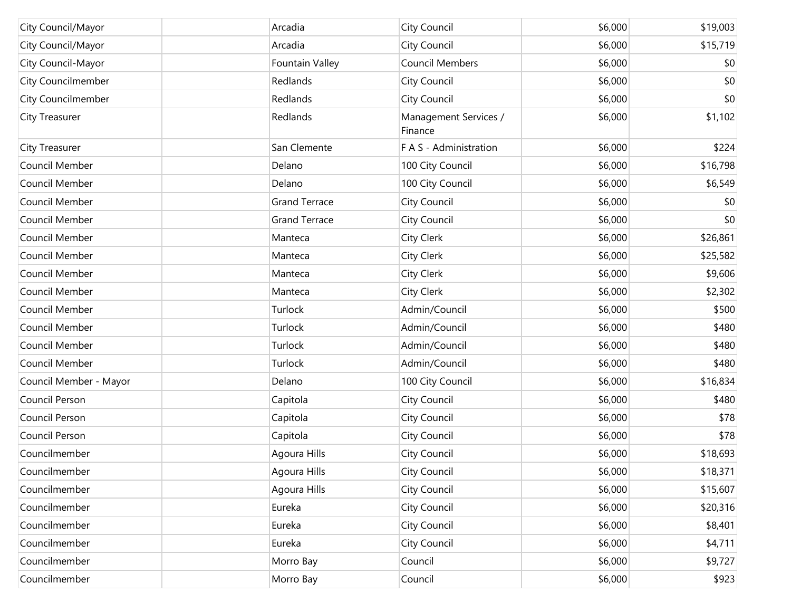| City Council/Mayor     | Arcadia              | City Council                     | \$6,000 | \$19,003 |
|------------------------|----------------------|----------------------------------|---------|----------|
| City Council/Mayor     | Arcadia              | City Council                     | \$6,000 | \$15,719 |
| City Council-Mayor     | Fountain Valley      | Council Members                  | \$6,000 | \$0      |
| City Councilmember     | Redlands             | City Council                     | \$6,000 | \$0      |
| City Councilmember     | Redlands             | City Council                     | \$6,000 | \$0      |
| City Treasurer         | Redlands             | Management Services /<br>Finance | \$6,000 | \$1,102  |
| City Treasurer         | San Clemente         | F A S - Administration           | \$6,000 | \$224    |
| Council Member         | Delano               | 100 City Council                 | \$6,000 | \$16,798 |
| Council Member         | Delano               | 100 City Council                 | \$6,000 | \$6,549  |
| Council Member         | <b>Grand Terrace</b> | City Council                     | \$6,000 | \$0      |
| Council Member         | <b>Grand Terrace</b> | City Council                     | \$6,000 | \$0      |
| Council Member         | Manteca              | City Clerk                       | \$6,000 | \$26,861 |
| Council Member         | Manteca              | City Clerk                       | \$6,000 | \$25,582 |
| Council Member         | Manteca              | City Clerk                       | \$6,000 | \$9,606  |
| Council Member         | Manteca              | City Clerk                       | \$6,000 | \$2,302  |
| Council Member         | Turlock              | Admin/Council                    | \$6,000 | \$500    |
| Council Member         | Turlock              | Admin/Council                    | \$6,000 | \$480    |
| Council Member         | Turlock              | Admin/Council                    | \$6,000 | \$480    |
| Council Member         | Turlock              | Admin/Council                    | \$6,000 | \$480    |
| Council Member - Mayor | Delano               | 100 City Council                 | \$6,000 | \$16,834 |
| Council Person         | Capitola             | City Council                     | \$6,000 | \$480    |
| Council Person         | Capitola             | City Council                     | \$6,000 | \$78     |
| Council Person         | Capitola             | City Council                     | \$6,000 | \$78     |
| Councilmember          | Agoura Hills         | City Council                     | \$6,000 | \$18,693 |
| Councilmember          | Agoura Hills         | City Council                     | \$6,000 | \$18,371 |
| Councilmember          | Agoura Hills         | City Council                     | \$6,000 | \$15,607 |
| Councilmember          | Eureka               | City Council                     | \$6,000 | \$20,316 |
| Councilmember          | Eureka               | City Council                     | \$6,000 | \$8,401  |
| Councilmember          | Eureka               | City Council                     | \$6,000 | \$4,711  |
| Councilmember          | Morro Bay            | Council                          | \$6,000 | \$9,727  |
| Councilmember          | Morro Bay            | Council                          | \$6,000 | \$923    |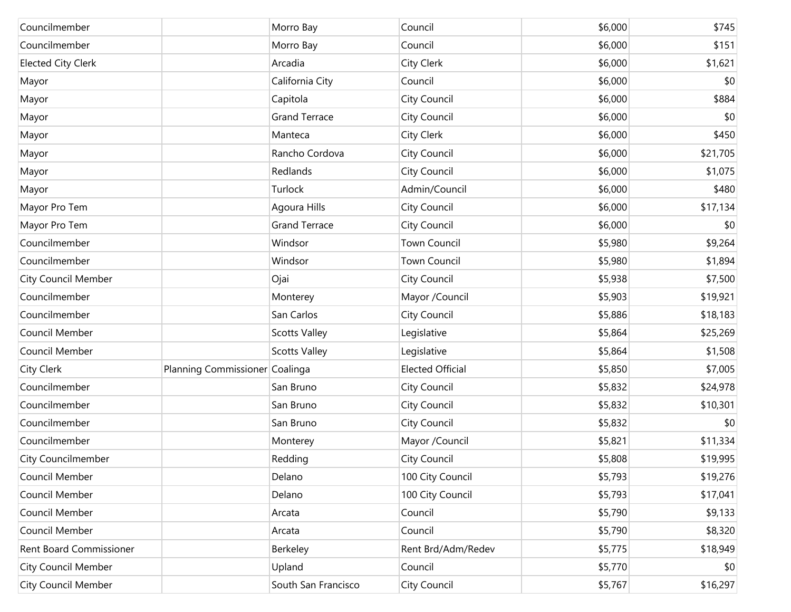| Councilmember              |                                | Morro Bay            | Council                 | \$6,000 | \$745    |
|----------------------------|--------------------------------|----------------------|-------------------------|---------|----------|
| Councilmember              |                                | Morro Bay            | Council                 | \$6,000 | \$151    |
| <b>Elected City Clerk</b>  |                                | Arcadia              | City Clerk              | \$6,000 | \$1,621  |
| Mayor                      |                                | California City      | Council                 | \$6,000 | \$0      |
| Mayor                      |                                | Capitola             | City Council            | \$6,000 | \$884    |
| Mayor                      |                                | <b>Grand Terrace</b> | City Council            | \$6,000 | \$0      |
| Mayor                      |                                | Manteca              | City Clerk              | \$6,000 | \$450    |
| Mayor                      |                                | Rancho Cordova       | City Council            | \$6,000 | \$21,705 |
| Mayor                      |                                | Redlands             | City Council            | \$6,000 | \$1,075  |
| Mayor                      |                                | Turlock              | Admin/Council           | \$6,000 | \$480    |
| Mayor Pro Tem              |                                | Agoura Hills         | City Council            | \$6,000 | \$17,134 |
| Mayor Pro Tem              |                                | <b>Grand Terrace</b> | City Council            | \$6,000 | \$0      |
| Councilmember              |                                | Windsor              | <b>Town Council</b>     | \$5,980 | \$9,264  |
| Councilmember              |                                | Windsor              | Town Council            | \$5,980 | \$1,894  |
| <b>City Council Member</b> |                                | Ojai                 | City Council            | \$5,938 | \$7,500  |
| Councilmember              |                                | Monterey             | Mayor /Council          | \$5,903 | \$19,921 |
| Councilmember              |                                | San Carlos           | City Council            | \$5,886 | \$18,183 |
| Council Member             |                                | <b>Scotts Valley</b> | Legislative             | \$5,864 | \$25,269 |
| Council Member             |                                | <b>Scotts Valley</b> | Legislative             | \$5,864 | \$1,508  |
| <b>City Clerk</b>          | Planning Commissioner Coalinga |                      | <b>Elected Official</b> | \$5,850 | \$7,005  |
| Councilmember              |                                | San Bruno            | City Council            | \$5,832 | \$24,978 |
| Councilmember              |                                | San Bruno            | City Council            | \$5,832 | \$10,301 |
| Councilmember              |                                | San Bruno            | City Council            | \$5,832 | \$0      |
| Councilmember              |                                | Monterey             | Mayor /Council          | \$5,821 | \$11,334 |
| City Councilmember         |                                | Redding              | City Council            | \$5,808 | \$19,995 |
| Council Member             |                                | Delano               | 100 City Council        | \$5,793 | \$19,276 |
| Council Member             |                                | Delano               | 100 City Council        | \$5,793 | \$17,041 |
| Council Member             |                                | Arcata               | Council                 | \$5,790 | \$9,133  |
| Council Member             |                                | Arcata               | Council                 | \$5,790 | \$8,320  |
| Rent Board Commissioner    |                                | Berkeley             | Rent Brd/Adm/Redev      | \$5,775 | \$18,949 |
| <b>City Council Member</b> |                                | Upland               | Council                 | \$5,770 | \$0      |
| City Council Member        |                                | South San Francisco  | City Council            | \$5,767 | \$16,297 |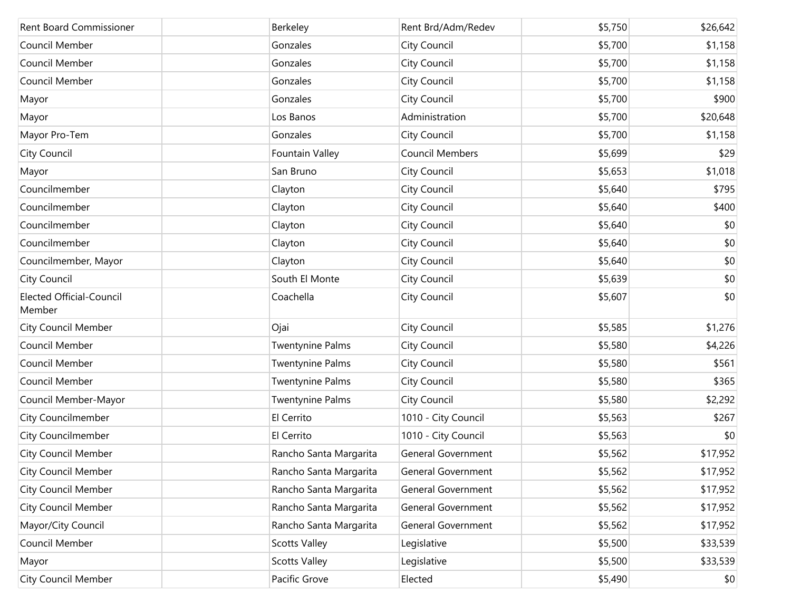| <b>Rent Board Commissioner</b>            | Berkeley                | Rent Brd/Adm/Redev        | \$5,750 | \$26,642 |
|-------------------------------------------|-------------------------|---------------------------|---------|----------|
| Council Member                            | Gonzales                | City Council              | \$5,700 | \$1,158  |
| Council Member                            | Gonzales                | City Council              | \$5,700 | \$1,158  |
| Council Member                            | Gonzales                | City Council              | \$5,700 | \$1,158  |
| Mayor                                     | Gonzales                | City Council              | \$5,700 | \$900    |
| Mayor                                     | Los Banos               | Administration            | \$5,700 | \$20,648 |
| Mayor Pro-Tem                             | Gonzales                | City Council              | \$5,700 | \$1,158  |
| City Council                              | Fountain Valley         | <b>Council Members</b>    | \$5,699 | \$29     |
| Mayor                                     | San Bruno               | City Council              | \$5,653 | \$1,018  |
| Councilmember                             | Clayton                 | City Council              | \$5,640 | \$795    |
| Councilmember                             | Clayton                 | City Council              | \$5,640 | \$400    |
| Councilmember                             | Clayton                 | City Council              | \$5,640 | \$0      |
| Councilmember                             | Clayton                 | City Council              | \$5,640 | \$0      |
| Councilmember, Mayor                      | Clayton                 | City Council              | \$5,640 | \$0      |
| City Council                              | South El Monte          | City Council              | \$5,639 | \$0      |
| <b>Elected Official-Council</b><br>Member | Coachella               | City Council              | \$5,607 | \$0      |
| <b>City Council Member</b>                | Ojai                    | City Council              | \$5,585 | \$1,276  |
| Council Member                            | <b>Twentynine Palms</b> | City Council              | \$5,580 | \$4,226  |
| Council Member                            | <b>Twentynine Palms</b> | City Council              | \$5,580 | \$561    |
| Council Member                            | <b>Twentynine Palms</b> | City Council              | \$5,580 | \$365    |
| Council Member-Mayor                      | <b>Twentynine Palms</b> | City Council              | \$5,580 | \$2,292  |
| City Councilmember                        | El Cerrito              | 1010 - City Council       | \$5,563 | \$267    |
| City Councilmember                        | El Cerrito              | 1010 - City Council       | \$5,563 | \$0      |
| <b>City Council Member</b>                | Rancho Santa Margarita  | <b>General Government</b> | \$5,562 | \$17,952 |
| City Council Member                       | Rancho Santa Margarita  | General Government        | \$5,562 | \$17,952 |
| City Council Member                       | Rancho Santa Margarita  | General Government        | \$5,562 | \$17,952 |
| <b>City Council Member</b>                | Rancho Santa Margarita  | General Government        | \$5,562 | \$17,952 |
| Mayor/City Council                        | Rancho Santa Margarita  | General Government        | \$5,562 | \$17,952 |
| Council Member                            | <b>Scotts Valley</b>    | Legislative               | \$5,500 | \$33,539 |
| Mayor                                     | <b>Scotts Valley</b>    | Legislative               | \$5,500 | \$33,539 |
| <b>City Council Member</b>                | Pacific Grove           | Elected                   | \$5,490 | \$0      |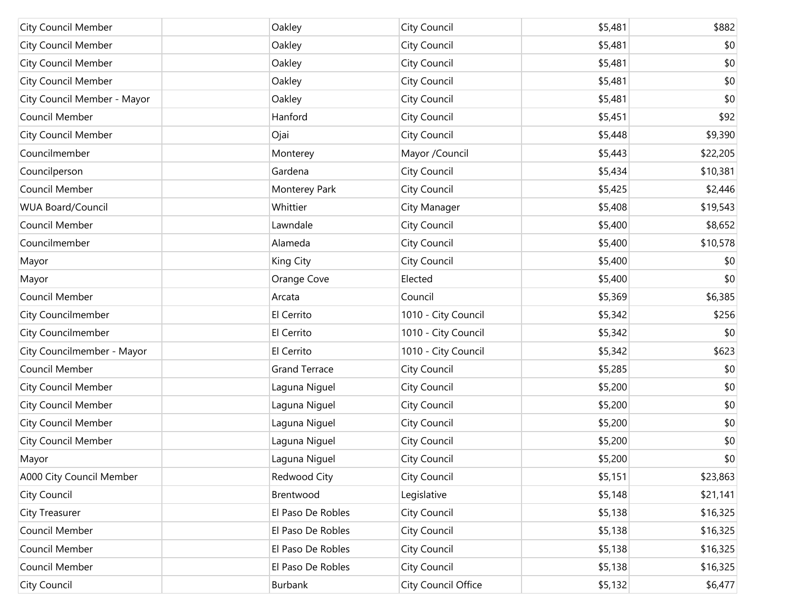| <b>City Council Member</b>  | Oakley               | City Council        | \$5,481 | \$882    |
|-----------------------------|----------------------|---------------------|---------|----------|
| <b>City Council Member</b>  | Oakley               | City Council        | \$5,481 | \$0      |
| <b>City Council Member</b>  | Oakley               | City Council        | \$5,481 | \$0      |
| <b>City Council Member</b>  | Oakley               | City Council        | \$5,481 | \$0      |
| City Council Member - Mayor | Oakley               | City Council        | \$5,481 | \$0      |
| Council Member              | Hanford              | City Council        | \$5,451 | \$92     |
| <b>City Council Member</b>  | Ojai                 | City Council        | \$5,448 | \$9,390  |
| Councilmember               | Monterey             | Mayor /Council      | \$5,443 | \$22,205 |
| Councilperson               | Gardena              | City Council        | \$5,434 | \$10,381 |
| Council Member              | Monterey Park        | City Council        | \$5,425 | \$2,446  |
| <b>WUA Board/Council</b>    | Whittier             | <b>City Manager</b> | \$5,408 | \$19,543 |
| Council Member              | Lawndale             | City Council        | \$5,400 | \$8,652  |
| Councilmember               | Alameda              | City Council        | \$5,400 | \$10,578 |
| Mayor                       | King City            | City Council        | \$5,400 | \$0      |
| Mayor                       | Orange Cove          | Elected             | \$5,400 | \$0      |
| Council Member              | Arcata               | Council             | \$5,369 | \$6,385  |
| City Councilmember          | El Cerrito           | 1010 - City Council | \$5,342 | \$256    |
| City Councilmember          | El Cerrito           | 1010 - City Council | \$5,342 | \$0      |
| City Councilmember - Mayor  | El Cerrito           | 1010 - City Council | \$5,342 | \$623    |
| Council Member              | <b>Grand Terrace</b> | City Council        | \$5,285 | \$0      |
| <b>City Council Member</b>  | Laguna Niguel        | City Council        | \$5,200 | \$0      |
| <b>City Council Member</b>  | Laguna Niguel        | City Council        | \$5,200 | \$0      |
| City Council Member         | Laguna Niguel        | City Council        | \$5,200 | \$0      |
| <b>City Council Member</b>  | Laguna Niguel        | City Council        | \$5,200 | \$0      |
| Mayor                       | Laguna Niguel        | City Council        | \$5,200 | \$0      |
| A000 City Council Member    | Redwood City         | City Council        | \$5,151 | \$23,863 |
| City Council                | Brentwood            | Legislative         | \$5,148 | \$21,141 |
| City Treasurer              | El Paso De Robles    | City Council        | \$5,138 | \$16,325 |
| Council Member              | El Paso De Robles    | City Council        | \$5,138 | \$16,325 |
| Council Member              | El Paso De Robles    | City Council        | \$5,138 | \$16,325 |
| Council Member              | El Paso De Robles    | City Council        | \$5,138 | \$16,325 |
| City Council                | Burbank              | City Council Office | \$5,132 | \$6,477  |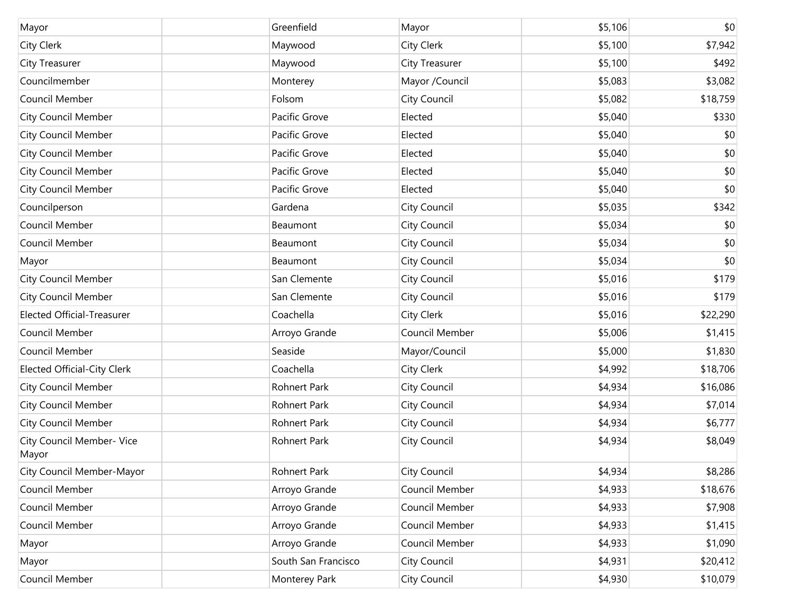| Mayor                              | Greenfield          | Mayor          | \$5,106 | \$0      |
|------------------------------------|---------------------|----------------|---------|----------|
| City Clerk                         | Maywood             | City Clerk     | \$5,100 | \$7,942  |
| <b>City Treasurer</b>              | Maywood             | City Treasurer | \$5,100 | \$492    |
| Councilmember                      | Monterey            | Mayor /Council | \$5,083 | \$3,082  |
| Council Member                     | Folsom              | City Council   | \$5,082 | \$18,759 |
| <b>City Council Member</b>         | Pacific Grove       | Elected        | \$5,040 | \$330    |
| <b>City Council Member</b>         | Pacific Grove       | Elected        | \$5,040 | \$0      |
| <b>City Council Member</b>         | Pacific Grove       | Elected        | \$5,040 | \$0      |
| <b>City Council Member</b>         | Pacific Grove       | Elected        | \$5,040 | \$0      |
| <b>City Council Member</b>         | Pacific Grove       | Elected        | \$5,040 | \$0      |
| Councilperson                      | Gardena             | City Council   | \$5,035 | \$342    |
| Council Member                     | Beaumont            | City Council   | \$5,034 | \$0      |
| Council Member                     | Beaumont            | City Council   | \$5,034 | \$0      |
| Mayor                              | Beaumont            | City Council   | \$5,034 | \$0      |
| <b>City Council Member</b>         | San Clemente        | City Council   | \$5,016 | \$179    |
| <b>City Council Member</b>         | San Clemente        | City Council   | \$5,016 | \$179    |
| <b>Elected Official-Treasurer</b>  | Coachella           | City Clerk     | \$5,016 | \$22,290 |
| Council Member                     | Arroyo Grande       | Council Member | \$5,006 | \$1,415  |
| Council Member                     | Seaside             | Mayor/Council  | \$5,000 | \$1,830  |
| <b>Elected Official-City Clerk</b> | Coachella           | City Clerk     | \$4,992 | \$18,706 |
| <b>City Council Member</b>         | Rohnert Park        | City Council   | \$4,934 | \$16,086 |
| <b>City Council Member</b>         | Rohnert Park        | City Council   | \$4,934 | \$7,014  |
| <b>City Council Member</b>         | Rohnert Park        | City Council   | \$4,934 | \$6,777  |
| City Council Member- Vice<br>Mayor | Rohnert Park        | City Council   | \$4,934 | \$8,049  |
| City Council Member-Mayor          | Rohnert Park        | City Council   | \$4,934 | \$8,286  |
| Council Member                     | Arroyo Grande       | Council Member | \$4,933 | \$18,676 |
| Council Member                     | Arroyo Grande       | Council Member | \$4,933 | \$7,908  |
| Council Member                     | Arroyo Grande       | Council Member | \$4,933 | \$1,415  |
| Mayor                              | Arroyo Grande       | Council Member | \$4,933 | \$1,090  |
| Mayor                              | South San Francisco | City Council   | \$4,931 | \$20,412 |
| Council Member                     | Monterey Park       | City Council   | \$4,930 | \$10,079 |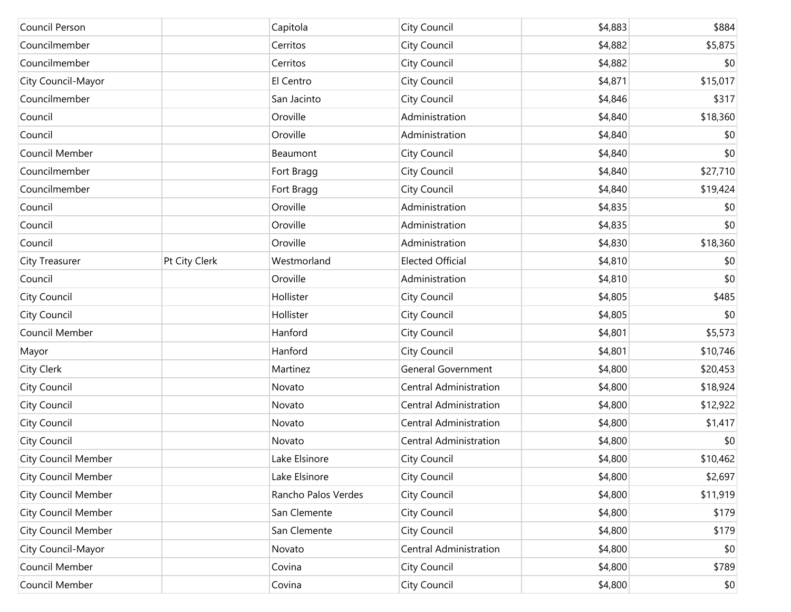| Council Person             |               | Capitola            | City Council                  | \$4,883 | \$884        |
|----------------------------|---------------|---------------------|-------------------------------|---------|--------------|
| Councilmember              |               | Cerritos            | City Council                  | \$4,882 | \$5,875      |
| Councilmember              |               | Cerritos            | City Council                  | \$4,882 | \$0          |
| City Council-Mayor         |               | El Centro           | City Council                  | \$4,871 | \$15,017     |
| Councilmember              |               | San Jacinto         | City Council                  | \$4,846 | \$317        |
| Council                    |               | Oroville            | Administration                | \$4,840 | \$18,360     |
| Council                    |               | Oroville            | Administration                | \$4,840 | \$0          |
| Council Member             |               | Beaumont            | City Council                  | \$4,840 | \$0          |
| Councilmember              |               | Fort Bragg          | City Council                  | \$4,840 | \$27,710     |
| Councilmember              |               | Fort Bragg          | City Council                  | \$4,840 | \$19,424     |
| Council                    |               | Oroville            | Administration                | \$4,835 | \$0          |
| Council                    |               | Oroville            | Administration                | \$4,835 | \$0          |
| Council                    |               | Oroville            | Administration                | \$4,830 | \$18,360     |
| City Treasurer             | Pt City Clerk | Westmorland         | <b>Elected Official</b>       | \$4,810 | \$0          |
| Council                    |               | Oroville            | Administration                | \$4,810 | \$0          |
| City Council               |               | Hollister           | City Council                  | \$4,805 | \$485        |
| City Council               |               | Hollister           | City Council                  | \$4,805 | \$0          |
| Council Member             |               | Hanford             | City Council                  | \$4,801 | \$5,573      |
| Mayor                      |               | Hanford             | City Council                  | \$4,801 | \$10,746     |
| City Clerk                 |               | Martinez            | General Government            | \$4,800 | \$20,453     |
| City Council               |               | Novato              | <b>Central Administration</b> | \$4,800 | \$18,924     |
| City Council               |               | Novato              | Central Administration        | \$4,800 | \$12,922     |
| City Council               |               | Novato              | Central Administration        | \$4,800 | \$1,417      |
| City Council               |               | Novato              | Central Administration        | \$4,800 | \$0          |
| <b>City Council Member</b> |               | Lake Elsinore       | City Council                  | \$4,800 | \$10,462     |
| <b>City Council Member</b> |               | Lake Elsinore       | City Council                  | \$4,800 | \$2,697      |
| <b>City Council Member</b> |               | Rancho Palos Verdes | City Council                  | \$4,800 | \$11,919     |
| <b>City Council Member</b> |               | San Clemente        | City Council                  | \$4,800 | \$179        |
| <b>City Council Member</b> |               | San Clemente        | City Council                  | \$4,800 | \$179        |
| City Council-Mayor         |               | Novato              | <b>Central Administration</b> | \$4,800 | \$0          |
| Council Member             |               | Covina              | City Council                  | \$4,800 | \$789        |
| Council Member             |               | Covina              | <b>City Council</b>           | \$4,800 | $ 10\rangle$ |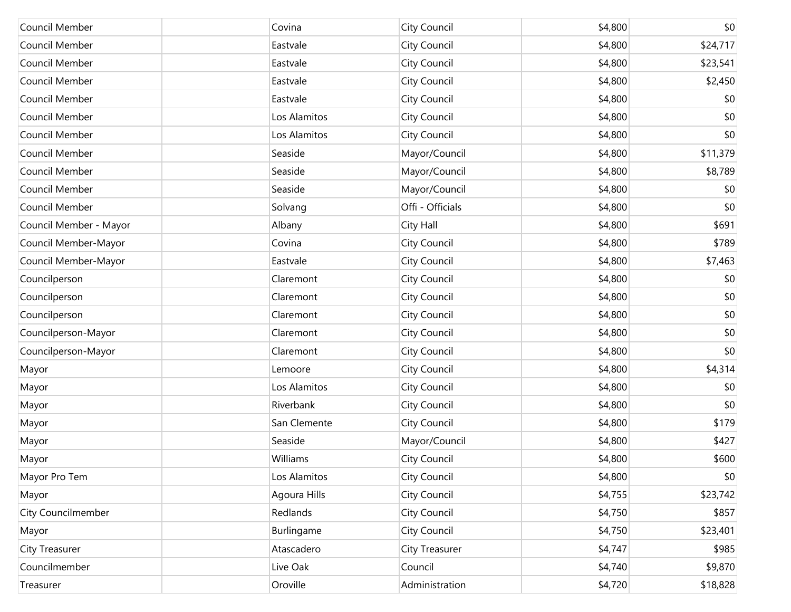| Council Member         | Covina       | City Council     | \$4,800 | \$0      |
|------------------------|--------------|------------------|---------|----------|
| Council Member         | Eastvale     | City Council     | \$4,800 | \$24,717 |
| Council Member         | Eastvale     | City Council     | \$4,800 | \$23,541 |
| Council Member         | Eastvale     | City Council     | \$4,800 | \$2,450  |
| Council Member         | Eastvale     | City Council     | \$4,800 | \$0      |
| Council Member         | Los Alamitos | City Council     | \$4,800 | \$0      |
| Council Member         | Los Alamitos | City Council     | \$4,800 | \$0      |
| Council Member         | Seaside      | Mayor/Council    | \$4,800 | \$11,379 |
| Council Member         | Seaside      | Mayor/Council    | \$4,800 | \$8,789  |
| Council Member         | Seaside      | Mayor/Council    | \$4,800 | \$0      |
| Council Member         | Solvang      | Offi - Officials | \$4,800 | \$0      |
| Council Member - Mayor | Albany       | City Hall        | \$4,800 | \$691    |
| Council Member-Mayor   | Covina       | City Council     | \$4,800 | \$789    |
| Council Member-Mayor   | Eastvale     | City Council     | \$4,800 | \$7,463  |
| Councilperson          | Claremont    | City Council     | \$4,800 | \$0      |
| Councilperson          | Claremont    | City Council     | \$4,800 | \$0      |
| Councilperson          | Claremont    | City Council     | \$4,800 | \$0      |
| Councilperson-Mayor    | Claremont    | City Council     | \$4,800 | \$0      |
| Councilperson-Mayor    | Claremont    | City Council     | \$4,800 | \$0      |
| Mayor                  | Lemoore      | City Council     | \$4,800 | \$4,314  |
| Mayor                  | Los Alamitos | City Council     | \$4,800 | \$0      |
| Mayor                  | Riverbank    | City Council     | \$4,800 | \$0      |
| Mayor                  | San Clemente | City Council     | \$4,800 | \$179    |
| Mayor                  | Seaside      | Mayor/Council    | \$4,800 | \$427    |
| Mayor                  | Williams     | City Council     | \$4,800 | \$600    |
| Mayor Pro Tem          | Los Alamitos | City Council     | \$4,800 | \$0      |
| Mayor                  | Agoura Hills | City Council     | \$4,755 | \$23,742 |
| City Councilmember     | Redlands     | City Council     | \$4,750 | \$857    |
| Mayor                  | Burlingame   | City Council     | \$4,750 | \$23,401 |
| <b>City Treasurer</b>  | Atascadero   | City Treasurer   | \$4,747 | \$985    |
| Councilmember          | Live Oak     | Council          | \$4,740 | \$9,870  |
| Treasurer              | Oroville     | Administration   | \$4,720 | \$18,828 |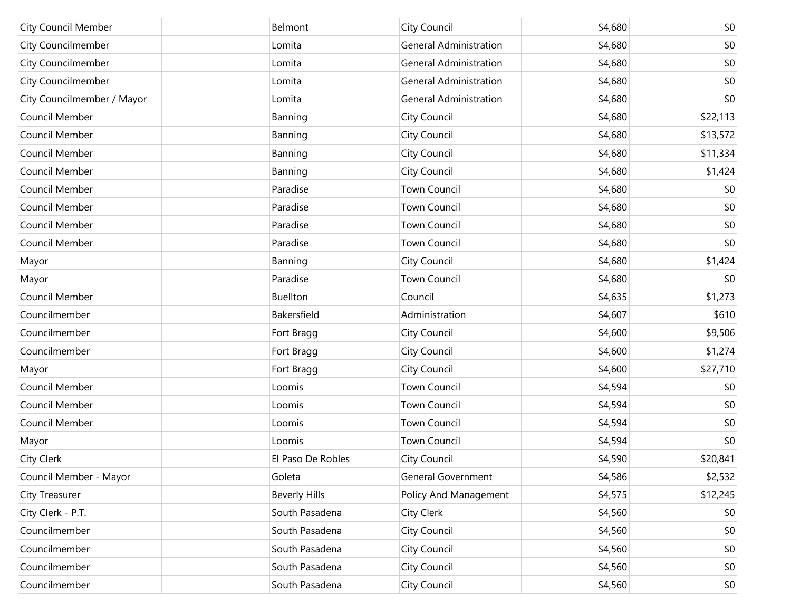| <b>City Council Member</b> | Belmont              | City Council                  | \$4,680 | \$0      |
|----------------------------|----------------------|-------------------------------|---------|----------|
| <b>City Councilmember</b>  | Lomita               | <b>General Administration</b> | \$4,680 | \$0      |
| <b>City Councilmember</b>  | Lomita               | <b>General Administration</b> | \$4,680 | \$0      |
| City Councilmember         | Lomita               | <b>General Administration</b> | \$4,680 | \$0      |
| City Councilmember / Mayor | Lomita               | <b>General Administration</b> | \$4,680 | \$0      |
| Council Member             | Banning              | City Council                  | \$4,680 | \$22,113 |
| Council Member             | Banning              | City Council                  | \$4,680 | \$13,572 |
| Council Member             | Banning              | City Council                  | \$4,680 | \$11,334 |
| Council Member             | Banning              | City Council                  | \$4,680 | \$1,424  |
| Council Member             | Paradise             | <b>Town Council</b>           | \$4,680 | \$0      |
| Council Member             | Paradise             | <b>Town Council</b>           | \$4,680 | \$0      |
| Council Member             | Paradise             | <b>Town Council</b>           | \$4,680 | \$0      |
| Council Member             | Paradise             | <b>Town Council</b>           | \$4,680 | \$0      |
| Mayor                      | Banning              | City Council                  | \$4,680 | \$1,424  |
| Mayor                      | Paradise             | <b>Town Council</b>           | \$4,680 | \$0      |
| Council Member             | Buellton             | Council                       | \$4,635 | \$1,273  |
| Councilmember              | Bakersfield          | Administration                | \$4,607 | \$610    |
| Councilmember              | Fort Bragg           | City Council                  | \$4,600 | \$9,506  |
| Councilmember              | Fort Bragg           | City Council                  | \$4,600 | \$1,274  |
| Mayor                      | Fort Bragg           | City Council                  | \$4,600 | \$27,710 |
| Council Member             | Loomis               | <b>Town Council</b>           | \$4,594 | \$0      |
| Council Member             | Loomis               | <b>Town Council</b>           | \$4,594 | \$0      |
| Council Member             | Loomis               | <b>Town Council</b>           | \$4,594 | \$0      |
| Mayor                      | Loomis               | <b>Town Council</b>           | \$4,594 | \$0      |
| City Clerk                 | El Paso De Robles    | City Council                  | \$4,590 | \$20,841 |
| Council Member - Mayor     | Goleta               | <b>General Government</b>     | \$4,586 | \$2,532  |
| City Treasurer             | <b>Beverly Hills</b> | Policy And Management         | \$4,575 | \$12,245 |
| City Clerk - P.T.          | South Pasadena       | City Clerk                    | \$4,560 | \$0      |
| Councilmember              | South Pasadena       | City Council                  | \$4,560 | \$0      |
| Councilmember              | South Pasadena       | City Council                  | \$4,560 | \$0      |
| Councilmember              | South Pasadena       | City Council                  | \$4,560 | \$0      |
| Councilmember              | South Pasadena       | City Council                  | \$4,560 | \$0      |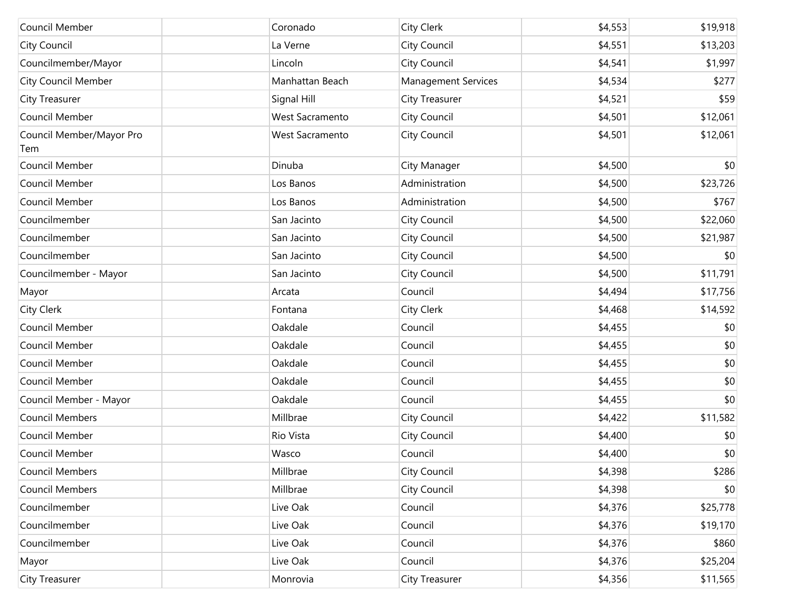| Council Member                  | Coronado               | <b>City Clerk</b>          | \$4,553 | \$19,918 |
|---------------------------------|------------------------|----------------------------|---------|----------|
| City Council                    | La Verne               | City Council               | \$4,551 | \$13,203 |
| Councilmember/Mayor             | Lincoln                | <b>City Council</b>        | \$4,541 | \$1,997  |
| <b>City Council Member</b>      | Manhattan Beach        | <b>Management Services</b> | \$4,534 | \$277    |
| City Treasurer                  | Signal Hill            | <b>City Treasurer</b>      | \$4,521 | \$59     |
| Council Member                  | West Sacramento        | City Council               | \$4,501 | \$12,061 |
| Council Member/Mayor Pro<br>Tem | <b>West Sacramento</b> | City Council               | \$4,501 | \$12,061 |
| Council Member                  | Dinuba                 | City Manager               | \$4,500 | \$0      |
| Council Member                  | Los Banos              | Administration             | \$4,500 | \$23,726 |
| Council Member                  | Los Banos              | Administration             | \$4,500 | \$767    |
| Councilmember                   | San Jacinto            | <b>City Council</b>        | \$4,500 | \$22,060 |
| Councilmember                   | San Jacinto            | <b>City Council</b>        | \$4,500 | \$21,987 |
| Councilmember                   | San Jacinto            | <b>City Council</b>        | \$4,500 | \$0      |
| Councilmember - Mayor           | San Jacinto            | <b>City Council</b>        | \$4,500 | \$11,791 |
| Mayor                           | Arcata                 | Council                    | \$4,494 | \$17,756 |
| City Clerk                      | Fontana                | <b>City Clerk</b>          | \$4,468 | \$14,592 |
| Council Member                  | Oakdale                | Council                    | \$4,455 | \$0      |
| Council Member                  | Oakdale                | Council                    | \$4,455 | \$0      |
| Council Member                  | Oakdale                | Council                    | \$4,455 | \$0      |
| Council Member                  | Oakdale                | Council                    | \$4,455 | \$0      |
| Council Member - Mayor          | Oakdale                | Council                    | \$4,455 | \$0      |
| <b>Council Members</b>          | Millbrae               | <b>City Council</b>        | \$4,422 | \$11,582 |
| Council Member                  | Rio Vista              | <b>City Council</b>        | \$4,400 | \$0      |
| Council Member                  | Wasco                  | Council                    | \$4,400 | \$0      |
| <b>Council Members</b>          | Millbrae               | <b>City Council</b>        | \$4,398 | \$286    |
| <b>Council Members</b>          | Millbrae               | <b>City Council</b>        | \$4,398 | \$0      |
| Councilmember                   | Live Oak               | Council                    | \$4,376 | \$25,778 |
| Councilmember                   | Live Oak               | Council                    | \$4,376 | \$19,170 |
| Councilmember                   | Live Oak               | Council                    | \$4,376 | \$860    |
| Mayor                           | Live Oak               | Council                    | \$4,376 | \$25,204 |
| City Treasurer                  | Monrovia               | City Treasurer             | \$4,356 | \$11,565 |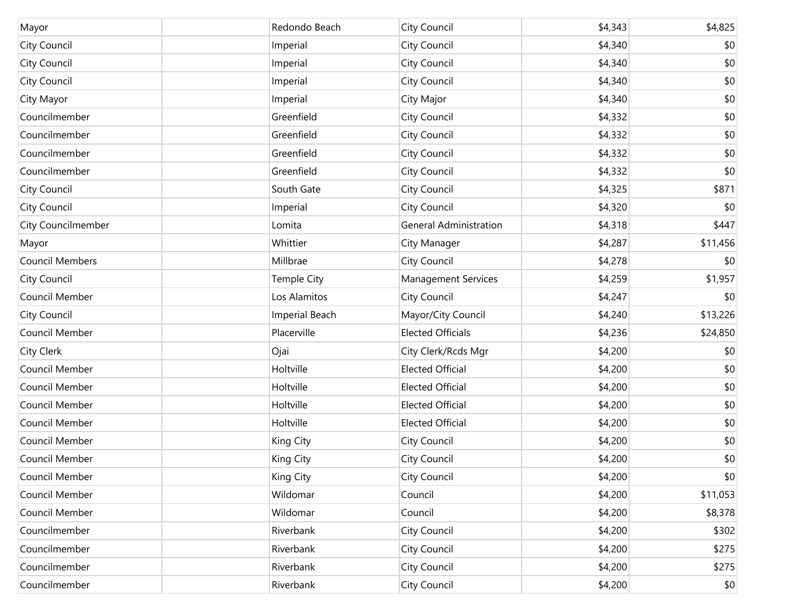| Mayor              | Redondo Beach         | City Council                  | \$4,343 | \$4,825  |
|--------------------|-----------------------|-------------------------------|---------|----------|
| City Council       | Imperial              | City Council                  | \$4,340 | \$0      |
| City Council       | Imperial              | City Council                  | \$4,340 | \$0      |
| City Council       | Imperial              | City Council                  | \$4,340 | \$0      |
| City Mayor         | Imperial              | City Major                    | \$4,340 | \$0      |
| Councilmember      | Greenfield            | City Council                  | \$4,332 | \$0      |
| Councilmember      | Greenfield            | City Council                  | \$4,332 | \$0      |
| Councilmember      | Greenfield            | City Council                  | \$4,332 | \$0      |
| Councilmember      | Greenfield            | City Council                  | \$4,332 | \$0      |
| City Council       | South Gate            | City Council                  | \$4,325 | \$871    |
| City Council       | Imperial              | City Council                  | \$4,320 | \$0      |
| City Councilmember | Lomita                | <b>General Administration</b> | \$4,318 | \$447    |
| Mayor              | Whittier              | City Manager                  | \$4,287 | \$11,456 |
| Council Members    | Millbrae              | City Council                  | \$4,278 | \$0      |
| City Council       | Temple City           | <b>Management Services</b>    | \$4,259 | \$1,957  |
| Council Member     | Los Alamitos          | City Council                  | \$4,247 | \$0      |
| City Council       | <b>Imperial Beach</b> | Mayor/City Council            | \$4,240 | \$13,226 |
| Council Member     | Placerville           | <b>Elected Officials</b>      | \$4,236 | \$24,850 |
| City Clerk         | Ojai                  | City Clerk/Rcds Mgr           | \$4,200 | \$0      |
| Council Member     | Holtville             | <b>Elected Official</b>       | \$4,200 | \$0      |
| Council Member     | Holtville             | <b>Elected Official</b>       | \$4,200 | \$0      |
| Council Member     | Holtville             | <b>Elected Official</b>       | \$4,200 | \$0      |
| Council Member     | Holtville             | <b>Elected Official</b>       | \$4,200 | \$0      |
| Council Member     | King City             | City Council                  | \$4,200 | \$0      |
| Council Member     | King City             | City Council                  | \$4,200 | \$0      |
| Council Member     | King City             | City Council                  | \$4,200 | \$0      |
| Council Member     | Wildomar              | Council                       | \$4,200 | \$11,053 |
| Council Member     | Wildomar              | Council                       | \$4,200 | \$8,378  |
| Councilmember      | Riverbank             | City Council                  | \$4,200 | \$302    |
| Councilmember      | Riverbank             | City Council                  | \$4,200 | \$275    |
| Councilmember      | Riverbank             | City Council                  | \$4,200 | \$275    |
| Councilmember      | Riverbank             | City Council                  | \$4,200 | \$0      |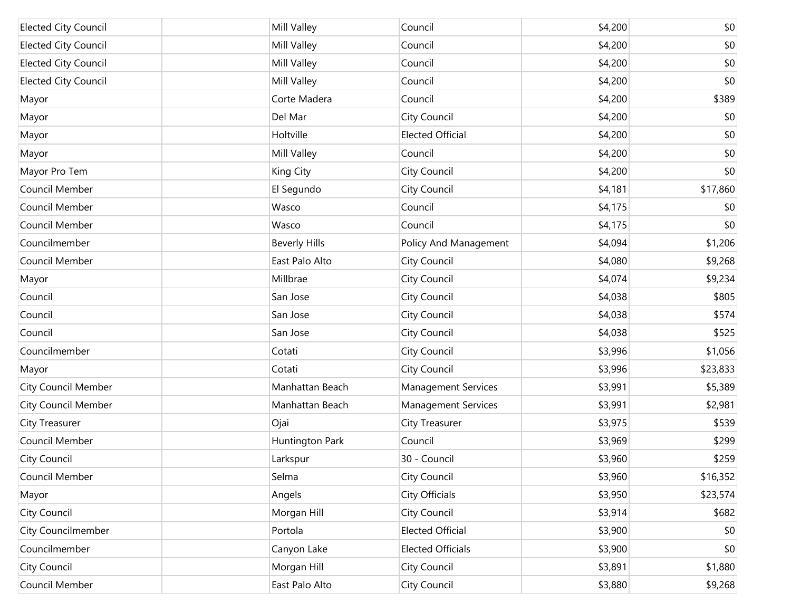| <b>Elected City Council</b> | Mill Valley          | Council                    | \$4,200 | \$0      |
|-----------------------------|----------------------|----------------------------|---------|----------|
| <b>Elected City Council</b> | Mill Valley          | Council                    | \$4,200 | \$0      |
| <b>Elected City Council</b> | Mill Valley          | Council                    | \$4,200 | \$0      |
| <b>Elected City Council</b> | Mill Valley          | Council                    | \$4,200 | \$0      |
| Mayor                       | Corte Madera         | Council                    | \$4,200 | \$389    |
| Mayor                       | Del Mar              | City Council               | \$4,200 | \$0      |
| Mayor                       | Holtville            | <b>Elected Official</b>    | \$4,200 | \$0      |
| Mayor                       | Mill Valley          | Council                    | \$4,200 | \$0      |
| Mayor Pro Tem               | King City            | City Council               | \$4,200 | \$0      |
| Council Member              | El Segundo           | City Council               | \$4,181 | \$17,860 |
| Council Member              | Wasco                | Council                    | \$4,175 | \$0      |
| Council Member              | Wasco                | Council                    | \$4,175 | \$0      |
| Councilmember               | <b>Beverly Hills</b> | Policy And Management      | \$4,094 | \$1,206  |
| Council Member              | East Palo Alto       | City Council               | \$4,080 | \$9,268  |
| Mayor                       | Millbrae             | City Council               | \$4,074 | \$9,234  |
| Council                     | San Jose             | City Council               | \$4,038 | \$805    |
| Council                     | San Jose             | City Council               | \$4,038 | \$574    |
| Council                     | San Jose             | City Council               | \$4,038 | \$525    |
| Councilmember               | Cotati               | City Council               | \$3,996 | \$1,056  |
| Mayor                       | Cotati               | City Council               | \$3,996 | \$23,833 |
| <b>City Council Member</b>  | Manhattan Beach      | <b>Management Services</b> | \$3,991 | \$5,389  |
| <b>City Council Member</b>  | Manhattan Beach      | <b>Management Services</b> | \$3,991 | \$2,981  |
| City Treasurer              | Ojai                 | <b>City Treasurer</b>      | \$3,975 | \$539    |
| Council Member              | Huntington Park      | Council                    | \$3,969 | \$299    |
| City Council                | Larkspur             | 30 - Council               | \$3,960 | \$259    |
| Council Member              | Selma                | City Council               | \$3,960 | \$16,352 |
| Mayor                       | Angels               | City Officials             | \$3,950 | \$23,574 |
| City Council                | Morgan Hill          | City Council               | \$3,914 | \$682    |
| City Councilmember          | Portola              | <b>Elected Official</b>    | \$3,900 | \$0      |
| Councilmember               | Canyon Lake          | <b>Elected Officials</b>   | \$3,900 | \$0      |
| City Council                | Morgan Hill          | City Council               | \$3,891 | \$1,880  |
| Council Member              | East Palo Alto       | <b>City Council</b>        | \$3,880 | \$9,268  |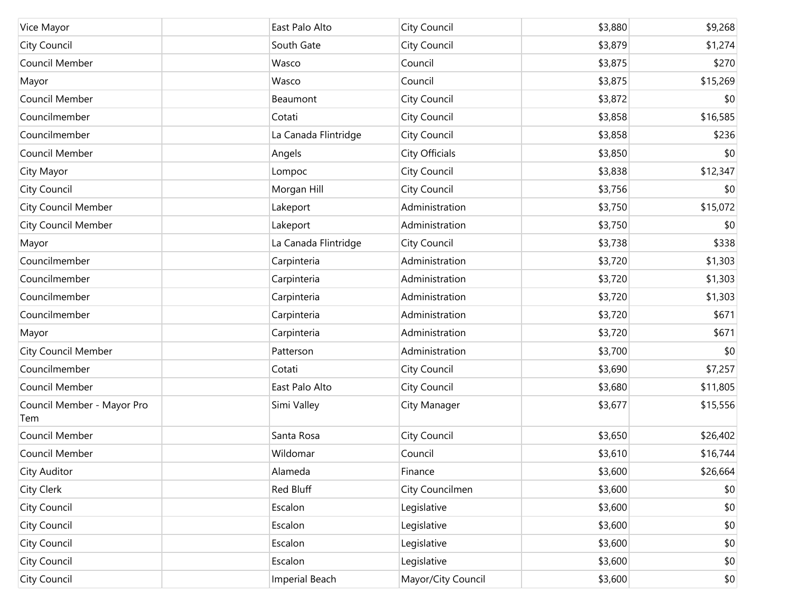| Vice Mayor                        | East Palo Alto        | City Council       | \$3,880 | \$9,268  |
|-----------------------------------|-----------------------|--------------------|---------|----------|
| City Council                      | South Gate            | City Council       | \$3,879 | \$1,274  |
| Council Member                    | Wasco                 | Council            | \$3,875 | \$270    |
| Mayor                             | Wasco                 | Council            | \$3,875 | \$15,269 |
| Council Member                    | Beaumont              | City Council       | \$3,872 | \$0      |
| Councilmember                     | Cotati                | City Council       | \$3,858 | \$16,585 |
| Councilmember                     | La Canada Flintridge  | City Council       | \$3,858 | \$236    |
| Council Member                    | Angels                | City Officials     | \$3,850 | \$0      |
| City Mayor                        | Lompoc                | City Council       | \$3,838 | \$12,347 |
| City Council                      | Morgan Hill           | City Council       | \$3,756 | \$0      |
| <b>City Council Member</b>        | Lakeport              | Administration     | \$3,750 | \$15,072 |
| <b>City Council Member</b>        | Lakeport              | Administration     | \$3,750 | \$0      |
| Mayor                             | La Canada Flintridge  | City Council       | \$3,738 | \$338    |
| Councilmember                     | Carpinteria           | Administration     | \$3,720 | \$1,303  |
| Councilmember                     | Carpinteria           | Administration     | \$3,720 | \$1,303  |
| Councilmember                     | Carpinteria           | Administration     | \$3,720 | \$1,303  |
| Councilmember                     | Carpinteria           | Administration     | \$3,720 | \$671    |
| Mayor                             | Carpinteria           | Administration     | \$3,720 | \$671    |
| <b>City Council Member</b>        | Patterson             | Administration     | \$3,700 | \$0      |
| Councilmember                     | Cotati                | City Council       | \$3,690 | \$7,257  |
| Council Member                    | East Palo Alto        | City Council       | \$3,680 | \$11,805 |
| Council Member - Mayor Pro<br>Tem | Simi Valley           | City Manager       | \$3,677 | \$15,556 |
| Council Member                    | Santa Rosa            | City Council       | \$3,650 | \$26,402 |
| Council Member                    | Wildomar              | Council            | \$3,610 | \$16,744 |
| City Auditor                      | Alameda               | Finance            | \$3,600 | \$26,664 |
| City Clerk                        | Red Bluff             | City Councilmen    | \$3,600 | \$0      |
| City Council                      | Escalon               | Legislative        | \$3,600 | \$0      |
| City Council                      | Escalon               | Legislative        | \$3,600 | \$0      |
| City Council                      | Escalon               | Legislative        | \$3,600 | \$0      |
| City Council                      | Escalon               | Legislative        | \$3,600 | \$0      |
| City Council                      | <b>Imperial Beach</b> | Mayor/City Council | \$3,600 | \$0      |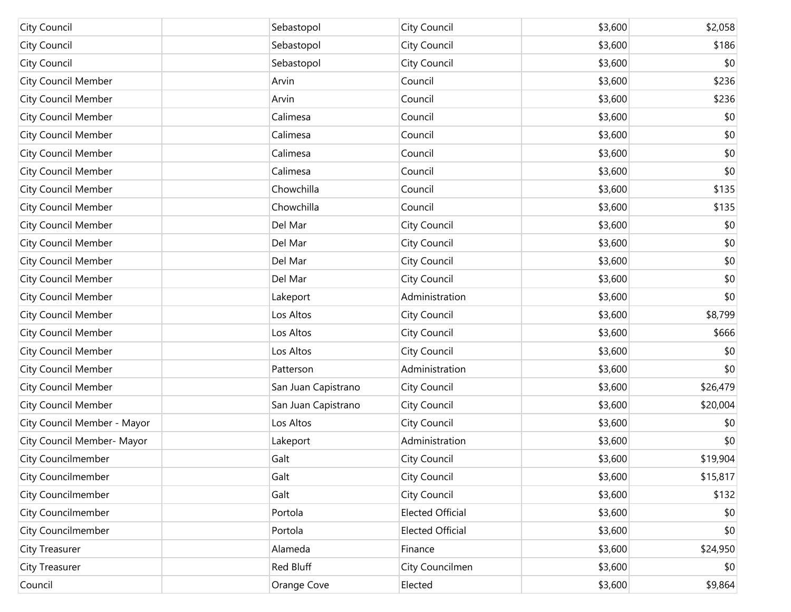| City Council                | Sebastopol          | City Council            | \$3,600 | \$2,058  |
|-----------------------------|---------------------|-------------------------|---------|----------|
| City Council                | Sebastopol          | City Council            | \$3,600 | \$186    |
| City Council                | Sebastopol          | City Council            | \$3,600 | \$0      |
| <b>City Council Member</b>  | Arvin               | Council                 | \$3,600 | \$236    |
| <b>City Council Member</b>  | Arvin               | Council                 | \$3,600 | \$236    |
| <b>City Council Member</b>  | Calimesa            | Council                 | \$3,600 | \$0      |
| <b>City Council Member</b>  | Calimesa            | Council                 | \$3,600 | \$0      |
| <b>City Council Member</b>  | Calimesa            | Council                 | \$3,600 | \$0      |
| <b>City Council Member</b>  | Calimesa            | Council                 | \$3,600 | \$0      |
| <b>City Council Member</b>  | Chowchilla          | Council                 | \$3,600 | \$135    |
| <b>City Council Member</b>  | Chowchilla          | Council                 | \$3,600 | \$135    |
| <b>City Council Member</b>  | Del Mar             | City Council            | \$3,600 | \$0      |
| <b>City Council Member</b>  | Del Mar             | City Council            | \$3,600 | \$0      |
| <b>City Council Member</b>  | Del Mar             | City Council            | \$3,600 | \$0      |
| <b>City Council Member</b>  | Del Mar             | City Council            | \$3,600 | \$0      |
| <b>City Council Member</b>  | Lakeport            | Administration          | \$3,600 | \$0      |
| <b>City Council Member</b>  | Los Altos           | City Council            | \$3,600 | \$8,799  |
| <b>City Council Member</b>  | Los Altos           | City Council            | \$3,600 | \$666    |
| <b>City Council Member</b>  | Los Altos           | City Council            | \$3,600 | \$0      |
| <b>City Council Member</b>  | Patterson           | Administration          | \$3,600 | \$0      |
| <b>City Council Member</b>  | San Juan Capistrano | City Council            | \$3,600 | \$26,479 |
| <b>City Council Member</b>  | San Juan Capistrano | City Council            | \$3,600 | \$20,004 |
| City Council Member - Mayor | Los Altos           | City Council            | \$3,600 | \$0      |
| City Council Member- Mayor  | Lakeport            | Administration          | \$3,600 | \$0      |
| City Councilmember          | Galt                | City Council            | \$3,600 | \$19,904 |
| City Councilmember          | Galt                | City Council            | \$3,600 | \$15,817 |
| City Councilmember          | Galt                | City Council            | \$3,600 | \$132    |
| City Councilmember          | Portola             | <b>Elected Official</b> | \$3,600 | \$0      |
| City Councilmember          | Portola             | <b>Elected Official</b> | \$3,600 | \$0      |
| City Treasurer              | Alameda             | Finance                 | \$3,600 | \$24,950 |
| City Treasurer              | Red Bluff           | City Councilmen         | \$3,600 | \$0      |
| Council                     | Orange Cove         | Elected                 | \$3,600 | \$9,864  |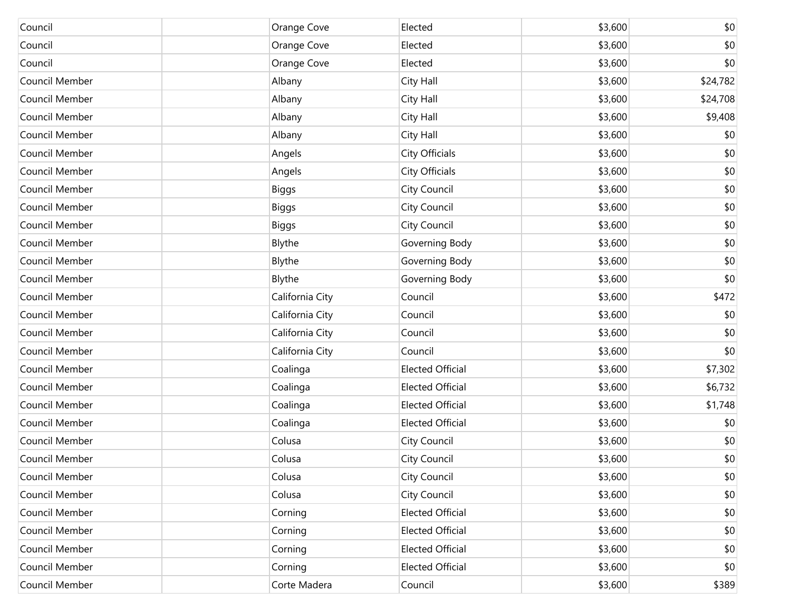| Council        | Orange Cove     | Elected                 | \$3,600 | \$0      |
|----------------|-----------------|-------------------------|---------|----------|
| Council        | Orange Cove     | Elected                 | \$3,600 | \$0      |
| Council        | Orange Cove     | Elected                 | \$3,600 | \$0      |
| Council Member | Albany          | City Hall               | \$3,600 | \$24,782 |
| Council Member | Albany          | City Hall               | \$3,600 | \$24,708 |
| Council Member | Albany          | City Hall               | \$3,600 | \$9,408  |
| Council Member | Albany          | City Hall               | \$3,600 | \$0      |
| Council Member | Angels          | City Officials          | \$3,600 | \$0      |
| Council Member | Angels          | City Officials          | \$3,600 | \$0      |
| Council Member | <b>Biggs</b>    | City Council            | \$3,600 | \$0      |
| Council Member | <b>Biggs</b>    | City Council            | \$3,600 | \$0      |
| Council Member | <b>Biggs</b>    | City Council            | \$3,600 | \$0      |
| Council Member | Blythe          | Governing Body          | \$3,600 | \$0      |
| Council Member | Blythe          | Governing Body          | \$3,600 | \$0      |
| Council Member | Blythe          | Governing Body          | \$3,600 | \$0      |
| Council Member | California City | Council                 | \$3,600 | \$472    |
| Council Member | California City | Council                 | \$3,600 | \$0      |
| Council Member | California City | Council                 | \$3,600 | \$0      |
| Council Member | California City | Council                 | \$3,600 | \$0      |
| Council Member | Coalinga        | <b>Elected Official</b> | \$3,600 | \$7,302  |
| Council Member | Coalinga        | <b>Elected Official</b> | \$3,600 | \$6,732  |
| Council Member | Coalinga        | <b>Elected Official</b> | \$3,600 | \$1,748  |
| Council Member | Coalinga        | <b>Elected Official</b> | \$3,600 | \$0      |
| Council Member | Colusa          | City Council            | \$3,600 | \$0      |
| Council Member | Colusa          | City Council            | \$3,600 | \$0      |
| Council Member | Colusa          | City Council            | \$3,600 | \$0      |
| Council Member | Colusa          | City Council            | \$3,600 | \$0      |
| Council Member | Corning         | <b>Elected Official</b> | \$3,600 | \$0      |
| Council Member | Corning         | <b>Elected Official</b> | \$3,600 | \$0      |
| Council Member | Corning         | <b>Elected Official</b> | \$3,600 | \$0      |
| Council Member | Corning         | <b>Elected Official</b> | \$3,600 | \$0      |
| Council Member | Corte Madera    | Council                 | \$3,600 | \$389    |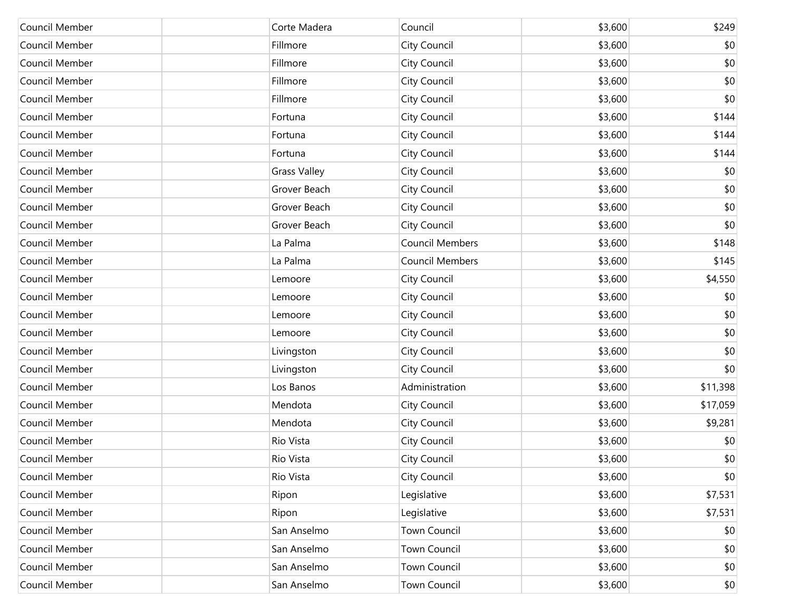| Council Member | Corte Madera        | Council                | \$3,600 | \$249    |
|----------------|---------------------|------------------------|---------|----------|
| Council Member | Fillmore            | City Council           | \$3,600 | \$0      |
| Council Member | Fillmore            | City Council           | \$3,600 | \$0      |
| Council Member | Fillmore            | City Council           | \$3,600 | \$0      |
| Council Member | Fillmore            | City Council           | \$3,600 | \$0      |
| Council Member | Fortuna             | City Council           | \$3,600 | \$144    |
| Council Member | Fortuna             | City Council           | \$3,600 | \$144    |
| Council Member | Fortuna             | City Council           | \$3,600 | \$144    |
| Council Member | <b>Grass Valley</b> | City Council           | \$3,600 | \$0      |
| Council Member | Grover Beach        | City Council           | \$3,600 | \$0      |
| Council Member | Grover Beach        | City Council           | \$3,600 | \$0      |
| Council Member | Grover Beach        | City Council           | \$3,600 | \$0      |
| Council Member | La Palma            | <b>Council Members</b> | \$3,600 | \$148    |
| Council Member | La Palma            | Council Members        | \$3,600 | \$145    |
| Council Member | Lemoore             | City Council           | \$3,600 | \$4,550  |
| Council Member | Lemoore             | City Council           | \$3,600 | \$0      |
| Council Member | Lemoore             | City Council           | \$3,600 | \$0      |
| Council Member | Lemoore             | City Council           | \$3,600 | \$0      |
| Council Member | Livingston          | City Council           | \$3,600 | \$0      |
| Council Member | Livingston          | City Council           | \$3,600 | \$0      |
| Council Member | Los Banos           | Administration         | \$3,600 | \$11,398 |
| Council Member | Mendota             | City Council           | \$3,600 | \$17,059 |
| Council Member | Mendota             | City Council           | \$3,600 | \$9,281  |
| Council Member | Rio Vista           | City Council           | \$3,600 | \$0      |
| Council Member | Rio Vista           | City Council           | \$3,600 | \$0      |
| Council Member | Rio Vista           | City Council           | \$3,600 | \$0      |
| Council Member | Ripon               | Legislative            | \$3,600 | \$7,531  |
| Council Member | Ripon               | Legislative            | \$3,600 | \$7,531  |
| Council Member | San Anselmo         | Town Council           | \$3,600 | \$0      |
| Council Member | San Anselmo         | Town Council           | \$3,600 | \$0      |
| Council Member | San Anselmo         | Town Council           | \$3,600 | \$0      |
| Council Member | San Anselmo         | Town Council           | \$3,600 | \$0      |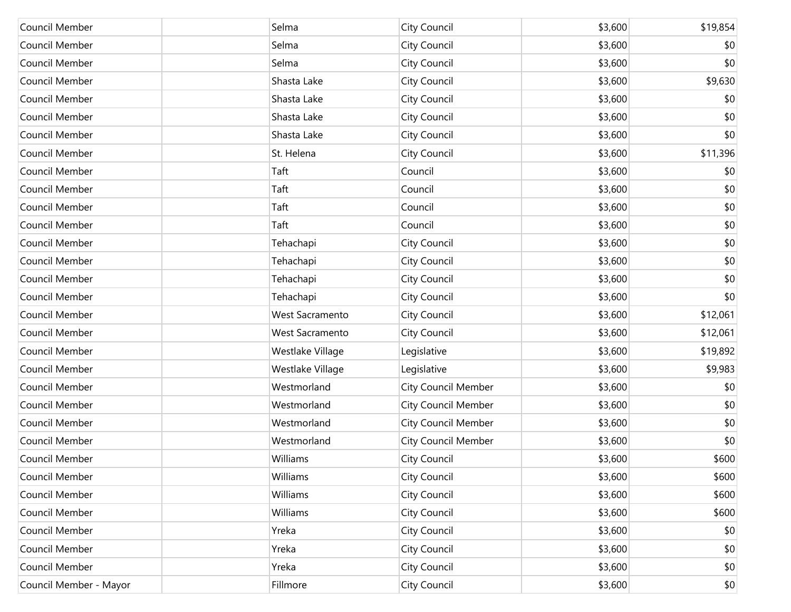| Council Member         | Selma                  | City Council               | \$3,600 | \$19,854 |
|------------------------|------------------------|----------------------------|---------|----------|
| Council Member         | Selma                  | City Council               | \$3,600 | \$0      |
| Council Member         | Selma                  | City Council               | \$3,600 | \$0      |
| Council Member         | Shasta Lake            | City Council               | \$3,600 | \$9,630  |
| Council Member         | Shasta Lake            | City Council               | \$3,600 | \$0      |
| Council Member         | Shasta Lake            | City Council               | \$3,600 | \$0      |
| Council Member         | Shasta Lake            | City Council               | \$3,600 | \$0      |
| Council Member         | St. Helena             | City Council               | \$3,600 | \$11,396 |
| Council Member         | Taft                   | Council                    | \$3,600 | \$0      |
| Council Member         | Taft                   | Council                    | \$3,600 | \$0      |
| Council Member         | Taft                   | Council                    | \$3,600 | \$0      |
| Council Member         | Taft                   | Council                    | \$3,600 | \$0      |
| Council Member         | Tehachapi              | City Council               | \$3,600 | \$0      |
| Council Member         | Tehachapi              | City Council               | \$3,600 | \$0      |
| Council Member         | Tehachapi              | City Council               | \$3,600 | \$0      |
| Council Member         | Tehachapi              | City Council               | \$3,600 | \$0      |
| Council Member         | <b>West Sacramento</b> | City Council               | \$3,600 | \$12,061 |
| Council Member         | <b>West Sacramento</b> | City Council               | \$3,600 | \$12,061 |
| Council Member         | Westlake Village       | Legislative                | \$3,600 | \$19,892 |
| Council Member         | Westlake Village       | Legislative                | \$3,600 | \$9,983  |
| Council Member         | Westmorland            | <b>City Council Member</b> | \$3,600 | \$0      |
| Council Member         | Westmorland            | <b>City Council Member</b> | \$3,600 | \$0      |
| Council Member         | Westmorland            | City Council Member        | \$3,600 | \$0      |
| Council Member         | Westmorland            | <b>City Council Member</b> | \$3,600 | \$0      |
| Council Member         | Williams               | City Council               | \$3,600 | \$600    |
| Council Member         | Williams               | City Council               | \$3,600 | \$600    |
| Council Member         | Williams               | City Council               | \$3,600 | \$600    |
| Council Member         | Williams               | City Council               | \$3,600 | \$600    |
| Council Member         | Yreka                  | <b>City Council</b>        | \$3,600 | \$0      |
| Council Member         | Yreka                  | City Council               | \$3,600 | \$0      |
| Council Member         | Yreka                  | <b>City Council</b>        | \$3,600 | \$0      |
| Council Member - Mayor | Fillmore               | City Council               | \$3,600 | \$0      |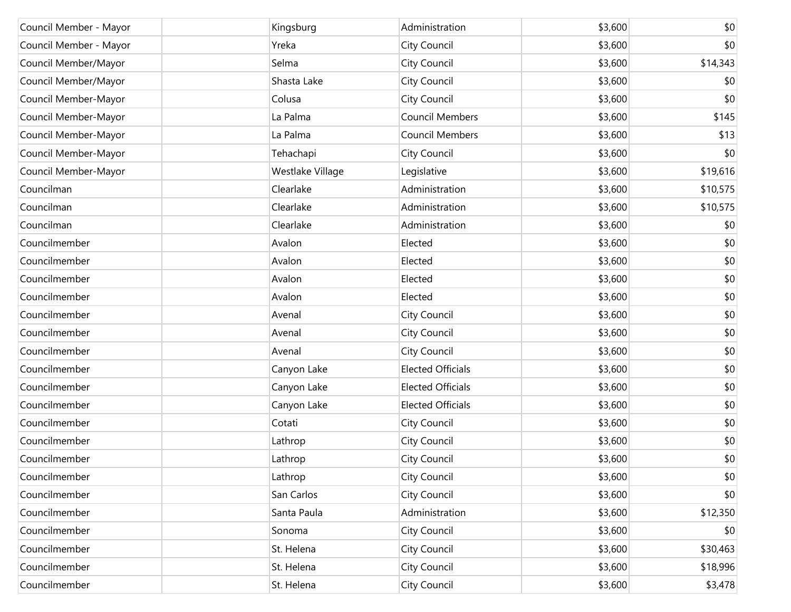| Council Member - Mayor | Kingsburg        | Administration           | \$3,600 | \$0      |
|------------------------|------------------|--------------------------|---------|----------|
| Council Member - Mayor | Yreka            | City Council             | \$3,600 | \$0      |
| Council Member/Mayor   | Selma            | City Council             | \$3,600 | \$14,343 |
| Council Member/Mayor   | Shasta Lake      | City Council             | \$3,600 | \$0      |
| Council Member-Mayor   | Colusa           | City Council             | \$3,600 | \$0      |
| Council Member-Mayor   | La Palma         | <b>Council Members</b>   | \$3,600 | \$145    |
| Council Member-Mayor   | La Palma         | <b>Council Members</b>   | \$3,600 | \$13     |
| Council Member-Mayor   | Tehachapi        | City Council             | \$3,600 | \$0      |
| Council Member-Mayor   | Westlake Village | Legislative              | \$3,600 | \$19,616 |
| Councilman             | Clearlake        | Administration           | \$3,600 | \$10,575 |
| Councilman             | Clearlake        | Administration           | \$3,600 | \$10,575 |
| Councilman             | Clearlake        | Administration           | \$3,600 | \$0      |
| Councilmember          | Avalon           | Elected                  | \$3,600 | \$0      |
| Councilmember          | Avalon           | Elected                  | \$3,600 | \$0      |
| Councilmember          | Avalon           | Elected                  | \$3,600 | \$0      |
| Councilmember          | Avalon           | Elected                  | \$3,600 | \$0      |
| Councilmember          | Avenal           | City Council             | \$3,600 | \$0      |
| Councilmember          | Avenal           | City Council             | \$3,600 | \$0      |
| Councilmember          | Avenal           | City Council             | \$3,600 | \$0      |
| Councilmember          | Canyon Lake      | <b>Elected Officials</b> | \$3,600 | \$0      |
| Councilmember          | Canyon Lake      | <b>Elected Officials</b> | \$3,600 | \$0      |
| Councilmember          | Canyon Lake      | <b>Elected Officials</b> | \$3,600 | \$0      |
| Councilmember          | Cotati           | City Council             | \$3,600 | \$0      |
| Councilmember          | Lathrop          | City Council             | \$3,600 | \$0      |
| Councilmember          | Lathrop          | City Council             | \$3,600 | \$0      |
| Councilmember          | Lathrop          | City Council             | \$3,600 | \$0      |
| Councilmember          | San Carlos       | City Council             | \$3,600 | \$0      |
| Councilmember          | Santa Paula      | Administration           | \$3,600 | \$12,350 |
| Councilmember          | Sonoma           | City Council             | \$3,600 | \$0      |
| Councilmember          | St. Helena       | City Council             | \$3,600 | \$30,463 |
| Councilmember          | St. Helena       | City Council             | \$3,600 | \$18,996 |
| Councilmember          | St. Helena       | City Council             | \$3,600 | \$3,478  |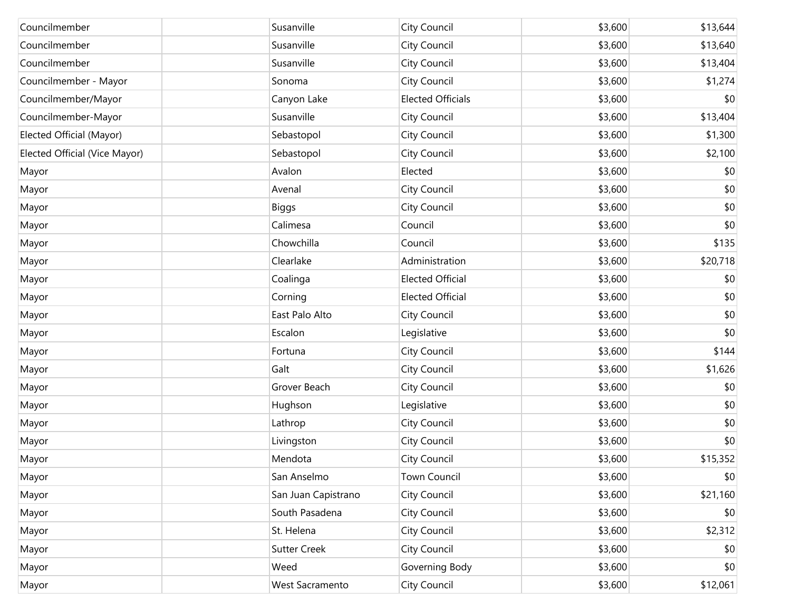| Councilmember                 | Susanville          | City Council             | \$3,600 | \$13,644 |
|-------------------------------|---------------------|--------------------------|---------|----------|
| Councilmember                 | Susanville          | City Council             | \$3,600 | \$13,640 |
| Councilmember                 | Susanville          | City Council             | \$3,600 | \$13,404 |
| Councilmember - Mayor         | Sonoma              | City Council             | \$3,600 | \$1,274  |
| Councilmember/Mayor           | Canyon Lake         | <b>Elected Officials</b> | \$3,600 | \$0      |
| Councilmember-Mayor           | Susanville          | City Council             | \$3,600 | \$13,404 |
| Elected Official (Mayor)      | Sebastopol          | City Council             | \$3,600 | \$1,300  |
| Elected Official (Vice Mayor) | Sebastopol          | City Council             | \$3,600 | \$2,100  |
| Mayor                         | Avalon              | Elected                  | \$3,600 | \$0      |
| Mayor                         | Avenal              | City Council             | \$3,600 | \$0      |
| Mayor                         | <b>Biggs</b>        | City Council             | \$3,600 | \$0      |
| Mayor                         | Calimesa            | Council                  | \$3,600 | \$0      |
| Mayor                         | Chowchilla          | Council                  | \$3,600 | \$135    |
| Mayor                         | Clearlake           | Administration           | \$3,600 | \$20,718 |
| Mayor                         | Coalinga            | <b>Elected Official</b>  | \$3,600 | \$0      |
| Mayor                         | Corning             | <b>Elected Official</b>  | \$3,600 | \$0      |
| Mayor                         | East Palo Alto      | City Council             | \$3,600 | \$0      |
| Mayor                         | Escalon             | Legislative              | \$3,600 | \$0      |
| Mayor                         | Fortuna             | City Council             | \$3,600 | \$144    |
| Mayor                         | Galt                | City Council             | \$3,600 | \$1,626  |
| Mayor                         | Grover Beach        | City Council             | \$3,600 | \$0      |
| Mayor                         | Hughson             | Legislative              | \$3,600 | \$0      |
| Mayor                         | Lathrop             | City Council             | \$3,600 | \$0      |
| Mayor                         | Livingston          | City Council             | \$3,600 | \$0      |
| Mayor                         | Mendota             | City Council             | \$3,600 | \$15,352 |
| Mayor                         | San Anselmo         | Town Council             | \$3,600 | \$0      |
| Mayor                         | San Juan Capistrano | City Council             | \$3,600 | \$21,160 |
| Mayor                         | South Pasadena      | City Council             | \$3,600 | \$0      |
| Mayor                         | St. Helena          | City Council             | \$3,600 | \$2,312  |
| Mayor                         | <b>Sutter Creek</b> | City Council             | \$3,600 | \$0      |
| Mayor                         | Weed                | Governing Body           | \$3,600 | \$0      |
| Mayor                         | West Sacramento     | City Council             | \$3,600 | \$12,061 |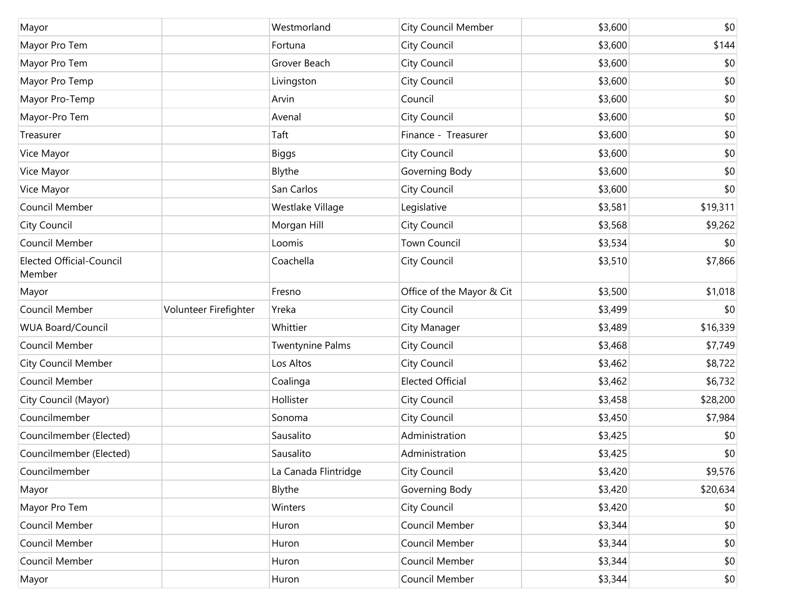| Mayor                                     |                       | Westmorland             | City Council Member       | \$3,600 | \$0      |
|-------------------------------------------|-----------------------|-------------------------|---------------------------|---------|----------|
| Mayor Pro Tem                             |                       | Fortuna                 | City Council              | \$3,600 | \$144    |
| Mayor Pro Tem                             |                       | Grover Beach            | City Council              | \$3,600 | \$0      |
| Mayor Pro Temp                            |                       | Livingston              | City Council              | \$3,600 | \$0      |
| Mayor Pro-Temp                            |                       | Arvin                   | Council                   | \$3,600 | \$0      |
| Mayor-Pro Tem                             |                       | Avenal                  | City Council              | \$3,600 | \$0      |
| Treasurer                                 |                       | Taft                    | Finance - Treasurer       | \$3,600 | \$0      |
| Vice Mayor                                |                       | <b>Biggs</b>            | City Council              | \$3,600 | \$0      |
| Vice Mayor                                |                       | Blythe                  | Governing Body            | \$3,600 | \$0      |
| Vice Mayor                                |                       | San Carlos              | City Council              | \$3,600 | \$0      |
| Council Member                            |                       | Westlake Village        | Legislative               | \$3,581 | \$19,311 |
| City Council                              |                       | Morgan Hill             | City Council              | \$3,568 | \$9,262  |
| Council Member                            |                       | Loomis                  | <b>Town Council</b>       | \$3,534 | \$0      |
| <b>Elected Official-Council</b><br>Member |                       | Coachella               | City Council              | \$3,510 | \$7,866  |
| Mayor                                     |                       | Fresno                  | Office of the Mayor & Cit | \$3,500 | \$1,018  |
| Council Member                            | Volunteer Firefighter | Yreka                   | City Council              | \$3,499 | \$0      |
| <b>WUA Board/Council</b>                  |                       | Whittier                | City Manager              | \$3,489 | \$16,339 |
| Council Member                            |                       | <b>Twentynine Palms</b> | City Council              | \$3,468 | \$7,749  |
| <b>City Council Member</b>                |                       | Los Altos               | City Council              | \$3,462 | \$8,722  |
| Council Member                            |                       | Coalinga                | <b>Elected Official</b>   | \$3,462 | \$6,732  |
| City Council (Mayor)                      |                       | Hollister               | City Council              | \$3,458 | \$28,200 |
| Councilmember                             |                       | Sonoma                  | City Council              | \$3,450 | \$7,984  |
| Councilmember (Elected)                   |                       | Sausalito               | Administration            | \$3,425 | \$0      |
| Councilmember (Elected)                   |                       | Sausalito               | Administration            | \$3,425 | \$0      |
| Councilmember                             |                       | La Canada Flintridge    | City Council              | \$3,420 | \$9,576  |
| Mayor                                     |                       | Blythe                  | Governing Body            | \$3,420 | \$20,634 |
| Mayor Pro Tem                             |                       | Winters                 | City Council              | \$3,420 | \$0      |
| Council Member                            |                       | Huron                   | Council Member            | \$3,344 | \$0      |
| Council Member                            |                       | Huron                   | Council Member            | \$3,344 | \$0      |
| Council Member                            |                       | Huron                   | Council Member            | \$3,344 | \$0      |
| Mayor                                     |                       | Huron                   | Council Member            | \$3,344 | \$0      |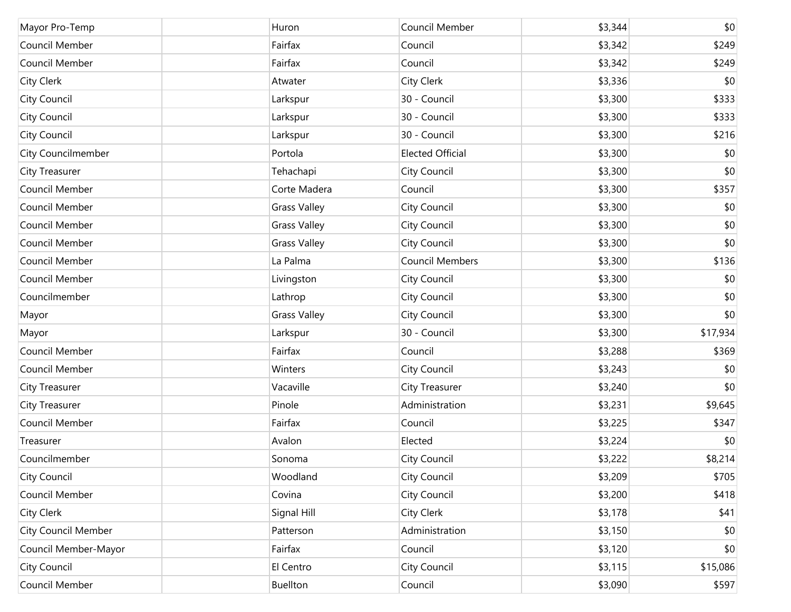| Mayor Pro-Temp             | Huron               | Council Member          | \$3,344 | \$0      |
|----------------------------|---------------------|-------------------------|---------|----------|
| Council Member             | Fairfax             | Council                 | \$3,342 | \$249    |
| Council Member             | Fairfax             | Council                 | \$3,342 | \$249    |
| City Clerk                 | Atwater             | City Clerk              | \$3,336 | \$0      |
| City Council               | Larkspur            | 30 - Council            | \$3,300 | \$333    |
| City Council               | Larkspur            | 30 - Council            | \$3,300 | \$333    |
| City Council               | Larkspur            | 30 - Council            | \$3,300 | \$216    |
| City Councilmember         | Portola             | <b>Elected Official</b> | \$3,300 | \$0      |
| City Treasurer             | Tehachapi           | City Council            | \$3,300 | \$0      |
| Council Member             | Corte Madera        | Council                 | \$3,300 | \$357    |
| Council Member             | <b>Grass Valley</b> | City Council            | \$3,300 | \$0      |
| Council Member             | <b>Grass Valley</b> | City Council            | \$3,300 | \$0      |
| Council Member             | <b>Grass Valley</b> | City Council            | \$3,300 | \$0      |
| Council Member             | La Palma            | <b>Council Members</b>  | \$3,300 | \$136    |
| Council Member             | Livingston          | City Council            | \$3,300 | \$0      |
| Councilmember              | Lathrop             | City Council            | \$3,300 | \$0      |
| Mayor                      | <b>Grass Valley</b> | City Council            | \$3,300 | \$0      |
| Mayor                      | Larkspur            | 30 - Council            | \$3,300 | \$17,934 |
| Council Member             | Fairfax             | Council                 | \$3,288 | \$369    |
| Council Member             | Winters             | City Council            | \$3,243 | \$0      |
| City Treasurer             | Vacaville           | City Treasurer          | \$3,240 | \$0      |
| City Treasurer             | Pinole              | Administration          | \$3,231 | \$9,645  |
| Council Member             | Fairfax             | Council                 | \$3,225 | \$347    |
| Treasurer                  | Avalon              | Elected                 | \$3,224 | \$0      |
| Councilmember              | Sonoma              | City Council            | \$3,222 | \$8,214  |
| City Council               | Woodland            | City Council            | \$3,209 | \$705    |
| Council Member             | Covina              | City Council            | \$3,200 | \$418    |
| City Clerk                 | Signal Hill         | City Clerk              | \$3,178 | \$41     |
| <b>City Council Member</b> | Patterson           | Administration          | \$3,150 | \$0      |
| Council Member-Mayor       | Fairfax             | Council                 | \$3,120 | \$0      |
| City Council               | El Centro           | City Council            | \$3,115 | \$15,086 |
| Council Member             | Buellton            | Council                 | \$3,090 | \$597    |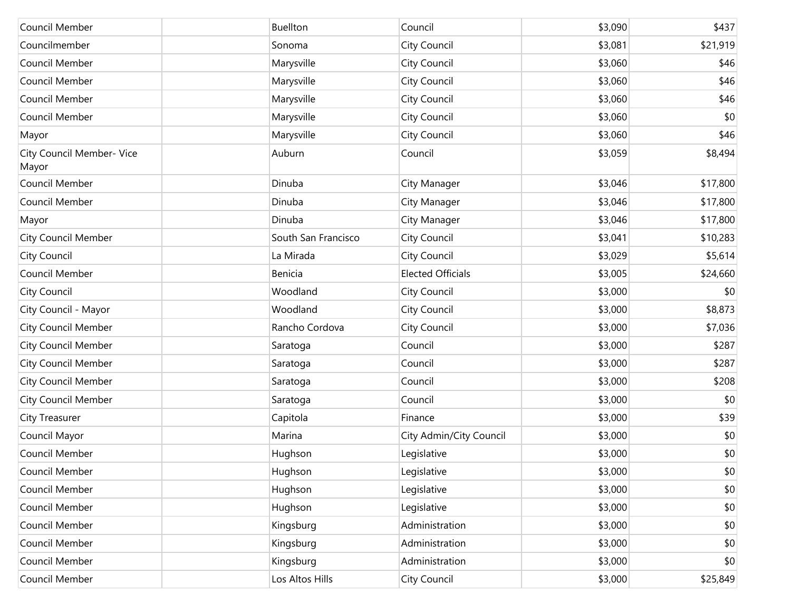| Council Member                     | <b>Buellton</b>     | Council                  | \$3,090 | \$437    |
|------------------------------------|---------------------|--------------------------|---------|----------|
| Councilmember                      | Sonoma              | City Council             | \$3,081 | \$21,919 |
| Council Member                     | Marysville          | City Council             | \$3,060 | \$46     |
| Council Member                     | Marysville          | City Council             | \$3,060 | \$46     |
| Council Member                     | Marysville          | City Council             | \$3,060 | \$46     |
| Council Member                     | Marysville          | City Council             | \$3,060 | \$0      |
| Mayor                              | Marysville          | City Council             | \$3,060 | \$46     |
| City Council Member- Vice<br>Mayor | Auburn              | Council                  | \$3,059 | \$8,494  |
| Council Member                     | Dinuba              | City Manager             | \$3,046 | \$17,800 |
| Council Member                     | Dinuba              | City Manager             | \$3,046 | \$17,800 |
| Mayor                              | Dinuba              | City Manager             | \$3,046 | \$17,800 |
| <b>City Council Member</b>         | South San Francisco | City Council             | \$3,041 | \$10,283 |
| <b>City Council</b>                | La Mirada           | City Council             | \$3,029 | \$5,614  |
| Council Member                     | Benicia             | <b>Elected Officials</b> | \$3,005 | \$24,660 |
| <b>City Council</b>                | Woodland            | City Council             | \$3,000 | \$0      |
| City Council - Mayor               | Woodland            | City Council             | \$3,000 | \$8,873  |
| <b>City Council Member</b>         | Rancho Cordova      | City Council             | \$3,000 | \$7,036  |
| <b>City Council Member</b>         | Saratoga            | Council                  | \$3,000 | \$287    |
| <b>City Council Member</b>         | Saratoga            | Council                  | \$3,000 | \$287    |
| City Council Member                | Saratoga            | Council                  | \$3,000 | \$208    |
| <b>City Council Member</b>         | Saratoga            | Council                  | \$3,000 | \$0      |
| City Treasurer                     | Capitola            | Finance                  | \$3,000 | \$39     |
| Council Mayor                      | Marina              | City Admin/City Council  | \$3,000 | \$0      |
| Council Member                     | Hughson             | Legislative              | \$3,000 | \$0      |
| Council Member                     | Hughson             | Legislative              | \$3,000 | \$0      |
| Council Member                     | Hughson             | Legislative              | \$3,000 | \$0      |
| Council Member                     | Hughson             | Legislative              | \$3,000 | \$0      |
| Council Member                     | Kingsburg           | Administration           | \$3,000 | \$0      |
| Council Member                     | Kingsburg           | Administration           | \$3,000 | \$0      |
| Council Member                     | Kingsburg           | Administration           | \$3,000 | \$0      |
| Council Member                     | Los Altos Hills     | City Council             | \$3,000 | \$25,849 |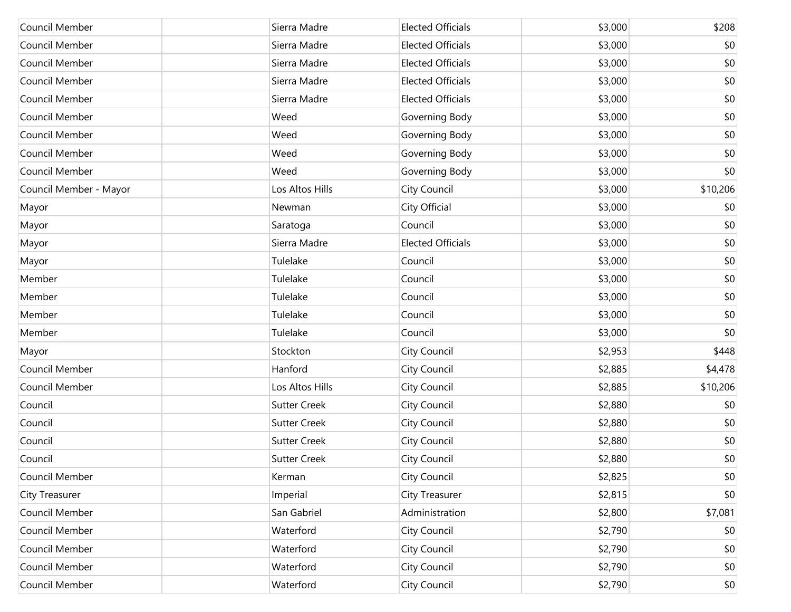| Council Member         | Sierra Madre        | <b>Elected Officials</b> | \$3,000 | \$208    |
|------------------------|---------------------|--------------------------|---------|----------|
| Council Member         | Sierra Madre        | <b>Elected Officials</b> | \$3,000 | \$0      |
| Council Member         | Sierra Madre        | <b>Elected Officials</b> | \$3,000 | \$0      |
| Council Member         | Sierra Madre        | <b>Elected Officials</b> | \$3,000 | \$0      |
| Council Member         | Sierra Madre        | <b>Elected Officials</b> | \$3,000 | \$0      |
| Council Member         | Weed                | Governing Body           | \$3,000 | \$0      |
| Council Member         | Weed                | Governing Body           | \$3,000 | \$0      |
| Council Member         | Weed                | Governing Body           | \$3,000 | \$0      |
| Council Member         | Weed                | Governing Body           | \$3,000 | \$0      |
| Council Member - Mayor | Los Altos Hills     | City Council             | \$3,000 | \$10,206 |
| Mayor                  | Newman              | City Official            | \$3,000 | \$0      |
| Mayor                  | Saratoga            | Council                  | \$3,000 | \$0      |
| Mayor                  | Sierra Madre        | <b>Elected Officials</b> | \$3,000 | \$0      |
| Mayor                  | Tulelake            | Council                  | \$3,000 | \$0      |
| Member                 | Tulelake            | Council                  | \$3,000 | \$0      |
| Member                 | Tulelake            | Council                  | \$3,000 | \$0      |
| Member                 | Tulelake            | Council                  | \$3,000 | \$0      |
| Member                 | Tulelake            | Council                  | \$3,000 | \$0      |
| Mayor                  | Stockton            | City Council             | \$2,953 | \$448    |
| Council Member         | Hanford             | City Council             | \$2,885 | \$4,478  |
| Council Member         | Los Altos Hills     | City Council             | \$2,885 | \$10,206 |
| Council                | <b>Sutter Creek</b> | City Council             | \$2,880 | \$0      |
| Council                | <b>Sutter Creek</b> | City Council             | \$2,880 | \$0      |
| Council                | <b>Sutter Creek</b> | City Council             | \$2,880 | \$0      |
| Council                | <b>Sutter Creek</b> | City Council             | \$2,880 | \$0      |
| Council Member         | Kerman              | City Council             | \$2,825 | \$0      |
| <b>City Treasurer</b>  | Imperial            | City Treasurer           | \$2,815 | \$0      |
| Council Member         | San Gabriel         | Administration           | \$2,800 | \$7,081  |
| Council Member         | Waterford           | City Council             | \$2,790 | \$0      |
| Council Member         | Waterford           | City Council             | \$2,790 | \$0      |
| Council Member         | Waterford           | City Council             | \$2,790 | \$0      |
| Council Member         | Waterford           | City Council             | \$2,790 | $$0$$    |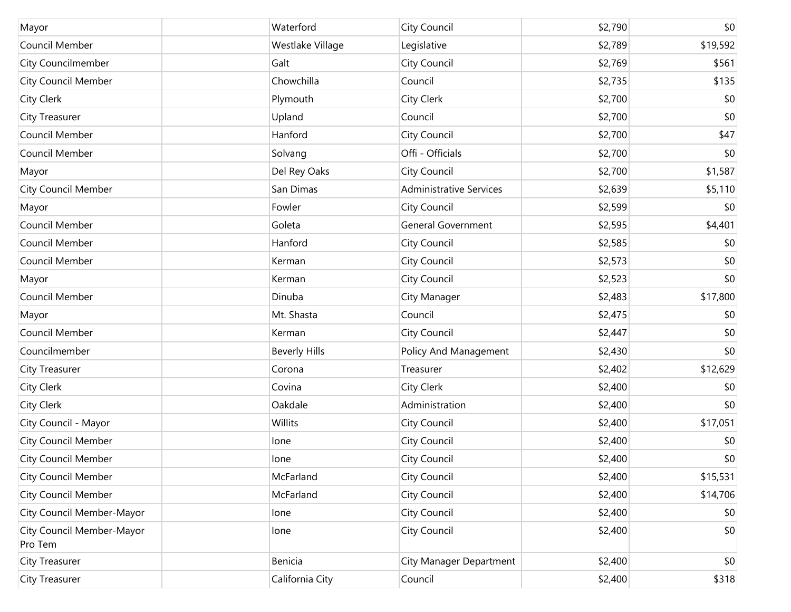| Mayor                                | Waterford            | City Council                   | \$2,790 | \$0      |
|--------------------------------------|----------------------|--------------------------------|---------|----------|
| Council Member                       | Westlake Village     | Legislative                    | \$2,789 | \$19,592 |
| <b>City Councilmember</b>            | Galt                 | City Council                   | \$2,769 | \$561    |
| <b>City Council Member</b>           | Chowchilla           | Council                        | \$2,735 | \$135    |
| City Clerk                           | Plymouth             | City Clerk                     | \$2,700 | \$0      |
| <b>City Treasurer</b>                | Upland               | Council                        | \$2,700 | \$0      |
| Council Member                       | Hanford              | City Council                   | \$2,700 | \$47     |
| Council Member                       | Solvang              | Offi - Officials               | \$2,700 | \$0      |
| Mayor                                | Del Rey Oaks         | City Council                   | \$2,700 | \$1,587  |
| <b>City Council Member</b>           | San Dimas            | <b>Administrative Services</b> | \$2,639 | \$5,110  |
| Mayor                                | Fowler               | City Council                   | \$2,599 | \$0      |
| Council Member                       | Goleta               | <b>General Government</b>      | \$2,595 | \$4,401  |
| Council Member                       | Hanford              | City Council                   | \$2,585 | \$0      |
| Council Member                       | Kerman               | City Council                   | \$2,573 | \$0      |
| Mayor                                | Kerman               | City Council                   | \$2,523 | \$0      |
| Council Member                       | Dinuba               | City Manager                   | \$2,483 | \$17,800 |
| Mayor                                | Mt. Shasta           | Council                        | \$2,475 | \$0      |
| Council Member                       | Kerman               | City Council                   | \$2,447 | \$0      |
| Councilmember                        | <b>Beverly Hills</b> | Policy And Management          | \$2,430 | \$0      |
| <b>City Treasurer</b>                | Corona               | Treasurer                      | \$2,402 | \$12,629 |
| City Clerk                           | Covina               | City Clerk                     | \$2,400 | \$0      |
| <b>City Clerk</b>                    | Oakdale              | Administration                 | \$2,400 | \$0      |
| City Council - Mayor                 | Willits              | City Council                   | \$2,400 | \$17,051 |
| <b>City Council Member</b>           | lone                 | City Council                   | \$2,400 | \$0      |
| <b>City Council Member</b>           | lone                 | City Council                   | \$2,400 | \$0      |
| <b>City Council Member</b>           | McFarland            | City Council                   | \$2,400 | \$15,531 |
| <b>City Council Member</b>           | McFarland            | City Council                   | \$2,400 | \$14,706 |
| City Council Member-Mayor            | lone                 | City Council                   | \$2,400 | \$0      |
| City Council Member-Mayor<br>Pro Tem | lone                 | City Council                   | \$2,400 | \$0      |
| City Treasurer                       | Benicia              | City Manager Department        | \$2,400 | \$0      |
| City Treasurer                       | California City      | Council                        | \$2,400 | \$318    |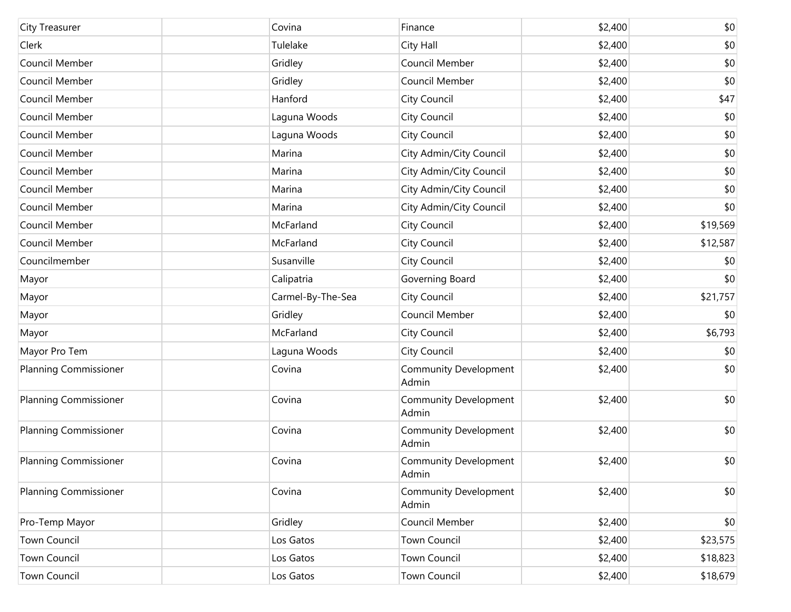| City Treasurer               | Covina            | Finance                               | \$2,400 | \$0      |
|------------------------------|-------------------|---------------------------------------|---------|----------|
| Clerk                        | Tulelake          | City Hall                             | \$2,400 | \$0      |
| Council Member               | Gridley           | Council Member                        | \$2,400 | \$0      |
| Council Member               | Gridley           | Council Member                        | \$2,400 | \$0      |
| Council Member               | Hanford           | City Council                          | \$2,400 | \$47     |
| Council Member               | Laguna Woods      | City Council                          | \$2,400 | \$0      |
| Council Member               | Laguna Woods      | City Council                          | \$2,400 | \$0      |
| Council Member               | Marina            | City Admin/City Council               | \$2,400 | \$0      |
| Council Member               | Marina            | City Admin/City Council               | \$2,400 | \$0      |
| Council Member               | Marina            | City Admin/City Council               | \$2,400 | \$0      |
| Council Member               | Marina            | City Admin/City Council               | \$2,400 | \$0      |
| Council Member               | McFarland         | City Council                          | \$2,400 | \$19,569 |
| Council Member               | McFarland         | City Council                          | \$2,400 | \$12,587 |
| Councilmember                | Susanville        | City Council                          | \$2,400 | \$0      |
| Mayor                        | Calipatria        | Governing Board                       | \$2,400 | \$0      |
| Mayor                        | Carmel-By-The-Sea | City Council                          | \$2,400 | \$21,757 |
| Mayor                        | Gridley           | Council Member                        | \$2,400 | \$0      |
| Mayor                        | McFarland         | City Council                          | \$2,400 | \$6,793  |
| Mayor Pro Tem                | Laguna Woods      | City Council                          | \$2,400 | \$0      |
| <b>Planning Commissioner</b> | Covina            | Community Development<br>Admin        | \$2,400 | \$0      |
| <b>Planning Commissioner</b> | Covina            | Community Development<br>Admin        | \$2,400 | \$0      |
| <b>Planning Commissioner</b> | Covina            | <b>Community Development</b><br>Admin | \$2,400 | \$0      |
| <b>Planning Commissioner</b> | Covina            | <b>Community Development</b><br>Admin | \$2,400 | \$0      |
| <b>Planning Commissioner</b> | Covina            | <b>Community Development</b><br>Admin | \$2,400 | \$0      |
| Pro-Temp Mayor               | Gridley           | Council Member                        | \$2,400 | \$0      |
| <b>Town Council</b>          | Los Gatos         | <b>Town Council</b>                   | \$2,400 | \$23,575 |
| Town Council                 | Los Gatos         | <b>Town Council</b>                   | \$2,400 | \$18,823 |
| <b>Town Council</b>          | Los Gatos         | Town Council                          | \$2,400 | \$18,679 |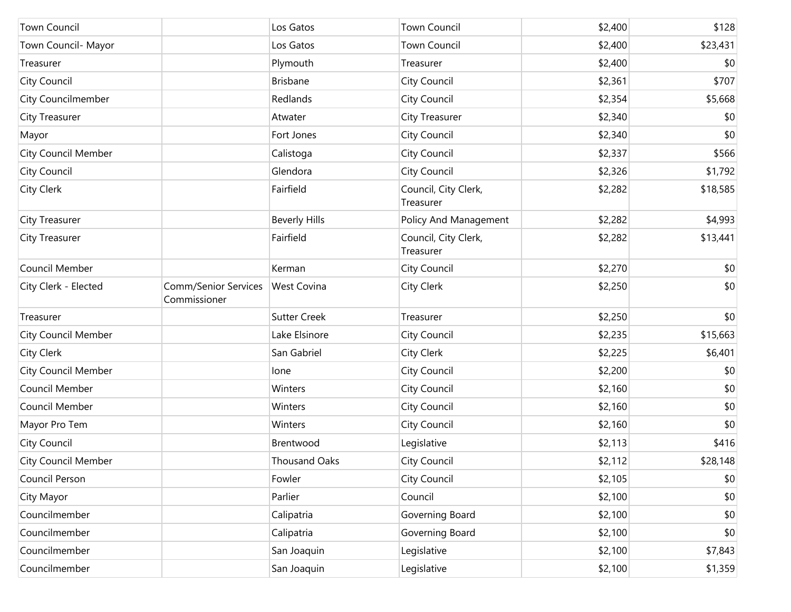| <b>Town Council</b>        |                                      | Los Gatos            | <b>Town Council</b>               | \$2,400 | \$128    |
|----------------------------|--------------------------------------|----------------------|-----------------------------------|---------|----------|
| Town Council- Mayor        |                                      | Los Gatos            | <b>Town Council</b>               | \$2,400 | \$23,431 |
| Treasurer                  |                                      | Plymouth             | Treasurer                         | \$2,400 | \$0      |
| City Council               |                                      | <b>Brisbane</b>      | City Council                      | \$2,361 | \$707    |
| <b>City Councilmember</b>  |                                      | Redlands             | City Council                      | \$2,354 | \$5,668  |
| City Treasurer             |                                      | Atwater              | City Treasurer                    | \$2,340 | \$0      |
| Mayor                      |                                      | Fort Jones           | City Council                      | \$2,340 | \$0      |
| <b>City Council Member</b> |                                      | Calistoga            | City Council                      | \$2,337 | \$566    |
| City Council               |                                      | Glendora             | City Council                      | \$2,326 | \$1,792  |
| City Clerk                 |                                      | Fairfield            | Council, City Clerk,<br>Treasurer | \$2,282 | \$18,585 |
| City Treasurer             |                                      | <b>Beverly Hills</b> | Policy And Management             | \$2,282 | \$4,993  |
| City Treasurer             |                                      | Fairfield            | Council, City Clerk,<br>Treasurer | \$2,282 | \$13,441 |
| Council Member             |                                      | Kerman               | City Council                      | \$2,270 | \$0      |
| City Clerk - Elected       | Comm/Senior Services<br>Commissioner | West Covina          | <b>City Clerk</b>                 | \$2,250 | \$0      |
| Treasurer                  |                                      | <b>Sutter Creek</b>  | Treasurer                         | \$2,250 | \$0      |
| <b>City Council Member</b> |                                      | Lake Elsinore        | City Council                      | \$2,235 | \$15,663 |
| City Clerk                 |                                      | San Gabriel          | City Clerk                        | \$2,225 | \$6,401  |
| <b>City Council Member</b> |                                      | lone                 | City Council                      | \$2,200 | \$0      |
| Council Member             |                                      | Winters              | City Council                      | \$2,160 | \$0      |
| Council Member             |                                      | Winters              | City Council                      | \$2,160 | \$0      |
| Mayor Pro Tem              |                                      | Winters              | City Council                      | \$2,160 | \$0      |
| City Council               |                                      | Brentwood            | Legislative                       | \$2,113 | \$416    |
| <b>City Council Member</b> |                                      | <b>Thousand Oaks</b> | City Council                      | \$2,112 | \$28,148 |
| Council Person             |                                      | Fowler               | City Council                      | \$2,105 | \$0      |
| City Mayor                 |                                      | Parlier              | Council                           | \$2,100 | \$0      |
| Councilmember              |                                      | Calipatria           | Governing Board                   | \$2,100 | \$0      |
| Councilmember              |                                      | Calipatria           | Governing Board                   | \$2,100 | \$0      |
| Councilmember              |                                      | San Joaquin          | Legislative                       | \$2,100 | \$7,843  |
| Councilmember              |                                      | San Joaquin          | Legislative                       | \$2,100 | \$1,359  |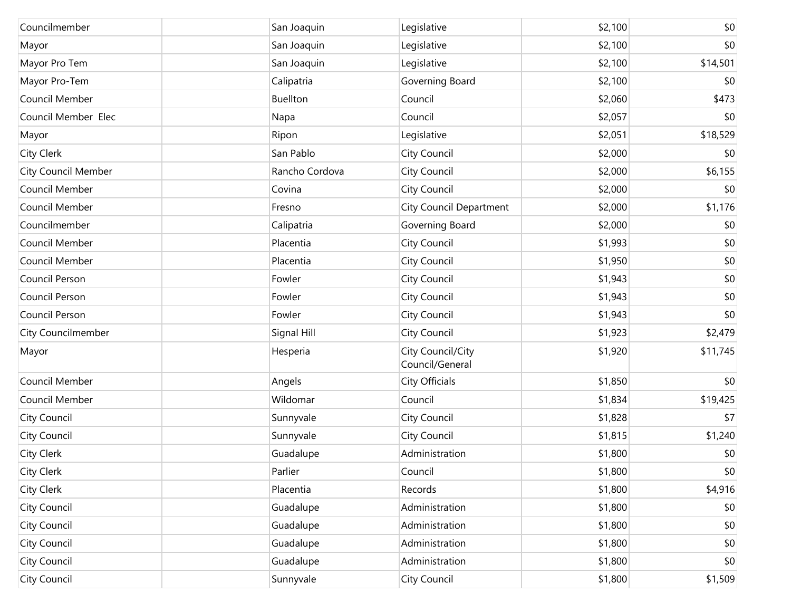| Councilmember              | San Joaquin     | Legislative                          | \$2,100 | \$0      |
|----------------------------|-----------------|--------------------------------------|---------|----------|
| Mayor                      | San Joaquin     | Legislative                          | \$2,100 | \$0      |
| Mayor Pro Tem              | San Joaquin     | Legislative                          | \$2,100 | \$14,501 |
| Mayor Pro-Tem              | Calipatria      | Governing Board                      | \$2,100 | \$0      |
| Council Member             | <b>Buellton</b> | Council                              | \$2,060 | \$473    |
| Council Member Elec        | Napa            | Council                              | \$2,057 | \$0      |
| Mayor                      | Ripon           | Legislative                          | \$2,051 | \$18,529 |
| City Clerk                 | San Pablo       | City Council                         | \$2,000 | \$0      |
| <b>City Council Member</b> | Rancho Cordova  | City Council                         | \$2,000 | \$6,155  |
| Council Member             | Covina          | City Council                         | \$2,000 | \$0      |
| Council Member             | Fresno          | <b>City Council Department</b>       | \$2,000 | \$1,176  |
| Councilmember              | Calipatria      | Governing Board                      | \$2,000 | \$0      |
| Council Member             | Placentia       | City Council                         | \$1,993 | \$0      |
| Council Member             | Placentia       | City Council                         | \$1,950 | \$0      |
| Council Person             | Fowler          | City Council                         | \$1,943 | \$0      |
| Council Person             | Fowler          | City Council                         | \$1,943 | \$0      |
| Council Person             | Fowler          | City Council                         | \$1,943 | \$0      |
| City Councilmember         | Signal Hill     | City Council                         | \$1,923 | \$2,479  |
| Mayor                      | Hesperia        | City Council/City<br>Council/General | \$1,920 | \$11,745 |
| Council Member             | Angels          | City Officials                       | \$1,850 | \$0      |
| Council Member             | Wildomar        | Council                              | \$1,834 | \$19,425 |
| City Council               | Sunnyvale       | City Council                         | \$1,828 | \$7      |
| City Council               | Sunnyvale       | City Council                         | \$1,815 | \$1,240  |
| City Clerk                 | Guadalupe       | Administration                       | \$1,800 | \$0      |
| City Clerk                 | Parlier         | Council                              | \$1,800 | \$0      |
| City Clerk                 | Placentia       | Records                              | \$1,800 | \$4,916  |
| City Council               | Guadalupe       | Administration                       | \$1,800 | \$0      |
| City Council               | Guadalupe       | Administration                       | \$1,800 | \$0      |
| City Council               | Guadalupe       | Administration                       | \$1,800 | \$0      |
| City Council               | Guadalupe       | Administration                       | \$1,800 | \$0      |
| City Council               | Sunnyvale       | City Council                         | \$1,800 | \$1,509  |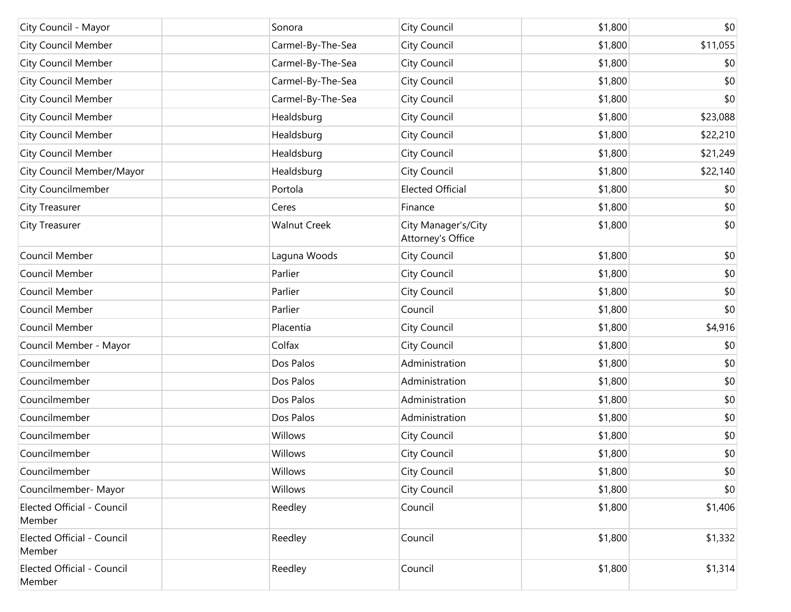| City Council - Mayor                 | Sonora              | City Council                             | \$1,800 | \$0      |
|--------------------------------------|---------------------|------------------------------------------|---------|----------|
| City Council Member                  | Carmel-By-The-Sea   | City Council                             | \$1,800 | \$11,055 |
| <b>City Council Member</b>           | Carmel-By-The-Sea   | City Council                             | \$1,800 | \$0      |
| <b>City Council Member</b>           | Carmel-By-The-Sea   | City Council                             | \$1,800 | \$0      |
| <b>City Council Member</b>           | Carmel-By-The-Sea   | City Council                             | \$1,800 | \$0      |
| <b>City Council Member</b>           | Healdsburg          | City Council                             | \$1,800 | \$23,088 |
| <b>City Council Member</b>           | Healdsburg          | City Council                             | \$1,800 | \$22,210 |
| City Council Member                  | Healdsburg          | City Council                             | \$1,800 | \$21,249 |
| City Council Member/Mayor            | Healdsburg          | City Council                             | \$1,800 | \$22,140 |
| City Councilmember                   | Portola             | <b>Elected Official</b>                  | \$1,800 | \$0      |
| <b>City Treasurer</b>                | Ceres               | Finance                                  | \$1,800 | \$0      |
| City Treasurer                       | <b>Walnut Creek</b> | City Manager's/City<br>Attorney's Office | \$1,800 | \$0      |
| Council Member                       | Laguna Woods        | City Council                             | \$1,800 | \$0      |
| Council Member                       | Parlier             | City Council                             | \$1,800 | \$0      |
| Council Member                       | Parlier             | City Council                             | \$1,800 | \$0      |
| Council Member                       | Parlier             | Council                                  | \$1,800 | \$0      |
| Council Member                       | Placentia           | City Council                             | \$1,800 | \$4,916  |
| Council Member - Mayor               | Colfax              | City Council                             | \$1,800 | \$0      |
| Councilmember                        | Dos Palos           | Administration                           | \$1,800 | \$0      |
| Councilmember                        | Dos Palos           | Administration                           | \$1,800 | \$0      |
| Councilmember                        | Dos Palos           | Administration                           | \$1,800 | \$0      |
| Councilmember                        | Dos Palos           | Administration                           | \$1,800 | \$0      |
| Councilmember                        | Willows             | City Council                             | \$1,800 | \$0      |
| Councilmember                        | Willows             | City Council                             | \$1,800 | \$0      |
| Councilmember                        | Willows             | City Council                             | \$1,800 | \$0      |
| Councilmember- Mayor                 | Willows             | City Council                             | \$1,800 | \$0      |
| Elected Official - Council<br>Member | Reedley             | Council                                  | \$1,800 | \$1,406  |
| Elected Official - Council<br>Member | Reedley             | Council                                  | \$1,800 | \$1,332  |
| Elected Official - Council<br>Member | Reedley             | Council                                  | \$1,800 | \$1,314  |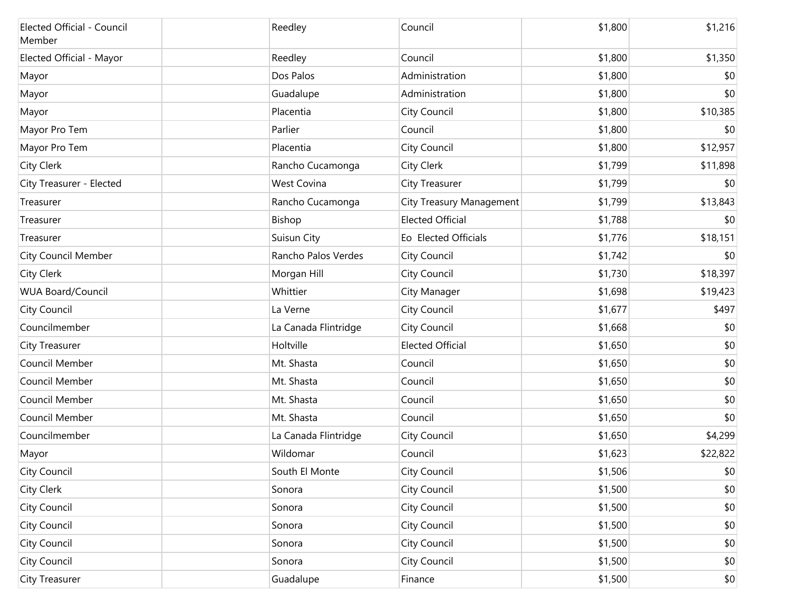| Elected Official - Council<br>Member | Reedley              | Council                         | \$1,800 | \$1,216  |
|--------------------------------------|----------------------|---------------------------------|---------|----------|
| Elected Official - Mayor             | Reedley              | Council                         | \$1,800 | \$1,350  |
| Mayor                                | Dos Palos            | Administration                  | \$1,800 | \$0      |
| Mayor                                | Guadalupe            | Administration                  | \$1,800 | \$0      |
| Mayor                                | Placentia            | <b>City Council</b>             | \$1,800 | \$10,385 |
| Mayor Pro Tem                        | Parlier              | Council                         | \$1,800 | \$0      |
| Mayor Pro Tem                        | Placentia            | <b>City Council</b>             | \$1,800 | \$12,957 |
| City Clerk                           | Rancho Cucamonga     | City Clerk                      | \$1,799 | \$11,898 |
| City Treasurer - Elected             | <b>West Covina</b>   | City Treasurer                  | \$1,799 | \$0      |
| Treasurer                            | Rancho Cucamonga     | <b>City Treasury Management</b> | \$1,799 | \$13,843 |
| Treasurer                            | Bishop               | <b>Elected Official</b>         | \$1,788 | \$0      |
| Treasurer                            | Suisun City          | Eo Elected Officials            | \$1,776 | \$18,151 |
| <b>City Council Member</b>           | Rancho Palos Verdes  | City Council                    | \$1,742 | \$0      |
| City Clerk                           | Morgan Hill          | City Council                    | \$1,730 | \$18,397 |
| <b>WUA Board/Council</b>             | Whittier             | <b>City Manager</b>             | \$1,698 | \$19,423 |
| City Council                         | La Verne             | City Council                    | \$1,677 | \$497    |
| Councilmember                        | La Canada Flintridge | City Council                    | \$1,668 | \$0      |
| <b>City Treasurer</b>                | Holtville            | <b>Elected Official</b>         | \$1,650 | \$0      |
| Council Member                       | Mt. Shasta           | Council                         | \$1,650 | \$0      |
| Council Member                       | Mt. Shasta           | Council                         | \$1,650 | \$0      |
| Council Member                       | Mt. Shasta           | Council                         | \$1,650 | \$0      |
| Council Member                       | Mt. Shasta           | Council                         | \$1,650 | \$0      |
| Councilmember                        | La Canada Flintridge | <b>City Council</b>             | \$1,650 | \$4,299  |
| Mayor                                | Wildomar             | Council                         | \$1,623 | \$22,822 |
| City Council                         | South El Monte       | City Council                    | \$1,506 | \$0      |
| City Clerk                           | Sonora               | <b>City Council</b>             | \$1,500 | \$0      |
| City Council                         | Sonora               | <b>City Council</b>             | \$1,500 | $$0$$    |
| City Council                         | Sonora               | <b>City Council</b>             | \$1,500 | \$0      |
| City Council                         | Sonora               | <b>City Council</b>             | \$1,500 | $$0$$    |
| City Council                         | Sonora               | <b>City Council</b>             | \$1,500 | $$0$$    |
| City Treasurer                       | Guadalupe            | Finance                         | \$1,500 | \$0      |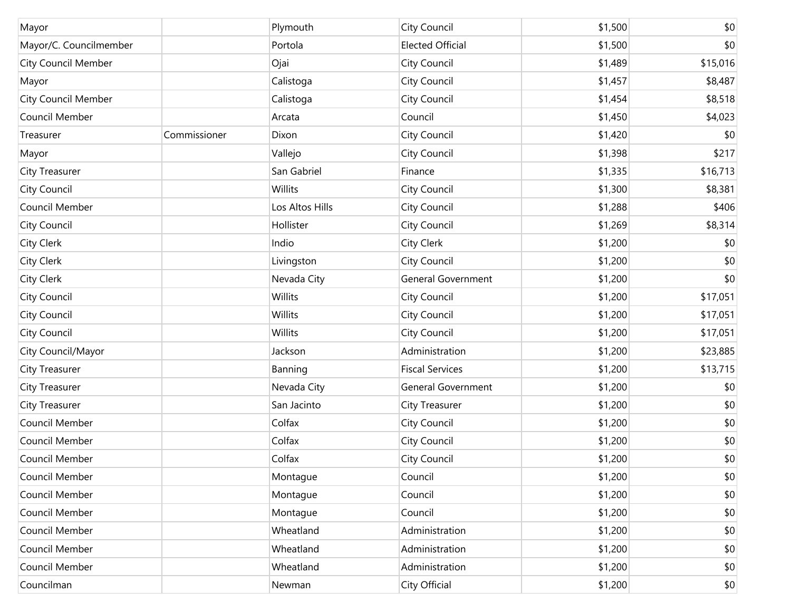| Mayor                      |              | Plymouth        | City Council              | \$1,500 | \$0      |
|----------------------------|--------------|-----------------|---------------------------|---------|----------|
| Mayor/C. Councilmember     |              | Portola         | <b>Elected Official</b>   | \$1,500 | \$0      |
| City Council Member        |              | Ojai            | City Council              | \$1,489 | \$15,016 |
| Mayor                      |              | Calistoga       | City Council              | \$1,457 | \$8,487  |
| <b>City Council Member</b> |              | Calistoga       | City Council              | \$1,454 | \$8,518  |
| Council Member             |              | Arcata          | Council                   | \$1,450 | \$4,023  |
| Treasurer                  | Commissioner | Dixon           | City Council              | \$1,420 | \$0      |
| Mayor                      |              | Vallejo         | City Council              | \$1,398 | \$217    |
| City Treasurer             |              | San Gabriel     | Finance                   | \$1,335 | \$16,713 |
| City Council               |              | Willits         | City Council              | \$1,300 | \$8,381  |
| Council Member             |              | Los Altos Hills | City Council              | \$1,288 | \$406    |
| City Council               |              | Hollister       | City Council              | \$1,269 | \$8,314  |
| <b>City Clerk</b>          |              | Indio           | <b>City Clerk</b>         | \$1,200 | \$0      |
| City Clerk                 |              | Livingston      | City Council              | \$1,200 | \$0      |
| City Clerk                 |              | Nevada City     | <b>General Government</b> | \$1,200 | \$0      |
| City Council               |              | Willits         | City Council              | \$1,200 | \$17,051 |
| City Council               |              | Willits         | City Council              | \$1,200 | \$17,051 |
| City Council               |              | Willits         | City Council              | \$1,200 | \$17,051 |
| City Council/Mayor         |              | Jackson         | Administration            | \$1,200 | \$23,885 |
| City Treasurer             |              | Banning         | <b>Fiscal Services</b>    | \$1,200 | \$13,715 |
| City Treasurer             |              | Nevada City     | General Government        | \$1,200 | \$0      |
| City Treasurer             |              | San Jacinto     | City Treasurer            | \$1,200 | \$0      |
| Council Member             |              | Colfax          | City Council              | \$1,200 | \$0      |
| Council Member             |              | Colfax          | City Council              | \$1,200 | \$0      |
| Council Member             |              | Colfax          | City Council              | \$1,200 | \$0      |
| Council Member             |              | Montague        | Council                   | \$1,200 | \$0      |
| Council Member             |              | Montague        | Council                   | \$1,200 | \$0      |
| Council Member             |              | Montague        | Council                   | \$1,200 | \$0      |
| Council Member             |              | Wheatland       | Administration            | \$1,200 | \$0      |
| Council Member             |              | Wheatland       | Administration            | \$1,200 | \$0      |
| Council Member             |              | Wheatland       | Administration            | \$1,200 | \$0      |
| Councilman                 |              | Newman          | City Official             | \$1,200 | \$0      |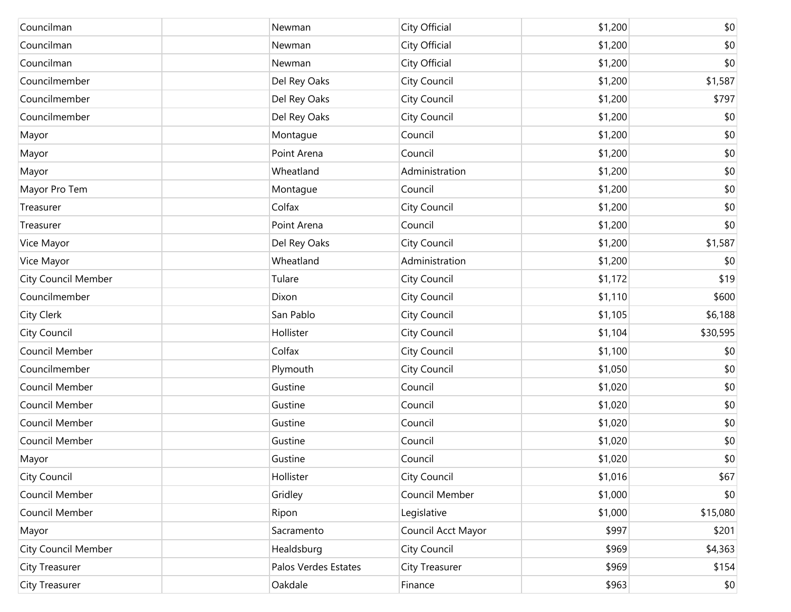| Councilman                 | Newman               | City Official      | \$1,200 | \$0      |
|----------------------------|----------------------|--------------------|---------|----------|
| Councilman                 | Newman               | City Official      | \$1,200 | \$0      |
| Councilman                 | Newman               | City Official      | \$1,200 | \$0      |
| Councilmember              | Del Rey Oaks         | City Council       | \$1,200 | \$1,587  |
| Councilmember              | Del Rey Oaks         | City Council       | \$1,200 | \$797    |
| Councilmember              | Del Rey Oaks         | City Council       | \$1,200 | \$0      |
| Mayor                      | Montague             | Council            | \$1,200 | \$0      |
| Mayor                      | Point Arena          | Council            | \$1,200 | \$0      |
| Mayor                      | Wheatland            | Administration     | \$1,200 | \$0      |
| Mayor Pro Tem              | Montague             | Council            | \$1,200 | \$0      |
| Treasurer                  | Colfax               | City Council       | \$1,200 | \$0      |
| Treasurer                  | Point Arena          | Council            | \$1,200 | \$0      |
| Vice Mayor                 | Del Rey Oaks         | City Council       | \$1,200 | \$1,587  |
| Vice Mayor                 | Wheatland            | Administration     | \$1,200 | \$0      |
| <b>City Council Member</b> | Tulare               | City Council       | \$1,172 | \$19     |
| Councilmember              | Dixon                | City Council       | \$1,110 | \$600    |
| City Clerk                 | San Pablo            | City Council       | \$1,105 | \$6,188  |
| City Council               | Hollister            | City Council       | \$1,104 | \$30,595 |
| Council Member             | Colfax               | City Council       | \$1,100 | \$0      |
| Councilmember              | Plymouth             | City Council       | \$1,050 | \$0      |
| Council Member             | Gustine              | Council            | \$1,020 | \$0      |
| Council Member             | Gustine              | Council            | \$1,020 | \$0      |
| Council Member             | Gustine              | Council            | \$1,020 | \$0      |
| Council Member             | Gustine              | Council            | \$1,020 | \$0      |
| Mayor                      | Gustine              | Council            | \$1,020 | \$0      |
| City Council               | Hollister            | City Council       | \$1,016 | \$67     |
| Council Member             | Gridley              | Council Member     | \$1,000 | \$0      |
| Council Member             | Ripon                | Legislative        | \$1,000 | \$15,080 |
| Mayor                      | Sacramento           | Council Acct Mayor | \$997   | \$201    |
| <b>City Council Member</b> | Healdsburg           | City Council       | \$969   | \$4,363  |
| City Treasurer             | Palos Verdes Estates | City Treasurer     | \$969   | \$154    |
| City Treasurer             | Oakdale              | Finance            | \$963   | \$0      |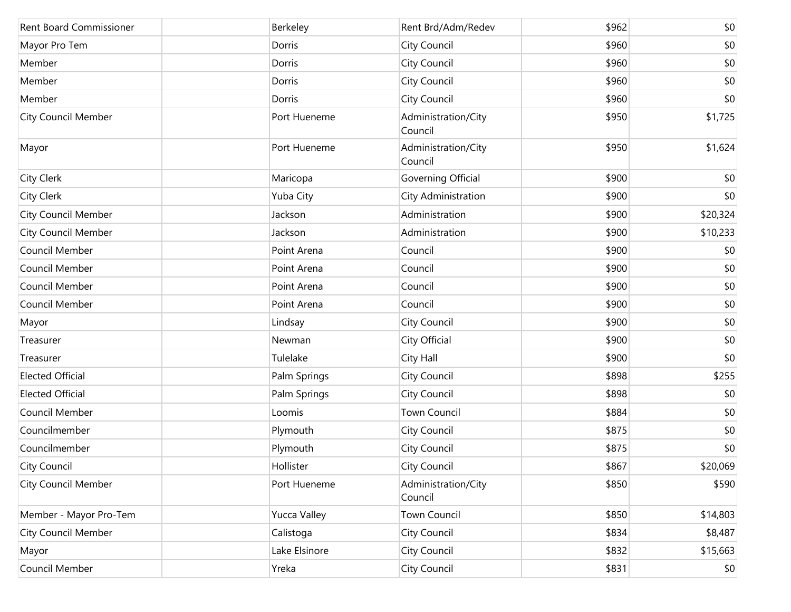| <b>Rent Board Commissioner</b> | Berkeley            | Rent Brd/Adm/Redev             | \$962 | \$0      |
|--------------------------------|---------------------|--------------------------------|-------|----------|
| Mayor Pro Tem                  | Dorris              | City Council                   | \$960 | \$0      |
| Member                         | Dorris              | City Council                   | \$960 | \$0      |
| Member                         | Dorris              | City Council                   | \$960 | \$0      |
| Member                         | Dorris              | City Council                   | \$960 | \$0      |
| <b>City Council Member</b>     | Port Hueneme        | Administration/City<br>Council | \$950 | \$1,725  |
| Mayor                          | Port Hueneme        | Administration/City<br>Council | \$950 | \$1,624  |
| City Clerk                     | Maricopa            | Governing Official             | \$900 | \$0      |
| <b>City Clerk</b>              | Yuba City           | City Administration            | \$900 | \$0      |
| <b>City Council Member</b>     | Jackson             | Administration                 | \$900 | \$20,324 |
| City Council Member            | Jackson             | Administration                 | \$900 | \$10,233 |
| Council Member                 | Point Arena         | Council                        | \$900 | \$0      |
| Council Member                 | Point Arena         | Council                        | \$900 | \$0      |
| Council Member                 | Point Arena         | Council                        | \$900 | \$0      |
| Council Member                 | Point Arena         | Council                        | \$900 | \$0      |
| Mayor                          | Lindsay             | City Council                   | \$900 | \$0      |
| Treasurer                      | Newman              | City Official                  | \$900 | \$0      |
| Treasurer                      | Tulelake            | City Hall                      | \$900 | \$0      |
| <b>Elected Official</b>        | Palm Springs        | City Council                   | \$898 | \$255    |
| <b>Elected Official</b>        | Palm Springs        | City Council                   | \$898 | \$0      |
| Council Member                 | Loomis              | <b>Town Council</b>            | \$884 | \$0      |
| Councilmember                  | Plymouth            | City Council                   | \$875 | \$0      |
| Councilmember                  | Plymouth            | City Council                   | \$875 | \$0      |
| City Council                   | Hollister           | City Council                   | \$867 | \$20,069 |
| <b>City Council Member</b>     | Port Hueneme        | Administration/City<br>Council | \$850 | \$590    |
| Member - Mayor Pro-Tem         | <b>Yucca Valley</b> | <b>Town Council</b>            | \$850 | \$14,803 |
| <b>City Council Member</b>     | Calistoga           | City Council                   | \$834 | \$8,487  |
| Mayor                          | Lake Elsinore       | City Council                   | \$832 | \$15,663 |
| Council Member                 | Yreka               | City Council                   | \$831 | \$0      |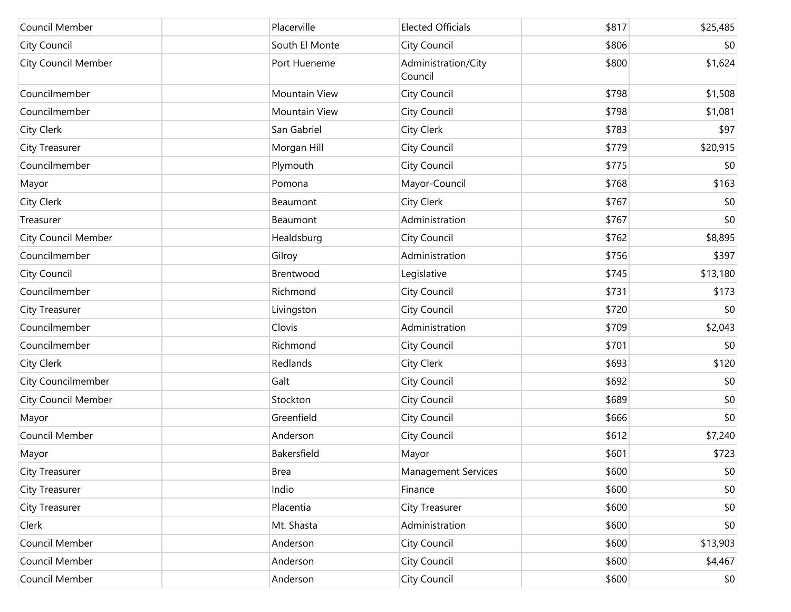| Council Member             | Placerville    | <b>Elected Officials</b>       | \$817 | \$25,485 |
|----------------------------|----------------|--------------------------------|-------|----------|
| <b>City Council</b>        | South El Monte | City Council                   | \$806 | \$0      |
| <b>City Council Member</b> | Port Hueneme   | Administration/City<br>Council | \$800 | \$1,624  |
| Councilmember              | Mountain View  | City Council                   | \$798 | \$1,508  |
| Councilmember              | Mountain View  | City Council                   | \$798 | \$1,081  |
| <b>City Clerk</b>          | San Gabriel    | City Clerk                     | \$783 | \$97     |
| <b>City Treasurer</b>      | Morgan Hill    | City Council                   | \$779 | \$20,915 |
| Councilmember              | Plymouth       | City Council                   | \$775 | \$0      |
| Mayor                      | Pomona         | Mayor-Council                  | \$768 | \$163    |
| <b>City Clerk</b>          | Beaumont       | City Clerk                     | \$767 | \$0      |
| Treasurer                  | Beaumont       | Administration                 | \$767 | \$0      |
| <b>City Council Member</b> | Healdsburg     | City Council                   | \$762 | \$8,895  |
| Councilmember              | Gilroy         | Administration                 | \$756 | \$397    |
| <b>City Council</b>        | Brentwood      | Legislative                    | \$745 | \$13,180 |
| Councilmember              | Richmond       | City Council                   | \$731 | \$173    |
| <b>City Treasurer</b>      | Livingston     | City Council                   | \$720 | \$0      |
| Councilmember              | Clovis         | Administration                 | \$709 | \$2,043  |
| Councilmember              | Richmond       | City Council                   | \$701 | \$0      |
| <b>City Clerk</b>          | Redlands       | City Clerk                     | \$693 | \$120    |
| City Councilmember         | Galt           | City Council                   | \$692 | \$0      |
| City Council Member        | Stockton       | City Council                   | \$689 | \$0      |
| Mayor                      | Greenfield     | City Council                   | \$666 | \$0      |
| Council Member             | Anderson       | City Council                   | \$612 | \$7,240  |
| Mayor                      | Bakersfield    | Mayor                          | \$601 | \$723    |
| <b>City Treasurer</b>      | <b>Brea</b>    | <b>Management Services</b>     | \$600 | \$0      |
| City Treasurer             | Indio          | Finance                        | \$600 | \$0      |
| City Treasurer             | Placentia      | City Treasurer                 | \$600 | \$0      |
| Clerk                      | Mt. Shasta     | Administration                 | \$600 | \$0      |
| Council Member             | Anderson       | City Council                   | \$600 | \$13,903 |
| Council Member             | Anderson       | City Council                   | \$600 | \$4,467  |
| Council Member             | Anderson       | City Council                   | \$600 | \$0      |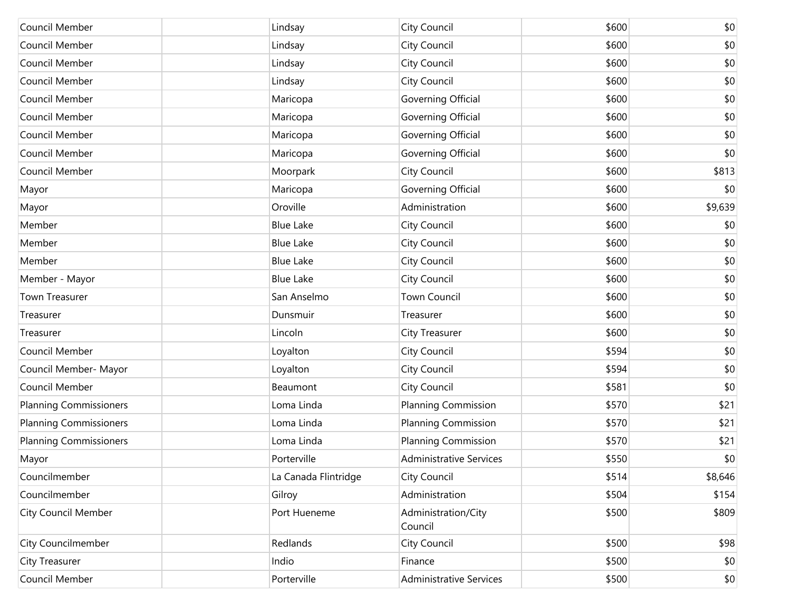| Council Member                | Lindsay              | City Council                   | \$600 | \$0     |
|-------------------------------|----------------------|--------------------------------|-------|---------|
| Council Member                | Lindsay              | City Council                   | \$600 | \$0     |
| Council Member                | Lindsay              | City Council                   | \$600 | \$0     |
| Council Member                | Lindsay              | City Council                   | \$600 | \$0     |
| Council Member                | Maricopa             | Governing Official             | \$600 | \$0     |
| Council Member                | Maricopa             | Governing Official             | \$600 | \$0     |
| Council Member                | Maricopa             | Governing Official             | \$600 | \$0     |
| Council Member                | Maricopa             | Governing Official             | \$600 | \$0     |
| Council Member                | Moorpark             | City Council                   | \$600 | \$813   |
| Mayor                         | Maricopa             | Governing Official             | \$600 | \$0     |
| Mayor                         | Oroville             | Administration                 | \$600 | \$9,639 |
| Member                        | <b>Blue Lake</b>     | City Council                   | \$600 | \$0     |
| Member                        | <b>Blue Lake</b>     | City Council                   | \$600 | \$0     |
| Member                        | <b>Blue Lake</b>     | City Council                   | \$600 | \$0     |
| Member - Mayor                | <b>Blue Lake</b>     | City Council                   | \$600 | \$0     |
| Town Treasurer                | San Anselmo          | <b>Town Council</b>            | \$600 | \$0     |
| Treasurer                     | Dunsmuir             | Treasurer                      | \$600 | \$0     |
| Treasurer                     | Lincoln              | <b>City Treasurer</b>          | \$600 | \$0     |
| Council Member                | Loyalton             | City Council                   | \$594 | \$0     |
| Council Member- Mayor         | Loyalton             | City Council                   | \$594 | \$0     |
| Council Member                | Beaumont             | City Council                   | \$581 | \$0     |
| <b>Planning Commissioners</b> | Loma Linda           | <b>Planning Commission</b>     | \$570 | \$21    |
| <b>Planning Commissioners</b> | Loma Linda           | <b>Planning Commission</b>     | \$570 | \$21    |
| <b>Planning Commissioners</b> | Loma Linda           | Planning Commission            | \$570 | \$21    |
| Mayor                         | Porterville          | <b>Administrative Services</b> | \$550 | \$0     |
| Councilmember                 | La Canada Flintridge | City Council                   | \$514 | \$8,646 |
| Councilmember                 | Gilroy               | Administration                 | \$504 | \$154   |
| <b>City Council Member</b>    | Port Hueneme         | Administration/City<br>Council | \$500 | \$809   |
| City Councilmember            | Redlands             | City Council                   | \$500 | \$98    |
| City Treasurer                | Indio                | Finance                        | \$500 | \$0     |
| Council Member                | Porterville          | <b>Administrative Services</b> | \$500 | \$0     |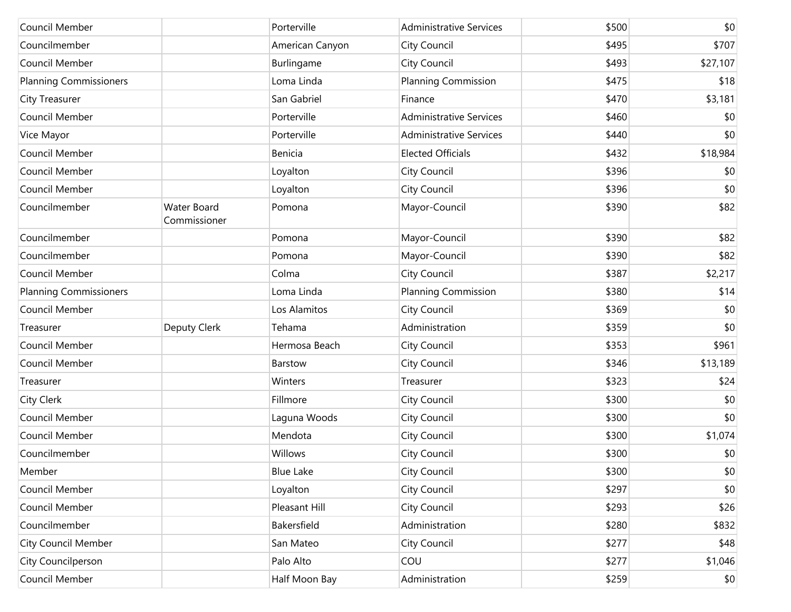| Council Member                |                                    | Porterville      | <b>Administrative Services</b> | \$500 | \$0      |
|-------------------------------|------------------------------------|------------------|--------------------------------|-------|----------|
| Councilmember                 |                                    | American Canyon  | City Council                   | \$495 | \$707    |
| Council Member                |                                    | Burlingame       | City Council                   | \$493 | \$27,107 |
| <b>Planning Commissioners</b> |                                    | Loma Linda       | <b>Planning Commission</b>     | \$475 | \$18     |
| City Treasurer                |                                    | San Gabriel      | Finance                        | \$470 | \$3,181  |
| Council Member                |                                    | Porterville      | <b>Administrative Services</b> | \$460 | \$0      |
| Vice Mayor                    |                                    | Porterville      | <b>Administrative Services</b> | \$440 | \$0      |
| Council Member                |                                    | Benicia          | <b>Elected Officials</b>       | \$432 | \$18,984 |
| Council Member                |                                    | Loyalton         | City Council                   | \$396 | \$0      |
| Council Member                |                                    | Loyalton         | City Council                   | \$396 | \$0      |
| Councilmember                 | <b>Water Board</b><br>Commissioner | Pomona           | Mayor-Council                  | \$390 | \$82     |
| Councilmember                 |                                    | Pomona           | Mayor-Council                  | \$390 | \$82     |
| Councilmember                 |                                    | Pomona           | Mayor-Council                  | \$390 | \$82     |
| Council Member                |                                    | Colma            | City Council                   | \$387 | \$2,217  |
| <b>Planning Commissioners</b> |                                    | Loma Linda       | <b>Planning Commission</b>     | \$380 | \$14     |
| Council Member                |                                    | Los Alamitos     | City Council                   | \$369 | \$0      |
| Treasurer                     | Deputy Clerk                       | Tehama           | Administration                 | \$359 | \$0      |
| Council Member                |                                    | Hermosa Beach    | City Council                   | \$353 | \$961    |
| Council Member                |                                    | Barstow          | City Council                   | \$346 | \$13,189 |
| Treasurer                     |                                    | Winters          | Treasurer                      | \$323 | \$24     |
| City Clerk                    |                                    | Fillmore         | City Council                   | \$300 | \$0      |
| Council Member                |                                    | Laguna Woods     | City Council                   | \$300 | \$0      |
| Council Member                |                                    | Mendota          | City Council                   | \$300 | \$1,074  |
| Councilmember                 |                                    | Willows          | City Council                   | \$300 | \$0      |
| Member                        |                                    | <b>Blue Lake</b> | City Council                   | \$300 | \$0      |
| Council Member                |                                    | Loyalton         | City Council                   | \$297 | \$0      |
| Council Member                |                                    | Pleasant Hill    | City Council                   | \$293 | \$26     |
| Councilmember                 |                                    | Bakersfield      | Administration                 | \$280 | \$832    |
| <b>City Council Member</b>    |                                    | San Mateo        | City Council                   | \$277 | \$48     |
| City Councilperson            |                                    | Palo Alto        | COU                            | \$277 | \$1,046  |
| Council Member                |                                    | Half Moon Bay    | Administration                 | \$259 | \$0      |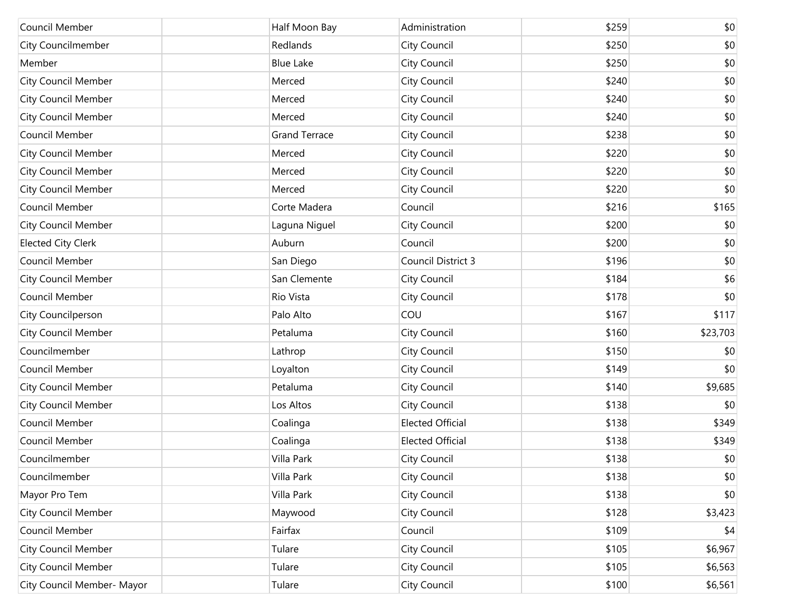| Council Member             | Half Moon Bay        | Administration          | \$259 | \$0      |
|----------------------------|----------------------|-------------------------|-------|----------|
| City Councilmember         | Redlands             | City Council            | \$250 | \$0      |
| Member                     | <b>Blue Lake</b>     | City Council            | \$250 | \$0      |
| <b>City Council Member</b> | Merced               | City Council            | \$240 | \$0      |
| <b>City Council Member</b> | Merced               | City Council            | \$240 | \$0      |
| <b>City Council Member</b> | Merced               | City Council            | \$240 | \$0      |
| Council Member             | <b>Grand Terrace</b> | City Council            | \$238 | \$0      |
| City Council Member        | Merced               | City Council            | \$220 | \$0      |
| <b>City Council Member</b> | Merced               | City Council            | \$220 | \$0      |
| City Council Member        | Merced               | City Council            | \$220 | \$0      |
| Council Member             | Corte Madera         | Council                 | \$216 | \$165    |
| City Council Member        | Laguna Niguel        | City Council            | \$200 | \$0      |
| <b>Elected City Clerk</b>  | Auburn               | Council                 | \$200 | \$0      |
| Council Member             | San Diego            | Council District 3      | \$196 | \$0      |
| <b>City Council Member</b> | San Clemente         | City Council            | \$184 | \$6      |
| Council Member             | Rio Vista            | City Council            | \$178 | \$0      |
| City Councilperson         | Palo Alto            | COU                     | \$167 | \$117    |
| City Council Member        | Petaluma             | City Council            | \$160 | \$23,703 |
| Councilmember              | Lathrop              | City Council            | \$150 | \$0      |
| Council Member             | Loyalton             | City Council            | \$149 | \$0      |
| <b>City Council Member</b> | Petaluma             | City Council            | \$140 | \$9,685  |
| City Council Member        | Los Altos            | City Council            | \$138 | \$0      |
| Council Member             | Coalinga             | <b>Elected Official</b> | \$138 | \$349    |
| Council Member             | Coalinga             | <b>Elected Official</b> | \$138 | \$349    |
| Councilmember              | Villa Park           | City Council            | \$138 | \$0      |
| Councilmember              | Villa Park           | City Council            | \$138 | \$0      |
| Mayor Pro Tem              | Villa Park           | City Council            | \$138 | \$0      |
| City Council Member        | Maywood              | City Council            | \$128 | \$3,423  |
| Council Member             | Fairfax              | Council                 | \$109 | \$4      |
| City Council Member        | Tulare               | City Council            | \$105 | \$6,967  |
| <b>City Council Member</b> | Tulare               | City Council            | \$105 | \$6,563  |
| City Council Member- Mayor | Tulare               | City Council            | \$100 | \$6,561  |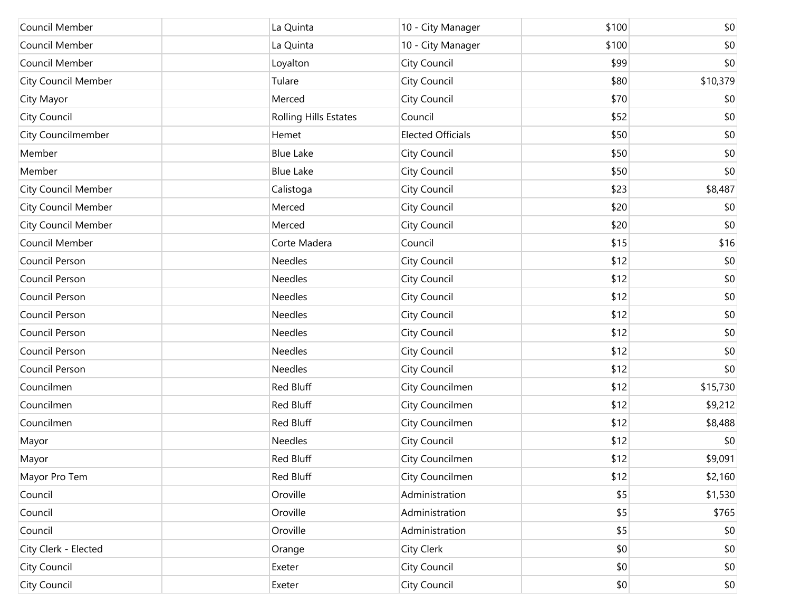| Council Member             | La Quinta                    | 10 - City Manager        | \$100 | \$0      |
|----------------------------|------------------------------|--------------------------|-------|----------|
| Council Member             | La Quinta                    | 10 - City Manager        | \$100 | \$0      |
| Council Member             | Loyalton                     | City Council             | \$99  | \$0      |
| <b>City Council Member</b> | Tulare                       | City Council             | \$80  | \$10,379 |
| City Mayor                 | Merced                       | City Council             | \$70  | \$0      |
| <b>City Council</b>        | <b>Rolling Hills Estates</b> | Council                  | \$52  | \$0      |
| City Councilmember         | Hemet                        | <b>Elected Officials</b> | \$50  | \$0      |
| Member                     | <b>Blue Lake</b>             | City Council             | \$50  | \$0      |
| Member                     | <b>Blue Lake</b>             | City Council             | \$50  | \$0      |
| <b>City Council Member</b> | Calistoga                    | City Council             | \$23  | \$8,487  |
| <b>City Council Member</b> | Merced                       | City Council             | \$20  | \$0      |
| <b>City Council Member</b> | Merced                       | City Council             | \$20  | \$0      |
| Council Member             | Corte Madera                 | Council                  | \$15  | \$16     |
| Council Person             | <b>Needles</b>               | City Council             | \$12  | \$0      |
| Council Person             | <b>Needles</b>               | City Council             | \$12  | \$0      |
| Council Person             | Needles                      | City Council             | \$12  | \$0      |
| Council Person             | Needles                      | City Council             | \$12  | \$0      |
| Council Person             | Needles                      | City Council             | \$12  | \$0      |
| Council Person             | Needles                      | City Council             | \$12  | \$0      |
| Council Person             | Needles                      | City Council             | \$12  | \$0      |
| Councilmen                 | Red Bluff                    | City Councilmen          | \$12  | \$15,730 |
| Councilmen                 | Red Bluff                    | City Councilmen          | \$12  | \$9,212  |
| Councilmen                 | Red Bluff                    | City Councilmen          | \$12  | \$8,488  |
| Mayor                      | <b>Needles</b>               | City Council             | \$12  | \$0      |
| Mayor                      | Red Bluff                    | City Councilmen          | \$12  | \$9,091  |
| Mayor Pro Tem              | Red Bluff                    | City Councilmen          | \$12  | \$2,160  |
| Council                    | Oroville                     | Administration           | \$5   | \$1,530  |
| Council                    | Oroville                     | Administration           | \$5   | \$765    |
| Council                    | Oroville                     | Administration           | \$5   | \$0      |
| City Clerk - Elected       | Orange                       | City Clerk               | \$0   | \$0      |
| City Council               | Exeter                       | City Council             | \$0   | $$0$$    |
| City Council               | Exeter                       | City Council             | \$0   | \$0      |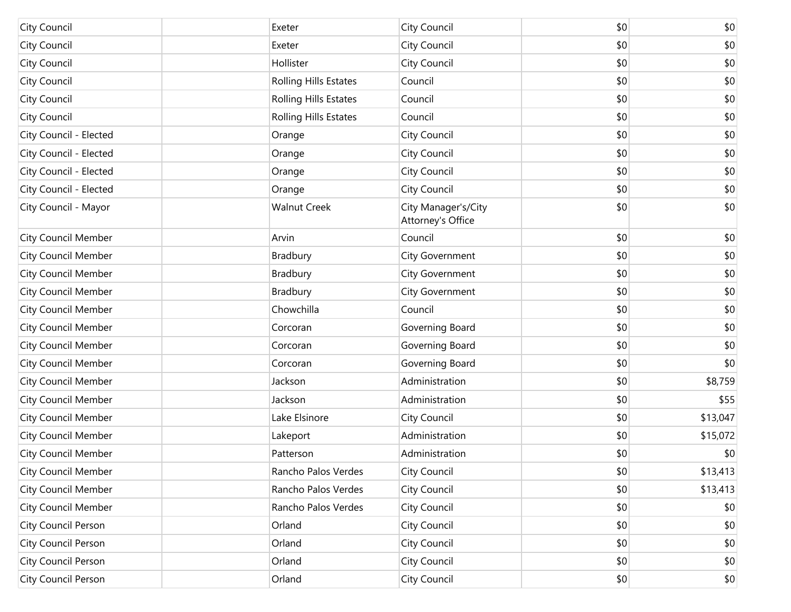| City Council               | Exeter                       | <b>City Council</b>                      | \$0 | \$0      |
|----------------------------|------------------------------|------------------------------------------|-----|----------|
| City Council               | Exeter                       | <b>City Council</b>                      | \$0 | \$0      |
| City Council               | Hollister                    | <b>City Council</b>                      | \$0 | \$0      |
| City Council               | Rolling Hills Estates        | Council                                  | \$0 | \$0      |
| City Council               | <b>Rolling Hills Estates</b> | Council                                  | \$0 | \$0      |
| City Council               | <b>Rolling Hills Estates</b> | Council                                  | \$0 | \$0      |
| City Council - Elected     | Orange                       | <b>City Council</b>                      | \$0 | \$0      |
| City Council - Elected     | Orange                       | <b>City Council</b>                      | \$0 | \$0      |
| City Council - Elected     | Orange                       | <b>City Council</b>                      | \$0 | \$0      |
| City Council - Elected     | Orange                       | City Council                             | \$0 | \$0      |
| City Council - Mayor       | <b>Walnut Creek</b>          | City Manager's/City<br>Attorney's Office | \$0 | \$0      |
| City Council Member        | Arvin                        | Council                                  | \$0 | \$0      |
| <b>City Council Member</b> | Bradbury                     | <b>City Government</b>                   | \$0 | \$0      |
| <b>City Council Member</b> | Bradbury                     | <b>City Government</b>                   | \$0 | \$0      |
| <b>City Council Member</b> | Bradbury                     | City Government                          | \$0 | \$0      |
| <b>City Council Member</b> | Chowchilla                   | Council                                  | \$0 | \$0      |
| <b>City Council Member</b> | Corcoran                     | Governing Board                          | \$0 | \$0      |
| <b>City Council Member</b> | Corcoran                     | Governing Board                          | \$0 | \$0      |
| <b>City Council Member</b> | Corcoran                     | Governing Board                          | \$0 | \$0      |
| <b>City Council Member</b> | Jackson                      | Administration                           | \$0 | \$8,759  |
| <b>City Council Member</b> | Jackson                      | Administration                           | \$0 | \$55     |
| <b>City Council Member</b> | Lake Elsinore                | City Council                             | \$0 | \$13,047 |
| <b>City Council Member</b> | Lakeport                     | Administration                           | \$0 | \$15,072 |
| City Council Member        | Patterson                    | Administration                           | \$0 | \$0      |
| <b>City Council Member</b> | Rancho Palos Verdes          | City Council                             | \$0 | \$13,413 |
| City Council Member        | Rancho Palos Verdes          | <b>City Council</b>                      | \$0 | \$13,413 |
| <b>City Council Member</b> | Rancho Palos Verdes          | <b>City Council</b>                      | \$0 | \$0      |
| City Council Person        | Orland                       | <b>City Council</b>                      | \$0 | \$0      |
| City Council Person        | Orland                       | <b>City Council</b>                      | \$0 | \$0      |
| City Council Person        | Orland                       | <b>City Council</b>                      | \$0 | \$0      |
| City Council Person        | Orland                       | City Council                             | \$0 | \$0      |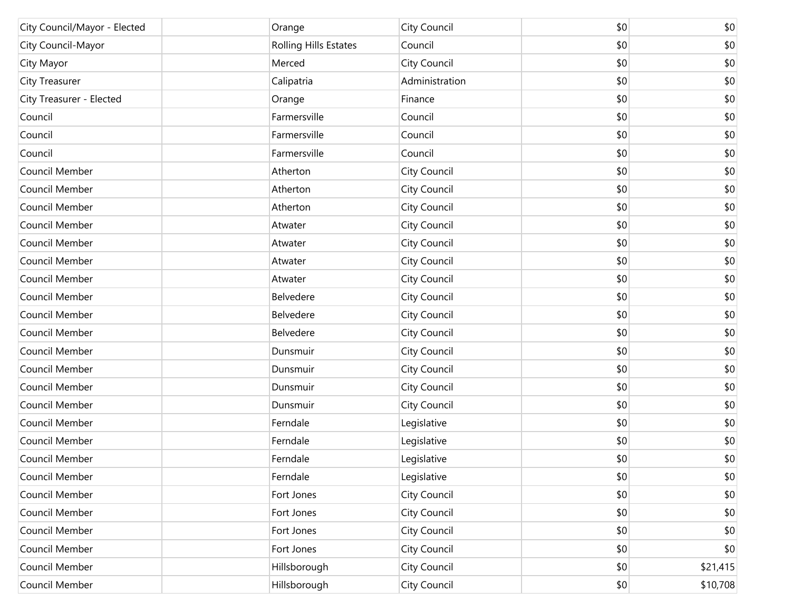| City Council/Mayor - Elected | Orange                | City Council   | \$0 | \$0      |
|------------------------------|-----------------------|----------------|-----|----------|
| City Council-Mayor           | Rolling Hills Estates | Council        | \$0 | \$0      |
| City Mayor                   | Merced                | City Council   | \$0 | \$0      |
| <b>City Treasurer</b>        | Calipatria            | Administration | \$0 | \$0      |
| City Treasurer - Elected     | Orange                | Finance        | \$0 | \$0      |
| Council                      | Farmersville          | Council        | \$0 | \$0      |
| Council                      | Farmersville          | Council        | \$0 | \$0      |
| Council                      | Farmersville          | Council        | \$0 | \$0      |
| Council Member               | Atherton              | City Council   | \$0 | \$0      |
| Council Member               | Atherton              | City Council   | \$0 | \$0      |
| Council Member               | Atherton              | City Council   | \$0 | \$0      |
| Council Member               | Atwater               | City Council   | \$0 | \$0      |
| Council Member               | Atwater               | City Council   | \$0 | \$0      |
| Council Member               | Atwater               | City Council   | \$0 | \$0      |
| Council Member               | Atwater               | City Council   | \$0 | \$0      |
| Council Member               | Belvedere             | City Council   | \$0 | \$0      |
| Council Member               | Belvedere             | City Council   | \$0 | \$0      |
| Council Member               | Belvedere             | City Council   | \$0 | \$0      |
| Council Member               | Dunsmuir              | City Council   | \$0 | \$0      |
| Council Member               | Dunsmuir              | City Council   | \$0 | \$0      |
| Council Member               | Dunsmuir              | City Council   | \$0 | \$0      |
| Council Member               | Dunsmuir              | City Council   | \$0 | \$0      |
| Council Member               | Ferndale              | Legislative    | \$0 | \$0      |
| Council Member               | Ferndale              | Legislative    | \$0 | \$0      |
| Council Member               | Ferndale              | Legislative    | \$0 | \$0      |
| Council Member               | Ferndale              | Legislative    | \$0 | \$0      |
| Council Member               | Fort Jones            | City Council   | \$0 | \$0      |
| Council Member               | Fort Jones            | City Council   | \$0 | \$0      |
| Council Member               | Fort Jones            | City Council   | \$0 | \$0      |
| Council Member               | Fort Jones            | City Council   | \$0 | \$0      |
| Council Member               | Hillsborough          | City Council   | \$0 | \$21,415 |
| Council Member               | Hillsborough          | City Council   | \$0 | \$10,708 |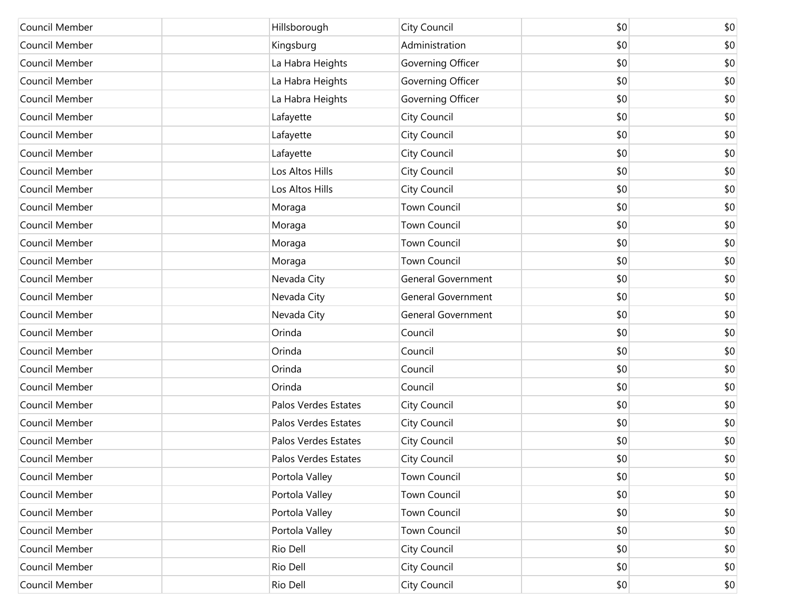| Council Member | Hillsborough         | City Council              | \$0 | \$0 |
|----------------|----------------------|---------------------------|-----|-----|
| Council Member | Kingsburg            | Administration            | \$0 | \$0 |
| Council Member | La Habra Heights     | Governing Officer         | \$0 | \$0 |
| Council Member | La Habra Heights     | Governing Officer         | \$0 | \$0 |
| Council Member | La Habra Heights     | Governing Officer         | \$0 | \$0 |
| Council Member | Lafayette            | City Council              | \$0 | \$0 |
| Council Member | Lafayette            | City Council              | \$0 | \$0 |
| Council Member | Lafayette            | City Council              | \$0 | \$0 |
| Council Member | Los Altos Hills      | City Council              | \$0 | \$0 |
| Council Member | Los Altos Hills      | City Council              | \$0 | \$0 |
| Council Member | Moraga               | <b>Town Council</b>       | \$0 | \$0 |
| Council Member | Moraga               | <b>Town Council</b>       | \$0 | \$0 |
| Council Member | Moraga               | <b>Town Council</b>       | \$0 | \$0 |
| Council Member | Moraga               | <b>Town Council</b>       | \$0 | \$0 |
| Council Member | Nevada City          | <b>General Government</b> | \$0 | \$0 |
| Council Member | Nevada City          | General Government        | \$0 | \$0 |
| Council Member | Nevada City          | <b>General Government</b> | \$0 | \$0 |
| Council Member | Orinda               | Council                   | \$0 | \$0 |
| Council Member | Orinda               | Council                   | \$0 | \$0 |
| Council Member | Orinda               | Council                   | \$0 | \$0 |
| Council Member | Orinda               | Council                   | \$0 | \$0 |
| Council Member | Palos Verdes Estates | City Council              | \$0 | \$0 |
| Council Member | Palos Verdes Estates | City Council              | \$0 | \$0 |
| Council Member | Palos Verdes Estates | City Council              | \$0 | \$0 |
| Council Member | Palos Verdes Estates | City Council              | \$0 | \$0 |
| Council Member | Portola Valley       | <b>Town Council</b>       | \$0 | \$0 |
| Council Member | Portola Valley       | <b>Town Council</b>       | \$0 | \$0 |
| Council Member | Portola Valley       | <b>Town Council</b>       | \$0 | \$0 |
| Council Member | Portola Valley       | Town Council              | \$0 | \$0 |
| Council Member | Rio Dell             | City Council              | \$0 | \$0 |
| Council Member | Rio Dell             | City Council              | \$0 | \$0 |
| Council Member | Rio Dell             | City Council              | \$0 | \$0 |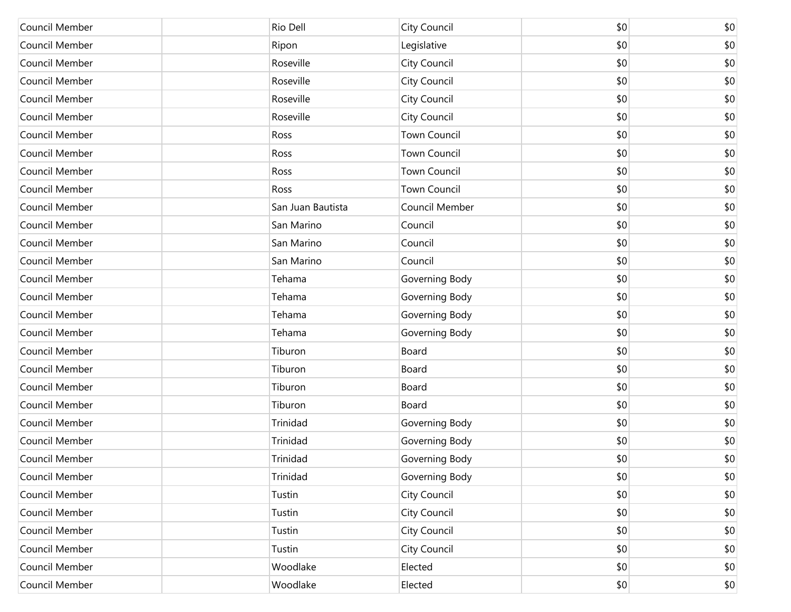| Council Member | Rio Dell          | City Council        | \$0 | \$0          |
|----------------|-------------------|---------------------|-----|--------------|
| Council Member | Ripon             | Legislative         | \$0 | \$0          |
| Council Member | Roseville         | City Council        | \$0 | \$0          |
| Council Member | Roseville         | City Council        | \$0 | \$0          |
| Council Member | Roseville         | City Council        | \$0 | \$0          |
| Council Member | Roseville         | City Council        | \$0 | \$0          |
| Council Member | Ross              | <b>Town Council</b> | \$0 | \$0          |
| Council Member | Ross              | <b>Town Council</b> | \$0 | \$0          |
| Council Member | Ross              | <b>Town Council</b> | \$0 | \$0          |
| Council Member | Ross              | <b>Town Council</b> | \$0 | \$0          |
| Council Member | San Juan Bautista | Council Member      | \$0 | \$0          |
| Council Member | San Marino        | Council             | \$0 | \$0          |
| Council Member | San Marino        | Council             | \$0 | \$0          |
| Council Member | San Marino        | Council             | \$0 | \$0          |
| Council Member | Tehama            | Governing Body      | \$0 | \$0          |
| Council Member | Tehama            | Governing Body      | \$0 | \$0          |
| Council Member | Tehama            | Governing Body      | \$0 | \$0          |
| Council Member | Tehama            | Governing Body      | \$0 | \$0          |
| Council Member | Tiburon           | Board               | \$0 | \$0          |
| Council Member | Tiburon           | Board               | \$0 | \$0          |
| Council Member | Tiburon           | Board               | \$0 | \$0          |
| Council Member | Tiburon           | Board               | \$0 | \$0          |
| Council Member | Trinidad          | Governing Body      | \$0 | \$0          |
| Council Member | Trinidad          | Governing Body      | \$0 | \$0          |
| Council Member | Trinidad          | Governing Body      | \$0 | \$0          |
| Council Member | Trinidad          | Governing Body      | \$0 | \$0          |
| Council Member | Tustin            | City Council        | \$0 | \$0          |
| Council Member | Tustin            | City Council        | \$0 | \$0          |
| Council Member | Tustin            | City Council        | \$0 | \$0          |
| Council Member | Tustin            | <b>City Council</b> | \$0 | \$0          |
| Council Member | Woodlake          | Elected             | \$0 | \$0          |
| Council Member | Woodlake          | Elected             | \$0 | $ 10\rangle$ |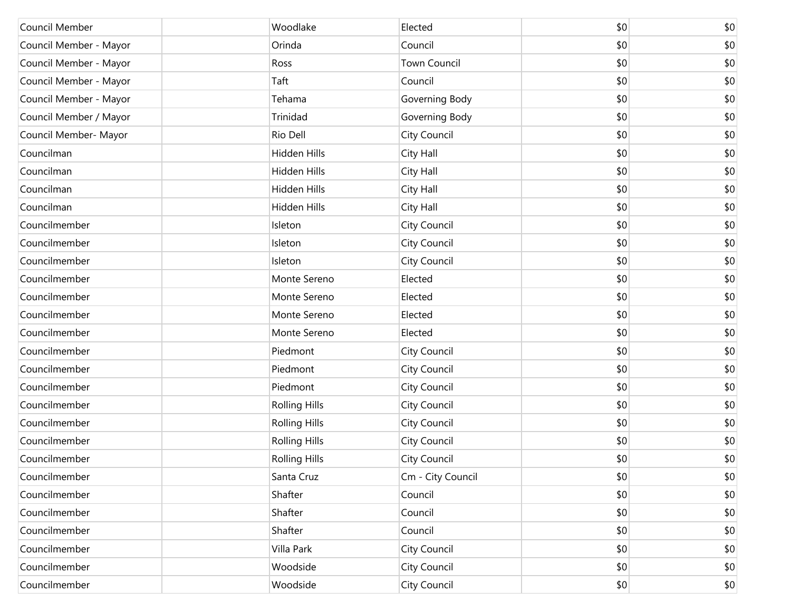| Council Member         | Woodlake             | Elected             | \$0 | \$0 |
|------------------------|----------------------|---------------------|-----|-----|
| Council Member - Mayor | Orinda               | Council             | \$0 | \$0 |
| Council Member - Mayor | Ross                 | <b>Town Council</b> | \$0 | \$0 |
| Council Member - Mayor | Taft                 | Council             | \$0 | \$0 |
| Council Member - Mayor | Tehama               | Governing Body      | \$0 | \$0 |
| Council Member / Mayor | Trinidad             | Governing Body      | \$0 | \$0 |
| Council Member- Mayor  | Rio Dell             | City Council        | \$0 | \$0 |
| Councilman             | Hidden Hills         | City Hall           | \$0 | \$0 |
| Councilman             | Hidden Hills         | City Hall           | \$0 | \$0 |
| Councilman             | Hidden Hills         | City Hall           | \$0 | \$0 |
| Councilman             | Hidden Hills         | City Hall           | \$0 | \$0 |
| Councilmember          | Isleton              | City Council        | \$0 | \$0 |
| Councilmember          | Isleton              | City Council        | \$0 | \$0 |
| Councilmember          | Isleton              | City Council        | \$0 | \$0 |
| Councilmember          | Monte Sereno         | Elected             | \$0 | \$0 |
| Councilmember          | Monte Sereno         | Elected             | \$0 | \$0 |
| Councilmember          | Monte Sereno         | Elected             | \$0 | \$0 |
| Councilmember          | Monte Sereno         | Elected             | \$0 | \$0 |
| Councilmember          | Piedmont             | City Council        | \$0 | \$0 |
| Councilmember          | Piedmont             | City Council        | \$0 | \$0 |
| Councilmember          | Piedmont             | City Council        | \$0 | \$0 |
| Councilmember          | <b>Rolling Hills</b> | City Council        | \$0 | \$0 |
| Councilmember          | <b>Rolling Hills</b> | City Council        | \$0 | \$0 |
| Councilmember          | <b>Rolling Hills</b> | City Council        | \$0 | \$0 |
| Councilmember          | <b>Rolling Hills</b> | City Council        | \$0 | \$0 |
| Councilmember          | Santa Cruz           | Cm - City Council   | \$0 | \$0 |
| Councilmember          | Shafter              | Council             | \$0 | \$0 |
| Councilmember          | Shafter              | Council             | \$0 | \$0 |
| Councilmember          | Shafter              | Council             | \$0 | \$0 |
| Councilmember          | Villa Park           | City Council        | \$0 | \$0 |
| Councilmember          | Woodside             | City Council        | \$0 | \$0 |
| Councilmember          | Woodside             | City Council        | \$0 | \$0 |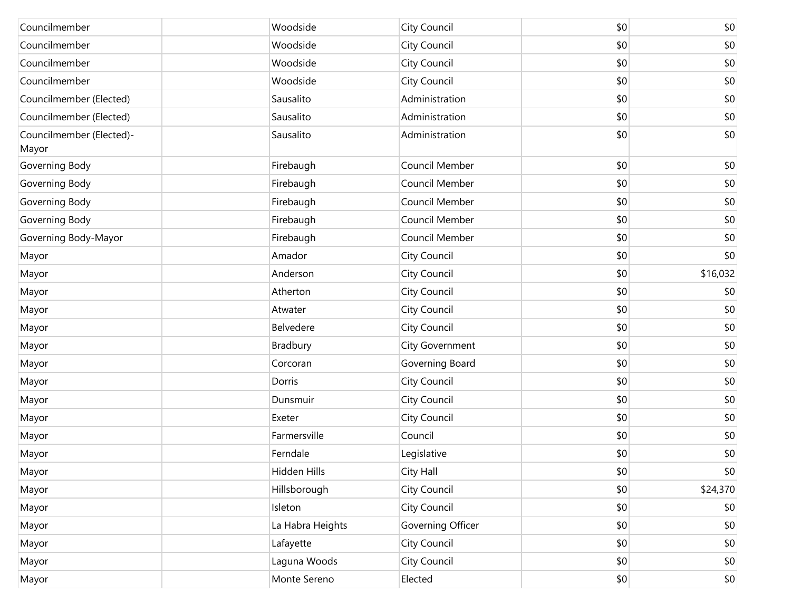| Councilmember                     | Woodside         | City Council      | \$0 | \$0          |
|-----------------------------------|------------------|-------------------|-----|--------------|
| Councilmember                     | Woodside         | City Council      | \$0 | \$0          |
| Councilmember                     | Woodside         | City Council      | \$0 | \$0          |
| Councilmember                     | Woodside         | City Council      | \$0 | \$0          |
| Councilmember (Elected)           | Sausalito        | Administration    | \$0 | $$0$$        |
| Councilmember (Elected)           | Sausalito        | Administration    | \$0 | \$0          |
| Councilmember (Elected)-<br>Mayor | Sausalito        | Administration    | \$0 | \$0          |
| Governing Body                    | Firebaugh        | Council Member    | \$0 | \$0          |
| Governing Body                    | Firebaugh        | Council Member    | \$0 | \$0          |
| Governing Body                    | Firebaugh        | Council Member    | \$0 | \$0          |
| Governing Body                    | Firebaugh        | Council Member    | \$0 | \$0          |
| Governing Body-Mayor              | Firebaugh        | Council Member    | \$0 | \$0          |
| Mayor                             | Amador           | City Council      | \$0 | \$0          |
| Mayor                             | Anderson         | City Council      | \$0 | \$16,032     |
| Mayor                             | Atherton         | City Council      | \$0 | \$0          |
| Mayor                             | Atwater          | City Council      | \$0 | \$0          |
| Mayor                             | Belvedere        | City Council      | \$0 | \$0          |
| Mayor                             | Bradbury         | City Government   | \$0 | \$0          |
| Mayor                             | Corcoran         | Governing Board   | \$0 | \$0          |
| Mayor                             | Dorris           | City Council      | \$0 | \$0          |
| Mayor                             | Dunsmuir         | City Council      | \$0 | \$0          |
| Mayor                             | Exeter           | City Council      | \$0 | \$0          |
| Mayor                             | Farmersville     | Council           | \$0 | \$0          |
| Mayor                             | Ferndale         | Legislative       | \$0 | \$0          |
| Mayor                             | Hidden Hills     | City Hall         | \$0 | $ 10\rangle$ |
| Mayor                             | Hillsborough     | City Council      | \$0 | \$24,370     |
| Mayor                             | Isleton          | City Council      | \$0 | $ 10\rangle$ |
| Mayor                             | La Habra Heights | Governing Officer | \$0 | \$0          |
| Mayor                             | Lafayette        | City Council      | \$0 | \$0          |
| Mayor                             | Laguna Woods     | City Council      | \$0 | $$0$$        |
| Mayor                             | Monte Sereno     | Elected           | \$0 | $ 10\rangle$ |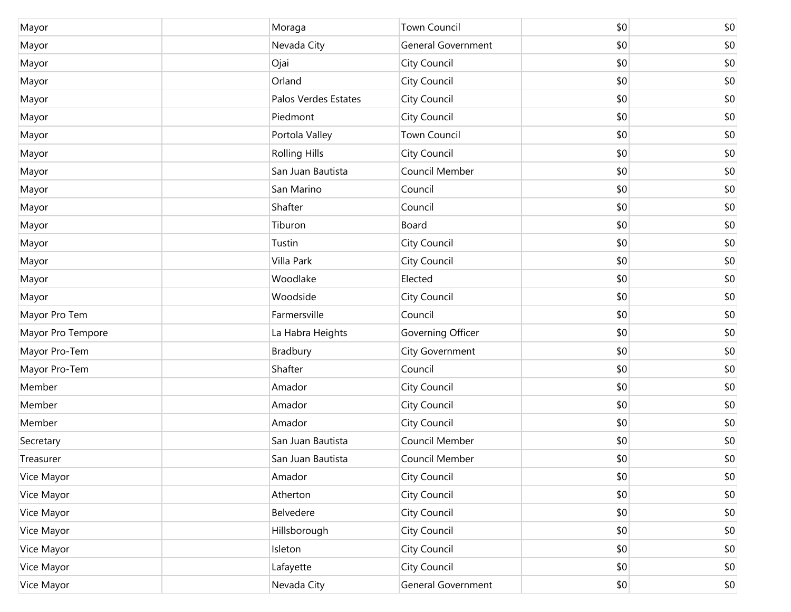| Mayor             | Moraga               | Town Council        | \$0 | \$0   |
|-------------------|----------------------|---------------------|-----|-------|
| Mayor             | Nevada City          | General Government  | \$0 | \$0   |
| Mayor             | Ojai                 | City Council        | \$0 | \$0   |
| Mayor             | Orland               | City Council        | \$0 | \$0   |
| Mayor             | Palos Verdes Estates | City Council        | \$0 | \$0   |
| Mayor             | Piedmont             | City Council        | \$0 | \$0   |
| Mayor             | Portola Valley       | <b>Town Council</b> | \$0 | \$0   |
| Mayor             | <b>Rolling Hills</b> | City Council        | \$0 | \$0   |
| Mayor             | San Juan Bautista    | Council Member      | \$0 | \$0   |
| Mayor             | San Marino           | Council             | \$0 | \$0   |
| Mayor             | Shafter              | Council             | \$0 | \$0   |
| Mayor             | Tiburon              | Board               | \$0 | \$0   |
| Mayor             | Tustin               | City Council        | \$0 | \$0   |
| Mayor             | Villa Park           | City Council        | \$0 | \$0   |
| Mayor             | Woodlake             | Elected             | \$0 | \$0   |
| Mayor             | Woodside             | City Council        | \$0 | \$0   |
| Mayor Pro Tem     | Farmersville         | Council             | \$0 | \$0   |
| Mayor Pro Tempore | La Habra Heights     | Governing Officer   | \$0 | \$0   |
| Mayor Pro-Tem     | Bradbury             | City Government     | \$0 | \$0   |
| Mayor Pro-Tem     | Shafter              | Council             | \$0 | \$0   |
| Member            | Amador               | City Council        | \$0 | \$0   |
| Member            | Amador               | City Council        | \$0 | \$0   |
| Member            | Amador               | City Council        | \$0 | \$0   |
| Secretary         | San Juan Bautista    | Council Member      | \$0 | \$0   |
| Treasurer         | San Juan Bautista    | Council Member      | \$0 | \$0   |
| Vice Mayor        | Amador               | City Council        | \$0 | \$0   |
| Vice Mayor        | Atherton             | City Council        | \$0 | \$0   |
| Vice Mayor        | Belvedere            | City Council        | \$0 | \$0   |
| Vice Mayor        | Hillsborough         | City Council        | \$0 | \$0   |
| Vice Mayor        | Isleton              | City Council        | \$0 | \$0   |
| Vice Mayor        | Lafayette            | City Council        | \$0 | \$0   |
| Vice Mayor        | Nevada City          | General Government  | \$0 | $$0$$ |